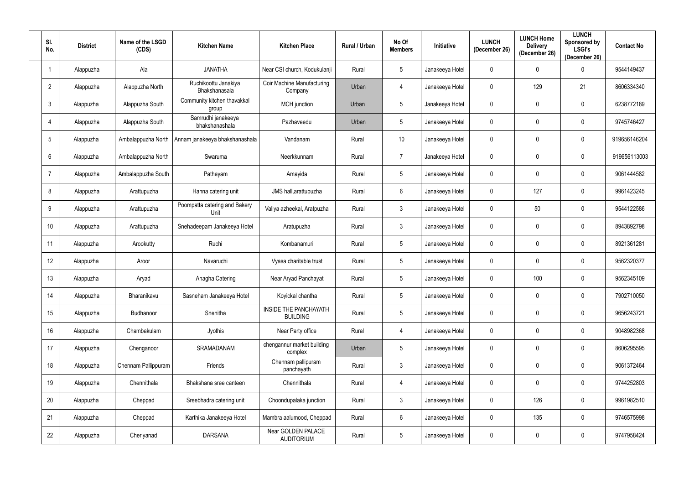| SI.<br>No.      | <b>District</b> | Name of the LSGD<br>(CDS) | <b>Kitchen Name</b>                   | <b>Kitchen Place</b>                     | Rural / Urban | No Of<br><b>Members</b> | Initiative      | <b>LUNCH</b><br>(December 26) | <b>LUNCH Home</b><br><b>Delivery</b><br>(December 26) | <b>LUNCH</b><br><b>Sponsored by</b><br><b>LSGI's</b><br>(December 26) | <b>Contact No</b> |
|-----------------|-----------------|---------------------------|---------------------------------------|------------------------------------------|---------------|-------------------------|-----------------|-------------------------------|-------------------------------------------------------|-----------------------------------------------------------------------|-------------------|
| $\overline{1}$  | Alappuzha       | Ala                       | <b>JANATHA</b>                        | Near CSI church, Kodukulanji             | Rural         | $5\overline{)}$         | Janakeeya Hotel | $\overline{0}$                | $\mathbf 0$                                           | $\Omega$                                                              | 9544149437        |
| $\overline{2}$  | Alappuzha       | Alappuzha North           | Ruchikoottu Janakiya<br>Bhakshanasala | Coir Machine Manufacturing<br>Company    | Urban         | $\overline{4}$          | Janakeeya Hotel | $\overline{0}$                | 129                                                   | 21                                                                    | 8606334340        |
| $\mathfrak{Z}$  | Alappuzha       | Alappuzha South           | Community kitchen thavakkal<br>group  | MCH junction                             | Urban         | $5\phantom{.0}$         | Janakeeya Hotel | $\mathbf 0$                   | $\overline{0}$                                        | $\mathbf 0$                                                           | 6238772189        |
| $\overline{4}$  | Alappuzha       | Alappuzha South           | Samrudhi janakeeya<br>bhakshanashala  | Pazhaveedu                               | Urban         | $5\phantom{.0}$         | Janakeeya Hotel | $\overline{0}$                | $\mathbf 0$                                           | $\mathbf 0$                                                           | 9745746427        |
| $5\phantom{.0}$ | Alappuzha       | Ambalappuzha North        | Annam janakeeya bhakshanashala        | Vandanam                                 | Rural         | 10 <sup>°</sup>         | Janakeeya Hotel | $\mathbf 0$                   | $\overline{0}$                                        | $\mathbf 0$                                                           | 919656146204      |
| $6\phantom{.}6$ | Alappuzha       | Ambalappuzha North        | Swaruma                               | Neerkkunnam                              | Rural         | $\overline{7}$          | Janakeeya Hotel | $\overline{0}$                | $\overline{0}$                                        | $\mathbf 0$                                                           | 919656113003      |
| $\overline{7}$  | Alappuzha       | Ambalappuzha South        | Patheyam                              | Amayida                                  | Rural         | $5\phantom{.0}$         | Janakeeya Hotel | $\mathbf 0$                   | $\overline{0}$                                        | $\mathbf 0$                                                           | 9061444582        |
| 8               | Alappuzha       | Arattupuzha               | Hanna catering unit                   | JMS hall, arattupuzha                    | Rural         | $6\overline{6}$         | Janakeeya Hotel | $\overline{0}$                | 127                                                   | $\mathbf 0$                                                           | 9961423245        |
| 9               | Alappuzha       | Arattupuzha               | Poompatta catering and Bakery<br>Unit | Valiya azheekal, Aratpuzha               | Rural         | $\mathbf{3}$            | Janakeeya Hotel | $\overline{0}$                | 50                                                    | $\mathbf 0$                                                           | 9544122586        |
| 10 <sup>°</sup> | Alappuzha       | Arattupuzha               | Snehadeepam Janakeeya Hotel           | Aratupuzha                               | Rural         | $\mathbf{3}$            | Janakeeya Hotel | $\overline{0}$                | $\overline{0}$                                        | $\mathbf 0$                                                           | 8943892798        |
| 11              | Alappuzha       | Arookutty                 | Ruchi                                 | Kombanamuri                              | Rural         | $5\phantom{.0}$         | Janakeeya Hotel | $\overline{0}$                | $\overline{0}$                                        | $\mathbf 0$                                                           | 8921361281        |
| 12 <sup>°</sup> | Alappuzha       | Aroor                     | Navaruchi                             | Vyasa charitable trust                   | Rural         | $5\phantom{.0}$         | Janakeeya Hotel | $\overline{0}$                | $\mathbf 0$                                           | $\mathbf 0$                                                           | 9562320377        |
| 13              | Alappuzha       | Aryad                     | Anagha Catering                       | Near Aryad Panchayat                     | Rural         | $5\overline{)}$         | Janakeeya Hotel | $\mathbf 0$                   | 100                                                   | $\mathbf 0$                                                           | 9562345109        |
| 14              | Alappuzha       | Bharanikavu               | Sasneham Janakeeya Hotel              | Koyickal chantha                         | Rural         | $5\phantom{.0}$         | Janakeeya Hotel | $\overline{0}$                | $\mathbf 0$                                           | $\mathbf 0$                                                           | 7902710050        |
| 15              | Alappuzha       | Budhanoor                 | Snehitha                              | INSIDE THE PANCHAYATH<br><b>BUILDING</b> | Rural         | $5\overline{)}$         | Janakeeya Hotel | $\overline{0}$                | $\mathbf 0$                                           | $\mathbf 0$                                                           | 9656243721        |
| 16              | Alappuzha       | Chambakulam               | Jyothis                               | Near Party office                        | Rural         | $\overline{4}$          | Janakeeya Hotel | $\overline{0}$                | $\mathbf 0$                                           | $\mathbf 0$                                                           | 9048982368        |
| 17              | Alappuzha       | Chenganoor                | SRAMADANAM                            | chengannur market building<br>complex    | Urban         | $5\phantom{.0}$         | Janakeeya Hotel | $\mathbf 0$                   | $\mathbf 0$                                           | $\mathbf 0$                                                           | 8606295595        |
| 18              | Alappuzha       | Chennam Pallippuram       | Friends                               | Chennam pallipuram<br>panchayath         | Rural         | $\mathbf{3}$            | Janakeeya Hotel | $\overline{0}$                | $\mathbf 0$                                           | $\mathbf 0$                                                           | 9061372464        |
| 19              | Alappuzha       | Chennithala               | Bhakshana sree canteen                | Chennithala                              | Rural         | $\overline{4}$          | Janakeeya Hotel | $\overline{0}$                | $\mathbf 0$                                           | $\mathbf 0$                                                           | 9744252803        |
| 20              | Alappuzha       | Cheppad                   | Sreebhadra catering unit              | Choondupalaka junction                   | Rural         | $\mathbf{3}$            | Janakeeya Hotel | $\overline{0}$                | 126                                                   | $\pmb{0}$                                                             | 9961982510        |
| 21              | Alappuzha       | Cheppad                   | Karthika Janakeeya Hotel              | Mambra aalumood, Cheppad                 | Rural         | $6\phantom{.}6$         | Janakeeya Hotel | $\mathbf 0$                   | 135                                                   | $\pmb{0}$                                                             | 9746575998        |
| 22              | Alappuzha       | Cheriyanad                | <b>DARSANA</b>                        | Near GOLDEN PALACE<br><b>AUDITORIUM</b>  | Rural         | $5\overline{)}$         | Janakeeya Hotel | $\mathbf 0$                   | $\overline{0}$                                        | $\pmb{0}$                                                             | 9747958424        |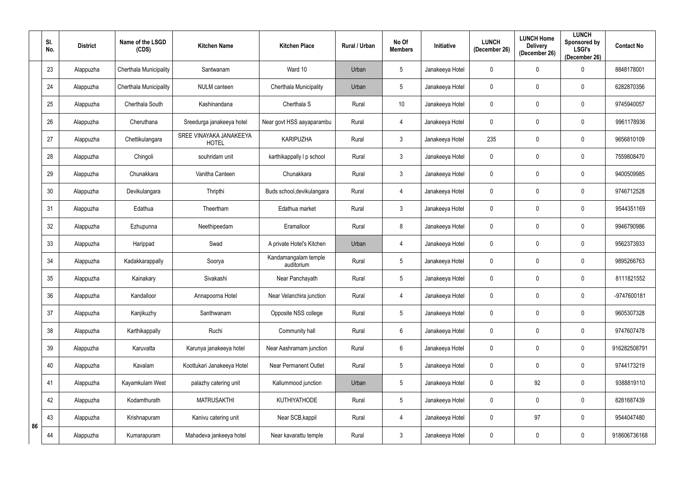|    | SI.<br>No. | <b>District</b> | Name of the LSGD<br>(CDS) | <b>Kitchen Name</b>                     | <b>Kitchen Place</b>               | Rural / Urban | No Of<br><b>Members</b> | <b>Initiative</b> | <b>LUNCH</b><br>(December 26) | <b>LUNCH Home</b><br><b>Delivery</b><br>(December 26) | <b>LUNCH</b><br>Sponsored by<br><b>LSGI's</b><br>(December 26) | <b>Contact No</b> |
|----|------------|-----------------|---------------------------|-----------------------------------------|------------------------------------|---------------|-------------------------|-------------------|-------------------------------|-------------------------------------------------------|----------------------------------------------------------------|-------------------|
|    | 23         | Alappuzha       | Cherthala Municipality    | Santwanam                               | Ward 10                            | Urban         | $5\overline{)}$         | Janakeeya Hotel   | 0                             | 0                                                     | 0                                                              | 8848178001        |
|    | 24         | Alappuzha       | Cherthala Municipality    | <b>NULM</b> canteen                     | Cherthala Municipality             | Urban         | $5\phantom{.0}$         | Janakeeya Hotel   | 0                             | $\mathbf 0$                                           | $\mathbf 0$                                                    | 6282870356        |
|    | 25         | Alappuzha       | Cherthala South           | Kashinandana                            | Cherthala S                        | Rural         | 10                      | Janakeeya Hotel   | 0                             | 0                                                     | $\mathbf 0$                                                    | 9745940057        |
|    | 26         | Alappuzha       | Cheruthana                | Sreedurga janakeeya hotel               | Near govt HSS aayaparambu          | Rural         | $\overline{4}$          | Janakeeya Hotel   | 0                             | 0                                                     | 0                                                              | 9961178936        |
|    | 27         | Alappuzha       | Chettikulangara           | SREE VINAYAKA JANAKEEYA<br><b>HOTEL</b> | <b>KARIPUZHA</b>                   | Rural         | $\mathbf{3}$            | Janakeeya Hotel   | 235                           | $\mathbf 0$                                           | $\mathbf 0$                                                    | 9656810109        |
|    | 28         | Alappuzha       | Chingoli                  | souhridam unit                          | karthikappally I p school          | Rural         | $\mathbf{3}$            | Janakeeya Hotel   | $\mathbf 0$                   | $\mathbf 0$                                           | $\boldsymbol{0}$                                               | 7559808470        |
|    | 29         | Alappuzha       | Chunakkara                | Vanitha Canteen                         | Chunakkara                         | Rural         | $\mathbf{3}$            | Janakeeya Hotel   | $\mathbf 0$                   | $\mathbf 0$                                           | $\boldsymbol{0}$                                               | 9400509985        |
|    | 30         | Alappuzha       | Devikulangara             | Thripthi                                | Buds school, devikulangara         | Rural         | $\overline{4}$          | Janakeeya Hotel   | $\mathbf 0$                   | $\mathbf 0$                                           | 0                                                              | 9746712528        |
|    | 31         | Alappuzha       | Edathua                   | Theertham                               | Edathua market                     | Rural         | $\mathbf{3}$            | Janakeeya Hotel   | $\mathbf 0$                   | $\mathbf 0$                                           | $\mathbf 0$                                                    | 9544351169        |
|    | 32         | Alappuzha       | Ezhupunna                 | Neethipeedam                            | Eramalloor                         | Rural         | 8                       | Janakeeya Hotel   | $\mathbf 0$                   | $\mathbf 0$                                           | $\mathbf 0$                                                    | 9946790986        |
|    | 33         | Alappuzha       | Harippad                  | Swad                                    | A private Hotel's Kitchen          | Urban         | 4                       | Janakeeya Hotel   | $\mathbf 0$                   | 0                                                     | $\mathbf 0$                                                    | 9562373933        |
|    | 34         | Alappuzha       | Kadakkarappally           | Soorya                                  | Kandamangalam temple<br>auditorium | Rural         | $5\overline{)}$         | Janakeeya Hotel   | 0                             | 0                                                     | 0                                                              | 9895266763        |
|    | 35         | Alappuzha       | Kainakary                 | Sivakashi                               | Near Panchayath                    | Rural         | $5\overline{)}$         | Janakeeya Hotel   | $\mathbf 0$                   | $\mathbf 0$                                           | 0                                                              | 8111821552        |
|    | 36         | Alappuzha       | Kandalloor                | Annapoorna Hotel                        | Near Velanchira junction           | Rural         | $\overline{4}$          | Janakeeya Hotel   | $\mathbf 0$                   | $\mathbf 0$                                           | $\pmb{0}$                                                      | -9747600181       |
|    | 37         | Alappuzha       | Kanjikuzhy                | Santhwanam                              | Opposite NSS college               | Rural         | $5\overline{)}$         | Janakeeya Hotel   | $\mathbf 0$                   | $\mathbf 0$                                           | $\pmb{0}$                                                      | 9605307328        |
|    | 38         | Alappuzha       | Karthikappally            | Ruchi                                   | Community hall                     | Rural         | $6\overline{6}$         | Janakeeya Hotel   | $\mathbf 0$                   | $\mathbf 0$                                           | $\pmb{0}$                                                      | 9747607478        |
|    | 39         | Alappuzha       | Karuvatta                 | Karunya janakeeya hotel                 | Near Aashramam junction            | Rural         | $6\overline{6}$         | Janakeeya Hotel   | $\mathbf 0$                   | $\mathbf 0$                                           | $\pmb{0}$                                                      | 916282508791      |
|    | 40         | Alappuzha       | Kavalam                   | Koottukari Janakeeya Hotel              | <b>Near Permanent Outlet</b>       | Rural         | $5\phantom{.0}$         | Janakeeya Hotel   | $\mathbf 0$                   | $\mathbf 0$                                           | $\pmb{0}$                                                      | 9744173219        |
|    | 41         | Alappuzha       | Kayamkulam West           | palazhy catering unit                   | Kallummood junction                | Urban         | $5\overline{)}$         | Janakeeya Hotel   | 0                             | 92                                                    | $\pmb{0}$                                                      | 9388819110        |
|    | 42         | Alappuzha       | Kodamthurath              | <b>MATRUSAKTHI</b>                      | <b>KUTHIYATHODE</b>                | Rural         | $5\overline{)}$         | Janakeeya Hotel   | $\mathbf 0$                   | $\mathbf 0$                                           | $\pmb{0}$                                                      | 8281687439        |
| 86 | 43         | Alappuzha       | Krishnapuram              | Kanivu catering unit                    | Near SCB, kappil                   | Rural         | $\overline{4}$          | Janakeeya Hotel   | 0                             | 97                                                    | $\pmb{0}$                                                      | 9544047480        |
|    | 44         | Alappuzha       | Kumarapuram               | Mahadeva jankeeya hotel                 | Near kavarattu temple              | Rural         | $\mathbf{3}$            | Janakeeya Hotel   | 0                             | $\bf{0}$                                              | $\pmb{0}$                                                      | 918606736168      |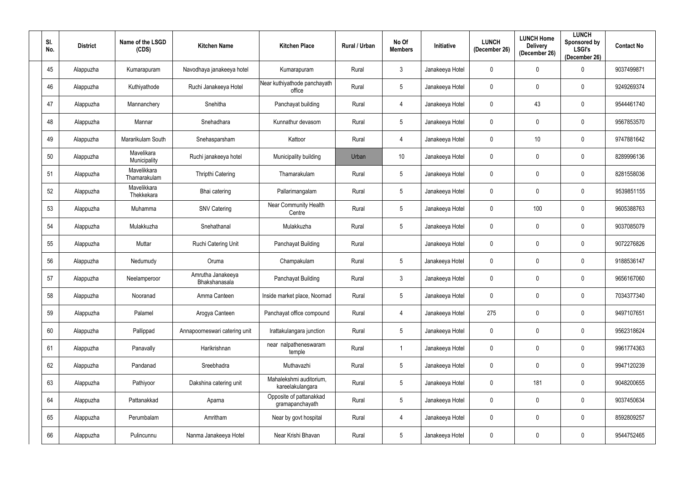| SI.<br>No. | <b>District</b> | Name of the LSGD<br>(CDS)   | <b>Kitchen Name</b>                | <b>Kitchen Place</b>                        | Rural / Urban | No Of<br><b>Members</b> | Initiative      | <b>LUNCH</b><br>(December 26) | <b>LUNCH Home</b><br><b>Delivery</b><br>(December 26) | <b>LUNCH</b><br><b>Sponsored by</b><br><b>LSGI's</b><br>(December 26) | <b>Contact No</b> |
|------------|-----------------|-----------------------------|------------------------------------|---------------------------------------------|---------------|-------------------------|-----------------|-------------------------------|-------------------------------------------------------|-----------------------------------------------------------------------|-------------------|
| 45         | Alappuzha       | Kumarapuram                 | Navodhaya janakeeya hotel          | Kumarapuram                                 | Rural         | $\mathbf{3}$            | Janakeeya Hotel | $\overline{0}$                | $\mathbf 0$                                           | $\Omega$                                                              | 9037499871        |
| 46         | Alappuzha       | Kuthiyathode                | Ruchi Janakeeya Hotel              | Near kuthiyathode panchayath<br>office      | Rural         | $5\phantom{.0}$         | Janakeeya Hotel | $\overline{0}$                | $\mathbf 0$                                           | $\mathbf 0$                                                           | 9249269374        |
| 47         | Alappuzha       | Mannanchery                 | Snehitha                           | Panchayat building                          | Rural         | $\overline{4}$          | Janakeeya Hotel | $\overline{0}$                | 43                                                    | $\mathbf 0$                                                           | 9544461740        |
| 48         | Alappuzha       | Mannar                      | Snehadhara                         | Kunnathur devasom                           | Rural         | $5\overline{)}$         | Janakeeya Hotel | $\overline{0}$                | $\mathbf 0$                                           | $\mathbf 0$                                                           | 9567853570        |
| 49         | Alappuzha       | Mararikulam South           | Snehasparsham                      | Kattoor                                     | Rural         | $\overline{4}$          | Janakeeya Hotel | $\mathbf 0$                   | 10                                                    | $\mathbf 0$                                                           | 9747881642        |
| 50         | Alappuzha       | Mavelikara<br>Municipality  | Ruchi janakeeya hotel              | Municipality building                       | Urban         | 10 <sup>°</sup>         | Janakeeya Hotel | $\overline{0}$                | $\overline{0}$                                        | $\mathbf 0$                                                           | 8289996136        |
| 51         | Alappuzha       | Mavelikkara<br>Thamarakulam | Thripthi Catering                  | Thamarakulam                                | Rural         | $5\overline{)}$         | Janakeeya Hotel | $\mathbf 0$                   | $\mathbf 0$                                           | $\mathbf 0$                                                           | 8281558036        |
| 52         | Alappuzha       | Mavelikkara<br>Thekkekara   | Bhai catering                      | Pallarimangalam                             | Rural         | $5\phantom{.0}$         | Janakeeya Hotel | $\overline{0}$                | $\mathbf 0$                                           | $\mathbf{0}$                                                          | 9539851155        |
| 53         | Alappuzha       | Muhamma                     | <b>SNV Catering</b>                | Near Community Health<br>Centre             | Rural         | $5\phantom{.0}$         | Janakeeya Hotel | $\mathbf 0$                   | 100                                                   | $\mathbf 0$                                                           | 9605388763        |
| 54         | Alappuzha       | Mulakkuzha                  | Snehathanal                        | Mulakkuzha                                  | Rural         | $5\phantom{.0}$         | Janakeeya Hotel | $\overline{0}$                | $\overline{0}$                                        | $\mathbf 0$                                                           | 9037085079        |
| 55         | Alappuzha       | Muttar                      | Ruchi Catering Unit                | Panchayat Building                          | Rural         |                         | Janakeeya Hotel | $\overline{0}$                | $\mathbf 0$                                           | $\mathbf 0$                                                           | 9072276826        |
| 56         | Alappuzha       | Nedumudy                    | Oruma                              | Champakulam                                 | Rural         | $5\phantom{.0}$         | Janakeeya Hotel | $\overline{0}$                | $\mathbf 0$                                           | $\mathbf 0$                                                           | 9188536147        |
| 57         | Alappuzha       | Neelamperoor                | Amrutha Janakeeya<br>Bhakshanasala | Panchayat Building                          | Rural         | 3 <sup>1</sup>          | Janakeeya Hotel | $\mathbf 0$                   | $\mathbf 0$                                           | $\mathbf 0$                                                           | 9656167060        |
| 58         | Alappuzha       | Nooranad                    | Amma Canteen                       | Inside market place, Noornad                | Rural         | $5\phantom{.0}$         | Janakeeya Hotel | $\overline{0}$                | $\mathbf 0$                                           | $\mathbf 0$                                                           | 7034377340        |
| 59         | Alappuzha       | Palamel                     | Arogya Canteen                     | Panchayat office compound                   | Rural         | $\overline{4}$          | Janakeeya Hotel | 275                           | $\overline{0}$                                        | $\pmb{0}$                                                             | 9497107651        |
| 60         | Alappuzha       | Pallippad                   | Annapoorneswari catering unit      | Irattakulangara junction                    | Rural         | $5\overline{)}$         | Janakeeya Hotel | $\overline{0}$                | $\mathbf 0$                                           | $\mathbf 0$                                                           | 9562318624        |
| 61         | Alappuzha       | Panavally                   | Harikrishnan                       | near nalpatheneswaram<br>temple             | Rural         |                         | Janakeeya Hotel | $\overline{0}$                | $\overline{0}$                                        | $\mathbf 0$                                                           | 9961774363        |
| 62         | Alappuzha       | Pandanad                    | Sreebhadra                         | Muthavazhi                                  | Rural         | $5\overline{)}$         | Janakeeya Hotel | $\overline{0}$                | $\mathbf 0$                                           | $\mathbf 0$                                                           | 9947120239        |
| 63         | Alappuzha       | Pathiyoor                   | Dakshina catering unit             | Mahalekshmi auditorium,<br>kareelakulangara | Rural         | $5\phantom{.0}$         | Janakeeya Hotel | $\overline{0}$                | 181                                                   | $\mathbf 0$                                                           | 9048200655        |
| 64         | Alappuzha       | Pattanakkad                 | Aparna                             | Opposite of pattanakkad<br>gramapanchayath  | Rural         | $5\phantom{.0}$         | Janakeeya Hotel | $\overline{0}$                | $\overline{0}$                                        | $\mathbf 0$                                                           | 9037450634        |
| 65         | Alappuzha       | Perumbalam                  | Amritham                           | Near by govt hospital                       | Rural         | 4                       | Janakeeya Hotel | $\mathbf 0$                   | $\mathbf 0$                                           | $\pmb{0}$                                                             | 8592809257        |
| 66         | Alappuzha       | Pulincunnu                  | Nanma Janakeeya Hotel              | Near Krishi Bhavan                          | Rural         | $5\overline{)}$         | Janakeeya Hotel | $\mathbf 0$                   | $\bm{0}$                                              | $\pmb{0}$                                                             | 9544752465        |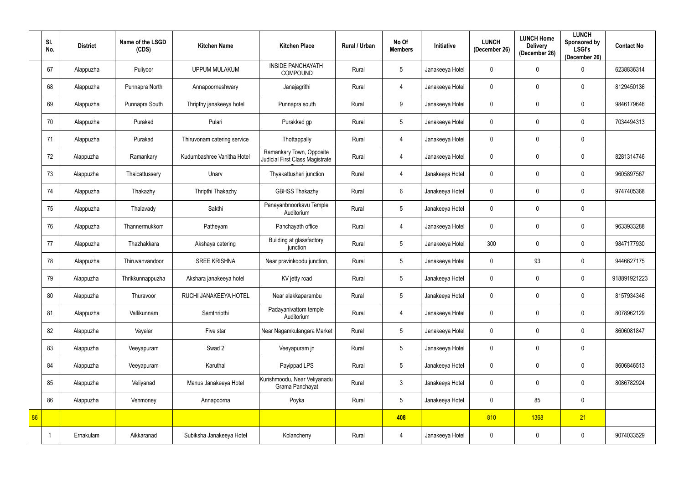|    | SI.<br>No. | <b>District</b> | Name of the LSGD<br>(CDS) | <b>Kitchen Name</b>         | <b>Kitchen Place</b>                                        | Rural / Urban | No Of<br><b>Members</b> | <b>Initiative</b> | <b>LUNCH</b><br>(December 26) | <b>LUNCH Home</b><br><b>Delivery</b><br>(December 26) | <b>LUNCH</b><br>Sponsored by<br><b>LSGI's</b><br>(December 26) | <b>Contact No</b> |
|----|------------|-----------------|---------------------------|-----------------------------|-------------------------------------------------------------|---------------|-------------------------|-------------------|-------------------------------|-------------------------------------------------------|----------------------------------------------------------------|-------------------|
|    | 67         | Alappuzha       | Puliyoor                  | <b>UPPUM MULAKUM</b>        | <b>INSIDE PANCHAYATH</b><br><b>COMPOUND</b>                 | Rural         | $5\phantom{.0}$         | Janakeeya Hotel   | $\mathbf 0$                   | $\mathbf 0$                                           | $\Omega$                                                       | 6238836314        |
|    | 68         | Alappuzha       | Punnapra North            | Annapoorneshwary            | Janajagrithi                                                | Rural         | $\overline{4}$          | Janakeeya Hotel   | $\mathbf 0$                   | $\overline{0}$                                        | $\mathbf{0}$                                                   | 8129450136        |
|    | 69         | Alappuzha       | Punnapra South            | Thripthy janakeeya hotel    | Punnapra south                                              | Rural         | 9                       | Janakeeya Hotel   | $\mathbf 0$                   | $\mathbf 0$                                           | $\mathbf{0}$                                                   | 9846179646        |
|    | 70         | Alappuzha       | Purakad                   | Pulari                      | Purakkad gp                                                 | Rural         | $5\phantom{.0}$         | Janakeeya Hotel   | $\mathbf 0$                   | $\mathbf 0$                                           | $\mathbf{0}$                                                   | 7034494313        |
|    | 71         | Alappuzha       | Purakad                   | Thiruvonam catering service | Thottappally                                                | Rural         | $\overline{4}$          | Janakeeya Hotel   | $\mathbf 0$                   | $\overline{0}$                                        | $\overline{0}$                                                 |                   |
|    | 72         | Alappuzha       | Ramankary                 | Kudumbashree Vanitha Hotel  | Ramankary Town, Opposite<br>Judicial First Class Magistrate | Rural         | $\overline{4}$          | Janakeeya Hotel   | $\mathbf 0$                   | $\overline{0}$                                        | $\mathbf 0$                                                    | 8281314746        |
|    | 73         | Alappuzha       | Thaicattussery            | Unarv                       | Thyakattusheri junction                                     | Rural         | $\overline{4}$          | Janakeeya Hotel   | $\overline{0}$                | $\mathbf 0$                                           | $\boldsymbol{0}$                                               | 9605897567        |
|    | 74         | Alappuzha       | Thakazhy                  | Thripthi Thakazhy           | <b>GBHSS Thakazhy</b>                                       | Rural         | $6\overline{6}$         | Janakeeya Hotel   | $\mathbf 0$                   | $\mathbf 0$                                           | $\mathbf 0$                                                    | 9747405368        |
|    | 75         | Alappuzha       | Thalavady                 | Sakthi                      | Panayanbnoorkavu Temple<br>Auditorium                       | Rural         | $5\overline{)}$         | Janakeeya Hotel   | $\mathbf 0$                   | $\mathbf 0$                                           | $\overline{0}$                                                 |                   |
|    | 76         | Alappuzha       | Thannermukkom             | Patheyam                    | Panchayath office                                           | Rural         | $\overline{4}$          | Janakeeya Hotel   | $\mathbf 0$                   | $\mathbf 0$                                           | $\mathbf{0}$                                                   | 9633933288        |
|    | 77         | Alappuzha       | Thazhakkara               | Akshaya catering            | Building at glassfactory<br>junction                        | Rural         | $5\phantom{.0}$         | Janakeeya Hotel   | 300                           | $\boldsymbol{0}$                                      | 0                                                              | 9847177930        |
|    | 78         | Alappuzha       | Thiruvanvandoor           | <b>SREE KRISHNA</b>         | Near pravinkoodu junction,                                  | Rural         | 5                       | Janakeeya Hotel   | $\mathbf 0$                   | 93                                                    | $\mathbf{0}$                                                   | 9446627175        |
|    | 79         | Alappuzha       | Thrikkunnappuzha          | Akshara janakeeya hotel     | KV jetty road                                               | Rural         | $5\overline{)}$         | Janakeeya Hotel   | $\mathbf 0$                   | $\mathbf 0$                                           | $\overline{0}$                                                 | 918891921223      |
|    | 80         | Alappuzha       | Thuravoor                 | RUCHI JANAKEEYA HOTEL       | Near alakkaparambu                                          | Rural         | $5\phantom{.0}$         | Janakeeya Hotel   | $\mathbf 0$                   | $\mathbf 0$                                           | $\overline{0}$                                                 | 8157934346        |
|    | 81         | Alappuzha       | Vallikunnam               | Samthripthi                 | Padayanivattom temple<br>Auditorium                         | Rural         | $\overline{4}$          | Janakeeya Hotel   | $\mathbf 0$                   | $\mathbf 0$                                           | $\overline{0}$                                                 | 8078962129        |
|    | 82         | Alappuzha       | Vayalar                   | Five star                   | Near Nagamkulangara Market                                  | Rural         | $5\phantom{.0}$         | Janakeeya Hotel   | $\overline{0}$                | $\mathbf 0$                                           | $\mathbf 0$                                                    | 8606081847        |
|    | 83         | Alappuzha       | Veeyapuram                | Swad 2                      | Veeyapuram jn                                               | Rural         | $5\phantom{.0}$         | Janakeeya Hotel   | $\overline{0}$                | $\mathbf 0$                                           | $\boldsymbol{0}$                                               |                   |
|    | 84         | Alappuzha       | Veeyapuram                | Karuthal                    | Payippad LPS                                                | Rural         | $5\phantom{.0}$         | Janakeeya Hotel   | $\mathbf 0$                   | $\mathbf 0$                                           | $\overline{0}$                                                 | 8606846513        |
|    | 85         | Alappuzha       | Veliyanad                 | Manus Janakeeya Hotel       | Kurishmoodu, Near Veliyanadu<br>Grama Panchayat             | Rural         | $\mathfrak{Z}$          | Janakeeya Hotel   | $\pmb{0}$                     | $\mathbf 0$                                           | $\overline{0}$                                                 | 8086782924        |
|    | 86         | Alappuzha       | Venmoney                  | Annapoorna                  | Poyka                                                       | Rural         | 5 <sub>5</sub>          | Janakeeya Hotel   | $\overline{0}$                | 85                                                    | $\boldsymbol{0}$                                               |                   |
| 86 |            |                 |                           |                             |                                                             |               | 408                     |                   | 810                           | 1368                                                  | 21                                                             |                   |
|    |            | Ernakulam       | Aikkaranad                | Subiksha Janakeeya Hotel    | Kolancherry                                                 | Rural         | $\overline{4}$          | Janakeeya Hotel   | $\pmb{0}$                     | $\mathbf 0$                                           | $\boldsymbol{0}$                                               | 9074033529        |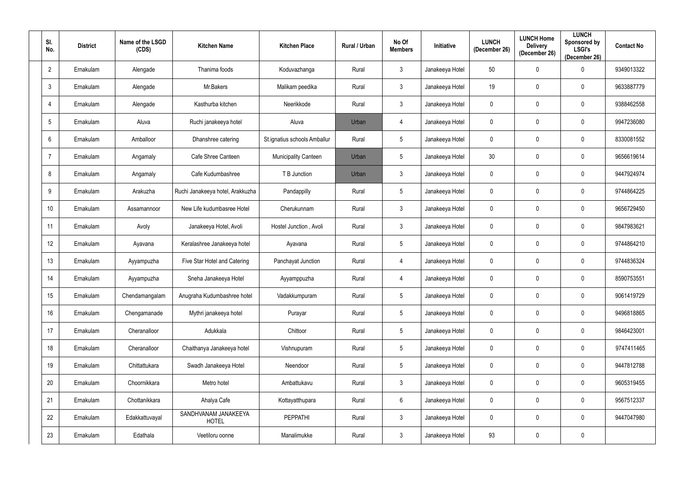| SI.<br>No.       | <b>District</b> | Name of the LSGD<br>(CDS) | <b>Kitchen Name</b>                  | <b>Kitchen Place</b>         | Rural / Urban | No Of<br><b>Members</b> | Initiative      | <b>LUNCH</b><br>(December 26) | <b>LUNCH Home</b><br><b>Delivery</b><br>(December 26) | <b>LUNCH</b><br><b>Sponsored by</b><br><b>LSGI's</b><br>(December 26) | <b>Contact No</b> |
|------------------|-----------------|---------------------------|--------------------------------------|------------------------------|---------------|-------------------------|-----------------|-------------------------------|-------------------------------------------------------|-----------------------------------------------------------------------|-------------------|
| $\overline{2}$   | Ernakulam       | Alengade                  | Thanima foods                        | Koduvazhanga                 | Rural         | $\mathbf{3}$            | Janakeeya Hotel | 50                            | $\mathbf 0$                                           | $\Omega$                                                              | 9349013322        |
| $\mathfrak{Z}$   | Ernakulam       | Alengade                  | Mr.Bakers                            | Malikam peedika              | Rural         | $\mathbf{3}$            | Janakeeya Hotel | 19                            | $\overline{0}$                                        | $\mathbf 0$                                                           | 9633887779        |
| $\overline{4}$   | Ernakulam       | Alengade                  | Kasthurba kitchen                    | Neerikkode                   | Rural         | $\mathbf{3}$            | Janakeeya Hotel | $\mathbf 0$                   | $\overline{0}$                                        | $\mathbf 0$                                                           | 9388462558        |
| $\sqrt{5}$       | Ernakulam       | Aluva                     | Ruchi janakeeya hotel                | Aluva                        | Urban         | 4                       | Janakeeya Hotel | $\overline{0}$                | $\overline{0}$                                        | $\mathbf 0$                                                           | 9947236080        |
| 6                | Ernakulam       | Amballoor                 | Dhanshree catering                   | St.ignatius schools Amballur | Rural         | $5\overline{)}$         | Janakeeya Hotel | $\mathbf 0$                   | $\overline{0}$                                        | $\mathbf 0$                                                           | 8330081552        |
| $\overline{7}$   | Ernakulam       | Angamaly                  | Cafe Shree Canteen                   | Municipality Canteen         | Urban         | $5\phantom{.0}$         | Janakeeya Hotel | 30                            | $\overline{0}$                                        | $\mathbf 0$                                                           | 9656619614        |
| 8                | Ernakulam       | Angamaly                  | Cafe Kudumbashree                    | T B Junction                 | Urban         | $\mathbf{3}$            | Janakeeya Hotel | $\mathbf 0$                   | $\overline{0}$                                        | $\mathbf 0$                                                           | 9447924974        |
| 9                | Ernakulam       | Arakuzha                  | Ruchi Janakeeya hotel, Arakkuzha     | Pandappilly                  | Rural         | $5\phantom{.0}$         | Janakeeya Hotel | $\overline{0}$                | $\overline{0}$                                        | $\mathbf 0$                                                           | 9744864225        |
| 10 <sup>°</sup>  | Ernakulam       | Assamannoor               | New Life kudumbasree Hotel           | Cherukunnam                  | Rural         | $\mathbf{3}$            | Janakeeya Hotel | $\mathbf 0$                   | $\overline{0}$                                        | $\mathbf 0$                                                           | 9656729450        |
| 11               | Ernakulam       | Avoly                     | Janakeeya Hotel, Avoli               | Hostel Junction, Avoli       | Rural         | $\mathbf{3}$            | Janakeeya Hotel | $\overline{0}$                | $\mathbf 0$                                           | $\mathbf 0$                                                           | 9847983621        |
| 12 <sup>°</sup>  | Ernakulam       | Ayavana                   | Keralashree Janakeeya hotel          | Ayavana                      | Rural         | $5\phantom{.0}$         | Janakeeya Hotel | $\overline{0}$                | $\mathbf 0$                                           | $\mathbf 0$                                                           | 9744864210        |
| 13               | Ernakulam       | Ayyampuzha                | Five Star Hotel and Catering         | Panchayat Junction           | Rural         | 4                       | Janakeeya Hotel | $\overline{0}$                | $\mathbf 0$                                           | $\mathbf 0$                                                           | 9744836324        |
| 14               | Ernakulam       | Ayyampuzha                | Sneha Janakeeya Hotel                | Ayyamppuzha                  | Rural         | $\overline{4}$          | Janakeeya Hotel | $\mathbf 0$                   | $\mathbf 0$                                           | $\mathbf 0$                                                           | 8590753551        |
| 15 <sub>15</sub> | Ernakulam       | Chendamangalam            | Anugraha Kudumbashree hotel          | Vadakkumpuram                | Rural         | $5\phantom{.0}$         | Janakeeya Hotel | $\overline{0}$                | $\mathbf 0$                                           | $\pmb{0}$                                                             | 9061419729        |
| 16               | Ernakulam       | Chengamanade              | Mythri janakeeya hotel               | Purayar                      | Rural         | $5\overline{)}$         | Janakeeya Hotel | $\overline{0}$                | $\mathbf 0$                                           | $\pmb{0}$                                                             | 9496818865        |
| 17               | Ernakulam       | Cheranalloor              | Adukkala                             | Chittoor                     | Rural         | $5\overline{)}$         | Janakeeya Hotel | $\overline{0}$                | $\mathbf 0$                                           | $\pmb{0}$                                                             | 9846423001        |
| 18               | Ernakulam       | Cheranalloor              | Chaithanya Janakeeya hotel           | Vishnupuram                  | Rural         | 5 <sub>5</sub>          | Janakeeya Hotel | $\mathbf 0$                   | $\overline{0}$                                        | $\pmb{0}$                                                             | 9747411465        |
| 19               | Ernakulam       | Chittattukara             | Swadh Janakeeya Hotel                | Neendoor                     | Rural         | $5\overline{)}$         | Janakeeya Hotel | $\overline{0}$                | $\mathbf 0$                                           | $\mathbf 0$                                                           | 9447812788        |
| 20               | Ernakulam       | Choornikkara              | Metro hotel                          | Ambattukavu                  | Rural         | $\mathbf{3}$            | Janakeeya Hotel | $\overline{0}$                | $\overline{0}$                                        | $\mathbf 0$                                                           | 9605319455        |
| 21               | Ernakulam       | Chottanikkara             | Ahalya Cafe                          | Kottayatthupara              | Rural         | $6\overline{6}$         | Janakeeya Hotel | $\overline{0}$                | $\overline{0}$                                        | $\pmb{0}$                                                             | 9567512337        |
| 22               | Ernakulam       | Edakkattuvayal            | SANDHVANAM JANAKEEYA<br><b>HOTEL</b> | PEPPATHI                     | Rural         | $\mathbf{3}$            | Janakeeya Hotel | $\mathbf 0$                   | $\mathbf 0$                                           | $\pmb{0}$                                                             | 9447047980        |
| 23               | Ernakulam       | Edathala                  | Veetiloru oonne                      | Manalimukke                  | Rural         | 3 <sup>1</sup>          | Janakeeya Hotel | 93                            | $\mathbf 0$                                           | $\pmb{0}$                                                             |                   |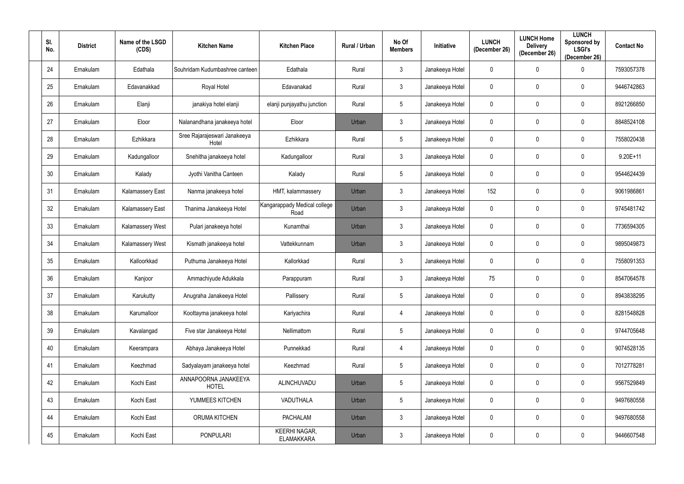| SI.<br>No.      | <b>District</b> | Name of the LSGD<br>(CDS) | <b>Kitchen Name</b>                   | <b>Kitchen Place</b>                 | Rural / Urban | No Of<br><b>Members</b> | Initiative      | <b>LUNCH</b><br>(December 26) | <b>LUNCH Home</b><br><b>Delivery</b><br>(December 26) | <b>LUNCH</b><br>Sponsored by<br><b>LSGI's</b><br>(December 26) | <b>Contact No</b> |
|-----------------|-----------------|---------------------------|---------------------------------------|--------------------------------------|---------------|-------------------------|-----------------|-------------------------------|-------------------------------------------------------|----------------------------------------------------------------|-------------------|
| 24              | Ernakulam       | Edathala                  | Souhridam Kudumbashree canteen        | Edathala                             | Rural         | $\mathbf{3}$            | Janakeeya Hotel | $\overline{0}$                | $\mathbf 0$                                           | $\Omega$                                                       | 7593057378        |
| 25              | Ernakulam       | Edavanakkad               | Royal Hotel                           | Edavanakad                           | Rural         | $\mathbf{3}$            | Janakeeya Hotel | $\overline{0}$                | $\mathbf 0$                                           | $\mathbf 0$                                                    | 9446742863        |
| 26              | Ernakulam       | Elanji                    | janakiya hotel elanji                 | elanji punjayathu junction           | Rural         | $5\phantom{.0}$         | Janakeeya Hotel | $\mathbf 0$                   | $\mathbf 0$                                           | $\mathbf 0$                                                    | 8921266850        |
| 27              | Ernakulam       | Eloor                     | Nalanandhana janakeeya hotel          | Eloor                                | Urban         | $\mathbf{3}$            | Janakeeya Hotel | $\overline{0}$                | $\mathbf 0$                                           | $\mathbf 0$                                                    | 8848524108        |
| 28              | Ernakulam       | Ezhikkara                 | Sree Rajarajeswari Janakeeya<br>Hotel | Ezhikkara                            | Rural         | $5\overline{)}$         | Janakeeya Hotel | $\mathbf 0$                   | $\mathbf 0$                                           | $\mathbf 0$                                                    | 7558020438        |
| 29              | Ernakulam       | Kadungalloor              | Snehitha janakeeya hotel              | Kadungalloor                         | Rural         | $\mathbf{3}$            | Janakeeya Hotel | $\overline{0}$                | $\mathbf 0$                                           | $\mathbf 0$                                                    | $9.20E+11$        |
| 30 <sub>o</sub> | Ernakulam       | Kalady                    | Jyothi Vanitha Canteen                | Kalady                               | Rural         | $5\overline{)}$         | Janakeeya Hotel | $\mathbf 0$                   | $\mathbf 0$                                           | $\mathbf 0$                                                    | 9544624439        |
| 31              | Ernakulam       | <b>Kalamassery East</b>   | Nanma janakeeya hotel                 | HMT, kalammassery                    | Urban         | $\mathbf{3}$            | Janakeeya Hotel | 152                           | $\mathbf 0$                                           | $\mathbf 0$                                                    | 9061986861        |
| 32              | Ernakulam       | <b>Kalamassery East</b>   | Thanima Janakeeya Hotel               | Kangarappady Medical college<br>Road | Urban         | $\mathbf{3}$            | Janakeeya Hotel | $\mathbf 0$                   | $\mathbf 0$                                           | $\mathbf 0$                                                    | 9745481742        |
| 33              | Ernakulam       | Kalamassery West          | Pulari janakeeya hotel                | Kunamthai                            | Urban         | $\mathbf{3}$            | Janakeeya Hotel | $\overline{0}$                | $\overline{0}$                                        | $\mathbf 0$                                                    | 7736594305        |
| 34              | Ernakulam       | Kalamassery West          | Kismath janakeeya hotel               | Vattekkunnam                         | Urban         | $\mathbf{3}$            | Janakeeya Hotel | $\overline{0}$                | $\mathbf 0$                                           | $\mathbf 0$                                                    | 9895049873        |
| 35              | Ernakulam       | Kalloorkkad               | Puthuma Janakeeya Hotel               | Kallorkkad                           | Rural         | $\mathbf{3}$            | Janakeeya Hotel | $\overline{0}$                | $\mathbf 0$                                           | $\mathbf 0$                                                    | 7558091353        |
| 36              | Ernakulam       | Kanjoor                   | Ammachiyude Adukkala                  | Parappuram                           | Rural         | 3 <sup>1</sup>          | Janakeeya Hotel | 75                            | $\mathbf 0$                                           | $\mathbf 0$                                                    | 8547064578        |
| 37              | Ernakulam       | Karukutty                 | Anugraha Janakeeya Hotel              | Pallissery                           | Rural         | $5\phantom{.0}$         | Janakeeya Hotel | $\overline{0}$                | $\mathbf 0$                                           | $\pmb{0}$                                                      | 8943838295        |
| 38              | Ernakulam       | Karumalloor               | Koottayma janakeeya hotel             | Kariyachira                          | Rural         | $\overline{4}$          | Janakeeya Hotel | $\overline{0}$                | $\mathbf 0$                                           | $\pmb{0}$                                                      | 8281548828        |
| 39              | Ernakulam       | Kavalangad                | Five star Janakeeya Hotel             | Nellimattom                          | Rural         | $5\overline{)}$         | Janakeeya Hotel | $\overline{0}$                | $\mathbf 0$                                           | $\mathbf 0$                                                    | 9744705648        |
| 40              | Ernakulam       | Keerampara                | Abhaya Janakeeya Hotel                | Punnekkad                            | Rural         | $\overline{4}$          | Janakeeya Hotel | $\overline{0}$                | $\overline{0}$                                        | $\mathbf 0$                                                    | 9074528135        |
| 41              | Ernakulam       | Keezhmad                  | Sadyalayam janakeeya hotel            | Keezhmad                             | Rural         | $5\overline{)}$         | Janakeeya Hotel | $\overline{0}$                | $\mathbf 0$                                           | $\mathbf 0$                                                    | 7012778281        |
| 42              | Ernakulam       | Kochi East                | ANNAPOORNA JANAKEEYA<br><b>HOTEL</b>  | ALINCHUVADU                          | Urban         | $5\phantom{.0}$         | Janakeeya Hotel | $\overline{0}$                | $\mathbf 0$                                           | $\pmb{0}$                                                      | 9567529849        |
| 43              | Ernakulam       | Kochi East                | YUMMEES KITCHEN                       | VADUTHALA                            | Urban         | $5\phantom{.0}$         | Janakeeya Hotel | $\overline{0}$                | $\mathbf 0$                                           | $\pmb{0}$                                                      | 9497680558        |
| 44              | Ernakulam       | Kochi East                | ORUMA KITCHEN                         | PACHALAM                             | Urban         | $\mathbf{3}$            | Janakeeya Hotel | $\overline{0}$                | $\overline{0}$                                        | $\pmb{0}$                                                      | 9497680558        |
| 45              | Ernakulam       | Kochi East                | <b>PONPULARI</b>                      | KEERHI NAGAR,<br><b>ELAMAKKARA</b>   | Urban         | 3 <sup>1</sup>          | Janakeeya Hotel | $\overline{0}$                | $\overline{0}$                                        | $\pmb{0}$                                                      | 9446607548        |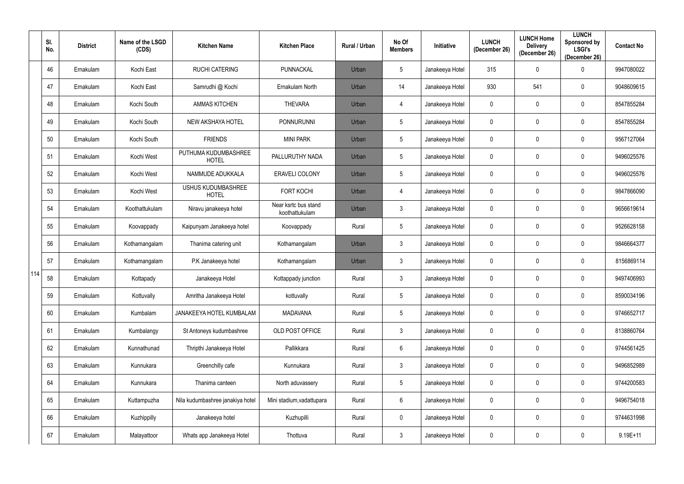|     | SI.<br>No. | <b>District</b> | Name of the LSGD<br>(CDS) | <b>Kitchen Name</b>                       | <b>Kitchen Place</b>                   | Rural / Urban | No Of<br><b>Members</b> | <b>Initiative</b> | <b>LUNCH</b><br>(December 26) | <b>LUNCH Home</b><br><b>Delivery</b><br>(December 26) | <b>LUNCH</b><br>Sponsored by<br><b>LSGI's</b><br>(December 26) | <b>Contact No</b> |
|-----|------------|-----------------|---------------------------|-------------------------------------------|----------------------------------------|---------------|-------------------------|-------------------|-------------------------------|-------------------------------------------------------|----------------------------------------------------------------|-------------------|
|     | 46         | Ernakulam       | Kochi East                | <b>RUCHI CATERING</b>                     | PUNNACKAL                              | Urban         | $5\overline{)}$         | Janakeeya Hotel   | 315                           | $\mathbf 0$                                           | $\Omega$                                                       | 9947080022        |
|     | 47         | Ernakulam       | Kochi East                | Samrudhi @ Kochi                          | Ernakulam North                        | Urban         | 14                      | Janakeeya Hotel   | 930                           | 541                                                   | 0                                                              | 9048609615        |
|     | 48         | Ernakulam       | Kochi South               | <b>AMMAS KITCHEN</b>                      | <b>THEVARA</b>                         | Urban         | 4                       | Janakeeya Hotel   | 0                             | $\mathbf 0$                                           | $\mathbf 0$                                                    | 8547855284        |
|     | 49         | Ernakulam       | Kochi South               | NEW AKSHAYA HOTEL                         | <b>PONNURUNNI</b>                      | Urban         | $5\phantom{.0}$         | Janakeeya Hotel   | 0                             | 0                                                     | 0                                                              | 8547855284        |
|     | 50         | Ernakulam       | Kochi South               | <b>FRIENDS</b>                            | <b>MINI PARK</b>                       | Urban         | $5\phantom{.0}$         | Janakeeya Hotel   | 0                             | $\mathbf 0$                                           | $\mathbf 0$                                                    | 9567127064        |
|     | 51         | Ernakulam       | Kochi West                | PUTHUMA KUDUMBASHREE<br><b>HOTEL</b>      | PALLURUTHY NADA                        | Urban         | $5\phantom{.0}$         | Janakeeya Hotel   | $\mathbf 0$                   | $\mathbf 0$                                           | $\mathbf 0$                                                    | 9496025576        |
|     | 52         | Ernakulam       | Kochi West                | NAMMUDE ADUKKALA                          | ERAVELI COLONY                         | Urban         | $5\phantom{.0}$         | Janakeeya Hotel   | 0                             | $\mathbf 0$                                           | $\mathbf 0$                                                    | 9496025576        |
|     | 53         | Ernakulam       | Kochi West                | <b>USHUS KUDUMBASHREE</b><br><b>HOTEL</b> | <b>FORT KOCHI</b>                      | Urban         | 4                       | Janakeeya Hotel   | 0                             | $\mathbf 0$                                           | 0                                                              | 9847866090        |
|     | 54         | Ernakulam       | Koothattukulam            | Niravu janakeeya hotel                    | Near ksrtc bus stand<br>koothattukulam | Urban         | $\mathbf{3}$            | Janakeeya Hotel   | $\mathbf 0$                   | $\mathbf 0$                                           | $\mathbf 0$                                                    | 9656619614        |
|     | 55         | Ernakulam       | Koovappady                | Kaipunyam Janakeeya hotel                 | Koovappady                             | Rural         | $5\phantom{.0}$         | Janakeeya Hotel   | 0                             | 0                                                     | 0                                                              | 9526628158        |
|     | 56         | Ernakulam       | Kothamangalam             | Thanima catering unit                     | Kothamangalam                          | Urban         | $\mathbf{3}$            | Janakeeya Hotel   | 0                             | 0                                                     | $\mathbf 0$                                                    | 9846664377        |
|     | 57         | Ernakulam       | Kothamangalam             | P.K Janakeeya hotel                       | Kothamangalam                          | Urban         | $\mathbf{3}$            | Janakeeya Hotel   | 0                             | 0                                                     | 0                                                              | 8156869114        |
| 114 | 58         | Ernakulam       | Kottapady                 | Janakeeya Hotel                           | Kottappady junction                    | Rural         | $\mathbf{3}$            | Janakeeya Hotel   | 0                             | $\mathbf 0$                                           | 0                                                              | 9497406993        |
|     | 59         | Ernakulam       | Kottuvally                | Amritha Janakeeya Hotel                   | kottuvally                             | Rural         | $5\overline{)}$         | Janakeeya Hotel   | $\mathbf 0$                   | $\mathbf 0$                                           | $\mathbf 0$                                                    | 8590034196        |
|     | 60         | Ernakulam       | Kumbalam                  | JANAKEEYA HOTEL KUMBALAM                  | <b>MADAVANA</b>                        | Rural         | $5\phantom{.0}$         | Janakeeya Hotel   | $\pmb{0}$                     | $\mathbf 0$                                           | $\mathbf 0$                                                    | 9746652717        |
|     | 61         | Ernakulam       | Kumbalangy                | St Antoneys kudumbashree                  | OLD POST OFFICE                        | Rural         | $\mathbf{3}$            | Janakeeya Hotel   | $\pmb{0}$                     | $\overline{0}$                                        | $\mathbf 0$                                                    | 8138860764        |
|     | 62         | Ernakulam       | Kunnathunad               | Thripthi Janakeeya Hotel                  | Pallikkara                             | Rural         | $6\overline{6}$         | Janakeeya Hotel   | 0                             | $\mathbf 0$                                           | $\mathbf 0$                                                    | 9744561425        |
|     | 63         | Ernakulam       | Kunnukara                 | Greenchilly cafe                          | Kunnukara                              | Rural         | $\mathbf{3}$            | Janakeeya Hotel   | $\pmb{0}$                     | $\mathbf 0$                                           | $\mathbf 0$                                                    | 9496852989        |
|     | 64         | Ernakulam       | Kunnukara                 | Thanima canteen                           | North aduvassery                       | Rural         | $5\phantom{.0}$         | Janakeeya Hotel   | $\pmb{0}$                     | $\mathbf 0$                                           | $\mathbf 0$                                                    | 9744200583        |
|     | 65         | Ernakulam       | Kuttampuzha               | Nila kudumbashree janakiya hotel          | Mini stadium, vadattupara              | Rural         | $6\overline{6}$         | Janakeeya Hotel   | $\pmb{0}$                     | $\mathbf 0$                                           | $\mathbf 0$                                                    | 9496754018        |
|     | 66         | Ernakulam       | Kuzhippilly               | Janakeeya hotel                           | Kuzhupilli                             | Rural         | $\mathbf 0$             | Janakeeya Hotel   | 0                             | $\mathbf 0$                                           | $\mathbf 0$                                                    | 9744631998        |
|     | 67         | Ernakulam       | Malayattoor               | Whats app Janakeeya Hotel                 | Thottuva                               | Rural         | $\mathbf{3}$            | Janakeeya Hotel   | 0                             | $\pmb{0}$                                             | $\pmb{0}$                                                      | 9.19E+11          |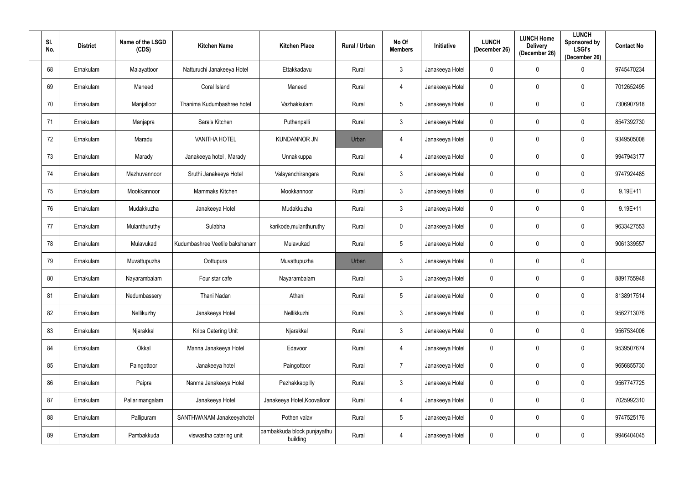| SI.<br>No. | <b>District</b> | Name of the LSGD<br>(CDS) | <b>Kitchen Name</b>            | <b>Kitchen Place</b>                    | Rural / Urban | No Of<br><b>Members</b> | Initiative      | <b>LUNCH</b><br>(December 26) | <b>LUNCH Home</b><br><b>Delivery</b><br>(December 26) | <b>LUNCH</b><br>Sponsored by<br><b>LSGI's</b><br>(December 26) | <b>Contact No</b> |
|------------|-----------------|---------------------------|--------------------------------|-----------------------------------------|---------------|-------------------------|-----------------|-------------------------------|-------------------------------------------------------|----------------------------------------------------------------|-------------------|
| 68         | Ernakulam       | Malayattoor               | Natturuchi Janakeeya Hotel     | Ettakkadavu                             | Rural         | $\mathbf{3}$            | Janakeeya Hotel | $\overline{0}$                | $\overline{0}$                                        | 0                                                              | 9745470234        |
| 69         | Ernakulam       | Maneed                    | Coral Island                   | Maneed                                  | Rural         | 4                       | Janakeeya Hotel | $\overline{0}$                | $\mathbf 0$                                           | $\mathbf 0$                                                    | 7012652495        |
| 70         | Ernakulam       | Manjalloor                | Thanima Kudumbashree hotel     | Vazhakkulam                             | Rural         | $5\phantom{.0}$         | Janakeeya Hotel | $\overline{0}$                | $\mathbf 0$                                           | $\mathbf 0$                                                    | 7306907918        |
| 71         | Ernakulam       | Manjapra                  | Sara's Kitchen                 | Puthenpalli                             | Rural         | $3\phantom{.0}$         | Janakeeya Hotel | $\mathbf 0$                   | $\mathbf 0$                                           | $\mathbf 0$                                                    | 8547392730        |
| 72         | Ernakulam       | Maradu                    | <b>VANITHA HOTEL</b>           | <b>KUNDANNOR JN</b>                     | Urban         | 4                       | Janakeeya Hotel | $\mathbf 0$                   | $\mathbf 0$                                           | $\mathbf 0$                                                    | 9349505008        |
| 73         | Ernakulam       | Marady                    | Janakeeya hotel, Marady        | Unnakkuppa                              | Rural         | 4                       | Janakeeya Hotel | $\overline{0}$                | $\mathbf 0$                                           | $\mathbf 0$                                                    | 9947943177        |
| 74         | Ernakulam       | Mazhuvannoor              | Sruthi Janakeeya Hotel         | Valayanchirangara                       | Rural         | $\mathbf{3}$            | Janakeeya Hotel | $\mathbf 0$                   | $\mathbf 0$                                           | $\mathbf 0$                                                    | 9747924485        |
| 75         | Ernakulam       | Mookkannoor               | Mammaks Kitchen                | Mookkannoor                             | Rural         | $3\phantom{.0}$         | Janakeeya Hotel | $\mathbf 0$                   | $\mathbf 0$                                           | $\mathbf 0$                                                    | $9.19E+11$        |
| 76         | Ernakulam       | Mudakkuzha                | Janakeeya Hotel                | Mudakkuzha                              | Rural         | $3\phantom{.0}$         | Janakeeya Hotel | $\pmb{0}$                     | $\mathbf 0$                                           | $\mathbf 0$                                                    | $9.19E+11$        |
| 77         | Ernakulam       | Mulanthuruthy             | Sulabha                        | karikode, mulanthuruthy                 | Rural         | $\mathbf 0$             | Janakeeya Hotel | $\mathbf 0$                   | $\mathbf 0$                                           | 0                                                              | 9633427553        |
| 78         | Ernakulam       | Mulavukad                 | Kudumbashree Veetile bakshanam | Mulavukad                               | Rural         | $5\phantom{.0}$         | Janakeeya Hotel | $\mathbf 0$                   | $\mathbf 0$                                           | $\mathbf 0$                                                    | 9061339557        |
| 79         | Ernakulam       | Muvattupuzha              | Oottupura                      | Muvattupuzha                            | Urban         | $3\phantom{.0}$         | Janakeeya Hotel | $\boldsymbol{0}$              | $\mathbf 0$                                           | $\mathbf 0$                                                    |                   |
| 80         | Ernakulam       | Nayarambalam              | Four star cafe                 | Nayarambalam                            | Rural         | $\mathbf{3}$            | Janakeeya Hotel | $\mathbf 0$                   | $\mathbf 0$                                           | 0                                                              | 8891755948        |
| 81         | Ernakulam       | Nedumbassery              | Thani Nadan                    | Athani                                  | Rural         | $5\phantom{.0}$         | Janakeeya Hotel | $\overline{0}$                | $\overline{0}$                                        | $\mathbf 0$                                                    | 8138917514        |
| 82         | Ernakulam       | Nellikuzhy                | Janakeeya Hotel                | Nellikkuzhi                             | Rural         | $\mathbf{3}$            | Janakeeya Hotel | $\mathbf 0$                   | $\mathbf 0$                                           | $\mathbf 0$                                                    | 9562713076        |
| 83         | Ernakulam       | Njarakkal                 | Kripa Catering Unit            | Njarakkal                               | Rural         | $\mathbf{3}$            | Janakeeya Hotel | $\overline{0}$                | $\overline{0}$                                        | $\mathbf 0$                                                    | 9567534006        |
| 84         | Ernakulam       | Okkal                     | Manna Janakeeya Hotel          | Edavoor                                 | Rural         | $\overline{4}$          | Janakeeya Hotel | $\overline{0}$                | $\boldsymbol{0}$                                      | $\mathbf 0$                                                    | 9539507674        |
| 85         | Ernakulam       | Paingottoor               | Janakeeya hotel                | Paingottoor                             | Rural         | $\overline{7}$          | Janakeeya Hotel | $\mathbf 0$                   | $\boldsymbol{0}$                                      | $\mathbf 0$                                                    | 9656855730        |
| 86         | Ernakulam       | Paipra                    | Nanma Janakeeya Hotel          | Pezhakkappilly                          | Rural         | $\mathbf{3}$            | Janakeeya Hotel | $\mathbf 0$                   | $\boldsymbol{0}$                                      | $\mathbf 0$                                                    | 9567747725        |
| 87         | Ernakulam       | Pallarimangalam           | Janakeeya Hotel                | Janakeeya Hotel, Koovalloor             | Rural         | $\overline{4}$          | Janakeeya Hotel | $\mathbf 0$                   | $\mathbf 0$                                           | $\mathbf 0$                                                    | 7025992310        |
| 88         | Ernakulam       | Pallipuram                | SANTHWANAM Janakeeyahotel      | Pothen valav                            | Rural         | $5\phantom{.0}$         | Janakeeya Hotel | $\pmb{0}$                     | $\boldsymbol{0}$                                      | $\pmb{0}$                                                      | 9747525176        |
| 89         | Ernakulam       | Pambakkuda                | viswastha catering unit        | pambakkuda block punjayathu<br>building | Rural         | $\overline{4}$          | Janakeeya Hotel | $\pmb{0}$                     | $\boldsymbol{0}$                                      | $\mathbf 0$                                                    | 9946404045        |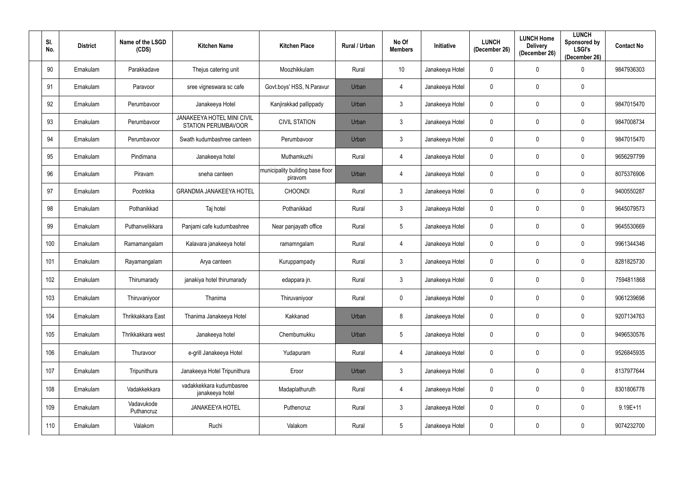| SI.<br>No. | <b>District</b> | Name of the LSGD<br>(CDS) | <b>Kitchen Name</b>                                             | <b>Kitchen Place</b>                        | Rural / Urban | No Of<br><b>Members</b> | Initiative      | <b>LUNCH</b><br>(December 26) | <b>LUNCH Home</b><br><b>Delivery</b><br>(December 26) | <b>LUNCH</b><br>Sponsored by<br><b>LSGI's</b><br>(December 26) | <b>Contact No</b> |
|------------|-----------------|---------------------------|-----------------------------------------------------------------|---------------------------------------------|---------------|-------------------------|-----------------|-------------------------------|-------------------------------------------------------|----------------------------------------------------------------|-------------------|
| 90         | Ernakulam       | Parakkadave               | Thejus catering unit                                            | Moozhikkulam                                | Rural         | 10 <sup>°</sup>         | Janakeeya Hotel | $\overline{0}$                | $\mathbf 0$                                           | 0                                                              | 9847936303        |
| 91         | Ernakulam       | Paravoor                  | sree vigneswara sc cafe                                         | Govt.boys' HSS, N.Paravur                   | Urban         | 4                       | Janakeeya Hotel | $\overline{0}$                | $\mathbf 0$                                           | $\mathbf 0$                                                    |                   |
| 92         | Ernakulam       | Perumbavoor               | Janakeeya Hotel                                                 | Kanjirakkad pallippady                      | Urban         | $3\phantom{.0}$         | Janakeeya Hotel | $\overline{0}$                | $\mathbf 0$                                           | $\mathbf 0$                                                    | 9847015470        |
| 93         | Ernakulam       | Perumbavoor               | <b>JANAKEEYA HOTEL MINI CIVIL</b><br><b>STATION PERUMBAVOOR</b> | <b>CIVIL STATION</b>                        | Urban         | $3\phantom{.0}$         | Janakeeya Hotel | $\mathbf 0$                   | $\mathbf 0$                                           | $\mathbf 0$                                                    | 9847008734        |
| 94         | Ernakulam       | Perumbavoor               | Swath kudumbashree canteen                                      | Perumbavoor                                 | Urban         | $\mathbf{3}$            | Janakeeya Hotel | $\overline{0}$                | $\mathbf 0$                                           | $\mathbf 0$                                                    | 9847015470        |
| 95         | Ernakulam       | Pindimana                 | Janakeeya hotel                                                 | Muthamkuzhi                                 | Rural         | 4                       | Janakeeya Hotel | $\mathbf 0$                   | $\mathbf 0$                                           | $\mathbf 0$                                                    | 9656297799        |
| 96         | Ernakulam       | Piravam                   | sneha canteen                                                   | municipality building base floor<br>piravom | Urban         | 4                       | Janakeeya Hotel | $\overline{0}$                | $\mathbf 0$                                           | $\mathbf 0$                                                    | 8075376906        |
| 97         | Ernakulam       | Pootrikka                 | <b>GRANDMA JANAKEEYA HOTEL</b>                                  | <b>CHOONDI</b>                              | Rural         | $3\phantom{.0}$         | Janakeeya Hotel | $\mathbf 0$                   | $\mathbf 0$                                           | $\mathbf 0$                                                    | 9400550287        |
| 98         | Ernakulam       | Pothanikkad               | Taj hotel                                                       | Pothanikkad                                 | Rural         | $3\phantom{.0}$         | Janakeeya Hotel | $\pmb{0}$                     | $\mathbf 0$                                           | $\mathbf 0$                                                    | 9645079573        |
| 99         | Ernakulam       | Puthanvelikkara           | Panjami cafe kudumbashree                                       | Near panjayath office                       | Rural         | $5\phantom{.0}$         | Janakeeya Hotel | $\mathbf 0$                   | $\mathbf 0$                                           | 0                                                              | 9645530669        |
| 100        | Ernakulam       | Ramamangalam              | Kalavara janakeeya hotel                                        | ramamngalam                                 | Rural         | 4                       | Janakeeya Hotel | $\mathbf 0$                   | $\mathbf 0$                                           | $\mathbf 0$                                                    | 9961344346        |
| 101        | Ernakulam       | Rayamangalam              | Arya canteen                                                    | Kuruppampady                                | Rural         | $\mathbf{3}$            | Janakeeya Hotel | $\boldsymbol{0}$              | $\mathbf 0$                                           | 0                                                              | 8281825730        |
| 102        | Ernakulam       | Thirumarady               | janakiya hotel thirumarady                                      | edappara jn.                                | Rural         | $3\phantom{.0}$         | Janakeeya Hotel | $\mathbf 0$                   | $\overline{0}$                                        | 0                                                              | 7594811868        |
| 103        | Ernakulam       | Thiruvaniyoor             | Thanima                                                         | Thiruvaniyoor                               | Rural         | $\mathbf 0$             | Janakeeya Hotel | $\overline{0}$                | $\mathbf 0$                                           | $\mathbf 0$                                                    | 9061239698        |
| 104        | Ernakulam       | Thrikkakkara East         | Thanima Janakeeya Hotel                                         | Kakkanad                                    | Urban         | $\bf 8$                 | Janakeeya Hotel | $\mathbf 0$                   | $\mathbf 0$                                           | $\mathbf 0$                                                    | 9207134763        |
| 105        | Ernakulam       | Thrikkakkara west         | Janakeeya hotel                                                 | Chembumukku                                 | Urban         | $5\phantom{.0}$         | Janakeeya Hotel | $\mathbf 0$                   | $\mathbf 0$                                           | $\mathbf 0$                                                    | 9496530576        |
| 106        | Ernakulam       | Thuravoor                 | e-grill Janakeeya Hotel                                         | Yudapuram                                   | Rural         | $\overline{4}$          | Janakeeya Hotel | $\mathbf 0$                   | $\mathbf 0$                                           | $\mathbf 0$                                                    | 9526845935        |
| 107        | Ernakulam       | Tripunithura              | Janakeeya Hotel Tripunithura                                    | Eroor                                       | Urban         | $\mathfrak{Z}$          | Janakeeya Hotel | $\mathbf 0$                   | $\boldsymbol{0}$                                      | $\mathbf 0$                                                    | 8137977644        |
| 108        | Ernakulam       | Vadakkekkara              | vadakkekkara kudumbasree<br>janakeeya hotel                     | Madaplathuruth                              | Rural         | 4                       | Janakeeya Hotel | $\overline{0}$                | $\mathbf 0$                                           | $\mathbf 0$                                                    | 8301806778        |
| 109        | Ernakulam       | Vadavukode<br>Puthancruz  | <b>JANAKEEYA HOTEL</b>                                          | Puthencruz                                  | Rural         | $\mathfrak{Z}$          | Janakeeya Hotel | $\pmb{0}$                     | $\mathbf 0$                                           | $\mathbf 0$                                                    | $9.19E+11$        |
| 110        | Ernakulam       | Valakom                   | Ruchi                                                           | Valakom                                     | Rural         | $5\phantom{.0}$         | Janakeeya Hotel | $\pmb{0}$                     | $\boldsymbol{0}$                                      | 0                                                              | 9074232700        |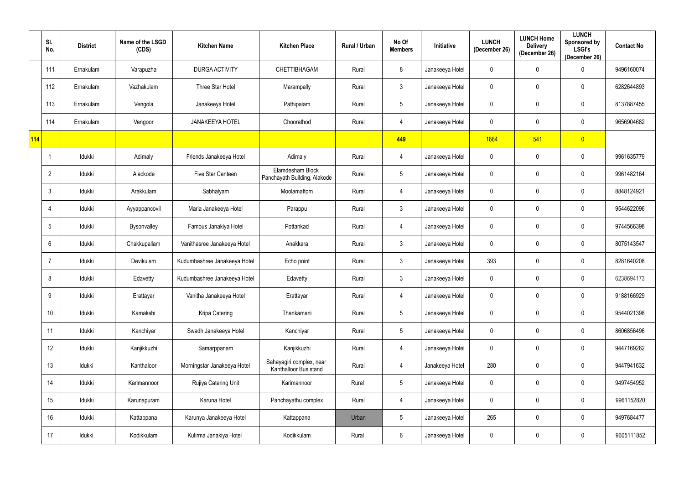|     | SI.<br>No.      | <b>District</b> | Name of the LSGD<br>(CDS) | <b>Kitchen Name</b>          | <b>Kitchen Place</b>                              | Rural / Urban | No Of<br><b>Members</b> | Initiative      | <b>LUNCH</b><br>(December 26) | <b>LUNCH Home</b><br><b>Delivery</b><br>(December 26) | <b>LUNCH</b><br>Sponsored by<br><b>LSGI's</b><br>(December 26) | <b>Contact No</b> |
|-----|-----------------|-----------------|---------------------------|------------------------------|---------------------------------------------------|---------------|-------------------------|-----------------|-------------------------------|-------------------------------------------------------|----------------------------------------------------------------|-------------------|
|     | 111             | Ernakulam       | Varapuzha                 | <b>DURGA ACTIVITY</b>        | CHETTIBHAGAM                                      | Rural         | 8                       | Janakeeya Hotel | 0                             | 0                                                     | $\Omega$                                                       | 9496160074        |
|     | 112             | Ernakulam       | Vazhakulam                | Three Star Hotel             | Marampally                                        | Rural         | $\mathbf{3}$            | Janakeeya Hotel | 0                             | $\mathbf 0$                                           | $\mathbf 0$                                                    | 6282644893        |
|     | 113             | Ernakulam       | Vengola                   | Janakeeya Hotel              | Pathipalam                                        | Rural         | $5\overline{)}$         | Janakeeya Hotel | 0                             | 0                                                     | $\mathbf 0$                                                    | 8137887455        |
|     | 114             | Ernakulam       | Vengoor                   | <b>JANAKEEYA HOTEL</b>       | Choorathod                                        | Rural         | $\overline{4}$          | Janakeeya Hotel | 0                             | $\mathbf 0$                                           | $\mathbf 0$                                                    | 9656904682        |
| 114 |                 |                 |                           |                              |                                                   |               | 449                     |                 | 1664                          | 541                                                   | $\overline{0}$                                                 |                   |
|     |                 | Idukki          | Adimaly                   | Friends Janakeeya Hotel      | Adimaly                                           | Rural         | $\overline{4}$          | Janakeeya Hotel | $\mathbf 0$                   | $\mathbf 0$                                           | $\mathbf 0$                                                    | 9961635779        |
|     | $\overline{2}$  | Idukki          | Alackode                  | Five Star Canteen            | Elamdesham Block<br>Panchayath Building, Alakode  | Rural         | $5\phantom{.0}$         | Janakeeya Hotel | $\mathbf 0$                   | $\pmb{0}$                                             | $\mathbf 0$                                                    | 9961482164        |
|     | 3               | Idukki          | Arakkulam                 | Sabhalyam                    | Moolamattom                                       | Rural         | $\overline{4}$          | Janakeeya Hotel | $\mathbf 0$                   | 0                                                     | 0                                                              | 8848124921        |
|     | 4               | Idukki          | Ayyappancovil             | Maria Janakeeya Hotel        | Parappu                                           | Rural         | $\mathbf{3}$            | Janakeeya Hotel | $\mathbf 0$                   | $\mathbf 0$                                           | $\mathbf 0$                                                    | 9544622096        |
|     | $5\overline{)}$ | Idukki          | Bysonvalley               | Famous Janakiya Hotel        | Pottankad                                         | Rural         | $\overline{4}$          | Janakeeya Hotel | 0                             | $\mathbf 0$                                           | $\mathbf 0$                                                    | 9744566398        |
|     | 6               | Idukki          | Chakkupallam              | Vanithasree Janakeeya Hotel  | Anakkara                                          | Rural         | $\mathbf{3}$            | Janakeeya Hotel | $\mathbf 0$                   | $\mathbf 0$                                           | $\mathbf 0$                                                    | 8075143547        |
|     | -7              | Idukki          | Devikulam                 | Kudumbashree Janakeeya Hotel | Echo point                                        | Rural         | $\mathbf{3}$            | Janakeeya Hotel | 393                           | 0                                                     | $\mathbf 0$                                                    | 8281640208        |
|     | 8               | Idukki          | Edavetty                  | Kudumbashree Janakeeya Hotel | Edavetty                                          | Rural         | $\mathbf{3}$            | Janakeeya Hotel | $\mathbf 0$                   | $\mathbf 0$                                           | 0                                                              | 6238694173        |
|     | 9               | Idukki          | Erattayar                 | Vanitha Janakeeya Hotel      | Erattayar                                         | Rural         | $\overline{4}$          | Janakeeya Hotel | $\mathbf 0$                   | $\mathbf 0$                                           | $\mathbf 0$                                                    | 9188166929        |
|     | 10 <sup>°</sup> | Idukki          | Kamakshi                  | Kripa Catering               | Thankamani                                        | Rural         | $5\phantom{.0}$         | Janakeeya Hotel | $\pmb{0}$                     | $\mathbf 0$                                           | $\mathbf 0$                                                    | 9544021398        |
|     | 11              | Idukki          | Kanchiyar                 | Swadh Janakeeya Hotel        | Kanchiyar                                         | Rural         | $5\phantom{.0}$         | Janakeeya Hotel | $\mathbf 0$                   | $\mathbf 0$                                           | $\mathbf 0$                                                    | 8606856496        |
|     | 12              | Idukki          | Kanjikkuzhi               | Samarppanam                  | Kanjikkuzhi                                       | Rural         | $\overline{4}$          | Janakeeya Hotel | $\mathbf 0$                   | $\overline{0}$                                        | $\mathbf 0$                                                    | 9447169262        |
|     | 13              | Idukki          | Kanthaloor                | Morningstar Janakeeya Hotel  | Sahayagiri complex, near<br>Kanthalloor Bus stand | Rural         | $\overline{4}$          | Janakeeya Hotel | 280                           | $\mathbf 0$                                           | $\mathbf 0$                                                    | 9447941632        |
|     | 14              | Idukki          | Karimannoor               | Rujiya Catering Unit         | Karimannoor                                       | Rural         | $5\phantom{.0}$         | Janakeeya Hotel | $\pmb{0}$                     | $\mathbf 0$                                           | $\mathbf 0$                                                    | 9497454952        |
|     | 15              | Idukki          | Karunapuram               | Karuna Hotel                 | Panchayathu complex                               | Rural         | $\overline{4}$          | Janakeeya Hotel | $\mathbf 0$                   | $\overline{0}$                                        | $\mathbf 0$                                                    | 9961152820        |
|     | 16              | Idukki          | Kattappana                | Karunya Janakeeya Hotel      | Kattappana                                        | Urban         | $5\phantom{.0}$         | Janakeeya Hotel | 265                           | $\mathbf 0$                                           | $\mathbf 0$                                                    | 9497684477        |
|     | 17              | Idukki          | Kodikkulam                | Kulirma Janakiya Hotel       | Kodikkulam                                        | Rural         | $6\overline{6}$         | Janakeeya Hotel | $\pmb{0}$                     | $\pmb{0}$                                             | $\pmb{0}$                                                      | 9605111852        |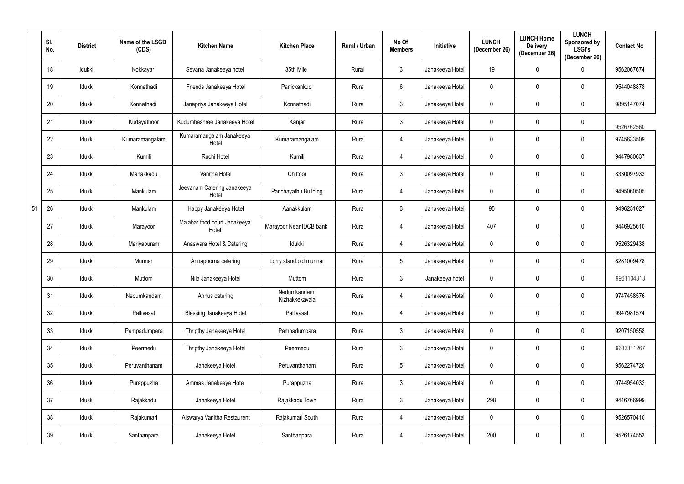|    | SI.<br>No. | <b>District</b> | Name of the LSGD<br>(CDS) | <b>Kitchen Name</b>                   | <b>Kitchen Place</b>          | Rural / Urban | No Of<br><b>Members</b> | Initiative      | <b>LUNCH</b><br>(December 26) | <b>LUNCH Home</b><br><b>Delivery</b><br>(December 26) | <b>LUNCH</b><br>Sponsored by<br><b>LSGI's</b><br>(December 26) | <b>Contact No</b> |
|----|------------|-----------------|---------------------------|---------------------------------------|-------------------------------|---------------|-------------------------|-----------------|-------------------------------|-------------------------------------------------------|----------------------------------------------------------------|-------------------|
|    | 18         | Idukki          | Kokkayar                  | Sevana Janakeeya hotel                | 35th Mile                     | Rural         | $\mathbf{3}$            | Janakeeya Hotel | 19                            | $\mathbf 0$                                           | $\Omega$                                                       | 9562067674        |
|    | 19         | Idukki          | Konnathadi                | Friends Janakeeya Hotel               | Panickankudi                  | Rural         | $6\phantom{.}6$         | Janakeeya Hotel | $\mathbf 0$                   | $\mathbf 0$                                           | $\mathbf 0$                                                    | 9544048878        |
|    | 20         | Idukki          | Konnathadi                | Janapriya Janakeeya Hotel             | Konnathadi                    | Rural         | $\mathbf{3}$            | Janakeeya Hotel | $\mathbf 0$                   | $\mathbf 0$                                           | $\mathbf 0$                                                    | 9895147074        |
|    | 21         | Idukki          | Kudayathoor               | Kudumbashree Janakeeya Hotel          | Kanjar                        | Rural         | $\mathbf{3}$            | Janakeeya Hotel | $\mathbf 0$                   | $\mathbf 0$                                           | $\mathbf 0$                                                    | 9526762560        |
|    | 22         | Idukki          | Kumaramangalam            | Kumaramangalam Janakeeya<br>Hotel     | Kumaramangalam                | Rural         | $\overline{4}$          | Janakeeya Hotel | $\mathbf 0$                   | $\mathbf 0$                                           | $\boldsymbol{0}$                                               | 9745633509        |
|    | 23         | Idukki          | Kumili                    | Ruchi Hotel                           | Kumili                        | Rural         | 4                       | Janakeeya Hotel | $\mathbf 0$                   | $\mathbf 0$                                           | 0                                                              | 9447980637        |
|    | 24         | Idukki          | Manakkadu                 | Vanitha Hotel                         | Chittoor                      | Rural         | $\mathbf{3}$            | Janakeeya Hotel | $\mathbf 0$                   | $\mathbf 0$                                           | $\mathbf 0$                                                    | 8330097933        |
|    | 25         | Idukki          | Mankulam                  | Jeevanam Catering Janakeeya<br>Hotel  | Panchayathu Building          | Rural         | 4                       | Janakeeya Hotel | $\mathbf 0$                   | $\mathbf 0$                                           | 0                                                              | 9495060505        |
| 51 | 26         | Idukki          | Mankulam                  | Happy Janakéeya Hotel                 | Aanakkulam                    | Rural         | $\mathbf{3}$            | Janakeeya Hotel | 95                            | $\mathbf 0$                                           | $\mathbf 0$                                                    | 9496251027        |
|    | 27         | Idukki          | Marayoor                  | Malabar food court Janakeeya<br>Hotel | Marayoor Near IDCB bank       | Rural         | 4                       | Janakeeya Hotel | 407                           | $\mathbf 0$                                           | $\mathbf 0$                                                    | 9446925610        |
|    | 28         | Idukki          | Mariyapuram               | Anaswara Hotel & Catering             | Idukki                        | Rural         | 4                       | Janakeeya Hotel | $\mathbf 0$                   | $\mathbf 0$                                           | $\mathbf 0$                                                    | 9526329438        |
|    | 29         | Idukki          | Munnar                    | Annapoorna catering                   | Lorry stand, old munnar       | Rural         | 5 <sub>5</sub>          | Janakeeya Hotel | $\mathbf 0$                   | $\mathbf 0$                                           | 0                                                              | 8281009478        |
|    | 30         | Idukki          | Muttom                    | Nila Janakeeya Hotel                  | Muttom                        | Rural         | $\mathbf{3}$            | Janakeeya hotel | $\mathbf 0$                   | $\mathbf 0$                                           | 0                                                              | 9961104818        |
|    | 31         | Idukki          | Nedumkandam               | Annus catering                        | Nedumkandam<br>Kizhakkekavala | Rural         | $\overline{4}$          | Janakeeya Hotel | $\mathbf 0$                   | $\mathbf 0$                                           | $\pmb{0}$                                                      | 9747458576        |
|    | 32         | Idukki          | Pallivasal                | <b>Blessing Janakeeya Hotel</b>       | Pallivasal                    | Rural         | $\overline{4}$          | Janakeeya Hotel | $\mathbf 0$                   | $\mathbf 0$                                           | $\pmb{0}$                                                      | 9947981574        |
|    | 33         | ldukki          | Pampadumpara              | Thripthy Janakeeya Hotel              | Pampadumpara                  | Rural         | $\mathbf{3}$            | Janakeeya Hotel | $\mathbf 0$                   | $\mathbf 0$                                           | $\pmb{0}$                                                      | 9207150558        |
|    | 34         | Idukki          | Peermedu                  | Thripthy Janakeeya Hotel              | Peermedu                      | Rural         | 3 <sup>1</sup>          | Janakeeya Hotel | $\mathbf 0$                   | $\mathbf 0$                                           | $\pmb{0}$                                                      | 9633311267        |
|    | 35         | Idukki          | Peruvanthanam             | Janakeeya Hotel                       | Peruvanthanam                 | Rural         | $5\overline{)}$         | Janakeeya Hotel | $\mathbf 0$                   | $\mathbf 0$                                           | $\pmb{0}$                                                      | 9562274720        |
|    | 36         | Idukki          | Purappuzha                | Ammas Janakeeya Hotel                 | Purappuzha                    | Rural         | $\mathbf{3}$            | Janakeeya Hotel | $\mathbf 0$                   | $\mathbf 0$                                           | $\pmb{0}$                                                      | 9744954032        |
|    | 37         | Idukki          | Rajakkadu                 | Janakeeya Hotel                       | Rajakkadu Town                | Rural         | 3 <sup>1</sup>          | Janakeeya Hotel | 298                           | $\mathbf 0$                                           | $\pmb{0}$                                                      | 9446766999        |
|    | 38         | Idukki          | Rajakumari                | Aiswarya Vanitha Restaurent           | Rajakumari South              | Rural         | $\overline{4}$          | Janakeeya Hotel | $\mathbf 0$                   | $\mathbf 0$                                           | $\pmb{0}$                                                      | 9526570410        |
|    | 39         | Idukki          | Santhanpara               | Janakeeya Hotel                       | Santhanpara                   | Rural         | $\overline{4}$          | Janakeeya Hotel | 200                           | $\mathbf 0$                                           | $\pmb{0}$                                                      | 9526174553        |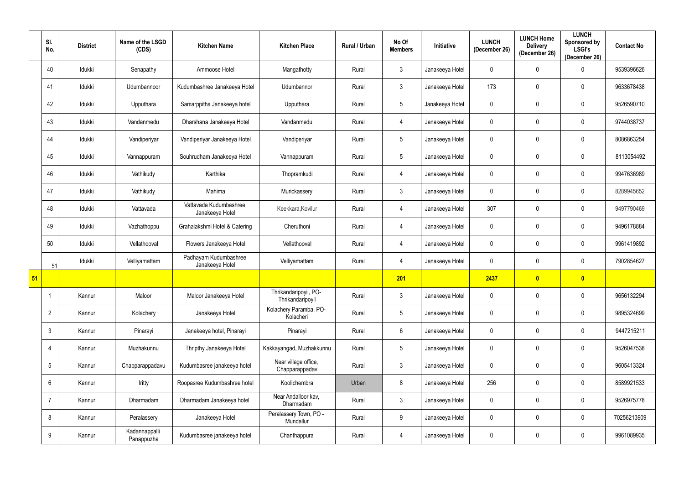|    | SI.<br>No.     | <b>District</b> | Name of the LSGD<br>(CDS)   | <b>Kitchen Name</b>                       | <b>Kitchen Place</b>                      | Rural / Urban | No Of<br><b>Members</b> | <b>Initiative</b> | <b>LUNCH</b><br>(December 26) | <b>LUNCH Home</b><br><b>Delivery</b><br>(December 26) | <b>LUNCH</b><br>Sponsored by<br><b>LSGI's</b><br>(December 26) | <b>Contact No</b> |
|----|----------------|-----------------|-----------------------------|-------------------------------------------|-------------------------------------------|---------------|-------------------------|-------------------|-------------------------------|-------------------------------------------------------|----------------------------------------------------------------|-------------------|
|    | 40             | Idukki          | Senapathy                   | Ammoose Hotel                             | Mangathotty                               | Rural         | 3 <sup>1</sup>          | Janakeeya Hotel   | 0                             | $\mathbf 0$                                           | 0                                                              | 9539396626        |
|    | 41             | Idukki          | Udumbannoor                 | Kudumbashree Janakeeya Hotel              | Udumbannor                                | Rural         | $\mathbf{3}$            | Janakeeya Hotel   | 173                           | $\mathbf 0$                                           | 0                                                              | 9633678438        |
|    | 42             | Idukki          | Upputhara                   | Samarppitha Janakeeya hotel               | Upputhara                                 | Rural         | 5                       | Janakeeya Hotel   | 0                             | $\mathbf 0$                                           | $\mathbf 0$                                                    | 9526590710        |
|    | 43             | Idukki          | Vandanmedu                  | Dharshana Janakeeya Hotel                 | Vandanmedu                                | Rural         | $\overline{4}$          | Janakeeya Hotel   | 0                             | 0                                                     | 0                                                              | 9744038737        |
|    | 44             | Idukki          | Vandiperiyar                | Vandiperiyar Janakeeya Hotel              | Vandiperiyar                              | Rural         | 5 <sup>5</sup>          | Janakeeya Hotel   | 0                             | $\mathbf 0$                                           | $\mathbf 0$                                                    | 8086863254        |
|    | 45             | Idukki          | Vannappuram                 | Souhrudham Janakeeya Hotel                | Vannappuram                               | Rural         | 5 <sup>5</sup>          | Janakeeya Hotel   | 0                             | $\mathbf 0$                                           | 0                                                              | 8113054492        |
|    | 46             | Idukki          | Vathikudy                   | Karthika                                  | Thopramkudi                               | Rural         | $\overline{4}$          | Janakeeya Hotel   | 0                             | $\pmb{0}$                                             | $\boldsymbol{0}$                                               | 9947636989        |
|    | 47             | Idukki          | Vathikudy                   | Mahima                                    | Murickassery                              | Rural         | $\mathbf{3}$            | Janakeeya Hotel   | 0                             | $\mathbf 0$                                           | 0                                                              | 8289945652        |
|    | 48             | Idukki          | Vattavada                   | Vattavada Kudumbashree<br>Janakeeya Hotel | Keekkara, Kovilur                         | Rural         | $\overline{4}$          | Janakeeya Hotel   | 307                           | $\mathbf 0$                                           | 0                                                              | 9497790469        |
|    | 49             | Idukki          | Vazhathoppu                 | Grahalakshmi Hotel & Catering             | Cheruthoni                                | Rural         | 4                       | Janakeeya Hotel   | 0                             | 0                                                     | 0                                                              | 9496178884        |
|    | 50             | Idukki          | Vellathooval                | Flowers Janakeeya Hotel                   | Vellathooval                              | Rural         | $\overline{4}$          | Janakeeya Hotel   | 0                             | $\boldsymbol{0}$                                      | $\mathbf 0$                                                    | 9961419892        |
|    | 51             | Idukki          | Velliyamattam               | Padhayam Kudumbashree<br>Janakeeya Hotel  | Velliyamattam                             | Rural         | $\overline{4}$          | Janakeeya Hotel   | 0                             | 0                                                     | 0                                                              | 7902854627        |
| 51 |                |                 |                             |                                           |                                           |               | 201                     |                   | 2437                          | $\overline{\mathbf{0}}$                               | $\bullet$                                                      |                   |
|    | -1             | Kannur          | Maloor                      | Maloor Janakeeya Hotel                    | Thrikandaripoyil, PO-<br>Thrikandaripoyil | Rural         | $\mathbf{3}$            | Janakeeya Hotel   | $\mathbf 0$                   | $\mathbf 0$                                           | $\mathbf 0$                                                    | 9656132294        |
|    | $\overline{2}$ | Kannur          | Kolachery                   | Janakeeya Hotel                           | Kolachery Paramba, PO-<br>Kolacheri       | Rural         | $5\phantom{.0}$         | Janakeeya Hotel   | $\pmb{0}$                     | $\mathbf 0$                                           | $\mathbf 0$                                                    | 9895324699        |
|    | $\mathbf{3}$   | Kannur          | Pinarayi                    | Janakeeya hotel, Pinarayi                 | Pinarayi                                  | Rural         | $6\overline{6}$         | Janakeeya Hotel   | $\mathbf 0$                   | $\overline{0}$                                        | $\mathbf 0$                                                    | 9447215211        |
|    | $\overline{4}$ | Kannur          | Muzhakunnu                  | Thripthy Janakeeya Hotel                  | Kakkayangad, Muzhakkunnu                  | Rural         | $5\phantom{.0}$         | Janakeeya Hotel   | $\mathbf 0$                   | $\mathbf 0$                                           | $\mathbf 0$                                                    | 9526047538        |
|    | 5              | Kannur          | Chapparappadavu             | Kudumbasree janakeeya hotel               | Near village office,<br>Chapparappadav    | Rural         | $\mathbf{3}$            | Janakeeya Hotel   | $\mathbf 0$                   | $\mathbf 0$                                           | $\mathbf 0$                                                    | 9605413324        |
|    | 6              | Kannur          | Iritty                      | Roopasree Kudumbashree hotel              | Koolichembra                              | Urban         | 8                       | Janakeeya Hotel   | 256                           | $\mathbf 0$                                           | $\mathbf 0$                                                    | 8589921533        |
|    |                | Kannur          | Dharmadam                   | Dharmadam Janakeeya hotel                 | Near Andalloor kav,<br>Dharmadam          | Rural         | $\mathbf{3}$            | Janakeeya Hotel   | $\mathbf 0$                   | $\mathbf 0$                                           | $\mathbf 0$                                                    | 9526975778        |
|    | 8              | Kannur          | Peralassery                 | Janakeeya Hotel                           | Peralassery Town, PO -<br>Mundallur       | Rural         | 9                       | Janakeeya Hotel   | $\pmb{0}$                     | $\mathbf 0$                                           | $\mathbf 0$                                                    | 70256213909       |
|    | 9              | Kannur          | Kadannappalli<br>Panappuzha | Kudumbasree janakeeya hotel               | Chanthappura                              | Rural         | $\overline{4}$          | Janakeeya Hotel   | $\pmb{0}$                     | $\pmb{0}$                                             | $\boldsymbol{0}$                                               | 9961089935        |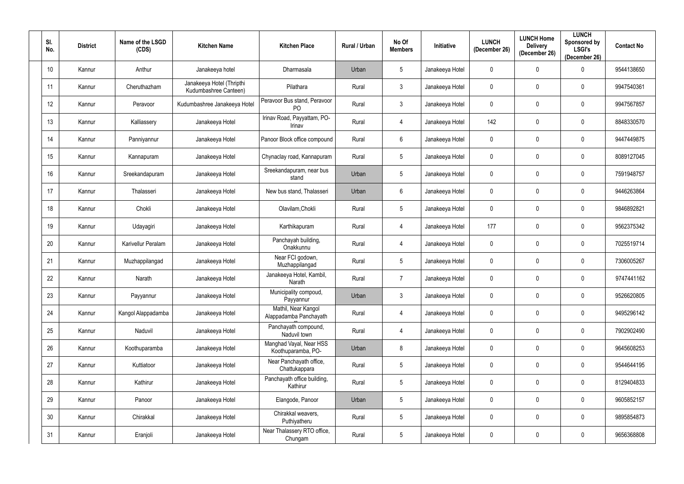| SI.<br>No. | <b>District</b> | Name of the LSGD<br>(CDS) | <b>Kitchen Name</b>                                | <b>Kitchen Place</b>                          | Rural / Urban | No Of<br><b>Members</b> | Initiative      | <b>LUNCH</b><br>(December 26) | <b>LUNCH Home</b><br><b>Delivery</b><br>(December 26) | <b>LUNCH</b><br>Sponsored by<br><b>LSGI's</b><br>(December 26) | <b>Contact No</b> |
|------------|-----------------|---------------------------|----------------------------------------------------|-----------------------------------------------|---------------|-------------------------|-----------------|-------------------------------|-------------------------------------------------------|----------------------------------------------------------------|-------------------|
| 10         | Kannur          | Anthur                    | Janakeeya hotel                                    | Dharmasala                                    | Urban         | $5\phantom{.0}$         | Janakeeya Hotel | $\mathbf 0$                   | $\mathbf 0$                                           | $\Omega$                                                       | 9544138650        |
| 11         | Kannur          | Cheruthazham              | Janakeeya Hotel (Thripthi<br>Kudumbashree Canteen) | Pilathara                                     | Rural         | $\mathbf{3}$            | Janakeeya Hotel | $\mathbf 0$                   | $\mathbf 0$                                           | $\mathbf{0}$                                                   | 9947540361        |
| 12         | Kannur          | Peravoor                  | Kudumbashree Janakeeya Hotel                       | Peravoor Bus stand, Peravoor<br>PO            | Rural         | 3 <sup>1</sup>          | Janakeeya Hotel | $\mathbf 0$                   | $\mathbf 0$                                           | $\mathbf 0$                                                    | 9947567857        |
| 13         | Kannur          | Kalliassery               | Janakeeya Hotel                                    | Irinav Road, Payyattam, PO-<br>Irinav         | Rural         | $\overline{4}$          | Janakeeya Hotel | 142                           | $\mathbf 0$                                           | $\mathbf 0$                                                    | 8848330570        |
| 14         | Kannur          | Panniyannur               | Janakeeya Hotel                                    | Panoor Block office compound                  | Rural         | $6\overline{6}$         | Janakeeya Hotel | $\mathbf 0$                   | $\mathbf 0$                                           | $\mathbf 0$                                                    | 9447449875        |
| 15         | Kannur          | Kannapuram                | Janakeeya Hotel                                    | Chynaclay road, Kannapuram                    | Rural         | $5\overline{)}$         | Janakeeya Hotel | $\mathbf 0$                   | $\overline{0}$                                        | 0                                                              | 8089127045        |
| 16         | Kannur          | Sreekandapuram            | Janakeeya Hotel                                    | Sreekandapuram, near bus<br>stand             | Urban         | $5\overline{)}$         | Janakeeya Hotel | $\overline{0}$                | $\overline{0}$                                        | $\mathbf 0$                                                    | 7591948757        |
| 17         | Kannur          | Thalasseri                | Janakeeya Hotel                                    | New bus stand, Thalasseri                     | Urban         | $6\overline{6}$         | Janakeeya Hotel | $\mathbf 0$                   | $\mathbf 0$                                           | $\mathbf{0}$                                                   | 9446263864        |
| 18         | Kannur          | Chokli                    | Janakeeya Hotel                                    | Olavilam, Chokli                              | Rural         | $5\overline{)}$         | Janakeeya Hotel | $\mathbf 0$                   | $\mathbf 0$                                           | $\mathbf 0$                                                    | 9846892821        |
| 19         | Kannur          | Udayagiri                 | Janakeeya Hotel                                    | Karthikapuram                                 | Rural         | 4                       | Janakeeya Hotel | 177                           | $\mathbf 0$                                           | $\mathbf 0$                                                    | 9562375342        |
| 20         | Kannur          | Karivellur Peralam        | Janakeeya Hotel                                    | Panchayah building,<br>Onakkunnu              | Rural         | 4                       | Janakeeya Hotel | $\mathbf 0$                   | $\mathbf 0$                                           | $\mathbf 0$                                                    | 7025519714        |
| 21         | Kannur          | Muzhappilangad            | Janakeeya Hotel                                    | Near FCI godown,<br>Muzhappilangad            | Rural         | 5 <sup>5</sup>          | Janakeeya Hotel | $\mathbf 0$                   | $\mathbf 0$                                           | $\mathbf{0}$                                                   | 7306005267        |
| 22         | Kannur          | Narath                    | Janakeeya Hotel                                    | Janakeeya Hotel, Kambil,<br>Narath            | Rural         | $\overline{7}$          | Janakeeya Hotel | $\mathbf 0$                   | $\overline{0}$                                        | 0                                                              | 9747441162        |
| 23         | Kannur          | Payyannur                 | Janakeeya Hotel                                    | Municipality compoud,<br>Payyannur            | Urban         | $\mathbf{3}$            | Janakeeya Hotel | $\mathbf 0$                   | $\mathbf 0$                                           | $\boldsymbol{0}$                                               | 9526620805        |
| 24         | Kannur          | Kangol Alappadamba        | Janakeeya Hotel                                    | Mathil, Near Kangol<br>Alappadamba Panchayath | Rural         | $\overline{4}$          | Janakeeya Hotel | $\mathbf 0$                   | $\mathbf 0$                                           | $\pmb{0}$                                                      | 9495296142        |
| 25         | Kannur          | Naduvil                   | Janakeeya Hotel                                    | Panchayath compound,<br>Naduvil town          | Rural         | $\overline{4}$          | Janakeeya Hotel | $\overline{0}$                | $\mathbf 0$                                           | $\boldsymbol{0}$                                               | 7902902490        |
| 26         | Kannur          | Koothuparamba             | Janakeeya Hotel                                    | Manghad Vayal, Near HSS<br>Koothuparamba, PO- | Urban         | $8\phantom{.}$          | Janakeeya Hotel | $\mathbf 0$                   | $\mathbf 0$                                           | $\boldsymbol{0}$                                               | 9645608253        |
| 27         | Kannur          | Kuttiatoor                | Janakeeya Hotel                                    | Near Panchayath office,<br>Chattukappara      | Rural         | $5\overline{)}$         | Janakeeya Hotel | $\overline{0}$                | $\mathbf 0$                                           | $\boldsymbol{0}$                                               | 9544644195        |
| 28         | Kannur          | Kathirur                  | Janakeeya Hotel                                    | Panchayath office building,<br>Kathirur       | Rural         | $5\phantom{.0}$         | Janakeeya Hotel | $\mathbf 0$                   | $\mathbf 0$                                           | $\boldsymbol{0}$                                               | 8129404833        |
| 29         | Kannur          | Panoor                    | Janakeeya Hotel                                    | Elangode, Panoor                              | Urban         | $5\overline{)}$         | Janakeeya Hotel | $\mathbf 0$                   | $\overline{0}$                                        | $\boldsymbol{0}$                                               | 9605852157        |
| 30         | Kannur          | Chirakkal                 | Janakeeya Hotel                                    | Chirakkal weavers,<br>Puthiyatheru            | Rural         | $5\overline{)}$         | Janakeeya Hotel | $\mathbf 0$                   | $\mathbf 0$                                           | $\mathbf 0$                                                    | 9895854873        |
| 31         | Kannur          | Eranjoli                  | Janakeeya Hotel                                    | Near Thalassery RTO office,<br>Chungam        | Rural         | 5 <sub>5</sub>          | Janakeeya Hotel | $\mathbf 0$                   | $\overline{0}$                                        | $\boldsymbol{0}$                                               | 9656368808        |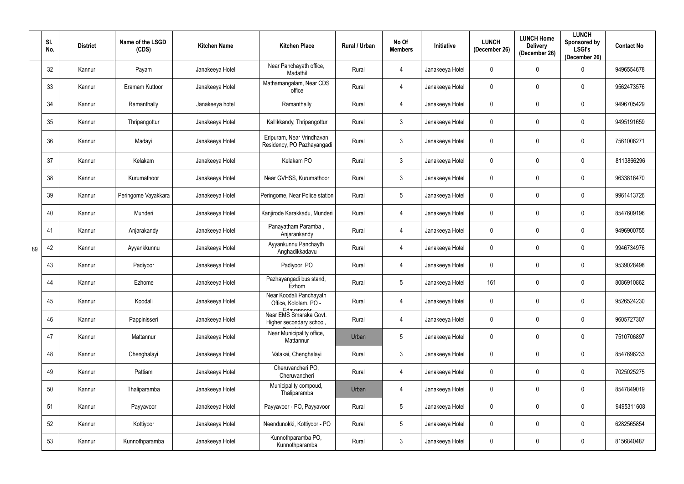|    | SI.<br>No. | <b>District</b> | Name of the LSGD<br>(CDS) | <b>Kitchen Name</b> | <b>Kitchen Place</b>                                           | Rural / Urban | No Of<br><b>Members</b> | Initiative      | <b>LUNCH</b><br>(December 26) | <b>LUNCH Home</b><br><b>Delivery</b><br>(December 26) | <b>LUNCH</b><br>Sponsored by<br><b>LSGI's</b><br>(December 26) | <b>Contact No</b> |
|----|------------|-----------------|---------------------------|---------------------|----------------------------------------------------------------|---------------|-------------------------|-----------------|-------------------------------|-------------------------------------------------------|----------------------------------------------------------------|-------------------|
|    | 32         | Kannur          | Payam                     | Janakeeya Hotel     | Near Panchayath office,<br>Madathil                            | Rural         | $\overline{4}$          | Janakeeya Hotel | 0                             | $\mathbf 0$                                           | 0                                                              | 9496554678        |
|    | 33         | Kannur          | Eramam Kuttoor            | Janakeeya Hotel     | Mathamangalam, Near CDS<br>office                              | Rural         | $\overline{4}$          | Janakeeya Hotel | 0                             | $\boldsymbol{0}$                                      | 0                                                              | 9562473576        |
|    | 34         | Kannur          | Ramanthally               | Janakeeya hotel     | Ramanthally                                                    | Rural         | $\overline{4}$          | Janakeeya Hotel | 0                             | $\mathbf 0$                                           | 0                                                              | 9496705429        |
|    | 35         | Kannur          | Thripangottur             | Janakeeya Hotel     | Kallikkandy, Thripangottur                                     | Rural         | $\mathbf{3}$            | Janakeeya Hotel | 0                             | 0                                                     | $\mathbf 0$                                                    | 9495191659        |
|    | 36         | Kannur          | Madayi                    | Janakeeya Hotel     | Eripuram, Near Vrindhavan<br>Residency, PO Pazhayangadi        | Rural         | $\mathfrak{Z}$          | Janakeeya Hotel | 0                             | $\mathbf 0$                                           | $\mathbf{0}$                                                   | 7561006271        |
|    | 37         | Kannur          | Kelakam                   | Janakeeya Hotel     | Kelakam PO                                                     | Rural         | $\mathbf{3}$            | Janakeeya Hotel | $\pmb{0}$                     | $\boldsymbol{0}$                                      | $\mathbf 0$                                                    | 8113866296        |
|    | 38         | Kannur          | Kurumathoor               | Janakeeya Hotel     | Near GVHSS, Kurumathoor                                        | Rural         | $\mathbf{3}$            | Janakeeya Hotel | 0                             | 0                                                     | $\mathbf{0}$                                                   | 9633816470        |
|    | 39         | Kannur          | Peringome Vayakkara       | Janakeeya Hotel     | Peringome, Near Police station                                 | Rural         | $5\overline{)}$         | Janakeeya Hotel | 0                             | 0                                                     | $\mathbf{0}$                                                   | 9961413726        |
|    | 40         | Kannur          | Munderi                   | Janakeeya Hotel     | Kanjirode Karakkadu, Munderi                                   | Rural         | 4                       | Janakeeya Hotel | 0                             | 0                                                     | $\mathbf 0$                                                    | 8547609196        |
|    | 41         | Kannur          | Anjarakandy               | Janakeeya Hotel     | Panayatham Paramba,<br>Anjarankandy                            | Rural         | $\overline{4}$          | Janakeeya Hotel | $\mathbf 0$                   | $\mathbf 0$                                           | $\mathbf 0$                                                    | 9496900755        |
| 89 | 42         | Kannur          | Ayyankkunnu               | Janakeeya Hotel     | Ayyankunnu Panchayth<br>Anghadikkadavu                         | Rural         | $\overline{4}$          | Janakeeya Hotel | $\mathbf 0$                   | $\mathbf 0$                                           | $\mathbf 0$                                                    | 9946734976        |
|    | 43         | Kannur          | Padiyoor                  | Janakeeya Hotel     | Padiyoor PO                                                    | Rural         | $\overline{4}$          | Janakeeya Hotel | 0                             | $\mathbf 0$                                           | $\mathbf 0$                                                    | 9539028498        |
|    | 44         | Kannur          | Ezhome                    | Janakeeya Hotel     | Pazhayangadi bus stand,<br>Ezhom                               | Rural         | $5\overline{)}$         | Janakeeya Hotel | 161                           | $\mathbf 0$                                           | $\mathbf 0$                                                    | 8086910862        |
|    | 45         | Kannur          | Koodali                   | Janakeeya Hotel     | Near Koodali Panchayath<br>Office, Kololam, PO -<br>Edavannoor | Rural         | $\overline{4}$          | Janakeeya Hotel | 0                             | $\mathbf 0$                                           | $\mathbf 0$                                                    | 9526524230        |
|    | 46         | Kannur          | Pappinisseri              | Janakeeya Hotel     | Near EMS Smaraka Govt.<br>Higher secondary school,             | Rural         | $\overline{4}$          | Janakeeya Hotel | $\pmb{0}$                     | $\mathbf 0$                                           | $\mathbf 0$                                                    | 9605727307        |
|    | 47         | Kannur          | Mattannur                 | Janakeeya Hotel     | Near Municipality office,<br>Mattannur                         | Urban         | $5\overline{)}$         | Janakeeya Hotel | $\pmb{0}$                     | $\overline{0}$                                        | $\mathbf 0$                                                    | 7510706897        |
|    | 48         | Kannur          | Chenghalayi               | Janakeeya Hotel     | Valakai, Chenghalayi                                           | Rural         | $\mathbf{3}$            | Janakeeya Hotel | $\pmb{0}$                     | $\mathbf 0$                                           | $\mathbf 0$                                                    | 8547696233        |
|    | 49         | Kannur          | Pattiam                   | Janakeeya Hotel     | Cheruvancheri PO,<br>Cheruvancheri                             | Rural         | $\overline{4}$          | Janakeeya Hotel | $\pmb{0}$                     | $\overline{0}$                                        | $\mathbf 0$                                                    | 7025025275        |
|    | 50         | Kannur          | Thaliparamba              | Janakeeya Hotel     | Municipality compoud,<br>Thaliparamba                          | Urban         | $\overline{4}$          | Janakeeya Hotel | 0                             | $\mathbf 0$                                           | $\mathbf 0$                                                    | 8547849019        |
|    | 51         | Kannur          | Payyavoor                 | Janakeeya Hotel     | Payyavoor - PO, Payyavoor                                      | Rural         | $5\phantom{.0}$         | Janakeeya Hotel | $\mathbf 0$                   | $\overline{0}$                                        | $\mathbf 0$                                                    | 9495311608        |
|    | 52         | Kannur          | Kottiyoor                 | Janakeeya Hotel     | Neendunokki, Kottiyoor - PO                                    | Rural         | $5\phantom{.0}$         | Janakeeya Hotel | $\pmb{0}$                     | $\overline{0}$                                        | $\mathbf 0$                                                    | 6282565854        |
|    | 53         | Kannur          | Kunnothparamba            | Janakeeya Hotel     | Kunnothparamba PO,<br>Kunnothparamba                           | Rural         | $\mathbf{3}$            | Janakeeya Hotel | 0                             | $\mathbf 0$                                           | $\boldsymbol{0}$                                               | 8156840487        |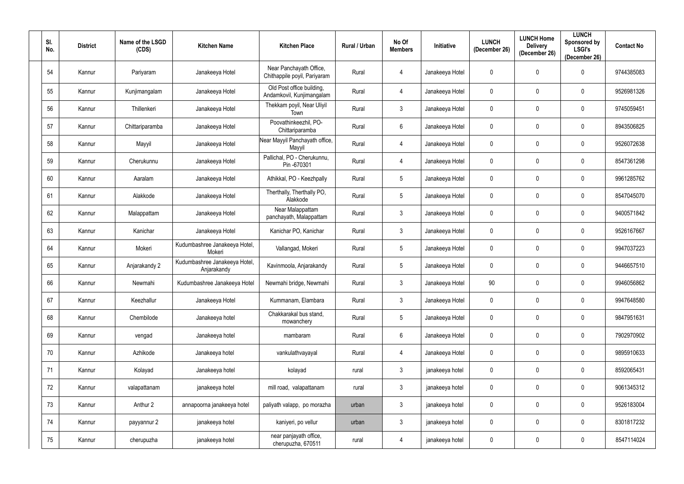| SI.<br>No. | <b>District</b> | Name of the LSGD<br>(CDS) | <b>Kitchen Name</b>                          | <b>Kitchen Place</b>                                    | Rural / Urban | No Of<br><b>Members</b> | <b>Initiative</b> | <b>LUNCH</b><br>(December 26) | <b>LUNCH Home</b><br><b>Delivery</b><br>(December 26) | <b>LUNCH</b><br>Sponsored by<br><b>LSGI's</b><br>(December 26) | <b>Contact No</b> |
|------------|-----------------|---------------------------|----------------------------------------------|---------------------------------------------------------|---------------|-------------------------|-------------------|-------------------------------|-------------------------------------------------------|----------------------------------------------------------------|-------------------|
| 54         | Kannur          | Pariyaram                 | Janakeeya Hotel                              | Near Panchayath Office,<br>Chithappile poyil, Pariyaram | Rural         | $\overline{4}$          | Janakeeya Hotel   | $\mathbf 0$                   | $\mathbf 0$                                           | $\mathbf 0$                                                    | 9744385083        |
| 55         | Kannur          | Kunjimangalam             | Janakeeya Hotel                              | Old Post office building,<br>Andamkovil, Kunjimangalam  | Rural         | $\overline{4}$          | Janakeeya Hotel   | $\pmb{0}$                     | $\mathbf 0$                                           | $\mathbf 0$                                                    | 9526981326        |
| 56         | Kannur          | Thillenkeri               | Janakeeya Hotel                              | Thekkam poyil, Near Uliyil<br>Town                      | Rural         | $\mathbf{3}$            | Janakeeya Hotel   | 0                             | 0                                                     | $\mathbf{0}$                                                   | 9745059451        |
| 57         | Kannur          | Chittariparamba           | Janakeeya Hotel                              | Poovathinkeezhil, PO-<br>Chittariparamba                | Rural         | $6\overline{6}$         | Janakeeya Hotel   | $\mathbf 0$                   | $\mathbf 0$                                           | $\mathbf 0$                                                    | 8943506825        |
| 58         | Kannur          | Mayyil                    | Janakeeya Hotel                              | Near Mayyil Panchayath office,<br>Mayyil                | Rural         | 4                       | Janakeeya Hotel   | 0                             | 0                                                     | $\mathbf{0}$                                                   | 9526072638        |
| 59         | Kannur          | Cherukunnu                | Janakeeya Hotel                              | Pallichal, PO - Cherukunnu,<br>Pin-670301               | Rural         | $\overline{4}$          | Janakeeya Hotel   | 0                             | $\mathbf 0$                                           | 0                                                              | 8547361298        |
| 60         | Kannur          | Aaralam                   | Janakeeya Hotel                              | Athikkal, PO - Keezhpally                               | Rural         | $5\overline{)}$         | Janakeeya Hotel   | $\mathbf 0$                   | $\mathbf 0$                                           | $\mathbf 0$                                                    | 9961285762        |
| 61         | Kannur          | Alakkode                  | Janakeeya Hotel                              | Therthally, Therthally PO,<br>Alakkode                  | Rural         | $5\phantom{.0}$         | Janakeeya Hotel   | 0                             | $\mathbf 0$                                           | $\mathbf 0$                                                    | 8547045070        |
| 62         | Kannur          | Malappattam               | Janakeeya Hotel                              | Near Malappattam<br>panchayath, Malappattam             | Rural         | $\mathbf{3}$            | Janakeeya Hotel   | 0                             | $\mathbf 0$                                           | $\mathbf 0$                                                    | 9400571842        |
| 63         | Kannur          | Kanichar                  | Janakeeya Hotel                              | Kanichar PO, Kanichar                                   | Rural         | $\mathbf{3}$            | Janakeeya Hotel   | 0                             | $\mathbf 0$                                           | $\mathbf 0$                                                    | 9526167667        |
| 64         | Kannur          | Mokeri                    | Kudumbashree Janakeeya Hotel,<br>Mokeri      | Vallangad, Mokeri                                       | Rural         | $5\overline{)}$         | Janakeeya Hotel   | 0                             | $\mathbf 0$                                           | $\mathbf 0$                                                    | 9947037223        |
| 65         | Kannur          | Anjarakandy 2             | Kudumbashree Janakeeya Hotel,<br>Anjarakandy | Kavinmoola, Anjarakandy                                 | Rural         | $5\overline{)}$         | Janakeeya Hotel   | 0                             | $\mathbf 0$                                           | $\mathbf{0}$                                                   | 9446657510        |
| 66         | Kannur          | Newmahi                   | Kudumbashree Janakeeya Hotel                 | Newmahi bridge, Newmahi                                 | Rural         | $\mathbf{3}$            | Janakeeya Hotel   | 90                            | 0                                                     | $\mathbf{0}$                                                   | 9946056862        |
| 67         | Kannur          | Keezhallur                | Janakeeya Hotel                              | Kummanam, Elambara                                      | Rural         | $\mathbf{3}$            | Janakeeya Hotel   | $\pmb{0}$                     | $\mathbf 0$                                           | $\mathbf 0$                                                    | 9947648580        |
| 68         | Kannur          | Chembilode                | Janakeeya hotel                              | Chakkarakal bus stand,<br>mowanchery                    | Rural         | $5\overline{)}$         | Janakeeya Hotel   | 0                             | $\mathbf 0$                                           | $\mathbf 0$                                                    | 9847951631        |
| 69         | Kannur          | vengad                    | Janakeeya hotel                              | mambaram                                                | Rural         | $6\overline{6}$         | Janakeeya Hotel   | $\pmb{0}$                     | $\mathbf 0$                                           | $\mathbf 0$                                                    | 7902970902        |
| 70         | Kannur          | Azhikode                  | Janakeeya hotel                              | vankulathvayayal                                        | Rural         | $\overline{4}$          | Janakeeya Hotel   | $\pmb{0}$                     | $\mathbf 0$                                           | 0                                                              | 9895910633        |
| 71         | Kannur          | Kolayad                   | Janakeeya hotel                              | kolayad                                                 | rural         | $\mathbf{3}$            | janakeeya hotel   | $\mathbf 0$                   | $\mathbf 0$                                           | $\mathbf 0$                                                    | 8592065431        |
| 72         | Kannur          | valapattanam              | janakeeya hotel                              | mill road, valapattanam                                 | rural         | $\mathbf{3}$            | janakeeya hotel   | $\pmb{0}$                     | $\mathbf 0$                                           | $\mathbf 0$                                                    | 9061345312        |
| 73         | Kannur          | Anthur 2                  | annapoorna janakeeya hotel                   | paliyath valapp, po morazha                             | urban         | $\mathbf{3}$            | janakeeya hotel   | $\pmb{0}$                     | $\mathbf 0$                                           | $\mathbf 0$                                                    | 9526183004        |
| 74         | Kannur          | payyannur 2               | janakeeya hotel                              | kaniyeri, po vellur                                     | urban         | $\mathbf{3}$            | janakeeya hotel   | $\pmb{0}$                     | $\mathbf 0$                                           | $\mathbf 0$                                                    | 8301817232        |
| 75         | Kannur          | cherupuzha                | janakeeya hotel                              | near panjayath office,<br>cherupuzha, 670511            | rural         | $\overline{4}$          | janakeeya hotel   | 0                             | $\pmb{0}$                                             | $\mathbf 0$                                                    | 8547114024        |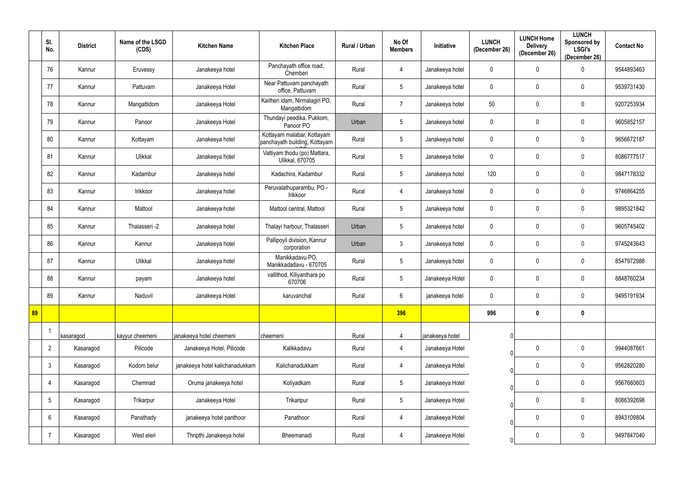|    | SI.<br>No.      | <b>District</b> | Name of the LSGD<br>(CDS) | <b>Kitchen Name</b>             | <b>Kitchen Place</b>                                        | Rural / Urban | No Of<br><b>Members</b> | <b>Initiative</b> | <b>LUNCH</b><br>(December 26) | <b>LUNCH Home</b><br><b>Delivery</b><br>(December 26) | <b>LUNCH</b><br>Sponsored by<br><b>LSGI's</b><br>(December 26) | <b>Contact No</b> |
|----|-----------------|-----------------|---------------------------|---------------------------------|-------------------------------------------------------------|---------------|-------------------------|-------------------|-------------------------------|-------------------------------------------------------|----------------------------------------------------------------|-------------------|
|    | 76              | Kannur          | Eruvessy                  | Janakeeya hotel                 | Panchayath office road,<br>Chemberi                         | Rural         | $\overline{4}$          | Janakeeya hotel   | $\mathbf 0$                   | $\mathbf 0$                                           | $\Omega$                                                       | 9544893463        |
|    | 77              | Kannur          | Pattuvam                  | Janakeeya Hotel                 | Near Pattuvam panchayath<br>office, Pattuvam                | Rural         | $5\overline{)}$         | Janakeeya hotel   | $\mathbf 0$                   | $\mathbf 0$                                           | $\mathbf{0}$                                                   | 9539731430        |
|    | 78              | Kannur          | Mangattidom               | Janakeeya Hotel                 | Kaitheri idam, Nirmalagiri PO,<br>Mangattidom               | Rural         | $\overline{7}$          | Janakeeya hotel   | 50                            | $\mathbf 0$                                           | $\mathbf 0$                                                    | 9207253934        |
|    | 79              | Kannur          | Panoor                    | Janakeeya Hotel                 | Thundayi peedika, Pukkom,<br>Panoor PO                      | Urban         | $5\overline{)}$         | Janakeeya hotel   | $\mathbf 0$                   | $\mathbf 0$                                           | $\mathbf 0$                                                    | 9605852157        |
|    | 80              | Kannur          | Kottayam                  | Janakeeya hotel                 | Kottayam malabar, Kottayam<br>panchayath building, Kottayam | Rural         | $5\phantom{.0}$         | Janakeeya hotel   | $\mathbf 0$                   | $\boldsymbol{0}$                                      | $\mathbf 0$                                                    | 9656672187        |
|    | 81              | Kannur          | Ulikkal                   | Janakeeya hotel                 | Vattiyam thodu (po) Mattara,<br><b>Ulikkal, 670705</b>      | Rural         | 5 <sup>5</sup>          | Janakeeya hotel   | $\mathbf 0$                   | $\mathbf 0$                                           | $\mathbf{0}$                                                   | 8086777517        |
|    | 82              | Kannur          | Kadambur                  | Janakeeya hotel                 | Kadachira, Kadambur                                         | Rural         | $5\phantom{.0}$         | Janakeeya hotel   | 120                           | $\mathbf 0$                                           | $\mathbf 0$                                                    | 9847178332        |
|    | 83              | Kannur          | Irikkoor                  | Janakeeya hotel                 | Peruvalathuparambu, PO -<br>Irikkoor                        | Rural         | $\overline{4}$          | Janakeeya hotel   | $\mathbf 0$                   | $\mathbf 0$                                           | $\mathbf 0$                                                    | 9746864255        |
|    | 84              | Kannur          | Mattool                   | Janakeeya hotel                 | Mattool central, Mattool                                    | Rural         | 5 <sup>5</sup>          | Janakeeya hotel   | $\mathbf 0$                   | $\mathbf 0$                                           | $\overline{0}$                                                 | 9895321842        |
|    | 85              | Kannur          | Thalasseri -2             | Janakeeya hotel                 | Thalayi harbour, Thalasseri                                 | Urban         | 5 <sup>5</sup>          | Janakeeya hotel   | $\mathbf 0$                   | $\mathbf 0$                                           | $\mathbf{0}$                                                   | 9605745402        |
|    | 86              | Kannur          | Kannur                    | Janakeeya hotel                 | Pallipoyil division, Kannur<br>corporation                  | Urban         | $3\phantom{.0}$         | Janakeeya hotel   | $\mathbf 0$                   | $\boldsymbol{0}$                                      | $\mathbf 0$                                                    | 9745243643        |
|    | 87              | Kannur          | Ulikkal                   | Janakeeya hotel                 | Manikkadavu PO,<br>Manikkadadavu - 670705                   | Rural         | 5 <sup>5</sup>          | Janakeeya hotel   | $\mathbf 0$                   | $\mathbf 0$                                           | $\mathbf{0}$                                                   | 8547972988        |
|    | 88              | Kannur          | payam                     | Janakeeya hotel                 | vallithod, Kiliyanthara po<br>670706                        | Rural         | 5 <sup>5</sup>          | Janakeeya Hotel   | $\mathbf 0$                   | $\mathbf 0$                                           | $\mathbf 0$                                                    | 8848760234        |
|    | 89              | Kannur          | Naduvil                   | Janakeeya Hotel                 | karuvanchal                                                 | Rural         | $6\overline{6}$         | janakeeya hotel   | $\mathbf 0$                   | $\mathbf 0$                                           | $\overline{0}$                                                 | 9495191934        |
| 89 |                 |                 |                           |                                 |                                                             |               | 396                     |                   | 996                           | $\mathbf 0$                                           | $\mathbf 0$                                                    |                   |
|    |                 | kasaragod       | kayyur cheemeni           | janakeeya hotel cheemeni        | cheemeni                                                    | Rural         | $\overline{4}$          | janakeeya hotel   |                               |                                                       |                                                                |                   |
|    | $\overline{2}$  | Kasaragod       | Pilicode                  | Janakeeya Hotel, Pilicode       | Kalikkadavu                                                 | Rural         | $\overline{4}$          | Janakeeya Hotel   | $\Omega$                      | $\mathbf 0$                                           | $\mathbf 0$                                                    | 9944087661        |
|    | $\mathbf{3}$    | Kasaragod       | Kodom belur               | janakeeya hotel kalichanadukkam | Kalichanadukkam                                             | Rural         | $\overline{4}$          | Janakeeya Hotel   | $\Omega$                      | $\mathbf 0$                                           | $\mathbf 0$                                                    | 9562820280        |
|    | 4               | Kasaragod       | Chemnad                   | Oruma janakeeya hotel           | Koliyadkam                                                  | Rural         | $5\phantom{.0}$         | Janakeeya Hotel   | $\bigcap$                     | $\mathbf 0$                                           | $\boldsymbol{0}$                                               | 9567660603        |
|    | $5\phantom{.0}$ | Kasaragod       | Trikarpur                 | Janakeeya Hotel                 | Trikaripur                                                  | Rural         | $5\phantom{.0}$         | Janakeeya Hotel   | $\Omega$                      | $\mathbf 0$                                           | $\mathbf 0$                                                    | 8086392698        |
|    | $6\phantom{.}6$ | Kasaragod       | Panathady                 | janakeeya hotel panthoor        | Panathoor                                                   | Rural         | $\overline{4}$          | Janakeeya Hotel   |                               | $\mathbf 0$                                           | $\boldsymbol{0}$                                               | 8943109804        |
|    | -7              | Kasaragod       | West eleri                | Thripthi Janakeeya hotel        | Bheemanadi                                                  | Rural         | $\overline{4}$          | Janakeeya Hotel   |                               | $\overline{0}$                                        | $\boldsymbol{0}$                                               | 9497847040        |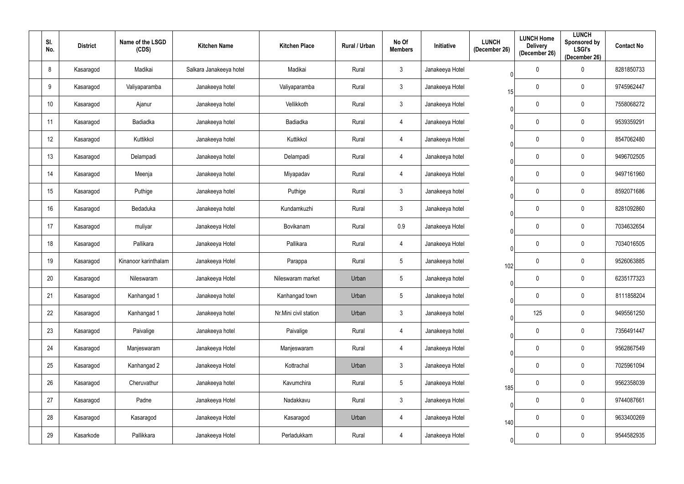| SI.<br>No.      | <b>District</b> | Name of the LSGD<br>(CDS) | <b>Kitchen Name</b>     | <b>Kitchen Place</b>  | Rural / Urban | No Of<br><b>Members</b> | Initiative      | <b>LUNCH</b><br>(December 26) | <b>LUNCH Home</b><br><b>Delivery</b><br>(December 26) | <b>LUNCH</b><br>Sponsored by<br><b>LSGI's</b><br>(December 26) | <b>Contact No</b> |
|-----------------|-----------------|---------------------------|-------------------------|-----------------------|---------------|-------------------------|-----------------|-------------------------------|-------------------------------------------------------|----------------------------------------------------------------|-------------------|
| 8               | Kasaragod       | Madikai                   | Salkara Janakeeya hotel | Madikai               | Rural         | $\mathbf{3}$            | Janakeeya Hotel | $\bigcap$                     | $\boldsymbol{0}$                                      | 0                                                              | 8281850733        |
| 9               | Kasaragod       | Valiyaparamba             | Janakeeya hotel         | Valiyaparamba         | Rural         | $\mathbf{3}$            | Janakeeya Hotel | 15                            | $\boldsymbol{0}$                                      | $\mathbf{0}$                                                   | 9745962447        |
| 10 <sup>°</sup> | Kasaragod       | Ajanur                    | Janakeeya hotel         | Vellikkoth            | Rural         | $\mathbf{3}$            | Janakeeya Hotel |                               | $\boldsymbol{0}$                                      | $\mathbf 0$                                                    | 7558068272        |
| 11              | Kasaragod       | Badiadka                  | Janakeeya hotel         | Badiadka              | Rural         | $\overline{4}$          | Janakeeya Hotel | $\cap$                        | $\mathbf 0$                                           | 0                                                              | 9539359291        |
| 12              | Kasaragod       | Kuttikkol                 | Janakeeya hotel         | Kuttikkol             | Rural         | $\overline{4}$          | Janakeeya Hotel |                               | $\boldsymbol{0}$                                      | 0                                                              | 8547062480        |
| 13              | Kasaragod       | Delampadi                 | Janakeeya hotel         | Delampadi             | Rural         | 4                       | Janakeeya hotel | $\cap$                        | $\mathbf 0$                                           | 0                                                              | 9496702505        |
| 14              | Kasaragod       | Meenja                    | Janakeeya hotel         | Miyapadav             | Rural         | 4                       | Janakeeya Hotel |                               | $\mathbf 0$                                           | $\overline{0}$                                                 | 9497161960        |
| 15              | Kasaragod       | Puthige                   | Janakeeya hotel         | Puthige               | Rural         | 3 <sup>1</sup>          | Janakeeya hotel |                               | $\mathbf 0$                                           | $\boldsymbol{0}$                                               | 8592071686        |
| 16              | Kasaragod       | Bedaduka                  | Janakeeya hotel         | Kundamkuzhi           | Rural         | 3 <sup>1</sup>          | Janakeeya hotel |                               | $\mathbf 0$                                           | $\overline{0}$                                                 | 8281092860        |
| 17              | Kasaragod       | muliyar                   | Janakeeya Hotel         | Bovikanam             | Rural         | 0.9                     | Janakeeya Hotel | $\cap$                        | $\mathbf 0$                                           | 0                                                              | 7034632654        |
| 18              | Kasaragod       | Pallikara                 | Janakeeya Hotel         | Pallikara             | Rural         | 4                       | Janakeeya Hotel | $\bigcap$                     | 0                                                     | $\mathbf 0$                                                    | 7034016505        |
| 19              | Kasaragod       | Kinanoor karinthalam      | Janakeeya Hotel         | Parappa               | Rural         | 5 <sup>5</sup>          | Janakeeya hotel | 102                           | $\mathbf 0$                                           | 0                                                              | 9526063885        |
| 20              | Kasaragod       | Nileswaram                | Janakeeya Hotel         | Nileswaram market     | Urban         | $5\phantom{.0}$         | Janakeeya hotel | 0                             | $\mathbf 0$                                           | $\mathbf 0$                                                    | 6235177323        |
| 21              | Kasaragod       | Kanhangad 1               | Janakeeya hotel         | Kanhangad town        | Urban         | $5\phantom{.0}$         | Janakeeya hotel |                               | $\mathbf 0$                                           | $\overline{0}$                                                 | 8111858204        |
| 22              | Kasaragod       | Kanhangad 1               | Janakeeya hotel         | Nr.Mini civil station | Urban         | $\mathfrak{Z}$          | Janakeeya hotel | $\Omega$                      | 125                                                   | $\overline{0}$                                                 | 9495561250        |
| 23              | Kasaragod       | Paivalige                 | Janakeeya hotel         | Paivalige             | Rural         | $\overline{4}$          | Janakeeya hotel |                               | $\mathbf 0$                                           | $\mathbf 0$                                                    | 7356491447        |
| 24              | Kasaragod       | Manjeswaram               | Janakeeya Hotel         | Manjeswaram           | Rural         | $\overline{4}$          | Janakeeya Hotel | $\Omega$                      | $\mathbf 0$                                           | $\overline{0}$                                                 | 9562867549        |
| 25              | Kasaragod       | Kanhangad 2               | Janakeeya Hotel         | Kottrachal            | Urban         | $\mathfrak{Z}$          | Janakeeya Hotel | $\Omega$                      | $\mathbf 0$                                           | $\overline{0}$                                                 | 7025961094        |
| 26              | Kasaragod       | Cheruvathur               | Janakeeya hotel         | Kavumchira            | Rural         | $5\phantom{.0}$         | Janakeeya Hotel | 185                           | $\overline{0}$                                        | $\boldsymbol{0}$                                               | 9562358039        |
| 27              | Kasaragod       | Padne                     | Janakeeya Hotel         | Nadakkavu             | Rural         | $\mathfrak{Z}$          | Janakeeya Hotel | $\mathbf 0$                   | $\mathbf 0$                                           | $\mathbf 0$                                                    | 9744087661        |
| 28              | Kasaragod       | Kasaragod                 | Janakeeya Hotel         | Kasaragod             | Urban         | $\overline{4}$          | Janakeeya Hotel | 140                           | $\overline{0}$                                        | $\boldsymbol{0}$                                               | 9633400269        |
| 29              | Kasarkode       | Pallikkara                | Janakeeya Hotel         | Perladukkam           | Rural         | $\overline{4}$          | Janakeeya Hotel | $\Omega$                      | $\bm{0}$                                              | $\boldsymbol{0}$                                               | 9544582935        |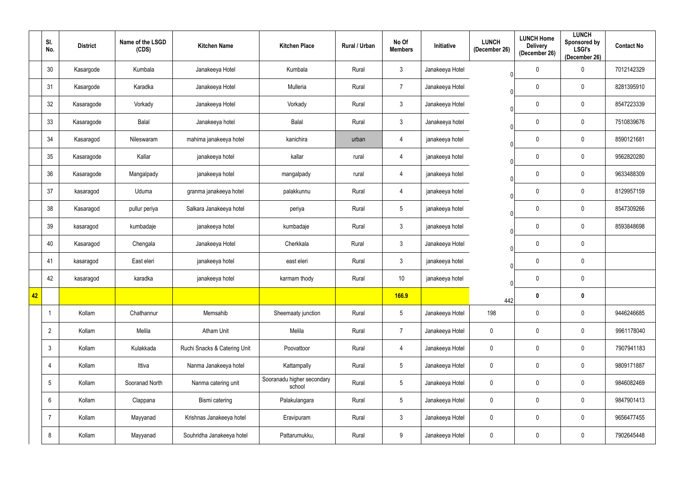|    | SI.<br>No.      | <b>District</b> | Name of the LSGD<br>(CDS) | <b>Kitchen Name</b>          | <b>Kitchen Place</b>                 | Rural / Urban | No Of<br><b>Members</b> | Initiative      | <b>LUNCH</b><br>(December 26) | <b>LUNCH Home</b><br><b>Delivery</b><br>(December 26) | <b>LUNCH</b><br><b>Sponsored by</b><br><b>LSGI's</b><br>(December 26) | <b>Contact No</b> |
|----|-----------------|-----------------|---------------------------|------------------------------|--------------------------------------|---------------|-------------------------|-----------------|-------------------------------|-------------------------------------------------------|-----------------------------------------------------------------------|-------------------|
|    | 30              | Kasargode       | Kumbala                   | Janakeeya Hotel              | Kumbala                              | Rural         | $\mathfrak{Z}$          | Janakeeya Hotel | $\Omega$                      | $\pmb{0}$                                             | 0                                                                     | 7012142329        |
|    | 31              | Kasargode       | Karadka                   | Janakeeya Hotel              | Mulleria                             | Rural         | $\overline{7}$          | Janakeeya Hotel | $\Omega$                      | $\mathbf 0$                                           | $\mathbf 0$                                                           | 8281395910        |
|    | 32              | Kasaragode      | Vorkady                   | Janakeeya Hotel              | Vorkady                              | Rural         | $\mathfrak{Z}$          | Janakeeya Hotel |                               | $\pmb{0}$                                             | $\mathbf 0$                                                           | 8547223339        |
|    | 33              | Kasaragode      | Balal                     | Janakeeya hotel              | Balal                                | Rural         | $\mathbf{3}$            | Janakeeya hotel | $\Omega$                      | 0                                                     | $\mathbf 0$                                                           | 7510839676        |
|    | 34              | Kasaragod       | Nileswaram                | mahima janakeeya hotel       | kanichira                            | urban         | $\overline{4}$          | janakeeya hotel |                               | $\bm{0}$                                              | 0                                                                     | 8590121681        |
|    | 35              | Kasaragode      | Kallar                    | janakeeya hotel              | kallar                               | rural         | 4                       | janakeeya hotel | $\Omega$                      | $\boldsymbol{0}$                                      | 0                                                                     | 9562820280        |
|    | 36              | Kasaragode      | Mangalpady                | janakeeya hotel              | mangalpady                           | rural         | 4                       | janakeeya hotel | ∩                             | $\mathbf 0$                                           | $\mathbf 0$                                                           | 9633488309        |
|    | 37              | kasaragod       | Uduma                     | granma janakeeya hotel       | palakkunnu                           | Rural         | 4                       | janakeeya hotel | ∩                             | $\boldsymbol{0}$                                      | $\mathbf 0$                                                           | 8129957159        |
|    | 38              | Kasaragod       | pullur periya             | Salkara Janakeeya hotel      | periya                               | Rural         | $5\phantom{.0}$         | janakeeya hotel | $\Omega$                      | $\mathbf 0$                                           | $\mathbf 0$                                                           | 8547309266        |
|    | 39              | kasaragod       | kumbadaje                 | janakeeya hotel              | kumbadaje                            | Rural         | $\mathfrak{Z}$          | janakeeya hotel | $\Omega$                      | 0                                                     | $\mathbf 0$                                                           | 8593848698        |
|    | 40              | Kasaragod       | Chengala                  | Janakeeya Hotel              | Cherkkala                            | Rural         | $\mathfrak{Z}$          | Janakeeya Hotel | $\Omega$                      | $\boldsymbol{0}$                                      | $\mathbf 0$                                                           |                   |
|    | 41              | kasaragod       | East eleri                | janakeeya hotel              | east eleri                           | Rural         | $\mathfrak{Z}$          | janakeeya hotel |                               | $\boldsymbol{0}$                                      | $\mathbf 0$                                                           |                   |
|    | 42              | kasaragod       | karadka                   | janakeeya hotel              | karmam thody                         | Rural         | 10                      | janakeeya hotel |                               | $\overline{0}$                                        | $\mathbf 0$                                                           |                   |
| 42 |                 |                 |                           |                              |                                      |               | <b>166.9</b>            |                 | 442                           | $\mathbf 0$                                           | $\boldsymbol{0}$                                                      |                   |
|    |                 | Kollam          | Chathannur                | Memsahib                     | Sheemaaty junction                   | Rural         | $5\phantom{.0}$         | Janakeeya Hotel | 198                           | $\mathbf 0$                                           | $\mathbf 0$                                                           | 9446246685        |
|    | $\overline{2}$  | Kollam          | Melila                    | Atham Unit                   | Melila                               | Rural         | $\overline{7}$          | Janakeeya Hotel | $\mathbf 0$                   | $\mathbf 0$                                           | $\mathbf 0$                                                           | 9961178040        |
|    | $\mathbf{3}$    | Kollam          | Kulakkada                 | Ruchi Snacks & Catering Unit | Poovattoor                           | Rural         | $\overline{4}$          | Janakeeya Hotel | $\mathbf 0$                   | $\mathbf 0$                                           | $\mathbf 0$                                                           | 7907941183        |
|    | $\overline{4}$  | Kollam          | Ittiva                    | Nanma Janakeeya hotel        | Kattampally                          | Rural         | $5\phantom{.0}$         | Janakeeya Hotel | $\mathbf 0$                   | $\mathbf 0$                                           | $\mathbf 0$                                                           | 9809171887        |
|    | $\overline{5}$  | Kollam          | Sooranad North            | Nanma catering unit          | Sooranadu higher secondary<br>school | Rural         | $5\phantom{.0}$         | Janakeeya Hotel | $\mathbf 0$                   | $\mathbf 0$                                           | $\mathbf 0$                                                           | 9846082469        |
|    | $6\phantom{.}6$ | Kollam          | Clappana                  | Bismi catering               | Palakulangara                        | Rural         | $5\phantom{.0}$         | Janakeeya Hotel | $\pmb{0}$                     | $\mathbf 0$                                           | 0                                                                     | 9847901413        |
|    | $\overline{7}$  | Kollam          | Mayyanad                  | Krishnas Janakeeya hotel     | Eravipuram                           | Rural         | $\mathfrak{Z}$          | Janakeeya Hotel | $\pmb{0}$                     | $\mathbf 0$                                           | $\pmb{0}$                                                             | 9656477455        |
|    | 8               | Kollam          | Mayyanad                  | Souhridha Janakeeya hotel    | Pattarumukku,                        | Rural         | 9                       | Janakeeya Hotel | $\pmb{0}$                     | $\mathbf 0$                                           | $\mathbf 0$                                                           | 7902645448        |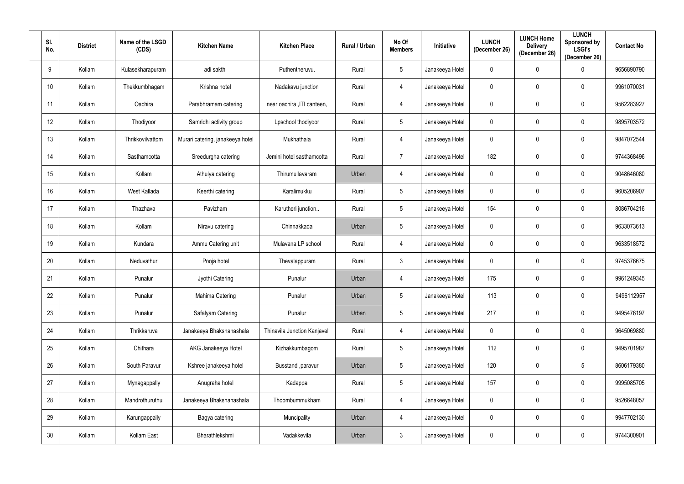| SI.<br>No.      | <b>District</b> | Name of the LSGD<br>(CDS) | <b>Kitchen Name</b>              | <b>Kitchen Place</b>         | Rural / Urban | No Of<br><b>Members</b> | Initiative      | <b>LUNCH</b><br>(December 26) | <b>LUNCH Home</b><br><b>Delivery</b><br>(December 26) | <b>LUNCH</b><br>Sponsored by<br><b>LSGI's</b><br>(December 26) | <b>Contact No</b> |
|-----------------|-----------------|---------------------------|----------------------------------|------------------------------|---------------|-------------------------|-----------------|-------------------------------|-------------------------------------------------------|----------------------------------------------------------------|-------------------|
| 9               | Kollam          | Kulasekharapuram          | adi sakthi                       | Puthentheruvu.               | Rural         | $5\phantom{.0}$         | Janakeeya Hotel | $\overline{0}$                | $\mathbf 0$                                           | $\Omega$                                                       | 9656890790        |
| 10 <sup>°</sup> | Kollam          | Thekkumbhagam             | Krishna hotel                    | Nadakavu junction            | Rural         | 4                       | Janakeeya Hotel | $\overline{0}$                | $\mathbf 0$                                           | $\mathbf 0$                                                    | 9961070031        |
| 11              | Kollam          | Oachira                   | Parabhramam catering             | near oachira , ITI canteen,  | Rural         | $\overline{4}$          | Janakeeya Hotel | $\mathbf 0$                   | $\mathbf 0$                                           | $\mathbf 0$                                                    | 9562283927        |
| 12 <sup>°</sup> | Kollam          | Thodiyoor                 | Samridhi activity group          | Lpschool thodiyoor           | Rural         | $5\phantom{.0}$         | Janakeeya Hotel | $\overline{0}$                | $\mathbf 0$                                           | $\mathbf 0$                                                    | 9895703572        |
| 13              | Kollam          | Thrikkovilvattom          | Murari catering, janakeeya hotel | Mukhathala                   | Rural         | $\overline{4}$          | Janakeeya Hotel | $\mathbf 0$                   | $\mathbf 0$                                           | $\mathbf 0$                                                    | 9847072544        |
| 14              | Kollam          | Sasthamcotta              | Sreedurgha catering              | Jemini hotel sasthamcotta    | Rural         | $\overline{7}$          | Janakeeya Hotel | 182                           | $\mathbf 0$                                           | $\mathbf 0$                                                    | 9744368496        |
| 15              | Kollam          | Kollam                    | Athulya catering                 | Thirumullavaram              | Urban         | 4                       | Janakeeya Hotel | $\mathbf 0$                   | $\mathbf 0$                                           | $\mathbf 0$                                                    | 9048646080        |
| 16 <sup>°</sup> | Kollam          | West Kallada              | Keerthi catering                 | Karalimukku                  | Rural         | $5\phantom{.0}$         | Janakeeya Hotel | $\overline{0}$                | $\mathbf 0$                                           | $\mathbf 0$                                                    | 9605206907        |
| 17              | Kollam          | Thazhava                  | Pavizham                         | Karutheri junction           | Rural         | $5\phantom{.0}$         | Janakeeya Hotel | 154                           | $\mathbf 0$                                           | $\mathbf 0$                                                    | 8086704216        |
| 18              | Kollam          | Kollam                    | Niravu catering                  | Chinnakkada                  | Urban         | $5\phantom{.0}$         | Janakeeya Hotel | $\overline{0}$                | $\mathbf 0$                                           | $\mathbf 0$                                                    | 9633073613        |
| 19              | Kollam          | Kundara                   | Ammu Catering unit               | Mulavana LP school           | Rural         | $\overline{4}$          | Janakeeya Hotel | $\overline{0}$                | $\mathbf 0$                                           | $\mathbf 0$                                                    | 9633518572        |
| 20              | Kollam          | Neduvathur                | Pooja hotel                      | Thevalappuram                | Rural         | $\mathbf{3}$            | Janakeeya Hotel | $\overline{0}$                | $\mathbf 0$                                           | $\mathbf 0$                                                    | 9745376675        |
| 21              | Kollam          | Punalur                   | Jyothi Catering                  | Punalur                      | Urban         | 4                       | Janakeeya Hotel | 175                           | $\mathbf 0$                                           | $\mathbf 0$                                                    | 9961249345        |
| 22              | Kollam          | Punalur                   | Mahima Catering                  | Punalur                      | Urban         | $5\phantom{.0}$         | Janakeeya Hotel | 113                           | $\mathbf 0$                                           | $\pmb{0}$                                                      | 9496112957        |
| 23              | Kollam          | Punalur                   | Safalyam Catering                | Punalur                      | Urban         | $5\phantom{.0}$         | Janakeeya Hotel | 217                           | $\overline{0}$                                        | $\pmb{0}$                                                      | 9495476197        |
| 24              | Kollam          | Thrikkaruva               | Janakeeya Bhakshanashala         | Thinavila Junction Kanjaveli | Rural         | $\overline{4}$          | Janakeeya Hotel | $\overline{0}$                | $\mathbf 0$                                           | $\pmb{0}$                                                      | 9645069880        |
| 25              | Kollam          | Chithara                  | AKG Janakeeya Hotel              | Kizhakkumbagom               | Rural         | $5\overline{)}$         | Janakeeya Hotel | 112                           | $\overline{0}$                                        | $\pmb{0}$                                                      | 9495701987        |
| 26              | Kollam          | South Paravur             | Kshree janakeeya hotel           | Busstand , paravur           | Urban         | $5\phantom{.0}$         | Janakeeya Hotel | 120                           | $\mathbf 0$                                           | $\overline{5}$                                                 | 8606179380        |
| 27              | Kollam          | Mynagappally              | Anugraha hotel                   | Kadappa                      | Rural         | $5\phantom{.0}$         | Janakeeya Hotel | 157                           | $\mathbf 0$                                           | $\mathbf 0$                                                    | 9995085705        |
| 28              | Kollam          | Mandrothuruthu            | Janakeeya Bhakshanashala         | Thoombummukham               | Rural         | $\overline{4}$          | Janakeeya Hotel | $\overline{0}$                | $\mathbf 0$                                           | $\pmb{0}$                                                      | 9526648057        |
| 29              | Kollam          | Karungappally             | Bagya catering                   | Muncipality                  | Urban         | 4                       | Janakeeya Hotel | $\mathbf 0$                   | $\mathbf 0$                                           | $\pmb{0}$                                                      | 9947702130        |
| 30 <sup>°</sup> | Kollam          | Kollam East               | Bharathlekshmi                   | Vadakkevila                  | Urban         | 3 <sup>1</sup>          | Janakeeya Hotel | $\mathbf 0$                   | $\overline{0}$                                        | $\pmb{0}$                                                      | 9744300901        |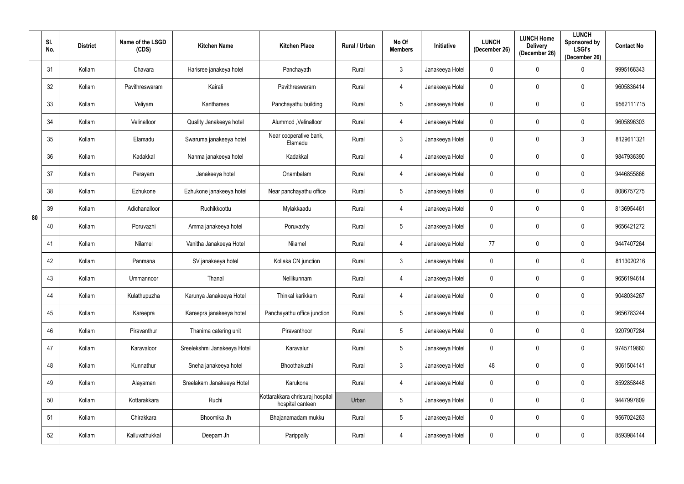|    | SI.<br>No. | <b>District</b> | Name of the LSGD<br>(CDS) | <b>Kitchen Name</b>         | <b>Kitchen Place</b>                                 | Rural / Urban | No Of<br><b>Members</b> | <b>Initiative</b> | <b>LUNCH</b><br>(December 26) | <b>LUNCH Home</b><br><b>Delivery</b><br>(December 26) | <b>LUNCH</b><br>Sponsored by<br><b>LSGI's</b><br>(December 26) | <b>Contact No</b> |
|----|------------|-----------------|---------------------------|-----------------------------|------------------------------------------------------|---------------|-------------------------|-------------------|-------------------------------|-------------------------------------------------------|----------------------------------------------------------------|-------------------|
|    | 31         | Kollam          | Chavara                   | Harisree janakeya hotel     | Panchayath                                           | Rural         | $\mathbf{3}$            | Janakeeya Hotel   | 0                             | 0                                                     | $\Omega$                                                       | 9995166343        |
|    | 32         | Kollam          | Pavithreswaram            | Kairali                     | Pavithreswaram                                       | Rural         | $\overline{4}$          | Janakeeya Hotel   | 0                             | $\mathbf 0$                                           | $\mathbf 0$                                                    | 9605836414        |
|    | 33         | Kollam          | Veliyam                   | Kantharees                  | Panchayathu building                                 | Rural         | $5\overline{)}$         | Janakeeya Hotel   | 0                             | 0                                                     | $\mathbf 0$                                                    | 9562111715        |
|    | 34         | Kollam          | Velinalloor               | Quality Janakeeya hotel     | Alummod , Velinalloor                                | Rural         | 4                       | Janakeeya Hotel   | 0                             | $\mathbf 0$                                           | 0                                                              | 9605896303        |
|    | 35         | Kollam          | Elamadu                   | Swaruma janakeeya hotel     | Near cooperative bank,<br>Elamadu                    | Rural         | $\mathbf{3}$            | Janakeeya Hotel   | $\mathbf 0$                   | $\mathbf 0$                                           | $\mathfrak{Z}$                                                 | 8129611321        |
|    | 36         | Kollam          | Kadakkal                  | Nanma janakeeya hotel       | Kadakkal                                             | Rural         | 4                       | Janakeeya Hotel   | $\mathbf 0$                   | $\mathbf 0$                                           | $\boldsymbol{0}$                                               | 9847936390        |
|    | 37         | Kollam          | Perayam                   | Janakeeya hotel             | Onambalam                                            | Rural         | $\overline{4}$          | Janakeeya Hotel   | $\mathbf 0$                   | $\mathbf 0$                                           | $\boldsymbol{0}$                                               | 9446855866        |
|    | 38         | Kollam          | Ezhukone                  | Ezhukone janakeeya hotel    | Near panchayathu office                              | Rural         | $5\overline{)}$         | Janakeeya Hotel   | $\mathbf 0$                   | $\mathbf 0$                                           | 0                                                              | 8086757275        |
| 80 | 39         | Kollam          | Adichanalloor             | Ruchikkoottu                | Mylakkaadu                                           | Rural         | $\overline{4}$          | Janakeeya Hotel   | $\mathbf 0$                   | $\mathbf 0$                                           | $\mathbf 0$                                                    | 8136954461        |
|    | 40         | Kollam          | Poruvazhi                 | Amma janakeeya hotel        | Poruvaxhy                                            | Rural         | $5\overline{)}$         | Janakeeya Hotel   | $\mathbf 0$                   | $\mathbf 0$                                           | $\mathbf 0$                                                    | 9656421272        |
|    | 41         | Kollam          | Nilamel                   | Vanitha Janakeeya Hotel     | Nilamel                                              | Rural         | $\overline{4}$          | Janakeeya Hotel   | 77                            | $\mathbf 0$                                           | $\mathbf 0$                                                    | 9447407264        |
|    | 42         | Kollam          | Panmana                   | SV janakeeya hotel          | Kollaka CN junction                                  | Rural         | $\mathbf{3}$            | Janakeeya Hotel   | 0                             | 0                                                     | 0                                                              | 8113020216        |
|    | 43         | Kollam          | Ummannoor                 | Thanal                      | Nellikunnam                                          | Rural         | $\overline{4}$          | Janakeeya Hotel   | $\mathbf 0$                   | $\mathbf 0$                                           | 0                                                              | 9656194614        |
|    | 44         | Kollam          | Kulathupuzha              | Karunya Janakeeya Hotel     | Thinkal karikkam                                     | Rural         | $\overline{4}$          | Janakeeya Hotel   | $\mathbf 0$                   | $\mathbf 0$                                           | $\mathbf 0$                                                    | 9048034267        |
|    | 45         | Kollam          | Kareepra                  | Kareepra janakeeya hotel    | Panchayathu office junction                          | Rural         | $5\phantom{.0}$         | Janakeeya Hotel   | $\mathbf 0$                   | $\mathbf 0$                                           | $\pmb{0}$                                                      | 9656783244        |
|    | 46         | Kollam          | Piravanthur               | Thanima catering unit       | Piravanthoor                                         | Rural         | $5\phantom{.0}$         | Janakeeya Hotel   | $\mathbf 0$                   | $\mathbf 0$                                           | $\mathbf 0$                                                    | 9207907284        |
|    | 47         | Kollam          | Karavaloor                | Sreelekshmi Janakeeya Hotel | Karavalur                                            | Rural         | $5\phantom{.0}$         | Janakeeya Hotel   | $\mathbf 0$                   | $\mathbf 0$                                           | $\pmb{0}$                                                      | 9745719860        |
|    | 48         | Kollam          | Kunnathur                 | Sneha janakeeya hotel       | Bhoothakuzhi                                         | Rural         | 3 <sup>1</sup>          | Janakeeya Hotel   | 48                            | $\mathbf 0$                                           | $\pmb{0}$                                                      | 9061504141        |
|    | 49         | Kollam          | Alayaman                  | Sreelakam Janakeeya Hotel   | Karukone                                             | Rural         | $\overline{4}$          | Janakeeya Hotel   | $\mathbf 0$                   | $\mathbf 0$                                           | $\pmb{0}$                                                      | 8592858448        |
|    | 50         | Kollam          | Kottarakkara              | Ruchi                       | Kottarakkara christuraj hospital<br>hospital canteen | Urban         | $5\phantom{.0}$         | Janakeeya Hotel   | $\mathbf 0$                   | $\mathbf 0$                                           | $\mathbf 0$                                                    | 9447997809        |
|    | 51         | Kollam          | Chirakkara                | Bhoomika Jh                 | Bhajanamadam mukku                                   | Rural         | $5\overline{)}$         | Janakeeya Hotel   | $\mathbf 0$                   | $\mathbf 0$                                           | $\pmb{0}$                                                      | 9567024263        |
|    | 52         | Kollam          | Kalluvathukkal            | Deepam Jh                   | Parippally                                           | Rural         | $\overline{4}$          | Janakeeya Hotel   | $\pmb{0}$                     | $\bm{0}$                                              | $\pmb{0}$                                                      | 8593984144        |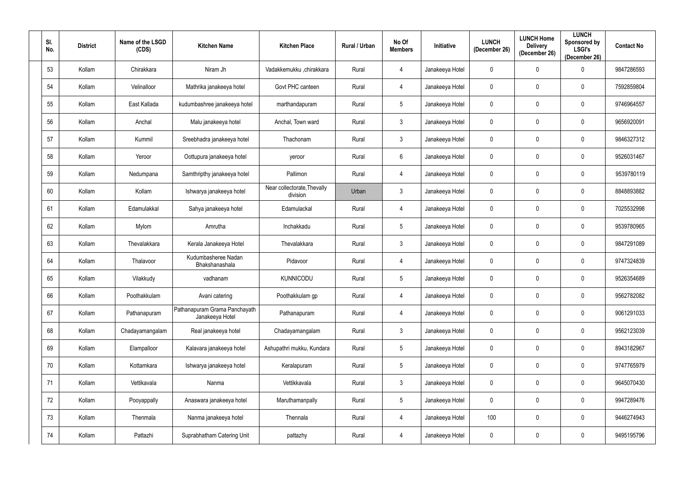| SI.<br>No. | <b>District</b> | Name of the LSGD<br>(CDS) | <b>Kitchen Name</b>                              | <b>Kitchen Place</b>                    | Rural / Urban | No Of<br><b>Members</b> | Initiative      | <b>LUNCH</b><br>(December 26) | <b>LUNCH Home</b><br><b>Delivery</b><br>(December 26) | <b>LUNCH</b><br>Sponsored by<br><b>LSGI's</b><br>(December 26) | <b>Contact No</b> |
|------------|-----------------|---------------------------|--------------------------------------------------|-----------------------------------------|---------------|-------------------------|-----------------|-------------------------------|-------------------------------------------------------|----------------------------------------------------------------|-------------------|
| 53         | Kollam          | Chirakkara                | Niram Jh                                         | Vadakkemukku ,chirakkara                | Rural         | 4                       | Janakeeya Hotel | $\mathbf 0$                   | $\overline{0}$                                        | $\Omega$                                                       | 9847286593        |
| 54         | Kollam          | Velinalloor               | Mathrika janakeeya hotel                         | Govt PHC canteen                        | Rural         | $\overline{4}$          | Janakeeya Hotel | $\mathbf 0$                   | $\overline{0}$                                        | 0                                                              | 7592859804        |
| 55         | Kollam          | East Kallada              | kudumbashree janakeeya hotel                     | marthandapuram                          | Rural         | $5\overline{)}$         | Janakeeya Hotel | $\mathbf 0$                   | $\overline{0}$                                        | $\mathbf 0$                                                    | 9746964557        |
| 56         | Kollam          | Anchal                    | Malu janakeeya hotel                             | Anchal, Town ward                       | Rural         | 3 <sup>1</sup>          | Janakeeya Hotel | $\mathbf 0$                   | $\mathbf 0$                                           | $\mathbf 0$                                                    | 9656920091        |
| 57         | Kollam          | Kummil                    | Sreebhadra janakeeya hotel                       | Thachonam                               | Rural         | 3 <sup>1</sup>          | Janakeeya Hotel | $\mathbf 0$                   | $\overline{0}$                                        | $\mathbf 0$                                                    | 9846327312        |
| 58         | Kollam          | Yeroor                    | Oottupura janakeeya hotel                        | yeroor                                  | Rural         | $6\overline{6}$         | Janakeeya Hotel | $\mathbf 0$                   | $\mathbf 0$                                           | 0                                                              | 9526031467        |
| 59         | Kollam          | Nedumpana                 | Samthripthy janakeeya hotel                      | Pallimon                                | Rural         | $\overline{4}$          | Janakeeya Hotel | $\mathbf 0$                   | $\overline{0}$                                        | $\mathbf 0$                                                    | 9539780119        |
| 60         | Kollam          | Kollam                    | Ishwarya janakeeya hotel                         | Near collectorate, Thevally<br>division | Urban         | $\mathbf{3}$            | Janakeeya Hotel | $\mathbf 0$                   | $\overline{0}$                                        | 0                                                              | 8848893882        |
| 61         | Kollam          | Edamulakkal               | Sahya janakeeya hotel                            | Edamulackal                             | Rural         | $\overline{4}$          | Janakeeya Hotel | $\mathbf 0$                   | $\overline{0}$                                        | $\mathbf 0$                                                    | 7025532998        |
| 62         | Kollam          | Mylom                     | Amrutha                                          | Inchakkadu                              | Rural         | $5\overline{)}$         | Janakeeya Hotel | $\mathbf 0$                   | $\mathbf 0$                                           | $\mathbf 0$                                                    | 9539780965        |
| 63         | Kollam          | Thevalakkara              | Kerala Janakeeya Hotel                           | Thevalakkara                            | Rural         | $\mathbf{3}$            | Janakeeya Hotel | $\mathbf 0$                   | $\overline{0}$                                        | $\mathbf 0$                                                    | 9847291089        |
| 64         | Kollam          | Thalavoor                 | Kudumbasheree Nadan<br>Bhakshanashala            | Pidavoor                                | Rural         | 4                       | Janakeeya Hotel | $\mathbf 0$                   | $\overline{0}$                                        | $\mathbf{0}$                                                   | 9747324839        |
| 65         | Kollam          | Vilakkudy                 | vadhanam                                         | <b>KUNNICODU</b>                        | Rural         | $5\overline{)}$         | Janakeeya Hotel | $\overline{0}$                | $\mathbf 0$                                           | $\mathbf 0$                                                    | 9526354689        |
| 66         | Kollam          | Poothakkulam              | Avani catering                                   | Poothakkulam gp                         | Rural         | 4                       | Janakeeya Hotel | $\overline{0}$                | $\overline{0}$                                        | $\pmb{0}$                                                      | 9562782082        |
| 67         | Kollam          | Pathanapuram              | Pathanapuram Grama Panchayath<br>Janakeeya Hotel | Pathanapuram                            | Rural         | $\overline{4}$          | Janakeeya Hotel | $\overline{0}$                | $\overline{0}$                                        | $\pmb{0}$                                                      | 9061291033        |
| 68         | Kollam          | Chadayamangalam           | Real janakeeya hotel                             | Chadayamangalam                         | Rural         | 3 <sup>1</sup>          | Janakeeya Hotel | $\overline{0}$                | $\overline{0}$                                        | $\mathbf 0$                                                    | 9562123039        |
| 69         | Kollam          | Elampalloor               | Kalavara janakeeya hotel                         | Ashupathri mukku, Kundara               | Rural         | 5 <sub>5</sub>          | Janakeeya Hotel | $\overline{0}$                | $\mathbf 0$                                           | $\mathbf 0$                                                    | 8943182967        |
| 70         | Kollam          | Kottamkara                | Ishwarya janakeeya hotel                         | Keralapuram                             | Rural         | $5\overline{)}$         | Janakeeya Hotel | $\overline{0}$                | $\mathbf 0$                                           | $\mathbf 0$                                                    | 9747765979        |
| 71         | Kollam          | Vettikavala               | Nanma                                            | Vettikkavala                            | Rural         | 3 <sup>1</sup>          | Janakeeya Hotel | $\overline{0}$                | $\overline{0}$                                        | $\mathbf 0$                                                    | 9645070430        |
| 72         | Kollam          | Pooyappally               | Anaswara janakeeya hotel                         | Maruthamanpally                         | Rural         | 5 <sub>5</sub>          | Janakeeya Hotel | $\overline{0}$                | $\overline{0}$                                        | $\pmb{0}$                                                      | 9947289476        |
| 73         | Kollam          | Thenmala                  | Nanma janakeeya hotel                            | Thennala                                | Rural         | 4                       | Janakeeya Hotel | 100                           | $\overline{0}$                                        | $\pmb{0}$                                                      | 9446274943        |
| 74         | Kollam          | Pattazhi                  | Suprabhatham Catering Unit                       | pattazhy                                | Rural         | $\overline{4}$          | Janakeeya Hotel | $\overline{0}$                | $\overline{0}$                                        | $\pmb{0}$                                                      | 9495195796        |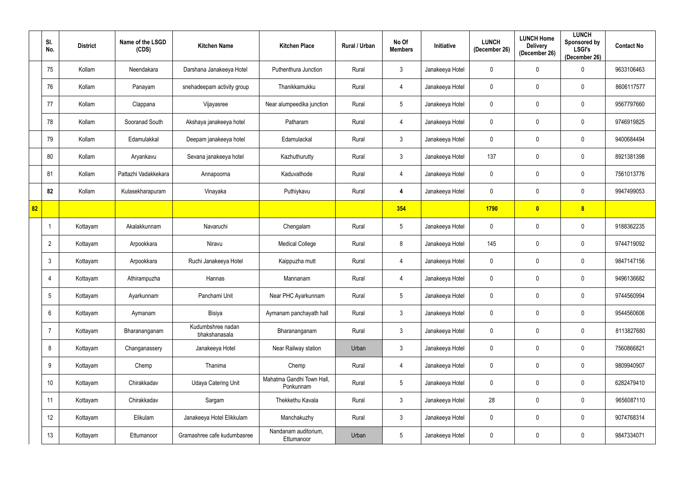|    | SI.<br>No.      | <b>District</b> | Name of the LSGD<br>(CDS) | <b>Kitchen Name</b>                | <b>Kitchen Place</b>                   | Rural / Urban | No Of<br><b>Members</b> | <b>Initiative</b> | <b>LUNCH</b><br>(December 26) | <b>LUNCH Home</b><br><b>Delivery</b><br>(December 26) | <b>LUNCH</b><br>Sponsored by<br><b>LSGI's</b><br>(December 26) | <b>Contact No</b> |
|----|-----------------|-----------------|---------------------------|------------------------------------|----------------------------------------|---------------|-------------------------|-------------------|-------------------------------|-------------------------------------------------------|----------------------------------------------------------------|-------------------|
|    | 75              | Kollam          | Neendakara                | Darshana Janakeeya Hotel           | Puthenthura Junction                   | Rural         | $\mathbf{3}$            | Janakeeya Hotel   | 0                             | 0                                                     | $\Omega$                                                       | 9633106463        |
|    | 76              | Kollam          | Panayam                   | snehadeepam activity group         | Thanikkamukku                          | Rural         | $\overline{4}$          | Janakeeya Hotel   | 0                             | 0                                                     | $\mathbf 0$                                                    | 8606117577        |
|    | 77              | Kollam          | Clappana                  | Vijayasree                         | Near alumpeedika junction              | Rural         | $5\overline{)}$         | Janakeeya Hotel   | 0                             | 0                                                     | $\mathbf 0$                                                    | 9567797660        |
|    | 78              | Kollam          | Sooranad South            | Akshaya janakeeya hotel            | Patharam                               | Rural         | $\overline{4}$          | Janakeeya Hotel   | 0                             | $\mathbf 0$                                           | 0                                                              | 9746919825        |
|    | 79              | Kollam          | Edamulakkal               | Deepam janakeeya hotel             | Edamulackal                            | Rural         | $\mathbf{3}$            | Janakeeya Hotel   | 0                             | 0                                                     | $\mathbf 0$                                                    | 9400684494        |
|    | 80              | Kollam          | Aryankavu                 | Sevana janakeeya hotel             | Kazhuthurutty                          | Rural         | $\mathbf{3}$            | Janakeeya Hotel   | 137                           | $\mathbf 0$                                           | $\mathbf 0$                                                    | 8921381398        |
|    | 81              | Kollam          | Pattazhi Vadakkekara      | Annapoorna                         | Kaduvathode                            | Rural         | $\overline{4}$          | Janakeeya Hotel   | $\mathbf 0$                   | $\pmb{0}$                                             | $\mathbf 0$                                                    | 7561013776        |
|    | 82              | Kollam          | Kulasekharapuram          | Vinayaka                           | Puthiykavu                             | Rural         | $\overline{\mathbf{4}}$ | Janakeeya Hotel   | 0                             | 0                                                     | 0                                                              | 9947499053        |
| 82 |                 |                 |                           |                                    |                                        |               | 354                     |                   | <b>1790</b>                   | $\bullet$                                             | $\boldsymbol{8}$                                               |                   |
|    |                 | Kottayam        | Akalakkunnam              | Navaruchi                          | Chengalam                              | Rural         | $5\overline{)}$         | Janakeeya Hotel   | 0                             | 0                                                     | $\mathbf 0$                                                    | 9188362235        |
|    | $\overline{2}$  | Kottayam        | Arpookkara                | Niravu                             | <b>Medical College</b>                 | Rural         | 8                       | Janakeeya Hotel   | 145                           | $\mathbf 0$                                           | $\mathbf 0$                                                    | 9744719092        |
|    | $\mathbf{3}$    | Kottayam        | Arpookkara                | Ruchi Janakeeya Hotel              | Kaippuzha mutt                         | Rural         | $\overline{4}$          | Janakeeya Hotel   | 0                             | 0                                                     | $\mathbf 0$                                                    | 9847147156        |
|    | 4               | Kottayam        | Athirampuzha              | Hannas                             | Mannanam                               | Rural         | $\overline{4}$          | Janakeeya Hotel   | 0                             | $\mathbf 0$                                           | 0                                                              | 9496136682        |
|    | $5\overline{)}$ | Kottayam        | Ayarkunnam                | Panchami Unit                      | Near PHC Ayarkunnam                    | Rural         | $5\phantom{.0}$         | Janakeeya Hotel   | $\mathbf 0$                   | $\mathbf 0$                                           | $\mathbf 0$                                                    | 9744560994        |
|    | $6\overline{6}$ | Kottayam        | Aymanam                   | Bisiya                             | Aymanam panchayath hall                | Rural         | $\mathbf{3}$            | Janakeeya Hotel   | $\pmb{0}$                     | $\mathbf 0$                                           | $\mathbf 0$                                                    | 9544560606        |
|    | $\overline{7}$  | Kottayam        | Bharananganam             | Kudumbshree nadan<br>bhakshanasala | Bharananganam                          | Rural         | $\mathbf{3}$            | Janakeeya Hotel   | $\mathbf 0$                   | $\mathbf 0$                                           | $\mathbf 0$                                                    | 8113827680        |
|    | 8               | Kottayam        | Changanassery             | Janakeeya Hotel                    | Near Railway station                   | Urban         | $\mathbf{3}$            | Janakeeya Hotel   | $\mathbf 0$                   | $\mathbf 0$                                           | $\mathbf 0$                                                    | 7560866821        |
|    | 9               | Kottayam        | Chemp                     | Thanima                            | Chemp                                  | Rural         | $\overline{4}$          | Janakeeya Hotel   | $\mathbf 0$                   | $\mathbf 0$                                           | $\pmb{0}$                                                      | 9809940907        |
|    | 10 <sup>°</sup> | Kottayam        | Chirakkadav               | <b>Udaya Catering Unit</b>         | Mahatma Gandhi Town Hall,<br>Ponkunnam | Rural         | $5\phantom{.0}$         | Janakeeya Hotel   | $\pmb{0}$                     | $\mathbf 0$                                           | $\pmb{0}$                                                      | 6282479410        |
|    | 11              | Kottayam        | Chirakkadav               | Sargam                             | Thekkethu Kavala                       | Rural         | $\mathbf{3}$            | Janakeeya Hotel   | 28                            | $\mathbf 0$                                           | $\mathbf 0$                                                    | 9656087110        |
|    | 12              | Kottayam        | Elikulam                  | Janakeeya Hotel Elikkulam          | Manchakuzhy                            | Rural         | $\mathbf{3}$            | Janakeeya Hotel   | $\pmb{0}$                     | $\mathbf 0$                                           | $\mathbf 0$                                                    | 9074768314        |
|    | 13              | Kottayam        | Ettumanoor                | Gramashree cafe kudumbasree        | Nandanam auditorium,<br>Ettumanoor     | Urban         | $5\phantom{.0}$         | Janakeeya Hotel   | $\pmb{0}$                     | $\pmb{0}$                                             | $\pmb{0}$                                                      | 9847334071        |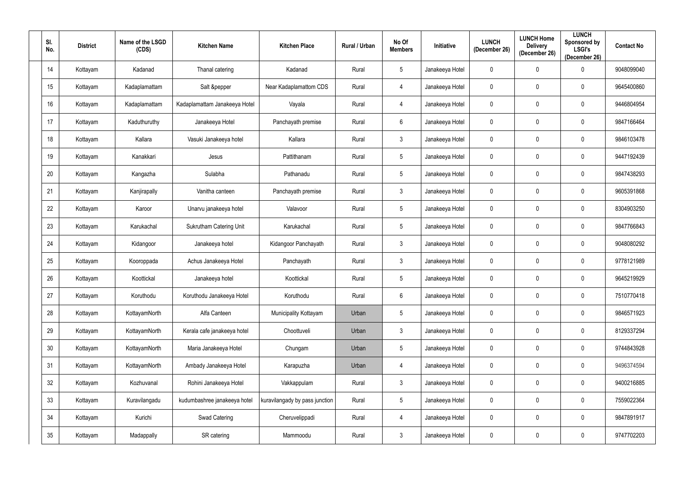| SI.<br>No.       | <b>District</b> | Name of the LSGD<br>(CDS) | <b>Kitchen Name</b>            | <b>Kitchen Place</b>           | Rural / Urban | No Of<br><b>Members</b> | Initiative      | <b>LUNCH</b><br>(December 26) | <b>LUNCH Home</b><br><b>Delivery</b><br>(December 26) | <b>LUNCH</b><br><b>Sponsored by</b><br><b>LSGI's</b><br>(December 26) | <b>Contact No</b> |
|------------------|-----------------|---------------------------|--------------------------------|--------------------------------|---------------|-------------------------|-----------------|-------------------------------|-------------------------------------------------------|-----------------------------------------------------------------------|-------------------|
| 14               | Kottayam        | Kadanad                   | Thanal catering                | Kadanad                        | Rural         | $5\phantom{.0}$         | Janakeeya Hotel | $\overline{0}$                | $\mathbf 0$                                           | $\Omega$                                                              | 9048099040        |
| 15 <sub>15</sub> | Kottayam        | Kadaplamattam             | Salt &pepper                   | Near Kadaplamattom CDS         | Rural         | $\overline{4}$          | Janakeeya Hotel | $\overline{0}$                | $\mathbf 0$                                           | $\mathbf 0$                                                           | 9645400860        |
| 16               | Kottayam        | Kadaplamattam             | Kadaplamattam Janakeeya Hotel  | Vayala                         | Rural         | $\overline{4}$          | Janakeeya Hotel | $\mathbf 0$                   | $\mathbf 0$                                           | $\mathbf 0$                                                           | 9446804954        |
| 17               | Kottayam        | Kaduthuruthy              | Janakeeya Hotel                | Panchayath premise             | Rural         | $6\overline{6}$         | Janakeeya Hotel | $\overline{0}$                | $\overline{0}$                                        | $\mathbf 0$                                                           | 9847166464        |
| 18               | Kottayam        | Kallara                   | Vasuki Janakeeya hotel         | Kallara                        | Rural         | 3 <sup>1</sup>          | Janakeeya Hotel | $\mathbf 0$                   | $\mathbf 0$                                           | $\mathbf 0$                                                           | 9846103478        |
| 19               | Kottayam        | Kanakkari                 | Jesus                          | Pattithanam                    | Rural         | $5\phantom{.0}$         | Janakeeya Hotel | $\overline{0}$                | $\mathbf 0$                                           | $\mathbf 0$                                                           | 9447192439        |
| 20               | Kottayam        | Kangazha                  | Sulabha                        | Pathanadu                      | Rural         | $5\overline{)}$         | Janakeeya Hotel | $\mathbf 0$                   | $\mathbf 0$                                           | $\mathbf 0$                                                           | 9847438293        |
| 21               | Kottayam        | Kanjirapally              | Vanitha canteen                | Panchayath premise             | Rural         | $\mathbf{3}$            | Janakeeya Hotel | $\overline{0}$                | $\mathbf 0$                                           | $\mathbf 0$                                                           | 9605391868        |
| 22               | Kottayam        | Karoor                    | Unarvu janakeeya hotel         | Valavoor                       | Rural         | $5\phantom{.0}$         | Janakeeya Hotel | $\mathbf 0$                   | $\mathbf 0$                                           | $\mathbf 0$                                                           | 8304903250        |
| 23               | Kottayam        | Karukachal                | <b>Sukrutham Catering Unit</b> | Karukachal                     | Rural         | $5\phantom{.0}$         | Janakeeya Hotel | $\overline{0}$                | $\mathbf 0$                                           | $\mathbf 0$                                                           | 9847766843        |
| 24               | Kottayam        | Kidangoor                 | Janakeeya hotel                | Kidangoor Panchayath           | Rural         | $\mathbf{3}$            | Janakeeya Hotel | $\overline{0}$                | $\mathbf 0$                                           | $\mathbf 0$                                                           | 9048080292        |
| 25               | Kottayam        | Kooroppada                | Achus Janakeeya Hotel          | Panchayath                     | Rural         | $\mathbf{3}$            | Janakeeya Hotel | $\overline{0}$                | $\mathbf 0$                                           | $\mathbf 0$                                                           | 9778121989        |
| 26               | Kottayam        | Koottickal                | Janakeeya hotel                | Koottickal                     | Rural         | $5\overline{)}$         | Janakeeya Hotel | $\mathbf 0$                   | $\mathbf 0$                                           | $\mathbf 0$                                                           | 9645219929        |
| 27               | Kottayam        | Koruthodu                 | Koruthodu Janakeeya Hotel      | Koruthodu                      | Rural         | $6\overline{6}$         | Janakeeya Hotel | $\overline{0}$                | $\mathbf 0$                                           | $\pmb{0}$                                                             | 7510770418        |
| 28               | Kottayam        | KottayamNorth             | Alfa Canteen                   | Municipality Kottayam          | Urban         | $5\phantom{.0}$         | Janakeeya Hotel | $\overline{0}$                | $\mathbf 0$                                           | $\pmb{0}$                                                             | 9846571923        |
| 29               | Kottayam        | KottayamNorth             | Kerala cafe janakeeya hotel    | Choottuveli                    | Urban         | 3 <sup>1</sup>          | Janakeeya Hotel | $\overline{0}$                | $\mathbf 0$                                           | $\mathbf 0$                                                           | 8129337294        |
| $30\,$           | Kottayam        | KottayamNorth             | Maria Janakeeya Hotel          | Chungam                        | Urban         | $5\phantom{.0}$         | Janakeeya Hotel | $\overline{0}$                | $\overline{0}$                                        | $\mathbf 0$                                                           | 9744843928        |
| 31               | Kottayam        | KottayamNorth             | Ambady Janakeeya Hotel         | Karapuzha                      | Urban         | 4                       | Janakeeya Hotel | $\overline{0}$                | $\mathbf 0$                                           | $\mathbf 0$                                                           | 9496374594        |
| 32 <sub>2</sub>  | Kottayam        | Kozhuvanal                | Rohini Janakeeya Hotel         | Vakkappulam                    | Rural         | $\mathbf{3}$            | Janakeeya Hotel | $\overline{0}$                | $\mathbf 0$                                           | $\mathbf 0$                                                           | 9400216885        |
| 33               | Kottayam        | Kuravilangadu             | kudumbashree janakeeya hotel   | kuravilangady by pass junction | Rural         | $5\phantom{.0}$         | Janakeeya Hotel | $\overline{0}$                | $\overline{0}$                                        | $\pmb{0}$                                                             | 7559022364        |
| 34               | Kottayam        | Kurichi                   | Swad Catering                  | Cheruvelippadi                 | Rural         | 4                       | Janakeeya Hotel | $\mathbf 0$                   | $\bm{0}$                                              | $\pmb{0}$                                                             | 9847891917        |
| 35               | Kottayam        | Madappally                | SR catering                    | Mammoodu                       | Rural         | 3 <sup>1</sup>          | Janakeeya Hotel | $\mathbf 0$                   | $\bm{0}$                                              | $\boldsymbol{0}$                                                      | 9747702203        |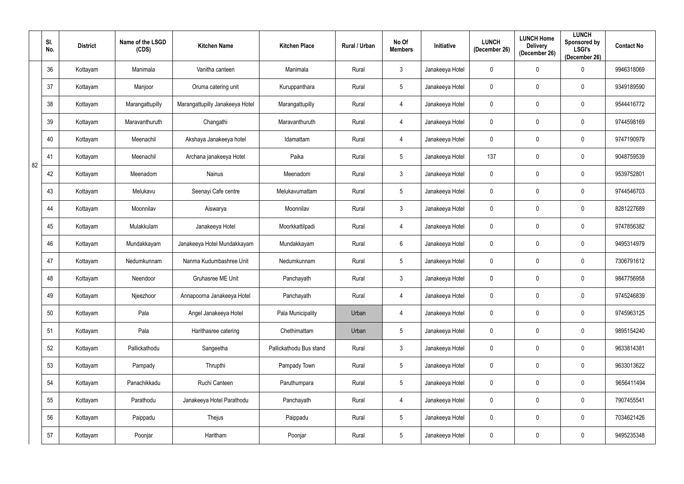|    | SI.<br>No. | <b>District</b> | Name of the LSGD<br>(CDS) | <b>Kitchen Name</b>             | <b>Kitchen Place</b>    | Rural / Urban | No Of<br><b>Members</b> | <b>Initiative</b> | <b>LUNCH</b><br>(December 26) | <b>LUNCH Home</b><br><b>Delivery</b><br>(December 26) | <b>LUNCH</b><br>Sponsored by<br><b>LSGI's</b><br>(December 26) | <b>Contact No</b> |
|----|------------|-----------------|---------------------------|---------------------------------|-------------------------|---------------|-------------------------|-------------------|-------------------------------|-------------------------------------------------------|----------------------------------------------------------------|-------------------|
|    | 36         | Kottayam        | Manimala                  | Vanitha canteen                 | Manimala                | Rural         | $\mathbf{3}$            | Janakeeya Hotel   | 0                             | $\mathbf 0$                                           | $\Omega$                                                       | 9946318069        |
|    | 37         | Kottayam        | Manjoor                   | Oruma catering unit             | Kuruppanthara           | Rural         | $5\overline{)}$         | Janakeeya Hotel   | 0                             | $\mathbf 0$                                           | $\mathbf 0$                                                    | 9349189590        |
|    | 38         | Kottayam        | Marangattupilly           | Marangattupilly Janakeeya Hotel | Marangattupilly         | Rural         | $\overline{4}$          | Janakeeya Hotel   | 0                             | $\mathbf 0$                                           | $\mathbf 0$                                                    | 9544416772        |
|    | 39         | Kottayam        | Maravanthuruth            | Changathi                       | Maravanthuruth          | Rural         | $\overline{4}$          | Janakeeya Hotel   | 0                             | 0                                                     | $\mathbf 0$                                                    | 9744598169        |
|    | 40         | Kottayam        | Meenachil                 | Akshaya Janakeeya hotel         | Idamattam               | Rural         | $\overline{4}$          | Janakeeya Hotel   | $\mathbf 0$                   | $\mathbf 0$                                           | $\boldsymbol{0}$                                               | 9747190979        |
| 82 | 41         | Kottayam        | Meenachil                 | Archana janakeeya Hotel         | Paika                   | Rural         | $5\overline{)}$         | Janakeeya Hotel   | 137                           | $\mathbf 0$                                           | $\boldsymbol{0}$                                               | 9048759539        |
|    | 42         | Kottayam        | Meenadom                  | Nainus                          | Meenadom                | Rural         | $\mathbf{3}$            | Janakeeya Hotel   | $\mathbf 0$                   | $\mathbf 0$                                           | $\boldsymbol{0}$                                               | 9539752801        |
|    | 43         | Kottayam        | Melukavu                  | Seenayi Cafe centre             | Melukavumattam          | Rural         | $5\overline{)}$         | Janakeeya Hotel   | $\mathbf 0$                   | $\mathbf 0$                                           | 0                                                              | 9744546703        |
|    | 44         | Kottayam        | Moonnilav                 | Aiswarya                        | Moonnilav               | Rural         | $\mathbf{3}$            | Janakeeya Hotel   | $\mathbf 0$                   | $\mathbf 0$                                           | $\mathbf 0$                                                    | 8281227689        |
|    | 45         | Kottayam        | Mulakkulam                | Janakeeya Hotel                 | Moorkkattilpadi         | Rural         | 4                       | Janakeeya Hotel   | $\mathbf 0$                   | $\overline{0}$                                        | $\mathbf 0$                                                    | 9747856382        |
|    | 46         | Kottayam        | Mundakkayam               | Janakeeya Hotel Mundakkayam     | Mundakkayam             | Rural         | $6\overline{6}$         | Janakeeya Hotel   | $\mathbf 0$                   | $\overline{0}$                                        | $\mathbf 0$                                                    | 9495314979        |
|    | 47         | Kottayam        | Nedumkunnam               | Nanma Kudumbashree Unit         | Nedumkunnam             | Rural         | $5\overline{)}$         | Janakeeya Hotel   | 0                             | 0                                                     | $\mathbf 0$                                                    | 7306791612        |
|    | 48         | Kottayam        | Neendoor                  | Gruhasree ME Unit               | Panchayath              | Rural         | $\mathbf{3}$            | Janakeeya Hotel   | $\mathbf 0$                   | $\mathbf 0$                                           | $\mathbf 0$                                                    | 9847756958        |
|    | 49         | Kottayam        | Njeezhoor                 | Annapoorna Janakeeya Hotel      | Panchayath              | Rural         | $\overline{4}$          | Janakeeya Hotel   | $\mathbf 0$                   | $\mathbf 0$                                           | $\mathbf 0$                                                    | 9745246839        |
|    | 50         | Kottayam        | Pala                      | Angel Janakeeya Hotel           | Pala Municipality       | Urban         | $\overline{4}$          | Janakeeya Hotel   | $\mathbf 0$                   | $\mathbf 0$                                           | $\mathbf 0$                                                    | 9745963125        |
|    | 51         | Kottayam        | Pala                      | Harithasree catering            | Chethimattam            | Urban         | $5\phantom{.0}$         | Janakeeya Hotel   | $\mathbf 0$                   | $\mathbf 0$                                           | $\pmb{0}$                                                      | 9895154240        |
|    | 52         | Kottayam        | Pallickathodu             | Sangeetha                       | Pallickathodu Bus stand | Rural         | $\mathbf{3}$            | Janakeeya Hotel   | $\mathbf 0$                   | $\mathbf 0$                                           | $\mathbf 0$                                                    | 9633814381        |
|    | 53         | Kottayam        | Pampady                   | Thrupthi                        | Pampady Town            | Rural         | $5\phantom{.0}$         | Janakeeya Hotel   | $\mathbf 0$                   | $\mathbf 0$                                           | $\pmb{0}$                                                      | 9633013622        |
|    | 54         | Kottayam        | Panachikkadu              | Ruchi Canteen                   | Paruthumpara            | Rural         | $5\overline{)}$         | Janakeeya Hotel   | $\pmb{0}$                     | $\mathbf 0$                                           | $\pmb{0}$                                                      | 9656411494        |
|    | 55         | Kottayam        | Parathodu                 | Janakeeya Hotel Parathodu       | Panchayath              | Rural         | $\overline{4}$          | Janakeeya Hotel   | $\mathbf 0$                   | $\mathbf 0$                                           | $\mathbf 0$                                                    | 7907455541        |
|    | 56         | Kottayam        | Paippadu                  | Thejus                          | Paippadu                | Rural         | $5\overline{)}$         | Janakeeya Hotel   | $\pmb{0}$                     | $\mathbf 0$                                           | $\pmb{0}$                                                      | 7034621426        |
|    | 57         | Kottayam        | Poonjar                   | Haritham                        | Poonjar                 | Rural         | $5\phantom{.0}$         | Janakeeya Hotel   | $\pmb{0}$                     | $\mathbf 0$                                           | $\pmb{0}$                                                      | 9495235348        |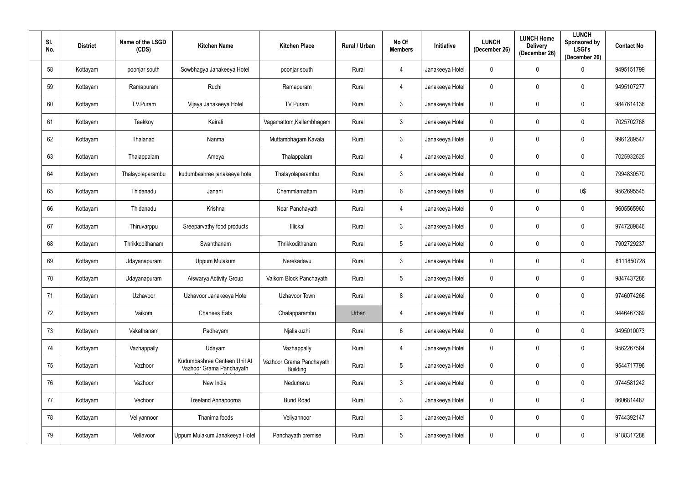| SI.<br>No. | <b>District</b> | Name of the LSGD<br>(CDS) | <b>Kitchen Name</b>                                      | <b>Kitchen Place</b>                        | <b>Rural / Urban</b> | No Of<br><b>Members</b> | <b>Initiative</b> | <b>LUNCH</b><br>(December 26) | <b>LUNCH Home</b><br><b>Delivery</b><br>(December 26) | <b>LUNCH</b><br><b>Sponsored by</b><br><b>LSGI's</b><br>(December 26) | <b>Contact No</b> |
|------------|-----------------|---------------------------|----------------------------------------------------------|---------------------------------------------|----------------------|-------------------------|-------------------|-------------------------------|-------------------------------------------------------|-----------------------------------------------------------------------|-------------------|
| 58         | Kottayam        | poonjar south             | Sowbhagya Janakeeya Hotel                                | poonjar south                               | Rural                | 4                       | Janakeeya Hotel   | $\overline{0}$                | $\mathbf 0$                                           | $\Omega$                                                              | 9495151799        |
| 59         | Kottayam        | Ramapuram                 | Ruchi                                                    | Ramapuram                                   | Rural                | 4                       | Janakeeya Hotel   | $\overline{0}$                | $\mathbf 0$                                           | $\mathbf 0$                                                           | 9495107277        |
| 60         | Kottayam        | T.V.Puram                 | Vijaya Janakeeya Hotel                                   | TV Puram                                    | Rural                | $\mathbf{3}$            | Janakeeya Hotel   | $\overline{0}$                | $\mathbf 0$                                           | $\mathbf 0$                                                           | 9847614136        |
| 61         | Kottayam        | Teekkoy                   | Kairali                                                  | Vagamattom, Kallambhagam                    | Rural                | $\mathbf{3}$            | Janakeeya Hotel   | $\overline{0}$                | $\mathbf 0$                                           | 0                                                                     | 7025702768        |
| 62         | Kottayam        | Thalanad                  | Nanma                                                    | Muttambhagam Kavala                         | Rural                | 3 <sup>1</sup>          | Janakeeya Hotel   | $\mathbf 0$                   | $\mathbf 0$                                           | $\mathbf 0$                                                           | 9961289547        |
| 63         | Kottayam        | Thalappalam               | Ameya                                                    | Thalappalam                                 | Rural                | 4                       | Janakeeya Hotel   | $\overline{0}$                | $\mathbf 0$                                           | $\mathbf 0$                                                           | 7025932626        |
| 64         | Kottayam        | Thalayolaparambu          | kudumbashree janakeeya hotel                             | Thalayolaparambu                            | Rural                | $\mathbf{3}$            | Janakeeya Hotel   | $\overline{0}$                | $\overline{0}$                                        | $\mathbf 0$                                                           | 7994830570        |
| 65         | Kottayam        | Thidanadu                 | Janani                                                   | Chemmlamattam                               | Rural                | $6\overline{6}$         | Janakeeya Hotel   | $\overline{0}$                | $\mathbf 0$                                           | 0\$                                                                   | 9562695545        |
| 66         | Kottayam        | Thidanadu                 | Krishna                                                  | Near Panchayath                             | Rural                | 4                       | Janakeeya Hotel   | $\mathbf 0$                   | $\overline{0}$                                        | $\mathbf 0$                                                           | 9605565960        |
| 67         | Kottayam        | Thiruvarppu               | Sreeparvathy food products                               | Illickal                                    | Rural                | $\mathbf{3}$            | Janakeeya Hotel   | $\overline{0}$                | $\mathbf 0$                                           | $\mathbf 0$                                                           | 9747289846        |
| 68         | Kottayam        | Thrikkodithanam           | Swanthanam                                               | Thrikkodithanam                             | Rural                | $5\phantom{.0}$         | Janakeeya Hotel   | $\overline{0}$                | $\mathbf 0$                                           | $\mathbf 0$                                                           | 7902729237        |
| 69         | Kottayam        | Udayanapuram              | Uppum Mulakum                                            | Nerekadavu                                  | Rural                | $\mathbf{3}$            | Janakeeya Hotel   | $\mathbf 0$                   | $\mathbf 0$                                           | $\mathbf 0$                                                           | 8111850728        |
| 70         | Kottayam        | Udayanapuram              | Aiswarya Activity Group                                  | Vaikom Block Panchayath                     | Rural                | $5\overline{)}$         | Janakeeya Hotel   | $\mathbf 0$                   | $\overline{0}$                                        | $\mathbf 0$                                                           | 9847437286        |
| 71         | Kottayam        | Uzhavoor                  | Uzhavoor Janakeeya Hotel                                 | Uzhavoor Town                               | Rural                | 8                       | Janakeeya Hotel   | $\overline{0}$                | $\mathbf 0$                                           | $\mathbf 0$                                                           | 9746074266        |
| 72         | Kottayam        | Vaikom                    | <b>Chanees Eats</b>                                      | Chalapparambu                               | Urban                | $\overline{4}$          | Janakeeya Hotel   | $\overline{0}$                | $\mathbf 0$                                           | $\mathbf 0$                                                           | 9446467389        |
| 73         | Kottayam        | Vakathanam                | Padheyam                                                 | Njaliakuzhi                                 | Rural                | $6\overline{6}$         | Janakeeya Hotel   | $\overline{0}$                | $\mathbf 0$                                           | $\pmb{0}$                                                             | 9495010073        |
| 74         | Kottayam        | Vazhappally               | Udayam                                                   | Vazhappally                                 | Rural                | $\overline{4}$          | Janakeeya Hotel   | $\overline{0}$                | $\mathbf 0$                                           | $\mathbf 0$                                                           | 9562267564        |
| 75         | Kottayam        | Vazhoor                   | Kudumbashree Canteen Unit At<br>Vazhoor Grama Panchayath | Vazhoor Grama Panchayath<br><b>Building</b> | Rural                | $5\phantom{.0}$         | Janakeeya Hotel   | $\overline{0}$                | $\mathbf 0$                                           | $\pmb{0}$                                                             | 9544717796        |
| 76         | Kottayam        | Vazhoor                   | New India                                                | Nedumavu                                    | Rural                | $\mathbf{3}$            | Janakeeya Hotel   | $\overline{0}$                | $\mathbf 0$                                           | $\mathbf 0$                                                           | 9744581242        |
| 77         | Kottayam        | Vechoor                   | Treeland Annapoorna                                      | <b>Bund Road</b>                            | Rural                | $\mathbf{3}$            | Janakeeya Hotel   | $\overline{0}$                | $\mathbf 0$                                           | $\mathbf 0$                                                           | 8606814487        |
| 78         | Kottayam        | Veliyannoor               | Thanima foods                                            | Veliyannoor                                 | Rural                | $\mathbf{3}$            | Janakeeya Hotel   | $\overline{0}$                | $\overline{0}$                                        | $\mathbf 0$                                                           | 9744392147        |
| 79         | Kottayam        | Vellavoor                 | Uppum Mulakum Janakeeya Hotel                            | Panchayath premise                          | Rural                | $5\phantom{.0}$         | Janakeeya Hotel   | $\pmb{0}$                     | $\bm{0}$                                              | $\pmb{0}$                                                             | 9188317288        |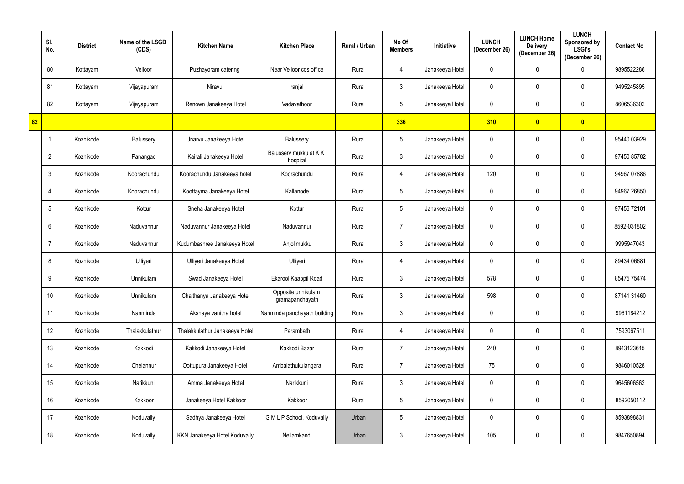|    | SI.<br>No.      | <b>District</b> | Name of the LSGD<br>(CDS) | <b>Kitchen Name</b>            | <b>Kitchen Place</b>                  | Rural / Urban | No Of<br><b>Members</b> | <b>Initiative</b> | <b>LUNCH</b><br>(December 26) | <b>LUNCH Home</b><br><b>Delivery</b><br>(December 26) | <b>LUNCH</b><br>Sponsored by<br><b>LSGI's</b><br>(December 26) | <b>Contact No</b> |
|----|-----------------|-----------------|---------------------------|--------------------------------|---------------------------------------|---------------|-------------------------|-------------------|-------------------------------|-------------------------------------------------------|----------------------------------------------------------------|-------------------|
|    | 80              | Kottayam        | Velloor                   | Puzhayoram catering            | Near Velloor cds office               | Rural         | 4                       | Janakeeya Hotel   | 0                             | $\mathbf 0$                                           | 0                                                              | 9895522286        |
|    | 81              | Kottayam        | Vijayapuram               | Niravu                         | Iranjal                               | Rural         | $\mathbf{3}$            | Janakeeya Hotel   | 0                             | $\mathbf 0$                                           | $\mathbf 0$                                                    | 9495245895        |
|    | 82              | Kottayam        | Vijayapuram               | Renown Janakeeya Hotel         | Vadavathoor                           | Rural         | $5\overline{)}$         | Janakeeya Hotel   | 0                             | $\mathbf 0$                                           | $\mathbf 0$                                                    | 8606536302        |
| 82 |                 |                 |                           |                                |                                       |               | 336                     |                   | 310                           | $\bullet$                                             | $\bullet$                                                      |                   |
|    |                 | Kozhikode       | Balussery                 | Unarvu Janakeeya Hotel         | Balussery                             | Rural         | $5\overline{)}$         | Janakeeya Hotel   | 0                             | $\mathbf 0$                                           | $\mathbf 0$                                                    | 95440 03929       |
|    | $\overline{2}$  | Kozhikode       | Panangad                  | Kairali Janakeeya Hotel        | Balussery mukku at KK<br>hospital     | Rural         | $\mathbf{3}$            | Janakeeya Hotel   | $\mathbf 0$                   | $\mathbf 0$                                           | $\mathbf 0$                                                    | 97450 85782       |
|    | $\mathbf{3}$    | Kozhikode       | Koorachundu               | Koorachundu Janakeeya hotel    | Koorachundu                           | Rural         | $\overline{4}$          | Janakeeya Hotel   | 120                           | $\pmb{0}$                                             | $\mathbf 0$                                                    | 94967 07886       |
|    | $\overline{4}$  | Kozhikode       | Koorachundu               | Koottayma Janakeeya Hotel      | Kallanode                             | Rural         | $5\overline{)}$         | Janakeeya Hotel   | $\mathbf 0$                   | $\mathbf 0$                                           | 0                                                              | 94967 26850       |
|    | $5\overline{)}$ | Kozhikode       | Kottur                    | Sneha Janakeeya Hotel          | Kottur                                | Rural         | $5\overline{)}$         | Janakeeya Hotel   | $\pmb{0}$                     | $\mathbf 0$                                           | $\mathbf 0$                                                    | 97456 72101       |
|    | 6               | Kozhikode       | Naduvannur                | Naduvannur Janakeeya Hotel     | Naduvannur                            | Rural         | $\overline{7}$          | Janakeeya Hotel   | 0                             | 0                                                     | $\mathbf 0$                                                    | 8592-031802       |
|    | 7               | Kozhikode       | Naduvannur                | Kudumbashree Janakeeya Hotel   | Anjolimukku                           | Rural         | $\mathbf{3}$            | Janakeeya Hotel   | 0                             | $\mathbf 0$                                           | 0                                                              | 9995947043        |
|    | 8               | Kozhikode       | Ulliyeri                  | Ulliyeri Janakeeya Hotel       | Ulliyeri                              | Rural         | 4                       | Janakeeya Hotel   | 0                             | $\mathbf 0$                                           | $\mathbf 0$                                                    | 89434 06681       |
|    | 9               | Kozhikode       | Unnikulam                 | Swad Janakeeya Hotel           | Ekarool Kaappil Road                  | Rural         | $\mathbf{3}$            | Janakeeya Hotel   | 578                           | $\mathbf 0$                                           | 0                                                              | 85475 75474       |
|    | 10              | Kozhikode       | Unnikulam                 | Chaithanya Janakeeya Hotel     | Opposite unnikulam<br>gramapanchayath | Rural         | $\mathbf{3}$            | Janakeeya Hotel   | 598                           | $\mathbf 0$                                           | $\mathbf 0$                                                    | 87141 31460       |
|    | 11              | Kozhikode       | Nanminda                  | Akshaya vanitha hotel          | Nanminda panchayath building          | Rural         | $3\phantom{.0}$         | Janakeeya Hotel   | $\pmb{0}$                     | $\mathbf 0$                                           | 0                                                              | 9961184212        |
|    | 12              | Kozhikode       | Thalakkulathur            | Thalakkulathur Janakeeya Hotel | Parambath                             | Rural         | $\overline{4}$          | Janakeeya Hotel   | $\pmb{0}$                     | $\overline{0}$                                        | $\mathbf 0$                                                    | 7593067511        |
|    | 13              | Kozhikode       | Kakkodi                   | Kakkodi Janakeeya Hotel        | Kakkodi Bazar                         | Rural         | $\overline{7}$          | Janakeeya Hotel   | 240                           | $\mathbf 0$                                           | $\mathbf 0$                                                    | 8943123615        |
|    | 14              | Kozhikode       | Chelannur                 | Oottupura Janakeeya Hotel      | Ambalathukulangara                    | Rural         | $\overline{7}$          | Janakeeya Hotel   | 75                            | $\mathbf 0$                                           | $\mathbf 0$                                                    | 9846010528        |
|    | 15              | Kozhikode       | Narikkuni                 | Amma Janakeeya Hotel           | Narikkuni                             | Rural         | $\mathbf{3}$            | Janakeeya Hotel   | $\pmb{0}$                     | $\mathbf 0$                                           | $\mathbf 0$                                                    | 9645606562        |
|    | 16              | Kozhikode       | Kakkoor                   | Janakeeya Hotel Kakkoor        | Kakkoor                               | Rural         | $5\phantom{.0}$         | Janakeeya Hotel   | $\pmb{0}$                     | $\mathbf 0$                                           | $\mathbf 0$                                                    | 8592050112        |
|    | 17              | Kozhikode       | Koduvally                 | Sadhya Janakeeya Hotel         | G M L P School, Koduvally             | Urban         | $5\phantom{.0}$         | Janakeeya Hotel   | 0                             | $\mathbf 0$                                           | $\mathbf 0$                                                    | 8593898831        |
|    | 18              | Kozhikode       | Koduvally                 | KKN Janakeeya Hotel Koduvally  | Nellamkandi                           | Urban         | $\mathbf{3}$            | Janakeeya Hotel   | 105                           | $\pmb{0}$                                             | 0                                                              | 9847650894        |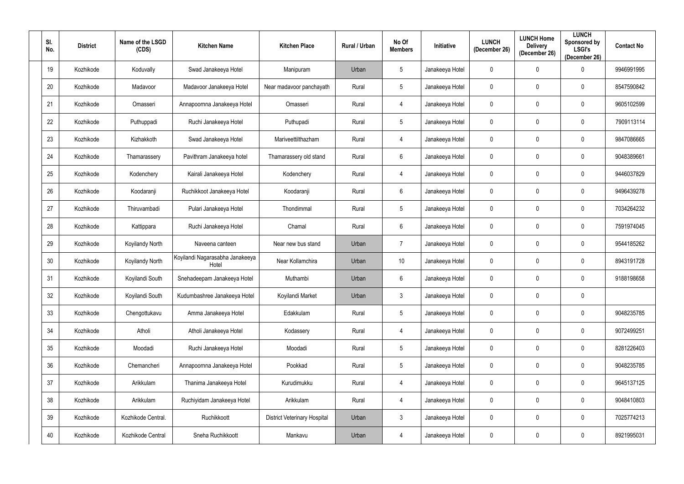| SI.<br>No. | <b>District</b> | Name of the LSGD<br>(CDS) | <b>Kitchen Name</b>                      | <b>Kitchen Place</b>                | Rural / Urban | No Of<br><b>Members</b> | Initiative      | <b>LUNCH</b><br>(December 26) | <b>LUNCH Home</b><br><b>Delivery</b><br>(December 26) | <b>LUNCH</b><br><b>Sponsored by</b><br><b>LSGI's</b><br>(December 26) | <b>Contact No</b> |
|------------|-----------------|---------------------------|------------------------------------------|-------------------------------------|---------------|-------------------------|-----------------|-------------------------------|-------------------------------------------------------|-----------------------------------------------------------------------|-------------------|
| 19         | Kozhikode       | Koduvally                 | Swad Janakeeya Hotel                     | Manipuram                           | Urban         | $5\phantom{.0}$         | Janakeeya Hotel | $\mathbf 0$                   | $\mathbf 0$                                           | $\Omega$                                                              | 9946991995        |
| 20         | Kozhikode       | Madavoor                  | Madavoor Janakeeya Hotel                 | Near madavoor panchayath            | Rural         | $5\phantom{.0}$         | Janakeeya Hotel | $\mathbf 0$                   | $\mathbf 0$                                           | $\mathbf 0$                                                           | 8547590842        |
| 21         | Kozhikode       | Omasseri                  | Annapoornna Janakeeya Hotel              | Omasseri                            | Rural         | 4                       | Janakeeya Hotel | $\mathbf 0$                   | $\mathbf 0$                                           | $\mathbf 0$                                                           | 9605102599        |
| 22         | Kozhikode       | Puthuppadi                | Ruchi Janakeeya Hotel                    | Puthupadi                           | Rural         | $5\overline{)}$         | Janakeeya Hotel | $\overline{0}$                | $\mathbf 0$                                           | $\mathbf 0$                                                           | 7909113114        |
| 23         | Kozhikode       | Kizhakkoth                | Swad Janakeeya Hotel                     | Mariveettilthazham                  | Rural         | 4                       | Janakeeya Hotel | $\mathbf 0$                   | $\mathbf 0$                                           | $\mathbf 0$                                                           | 9847086665        |
| 24         | Kozhikode       | Thamarassery              | Pavithram Janakeeya hotel                | Thamarassery old stand              | Rural         | $6\overline{6}$         | Janakeeya Hotel | $\mathbf 0$                   | $\mathbf 0$                                           | $\mathbf 0$                                                           | 9048389661        |
| 25         | Kozhikode       | Kodenchery                | Kairali Janakeeya Hotel                  | Kodenchery                          | Rural         | 4                       | Janakeeya Hotel | $\overline{0}$                | $\overline{0}$                                        | $\mathbf 0$                                                           | 9446037829        |
| 26         | Kozhikode       | Koodaranji                | Ruchikkoot Janakeeya Hotel               | Koodaranji                          | Rural         | $6\phantom{.}6$         | Janakeeya Hotel | $\overline{0}$                | $\mathbf 0$                                           | $\mathbf 0$                                                           | 9496439278        |
| 27         | Kozhikode       | Thiruvambadi              | Pulari Janakeeya Hotel                   | Thondimmal                          | Rural         | $5\phantom{.0}$         | Janakeeya Hotel | $\overline{0}$                | $\mathbf 0$                                           | $\mathbf 0$                                                           | 7034264232        |
| 28         | Kozhikode       | Kattippara                | Ruchi Janakeeya Hotel                    | Chamal                              | Rural         | $6\overline{6}$         | Janakeeya Hotel | $\mathbf 0$                   | $\mathbf 0$                                           | $\mathbf 0$                                                           | 7591974045        |
| 29         | Kozhikode       | Koyilandy North           | Naveena canteen                          | Near new bus stand                  | Urban         | $\overline{7}$          | Janakeeya Hotel | $\overline{0}$                | $\mathbf 0$                                           | $\mathbf 0$                                                           | 9544185262        |
| 30         | Kozhikode       | Koyilandy North           | Koyilandi Nagarasabha Janakeeya<br>Hotel | Near Kollamchira                    | Urban         | 10 <sup>°</sup>         | Janakeeya Hotel | $\boldsymbol{0}$              | $\mathbf 0$                                           | $\mathbf 0$                                                           | 8943191728        |
| 31         | Kozhikode       | Koyilandi South           | Snehadeepam Janakeeya Hotel              | Muthambi                            | Urban         | $6\overline{6}$         | Janakeeya Hotel | $\overline{0}$                | $\mathbf 0$                                           | $\mathbf 0$                                                           | 9188198658        |
| 32         | Kozhikode       | Koyilandi South           | Kudumbashree Janakeeya Hotel             | Koyilandi Market                    | Urban         | $\mathfrak{Z}$          | Janakeeya Hotel | $\overline{0}$                | $\mathbf 0$                                           | $\pmb{0}$                                                             |                   |
| 33         | Kozhikode       | Chengottukavu             | Amma Janakeeya Hotel                     | Edakkulam                           | Rural         | $5\phantom{.0}$         | Janakeeya Hotel | $\overline{0}$                | $\mathbf 0$                                           | $\mathbf 0$                                                           | 9048235785        |
| 34         | Kozhikode       | Atholi                    | Atholi Janakeeya Hotel                   | Kodassery                           | Rural         | $\overline{4}$          | Janakeeya Hotel | $\overline{0}$                | $\mathbf 0$                                           | $\mathbf 0$                                                           | 9072499251        |
| $35\,$     | Kozhikode       | Moodadi                   | Ruchi Janakeeya Hotel                    | Moodadi                             | Rural         | $5\phantom{.0}$         | Janakeeya Hotel | $\overline{0}$                | $\overline{0}$                                        | $\mathbf 0$                                                           | 8281226403        |
| 36         | Kozhikode       | Chemancheri               | Annapoornna Janakeeya Hotel              | Pookkad                             | Rural         | $5\phantom{.0}$         | Janakeeya Hotel | $\overline{0}$                | $\mathbf 0$                                           | $\mathbf 0$                                                           | 9048235785        |
| 37         | Kozhikode       | Arikkulam                 | Thanima Janakeeya Hotel                  | Kurudimukku                         | Rural         | $\overline{4}$          | Janakeeya Hotel | $\overline{0}$                | $\overline{0}$                                        | $\mathbf 0$                                                           | 9645137125        |
| 38         | Kozhikode       | Arikkulam                 | Ruchiyidam Janakeeya Hotel               | Arikkulam                           | Rural         | $\overline{4}$          | Janakeeya Hotel | $\mathbf 0$                   | $\mathbf 0$                                           | $\pmb{0}$                                                             | 9048410803        |
| 39         | Kozhikode       | Kozhikode Central.        | Ruchikkoott                              | <b>District Veterinary Hospital</b> | Urban         | $\mathbf{3}$            | Janakeeya Hotel | $\pmb{0}$                     | $\overline{0}$                                        | $\pmb{0}$                                                             | 7025774213        |
| 40         | Kozhikode       | Kozhikode Central         | Sneha Ruchikkoott                        | Mankavu                             | Urban         | $\overline{4}$          | Janakeeya Hotel | $\overline{0}$                | $\overline{0}$                                        | $\pmb{0}$                                                             | 8921995031        |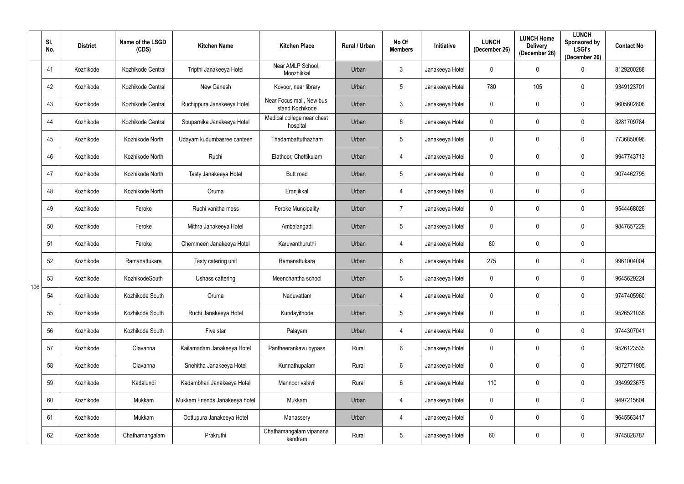|     | SI.<br>No. | <b>District</b> | Name of the LSGD<br>(CDS) | <b>Kitchen Name</b>            | <b>Kitchen Place</b>                        | Rural / Urban | No Of<br><b>Members</b> | Initiative      | <b>LUNCH</b><br>(December 26) | <b>LUNCH Home</b><br><b>Delivery</b><br>(December 26) | <b>LUNCH</b><br>Sponsored by<br><b>LSGI's</b><br>(December 26) | <b>Contact No</b> |
|-----|------------|-----------------|---------------------------|--------------------------------|---------------------------------------------|---------------|-------------------------|-----------------|-------------------------------|-------------------------------------------------------|----------------------------------------------------------------|-------------------|
|     | 41         | Kozhikode       | Kozhikode Central         | Tripthi Janakeeya Hotel        | Near AMLP School,<br>Moozhikkal             | Urban         | $\mathbf{3}$            | Janakeeya Hotel | $\mathbf 0$                   | 0                                                     | 0                                                              | 8129200288        |
|     | 42         | Kozhikode       | Kozhikode Central         | New Ganesh                     | Kovoor, near library                        | Urban         | $5\overline{)}$         | Janakeeya Hotel | 780                           | 105                                                   | 0                                                              | 9349123701        |
|     | 43         | Kozhikode       | Kozhikode Central         | Ruchippura Janakeeya Hotel     | Near Focus mall, New bus<br>stand Kozhikode | Urban         | $\mathbf{3}$            | Janakeeya Hotel | 0                             | $\mathbf 0$                                           | $\mathbf 0$                                                    | 9605602806        |
|     | 44         | Kozhikode       | Kozhikode Central         | Souparnika Janakeeya Hotel     | Medical college near chest<br>hospital      | Urban         | 6                       | Janakeeya Hotel | 0                             | 0                                                     | 0                                                              | 8281709784        |
|     | 45         | Kozhikode       | Kozhikode North           | Udayam kudumbasree canteen     | Thadambattuthazham                          | Urban         | $5\overline{)}$         | Janakeeya Hotel | 0                             | $\mathbf 0$                                           | $\mathbf 0$                                                    | 7736850096        |
|     | 46         | Kozhikode       | Kozhikode North           | Ruchi                          | Elathoor, Chettikulam                       | Urban         | $\overline{4}$          | Janakeeya Hotel | $\mathbf 0$                   | $\mathbf 0$                                           | 0                                                              | 9947743713        |
|     | 47         | Kozhikode       | Kozhikode North           | Tasty Janakeeya Hotel          | Butt road                                   | Urban         | $5\phantom{.0}$         | Janakeeya Hotel | 0                             | $\pmb{0}$                                             | $\mathbf 0$                                                    | 9074462795        |
|     | 48         | Kozhikode       | Kozhikode North           | Oruma                          | Eranjikkal                                  | Urban         | 4                       | Janakeeya Hotel | 0                             | $\mathbf 0$                                           | $\mathbf 0$                                                    |                   |
|     | 49         | Kozhikode       | Feroke                    | Ruchi vanitha mess             | <b>Feroke Muncipality</b>                   | Urban         | $\overline{7}$          | Janakeeya Hotel | $\pmb{0}$                     | $\mathbf 0$                                           | $\mathbf 0$                                                    | 9544468026        |
|     | 50         | Kozhikode       | Feroke                    | Mithra Janakeeya Hotel         | Ambalangadi                                 | Urban         | $5\phantom{.0}$         | Janakeeya Hotel | 0                             | 0                                                     | 0                                                              | 9847657229        |
|     | 51         | Kozhikode       | Feroke                    | Chemmeen Janakeeya Hotel       | Karuvanthuruthi                             | Urban         | 4                       | Janakeeya Hotel | 80                            | $\mathbf 0$                                           | $\mathbf 0$                                                    |                   |
|     | 52         | Kozhikode       | Ramanattukara             | Tasty catering unit            | Ramanattukara                               | Urban         | $6\overline{6}$         | Janakeeya Hotel | 275                           | $\mathbf 0$                                           | 0                                                              | 9961004004        |
| 106 | 53         | Kozhikode       | KozhikodeSouth            | Ushass cattering               | Meenchantha school                          | Urban         | $5\overline{)}$         | Janakeeya Hotel | 0                             | $\mathbf 0$                                           | 0                                                              | 9645629224        |
|     | 54         | Kozhikode       | Kozhikode South           | Oruma                          | Naduvattam                                  | Urban         | $\overline{4}$          | Janakeeya Hotel | $\mathbf 0$                   | $\mathbf 0$                                           | $\mathbf 0$                                                    | 9747405960        |
|     | 55         | Kozhikode       | Kozhikode South           | Ruchi Janakeeya Hotel          | Kundayithode                                | Urban         | $5\phantom{.0}$         | Janakeeya Hotel | $\pmb{0}$                     | $\mathbf 0$                                           | $\mathbf 0$                                                    | 9526521036        |
|     | 56         | Kozhikode       | Kozhikode South           | Five star                      | Palayam                                     | Urban         | $\overline{4}$          | Janakeeya Hotel | $\pmb{0}$                     | $\mathbf 0$                                           | $\mathbf 0$                                                    | 9744307041        |
|     | 57         | Kozhikode       | Olavanna                  | Kailamadam Janakeeya Hotel     | Pantheerankavu bypass                       | Rural         | $6\overline{6}$         | Janakeeya Hotel | 0                             | $\mathbf 0$                                           | $\mathbf 0$                                                    | 9526123535        |
|     | 58         | Kozhikode       | Olavanna                  | Snehitha Janakeeya Hotel       | Kunnathupalam                               | Rural         | $6\overline{6}$         | Janakeeya Hotel | $\pmb{0}$                     | $\mathbf 0$                                           | $\pmb{0}$                                                      | 9072771905        |
|     | 59         | Kozhikode       | Kadalundi                 | Kadambhari Janakeeya Hotel     | Mannoor valavil                             | Rural         | $6\overline{6}$         | Janakeeya Hotel | 110                           | $\mathbf 0$                                           | $\mathbf 0$                                                    | 9349923675        |
|     | 60         | Kozhikode       | Mukkam                    | Mukkam Friends Janakeeya hotel | Mukkam                                      | Urban         | $\overline{4}$          | Janakeeya Hotel | $\pmb{0}$                     | $\mathbf 0$                                           | $\mathbf 0$                                                    | 9497215604        |
|     | 61         | Kozhikode       | Mukkam                    | Oottupura Janakeeya Hotel      | Manassery                                   | Urban         | $\overline{4}$          | Janakeeya Hotel | 0                             | $\mathbf 0$                                           | $\mathbf 0$                                                    | 9645563417        |
|     | 62         | Kozhikode       | Chathamangalam            | Prakruthi                      | Chathamangalam vipanana<br>kendram          | Rural         | $5\phantom{.0}$         | Janakeeya Hotel | 60                            | $\pmb{0}$                                             | $\pmb{0}$                                                      | 9745828787        |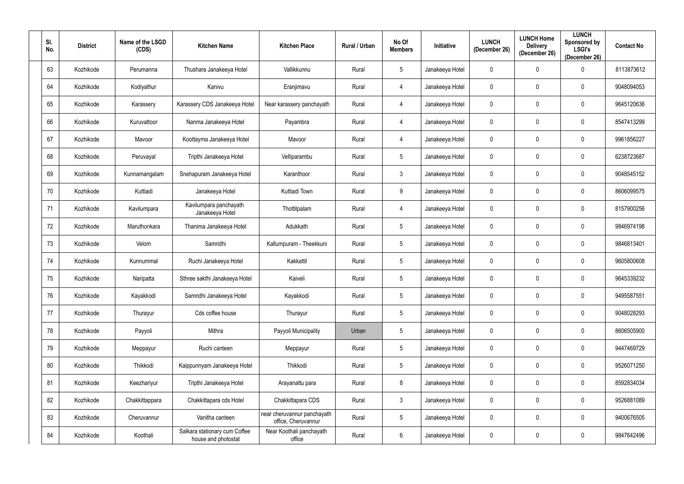| SI.<br>No. | <b>District</b> | Name of the LSGD<br>(CDS) | <b>Kitchen Name</b>                                  | <b>Kitchen Place</b>                               | Rural / Urban | No Of<br><b>Members</b> | Initiative      | <b>LUNCH</b><br>(December 26) | <b>LUNCH Home</b><br><b>Delivery</b><br>(December 26) | <b>LUNCH</b><br>Sponsored by<br><b>LSGI's</b><br>(December 26) | <b>Contact No</b> |
|------------|-----------------|---------------------------|------------------------------------------------------|----------------------------------------------------|---------------|-------------------------|-----------------|-------------------------------|-------------------------------------------------------|----------------------------------------------------------------|-------------------|
| 63         | Kozhikode       | Perumanna                 | Thushara Janakeeya Hotel                             | Vallikkunnu                                        | Rural         | $5\overline{)}$         | Janakeeya Hotel | $\overline{0}$                | $\mathbf 0$                                           | $\Omega$                                                       | 8113873612        |
| 64         | Kozhikode       | Kodiyathur                | Kanivu                                               | Eranjimavu                                         | Rural         | $\overline{4}$          | Janakeeya Hotel | $\overline{0}$                | $\overline{0}$                                        | $\mathbf{0}$                                                   | 9048094053        |
| 65         | Kozhikode       | Karassery                 | Karassery CDS Janakeeya Hotel                        | Near karassery panchayath                          | Rural         | $\overline{4}$          | Janakeeya Hotel | $\mathbf 0$                   | $\overline{0}$                                        | $\mathbf 0$                                                    | 9645120636        |
| 66         | Kozhikode       | Kuruvattoor               | Nanma Janakeeya Hotel                                | Payambra                                           | Rural         | 4                       | Janakeeya Hotel | $\overline{0}$                | $\mathbf 0$                                           | $\mathbf 0$                                                    | 8547413299        |
| 67         | Kozhikode       | Mavoor                    | Koottayma Janakeeya Hotel                            | Mavoor                                             | Rural         | $\overline{4}$          | Janakeeya Hotel | $\mathbf 0$                   | $\overline{0}$                                        | $\mathbf 0$                                                    | 9961856227        |
| 68         | Kozhikode       | Peruvayal                 | Tripthi Janakeeya Hotel                              | Velliparambu                                       | Rural         | $5\phantom{.0}$         | Janakeeya Hotel | $\overline{0}$                | $\overline{0}$                                        | 0                                                              | 6238723687        |
| 69         | Kozhikode       | Kunnamangalam             | Snehapuram Janakeeya Hotel                           | Karanthoor                                         | Rural         | $\mathbf{3}$            | Janakeeya Hotel | $\mathbf 0$                   | $\overline{0}$                                        | $\mathbf 0$                                                    | 9048545152        |
| 70         | Kozhikode       | Kuttiadi                  | Janakeeya Hotel                                      | Kuttiadi Town                                      | Rural         | 9                       | Janakeeya Hotel | $\overline{0}$                | $\mathbf 0$                                           | 0                                                              | 8606099575        |
| 71         | Kozhikode       | Kavilumpara               | Kavilumpara panchayath<br>Janakeeya Hotel            | Thottilpalam                                       | Rural         | $\overline{4}$          | Janakeeya Hotel | $\overline{0}$                | $\mathbf 0$                                           | $\mathbf 0$                                                    | 8157900256        |
| 72         | Kozhikode       | Maruthonkara              | Thanima Janakeeya Hotel                              | Adukkath                                           | Rural         | $5\phantom{.0}$         | Janakeeya Hotel | $\overline{0}$                | $\overline{0}$                                        | $\mathbf 0$                                                    | 9846974198        |
| 73         | Kozhikode       | Velom                     | Samridhi                                             | Kallumpuram - Theekkuni                            | Rural         | $5\phantom{.0}$         | Janakeeya Hotel | $\overline{0}$                | $\mathbf 0$                                           | $\mathbf 0$                                                    | 9846813401        |
| 74         | Kozhikode       | Kunnummal                 | Ruchi Janakeeya Hotel                                | Kakkattil                                          | Rural         | $5\phantom{.0}$         | Janakeeya Hotel | $\mathbf 0$                   | $\mathbf 0$                                           | $\mathbf{0}$                                                   | 9605800608        |
| 75         | Kozhikode       | Naripatta                 | Sthree sakthi Janakeeya Hotel                        | Kaiveli                                            | Rural         | $5\overline{)}$         | Janakeeya Hotel | $\mathbf 0$                   | $\mathbf 0$                                           | $\mathbf 0$                                                    | 9645339232        |
| 76         | Kozhikode       | Kayakkodi                 | Samridhi Janakeeya Hotel                             | Kayakkodi                                          | Rural         | $5\phantom{.0}$         | Janakeeya Hotel | $\overline{0}$                | $\mathbf 0$                                           | $\mathbf 0$                                                    | 9495587551        |
| 77         | Kozhikode       | Thurayur                  | Cds coffee house                                     | Thurayur                                           | Rural         | $5\overline{)}$         | Janakeeya Hotel | $\overline{0}$                | $\mathbf 0$                                           | $\pmb{0}$                                                      | 9048028293        |
| 78         | Kozhikode       | Payyoli                   | Mithra                                               | Payyoli Municipality                               | Urban         | $5\phantom{.0}$         | Janakeeya Hotel | $\overline{0}$                | $\mathbf 0$                                           | $\mathbf 0$                                                    | 8606505900        |
| 79         | Kozhikode       | Meppayur                  | Ruchi canteen                                        | Meppayur                                           | Rural         | $5\phantom{.0}$         | Janakeeya Hotel | $\overline{0}$                | $\overline{0}$                                        | $\mathbf 0$                                                    | 9447469729        |
| 80         | Kozhikode       | Thikkodi                  | Kaippunnyam Janakeeya Hotel                          | Thikkodi                                           | Rural         | $5\phantom{.0}$         | Janakeeya Hotel | $\overline{0}$                | $\mathbf 0$                                           | $\mathbf 0$                                                    | 9526071250        |
| 81         | Kozhikode       | Keezhariyur               | Tripthi Janakeeya Hotel                              | Arayanattu para                                    | Rural         | 8                       | Janakeeya Hotel | $\overline{0}$                | $\mathbf 0$                                           | $\mathbf 0$                                                    | 8592834034        |
| 82         | Kozhikode       | Chakkittappara            | Chakkittapara cds Hotel                              | Chakkittapara CDS                                  | Rural         | $\mathbf{3}$            | Janakeeya Hotel | $\overline{0}$                | $\mathbf 0$                                           | $\mathbf 0$                                                    | 9526881089        |
| 83         | Kozhikode       | Cheruvannur               | Vanitha canteen                                      | near cheruvannur panchayath<br>office, Cheruvannur | Rural         | $5\phantom{.0}$         | Janakeeya Hotel | $\overline{0}$                | $\mathbf 0$                                           | $\mathbf 0$                                                    | 9400676505        |
| 84         | Kozhikode       | Koothali                  | Salkara stationary cum Coffee<br>house and photostat | Near Koothali panchayath<br>office                 | Rural         | $6\overline{6}$         | Janakeeya Hotel | $\mathbf 0$                   | $\overline{0}$                                        | $\mathbf 0$                                                    | 9847642496        |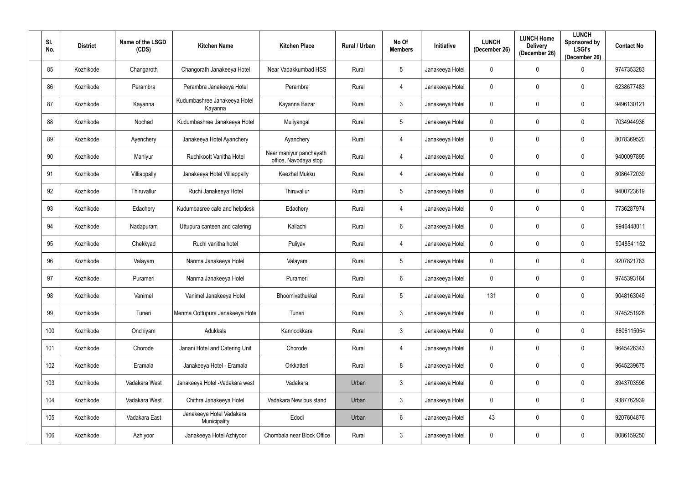| SI.<br>No. | <b>District</b> | Name of the LSGD<br>(CDS) | <b>Kitchen Name</b>                      | <b>Kitchen Place</b>                             | Rural / Urban | No Of<br><b>Members</b> | Initiative      | <b>LUNCH</b><br>(December 26) | <b>LUNCH Home</b><br><b>Delivery</b><br>(December 26) | <b>LUNCH</b><br>Sponsored by<br><b>LSGI's</b><br>(December 26) | <b>Contact No</b> |
|------------|-----------------|---------------------------|------------------------------------------|--------------------------------------------------|---------------|-------------------------|-----------------|-------------------------------|-------------------------------------------------------|----------------------------------------------------------------|-------------------|
| 85         | Kozhikode       | Changaroth                | Changorath Janakeeya Hotel               | Near Vadakkumbad HSS                             | Rural         | 5 <sup>5</sup>          | Janakeeya Hotel | $\mathbf 0$                   | $\mathbf 0$                                           | $\Omega$                                                       | 9747353283        |
| 86         | Kozhikode       | Perambra                  | Perambra Janakeeya Hotel                 | Perambra                                         | Rural         | 4                       | Janakeeya Hotel | $\mathbf 0$                   | $\mathbf 0$                                           | 0                                                              | 6238677483        |
| 87         | Kozhikode       | Kayanna                   | Kudumbashree Janakeeya Hotel<br>Kayanna  | Kayanna Bazar                                    | Rural         | $\mathbf{3}$            | Janakeeya Hotel | $\mathbf 0$                   | $\mathbf 0$                                           | $\mathbf 0$                                                    | 9496130121        |
| 88         | Kozhikode       | Nochad                    | Kudumbashree Janakeeya Hotel             | Muliyangal                                       | Rural         | $5\overline{)}$         | Janakeeya Hotel | $\mathbf 0$                   | $\mathbf 0$                                           | $\mathbf 0$                                                    | 7034944936        |
| 89         | Kozhikode       | Ayenchery                 | Janakeeya Hotel Ayanchery                | Ayanchery                                        | Rural         | 4                       | Janakeeya Hotel | $\mathbf 0$                   | $\mathbf 0$                                           | $\mathbf 0$                                                    | 8078369520        |
| 90         | Kozhikode       | Maniyur                   | Ruchikoott Vanitha Hotel                 | Near maniyur panchayath<br>office, Navodaya stop | Rural         | 4                       | Janakeeya Hotel | $\mathbf 0$                   | $\mathbf 0$                                           | $\mathbf 0$                                                    | 9400097895        |
| 91         | Kozhikode       | Villiappally              | Janakeeya Hotel Villiappally             | <b>Keezhal Mukku</b>                             | Rural         | 4                       | Janakeeya Hotel | $\mathbf 0$                   | $\mathbf 0$                                           | $\mathbf 0$                                                    | 8086472039        |
| 92         | Kozhikode       | Thiruvallur               | Ruchi Janakeeya Hotel                    | Thiruvallur                                      | Rural         | 5 <sub>5</sub>          | Janakeeya Hotel | $\mathbf 0$                   | $\mathbf 0$                                           | 0                                                              | 9400723619        |
| 93         | Kozhikode       | Edachery                  | Kudumbasree cafe and helpdesk            | Edachery                                         | Rural         | 4                       | Janakeeya Hotel | $\mathbf 0$                   | $\mathbf 0$                                           | $\mathbf 0$                                                    | 7736287974        |
| 94         | Kozhikode       | Nadapuram                 | Uttupura canteen and catering            | Kallachi                                         | Rural         | $6\overline{6}$         | Janakeeya Hotel | $\mathbf 0$                   | $\mathbf 0$                                           | $\mathbf 0$                                                    | 9946448011        |
| 95         | Kozhikode       | Chekkyad                  | Ruchi vanitha hotel                      | Puliyav                                          | Rural         | 4                       | Janakeeya Hotel | $\mathbf 0$                   | $\mathbf 0$                                           | $\mathbf 0$                                                    | 9048541152        |
| 96         | Kozhikode       | Valayam                   | Nanma Janakeeya Hotel                    | Valayam                                          | Rural         | 5 <sub>5</sub>          | Janakeeya Hotel | $\mathbf 0$                   | $\mathbf 0$                                           | 0                                                              | 9207821783        |
| 97         | Kozhikode       | Purameri                  | Nanma Janakeeya Hotel                    | Purameri                                         | Rural         | $6\overline{6}$         | Janakeeya Hotel | $\mathbf 0$                   | $\mathbf 0$                                           | 0                                                              | 9745393164        |
| 98         | Kozhikode       | Vanimel                   | Vanimel Janakeeya Hotel                  | Bhoomivathukkal                                  | Rural         | $5\overline{)}$         | Janakeeya Hotel | 131                           | $\mathbf 0$                                           | $\pmb{0}$                                                      | 9048163049        |
| 99         | Kozhikode       | Tuneri                    | Menma Oottupura Janakeeya Hotel          | Tuneri                                           | Rural         | $\mathbf{3}$            | Janakeeya Hotel | $\mathbf 0$                   | $\mathbf 0$                                           | $\pmb{0}$                                                      | 9745251928        |
| 100        | Kozhikode       | Onchiyam                  | Adukkala                                 | Kannookkara                                      | Rural         | $\mathbf{3}$            | Janakeeya Hotel | $\mathbf 0$                   | $\mathbf 0$                                           | $\pmb{0}$                                                      | 8606115054        |
| 101        | Kozhikode       | Chorode                   | Janani Hotel and Catering Unit           | Chorode                                          | Rural         | $\overline{4}$          | Janakeeya Hotel | $\overline{0}$                | $\mathbf 0$                                           | $\pmb{0}$                                                      | 9645426343        |
| 102        | Kozhikode       | Eramala                   | Janakeeya Hotel - Eramala                | Orkkatteri                                       | Rural         | $8\phantom{.}$          | Janakeeya Hotel | $\mathbf 0$                   | $\mathbf 0$                                           | $\pmb{0}$                                                      | 9645239675        |
| 103        | Kozhikode       | Vadakara West             | Janakeeya Hotel - Vadakara west          | Vadakara                                         | Urban         | $\mathbf{3}$            | Janakeeya Hotel | $\mathbf 0$                   | $\mathbf 0$                                           | $\pmb{0}$                                                      | 8943703596        |
| 104        | Kozhikode       | Vadakara West             | Chithra Janakeeya Hotel                  | Vadakara New bus stand                           | Urban         | $\mathfrak{Z}$          | Janakeeya Hotel | $\mathbf 0$                   | $\overline{0}$                                        | $\pmb{0}$                                                      | 9387762939        |
| 105        | Kozhikode       | Vadakara East             | Janakeeya Hotel Vadakara<br>Municipality | Edodi                                            | Urban         | $6\overline{6}$         | Janakeeya Hotel | 43                            | $\mathbf 0$                                           | $\pmb{0}$                                                      | 9207604876        |
| 106        | Kozhikode       | Azhiyoor                  | Janakeeya Hotel Azhiyoor                 | Chombala near Block Office                       | Rural         | $\mathbf{3}$            | Janakeeya Hotel | $\overline{0}$                | $\mathbf 0$                                           | $\pmb{0}$                                                      | 8086159250        |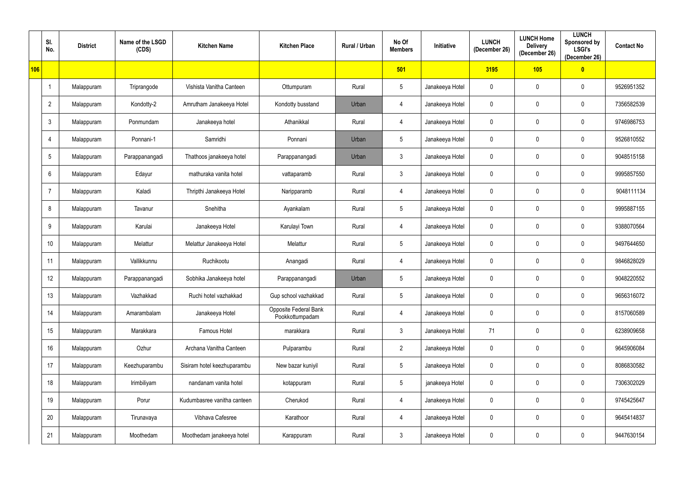|            | SI.<br>No.      | <b>District</b> | Name of the LSGD<br>(CDS) | <b>Kitchen Name</b>         | <b>Kitchen Place</b>                     | Rural / Urban | No Of<br><b>Members</b> | <b>Initiative</b> | <b>LUNCH</b><br>(December 26) | <b>LUNCH Home</b><br><b>Delivery</b><br>(December 26) | <b>LUNCH</b><br>Sponsored by<br><b>LSGI's</b><br>(December 26) | <b>Contact No</b> |
|------------|-----------------|-----------------|---------------------------|-----------------------------|------------------------------------------|---------------|-------------------------|-------------------|-------------------------------|-------------------------------------------------------|----------------------------------------------------------------|-------------------|
| <b>106</b> |                 |                 |                           |                             |                                          |               | 501                     |                   | 3195                          | 105                                                   | $\bullet$                                                      |                   |
|            | -1              | Malappuram      | Triprangode               | Vishista Vanitha Canteen    | Ottumpuram                               | Rural         | $5\overline{)}$         | Janakeeya Hotel   | 0                             | $\mathbf 0$                                           | $\mathbf 0$                                                    | 9526951352        |
|            | $\overline{2}$  | Malappuram      | Kondotty-2                | Amrutham Janakeeya Hotel    | Kondotty busstand                        | Urban         | 4                       | Janakeeya Hotel   | 0                             | $\mathbf 0$                                           | $\mathbf 0$                                                    | 7356582539        |
|            | $\mathbf{3}$    | Malappuram      | Ponmundam                 | Janakeeya hotel             | Athanikkal                               | Rural         | $\overline{4}$          | Janakeeya Hotel   | $\mathbf 0$                   | $\mathbf 0$                                           | $\mathbf 0$                                                    | 9746986753        |
|            |                 | Malappuram      | Ponnani-1                 | Samridhi                    | Ponnani                                  | Urban         | $5\phantom{.0}$         | Janakeeya Hotel   | 0                             | $\mathbf 0$                                           | $\mathbf 0$                                                    | 9526810552        |
|            | $5\phantom{.0}$ | Malappuram      | Parappanangadi            | Thathoos janakeeya hotel    | Parappanangadi                           | Urban         | $\mathbf{3}$            | Janakeeya Hotel   | 0                             | $\mathbf 0$                                           | $\mathbf 0$                                                    | 9048515158        |
|            | 6               | Malappuram      | Edayur                    | mathuraka vanita hotel      | vattaparamb                              | Rural         | $\mathbf{3}$            | Janakeeya Hotel   | $\pmb{0}$                     | $\mathbf 0$                                           | $\mathbf 0$                                                    | 9995857550        |
|            |                 | Malappuram      | Kaladi                    | Thripthi Janakeeya Hotel    | Naripparamb                              | Rural         | 4                       | Janakeeya Hotel   | 0                             | 0                                                     | $\mathbf{0}$                                                   | 9048111134        |
|            | 8               | Malappuram      | Tavanur                   | Snehitha                    | Ayankalam                                | Rural         | $5\overline{)}$         | Janakeeya Hotel   | 0                             | $\mathbf 0$                                           | $\mathbf 0$                                                    | 9995887155        |
|            | 9               | Malappuram      | Karulai                   | Janakeeya Hotel             | Karulayi Town                            | Rural         | 4                       | Janakeeya Hotel   | 0                             | 0                                                     | $\mathbf{0}$                                                   | 9388070564        |
|            | 10              | Malappuram      | Melattur                  | Melattur Janakeeya Hotel    | Melattur                                 | Rural         | $5\overline{)}$         | Janakeeya Hotel   | $\pmb{0}$                     | $\mathbf 0$                                           | $\mathbf{0}$                                                   | 9497644650        |
|            | 11              | Malappuram      | Vallikkunnu               | Ruchikootu                  | Anangadi                                 | Rural         | $\overline{4}$          | Janakeeya Hotel   | 0                             | $\mathbf 0$                                           | $\mathbf 0$                                                    | 9846828029        |
|            | 12              | Malappuram      | Parappanangadi            | Sobhika Janakeeya hotel     | Parappanangadi                           | Urban         | $5\overline{)}$         | Janakeeya Hotel   | 0                             | $\mathbf 0$                                           | $\mathbf 0$                                                    | 9048220552        |
|            | 13              | Malappuram      | Vazhakkad                 | Ruchi hotel vazhakkad       | Gup school vazhakkad                     | Rural         | $5\overline{)}$         | Janakeeya Hotel   | $\overline{0}$                | $\mathbf 0$                                           | $\mathbf 0$                                                    | 9656316072        |
|            | 14              | Malappuram      | Amarambalam               | Janakeeya Hotel             | Opposite Federal Bank<br>Pookkottumpadam | Rural         | $\overline{4}$          | Janakeeya Hotel   | 0                             | $\mathbf 0$                                           | $\mathbf 0$                                                    | 8157060589        |
|            | 15              | Malappuram      | Marakkara                 | Famous Hotel                | marakkara                                | Rural         | $\mathbf{3}$            | Janakeeya Hotel   | 71                            | $\overline{0}$                                        | $\mathbf 0$                                                    | 6238909658        |
|            | 16              | Malappuram      | Ozhur                     | Archana Vanitha Canteen     | Pulparambu                               | Rural         | $\overline{2}$          | Janakeeya Hotel   | $\pmb{0}$                     | $\mathbf 0$                                           | $\mathbf 0$                                                    | 9645906084        |
|            | 17              | Malappuram      | Keezhuparambu             | Sisiram hotel keezhuparambu | New bazar kuniyil                        | Rural         | $5\phantom{.0}$         | Janakeeya Hotel   | $\pmb{0}$                     | $\overline{0}$                                        | $\mathbf 0$                                                    | 8086830582        |
|            | 18              | Malappuram      | Irimbiliyam               | nandanam vanita hotel       | kotappuram                               | Rural         | $5\phantom{.0}$         | janakeeya Hotel   | $\pmb{0}$                     | $\mathbf 0$                                           | 0                                                              | 7306302029        |
|            | 19              | Malappuram      | Porur                     | Kudumbasree vanitha canteen | Cherukod                                 | Rural         | $\overline{4}$          | Janakeeya Hotel   | $\pmb{0}$                     | $\overline{0}$                                        | $\mathbf 0$                                                    | 9745425647        |
|            | 20              | Malappuram      | Tirunavaya                | Vibhava Cafesree            | Karathoor                                | Rural         | $\overline{4}$          | Janakeeya Hotel   | $\pmb{0}$                     | $\overline{0}$                                        | 0                                                              | 9645414837        |
|            | 21              | Malappuram      | Moothedam                 | Moothedam janakeeya hotel   | Karappuram                               | Rural         | $\mathbf{3}$            | Janakeeya Hotel   | 0                             | $\pmb{0}$                                             | $\mathbf 0$                                                    | 9447630154        |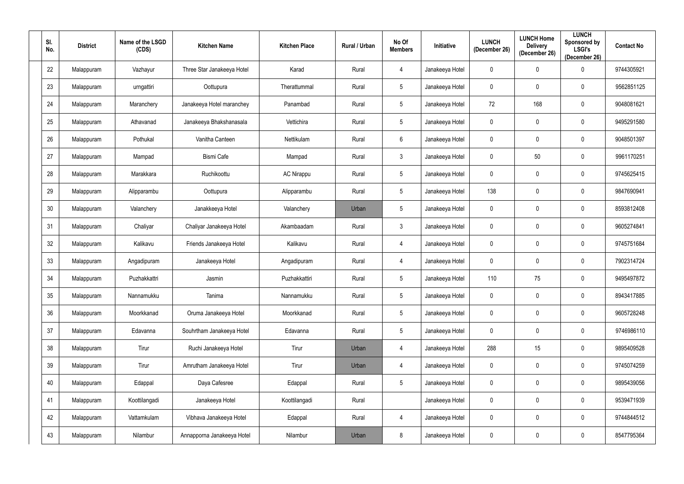| SI.<br>No. | <b>District</b> | Name of the LSGD<br>(CDS) | <b>Kitchen Name</b>        | <b>Kitchen Place</b> | Rural / Urban | No Of<br><b>Members</b> | Initiative      | <b>LUNCH</b><br>(December 26) | <b>LUNCH Home</b><br><b>Delivery</b><br>(December 26) | <b>LUNCH</b><br><b>Sponsored by</b><br><b>LSGI's</b><br>(December 26) | <b>Contact No</b> |
|------------|-----------------|---------------------------|----------------------------|----------------------|---------------|-------------------------|-----------------|-------------------------------|-------------------------------------------------------|-----------------------------------------------------------------------|-------------------|
| 22         | Malappuram      | Vazhayur                  | Three Star Janakeeya Hotel | Karad                | Rural         | $\overline{4}$          | Janakeeya Hotel | $\overline{0}$                | $\overline{0}$                                        | $\Omega$                                                              | 9744305921        |
| 23         | Malappuram      | urngattiri                | Oottupura                  | Therattummal         | Rural         | $5\phantom{.0}$         | Janakeeya Hotel | $\overline{0}$                | $\overline{0}$                                        | $\mathbf 0$                                                           | 9562851125        |
| 24         | Malappuram      | Maranchery                | Janakeeya Hotel maranchey  | Panambad             | Rural         | $5\phantom{.0}$         | Janakeeya Hotel | 72                            | 168                                                   | $\mathbf 0$                                                           | 9048081621        |
| 25         | Malappuram      | Athavanad                 | Janakeeya Bhakshanasala    | Vettichira           | Rural         | $5\phantom{.0}$         | Janakeeya Hotel | $\overline{0}$                | $\overline{0}$                                        | $\mathbf 0$                                                           | 9495291580        |
| 26         | Malappuram      | Pothukal                  | Vanitha Canteen            | Nettikulam           | Rural         | $6\overline{6}$         | Janakeeya Hotel | $\mathbf 0$                   | $\overline{0}$                                        | $\mathbf 0$                                                           | 9048501397        |
| 27         | Malappuram      | Mampad                    | <b>Bismi Cafe</b>          | Mampad               | Rural         | $\mathbf{3}$            | Janakeeya Hotel | $\overline{0}$                | 50                                                    | $\mathbf 0$                                                           | 9961170251        |
| 28         | Malappuram      | Marakkara                 | Ruchikoottu                | <b>AC Nirappu</b>    | Rural         | $5\overline{)}$         | Janakeeya Hotel | $\mathbf 0$                   | $\mathbf 0$                                           | $\mathbf 0$                                                           | 9745625415        |
| 29         | Malappuram      | Alipparambu               | Oottupura                  | Alipparambu          | Rural         | $5\phantom{.0}$         | Janakeeya Hotel | 138                           | $\mathbf 0$                                           | $\mathbf 0$                                                           | 9847690941        |
| 30         | Malappuram      | Valanchery                | Janakkeeya Hotel           | Valanchery           | Urban         | $5\phantom{.0}$         | Janakeeya Hotel | $\mathbf 0$                   | $\mathbf 0$                                           | $\mathbf 0$                                                           | 8593812408        |
| 31         | Malappuram      | Chaliyar                  | Chaliyar Janakeeya Hotel   | Akambaadam           | Rural         | $\mathbf{3}$            | Janakeeya Hotel | $\overline{0}$                | $\mathbf 0$                                           | $\mathbf 0$                                                           | 9605274841        |
| 32         | Malappuram      | Kalikavu                  | Friends Janakeeya Hotel    | Kalikavu             | Rural         | $\overline{4}$          | Janakeeya Hotel | $\overline{0}$                | $\mathbf 0$                                           | $\mathbf 0$                                                           | 9745751684        |
| 33         | Malappuram      | Angadipuram               | Janakeeya Hotel            | Angadipuram          | Rural         | 4                       | Janakeeya Hotel | $\mathbf 0$                   | $\mathbf 0$                                           | $\mathbf 0$                                                           | 7902314724        |
| 34         | Malappuram      | Puzhakkattri              | Jasmin                     | Puzhakkattiri        | Rural         | $5\overline{)}$         | Janakeeya Hotel | 110                           | 75                                                    | $\mathbf 0$                                                           | 9495497872        |
| 35         | Malappuram      | Nannamukku                | Tanima                     | Nannamukku           | Rural         | $5\phantom{.0}$         | Janakeeya Hotel | $\overline{0}$                | $\mathbf 0$                                           | $\pmb{0}$                                                             | 8943417885        |
| 36         | Malappuram      | Moorkkanad                | Oruma Janakeeya Hotel      | Moorkkanad           | Rural         | $5\overline{)}$         | Janakeeya Hotel | $\overline{0}$                | $\mathbf 0$                                           | $\pmb{0}$                                                             | 9605728248        |
| 37         | Malappuram      | Edavanna                  | Souhrtham Janakeeya Hotel  | Edavanna             | Rural         | $5\overline{)}$         | Janakeeya Hotel | $\overline{0}$                | $\mathbf 0$                                           | $\pmb{0}$                                                             | 9746986110        |
| $38\,$     | Malappuram      | Tirur                     | Ruchi Janakeeya Hotel      | Tirur                | Urban         | 4                       | Janakeeya Hotel | 288                           | 15                                                    | $\pmb{0}$                                                             | 9895409528        |
| 39         | Malappuram      | Tirur                     | Amrutham Janakeeya Hotel   | Tirur                | Urban         | $\overline{4}$          | Janakeeya Hotel | $\overline{0}$                | $\mathbf 0$                                           | $\pmb{0}$                                                             | 9745074259        |
| 40         | Malappuram      | Edappal                   | Daya Cafesree              | Edappal              | Rural         | $5\overline{)}$         | Janakeeya Hotel | $\overline{0}$                | $\mathbf 0$                                           | $\pmb{0}$                                                             | 9895439056        |
| 41         | Malappuram      | Koottilangadi             | Janakeeya Hotel            | Koottilangadi        | Rural         |                         | Janakeeya Hotel | $\overline{0}$                | $\mathbf 0$                                           | $\pmb{0}$                                                             | 9539471939        |
| 42         | Malappuram      | Vattamkulam               | Vibhava Janakeeya Hotel    | Edappal              | Rural         | $\overline{4}$          | Janakeeya Hotel | $\mathbf 0$                   | $\mathbf 0$                                           | $\pmb{0}$                                                             | 9744844512        |
| 43         | Malappuram      | Nilambur                  | Annapporna Janakeeya Hotel | Nilambur             | Urban         | 8                       | Janakeeya Hotel | $\mathbf 0$                   | $\mathbf 0$                                           | $\pmb{0}$                                                             | 8547795364        |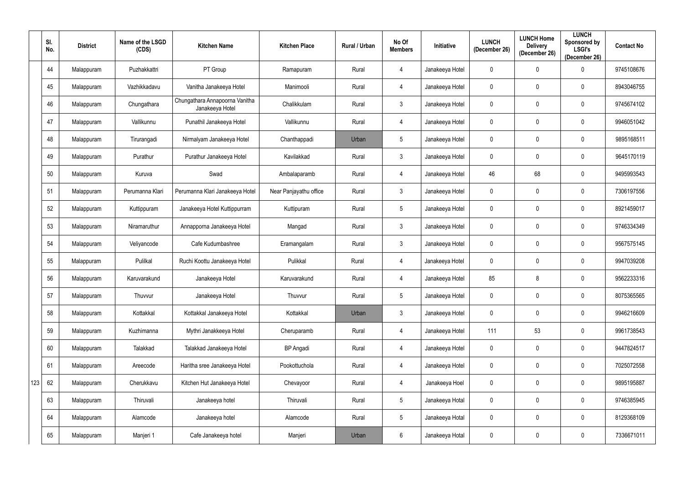|     | SI.<br>No. | <b>District</b> | Name of the LSGD<br>(CDS) | <b>Kitchen Name</b>                               | <b>Kitchen Place</b>   | Rural / Urban | No Of<br><b>Members</b> | <b>Initiative</b> | <b>LUNCH</b><br>(December 26) | <b>LUNCH Home</b><br><b>Delivery</b><br>(December 26) | <b>LUNCH</b><br>Sponsored by<br><b>LSGI's</b><br>(December 26) | <b>Contact No</b> |
|-----|------------|-----------------|---------------------------|---------------------------------------------------|------------------------|---------------|-------------------------|-------------------|-------------------------------|-------------------------------------------------------|----------------------------------------------------------------|-------------------|
|     | 44         | Malappuram      | Puzhakkattri              | PT Group                                          | Ramapuram              | Rural         | $\overline{4}$          | Janakeeya Hotel   | 0                             | $\mathbf 0$                                           | 0                                                              | 9745108676        |
|     | 45         | Malappuram      | Vazhikkadavu              | Vanitha Janakeeya Hotel                           | Manimooli              | Rural         | $\overline{4}$          | Janakeeya Hotel   | 0                             | $\mathbf 0$                                           | 0                                                              | 8943046755        |
|     | 46         | Malappuram      | Chungathara               | Chungathara Annapoorna Vanitha<br>Janakeeya Hotel | Chalikkulam            | Rural         | $\mathbf{3}$            | Janakeeya Hotel   | 0                             | $\mathbf 0$                                           | 0                                                              | 9745674102        |
|     | 47         | Malappuram      | Vallikunnu                | Punathil Janakeeya Hotel                          | Vallikunnu             | Rural         | $\overline{4}$          | Janakeeya Hotel   | 0                             | 0                                                     | 0                                                              | 9946051042        |
|     | 48         | Malappuram      | Tirurangadi               | Nirmalyam Janakeeya Hotel                         | Chanthappadi           | Urban         | $5\overline{)}$         | Janakeeya Hotel   | 0                             | $\mathbf 0$                                           | $\mathbf 0$                                                    | 9895168511        |
|     | 49         | Malappuram      | Purathur                  | Purathur Janakeeya Hotel                          | Kavilakkad             | Rural         | $\mathbf{3}$            | Janakeeya Hotel   | 0                             | $\mathbf 0$                                           | $\mathbf 0$                                                    | 9645170119        |
|     | 50         | Malappuram      | Kuruva                    | Swad                                              | Ambalaparamb           | Rural         | $\overline{4}$          | Janakeeya Hotel   | 46                            | 68                                                    | $\mathbf 0$                                                    | 9495993543        |
|     | 51         | Malappuram      | Perumanna Klari           | Perumanna Klari Janakeeya Hotel                   | Near Panjayathu office | Rural         | $\mathbf{3}$            | Janakeeya Hotel   | 0                             | $\mathbf 0$                                           | 0                                                              | 7306197556        |
|     | 52         | Malappuram      | Kuttippuram               | Janakeeya Hotel Kuttippurram                      | Kuttipuram             | Rural         | $5\overline{)}$         | Janakeeya Hotel   | $\mathbf 0$                   | $\mathbf 0$                                           | $\mathbf 0$                                                    | 8921459017        |
|     | 53         | Malappuram      | Niramaruthur              | Annapporna Janakeeya Hotel                        | Mangad                 | Rural         | $\mathbf{3}$            | Janakeeya Hotel   | 0                             | 0                                                     | 0                                                              | 9746334349        |
|     | 54         | Malappuram      | Veliyancode               | Cafe Kudumbashree                                 | Eramangalam            | Rural         | $\mathbf{3}$            | Janakeeya Hotel   | 0                             | $\mathbf 0$                                           | $\mathbf 0$                                                    | 9567575145        |
|     | 55         | Malappuram      | Pulilkal                  | Ruchi Koottu Janakeeya Hotel                      | Pulikkal               | Rural         | $\overline{4}$          | Janakeeya Hotel   | 0                             | 0                                                     | 0                                                              | 9947039208        |
|     | 56         | Malappuram      | Karuvarakund              | Janakeeya Hotel                                   | Karuvarakund           | Rural         | $\overline{4}$          | Janakeeya Hotel   | 85                            | 8                                                     | $\mathbf 0$                                                    | 9562233316        |
|     | 57         | Malappuram      | Thuvvur                   | Janakeeya Hotel                                   | Thuvvur                | Rural         | $5\phantom{.0}$         | Janakeeya Hotel   | $\mathbf 0$                   | $\mathbf 0$                                           | $\mathbf 0$                                                    | 8075365565        |
|     | 58         | Malappuram      | Kottakkal                 | Kottakkal Janakeeya Hotel                         | Kottakkal              | Urban         | $\mathfrak{Z}$          | Janakeeya Hotel   | 0                             | $\mathbf 0$                                           | $\mathbf 0$                                                    | 9946216609        |
|     | 59         | Malappuram      | Kuzhimanna                | Mythri Janakkeeya Hotel                           | Cheruparamb            | Rural         | $\overline{4}$          | Janakeeya Hotel   | 111                           | 53                                                    | $\mathbf 0$                                                    | 9961738543        |
|     | 60         | Malappuram      | Talakkad                  | Talakkad Janakeeya Hotel                          | <b>BP</b> Angadi       | Rural         | $\overline{4}$          | Janakeeya Hotel   | $\boldsymbol{0}$              | $\mathbf 0$                                           | $\mathbf 0$                                                    | 9447824517        |
|     | 61         | Malappuram      | Areecode                  | Haritha sree Janakeeya Hotel                      | Pookottuchola          | Rural         | $\overline{4}$          | Janakeeya Hotel   | $\pmb{0}$                     | $\mathbf 0$                                           | $\mathbf 0$                                                    | 7025072558        |
| 123 | 62         | Malappuram      | Cherukkavu                | Kitchen Hut Janakeeya Hotel                       | Chevayoor              | Rural         | $\overline{4}$          | Janakeeya Hoel    | $\pmb{0}$                     | $\mathbf 0$                                           | $\mathbf 0$                                                    | 9895195887        |
|     | 63         | Malappuram      | Thiruvali                 | Janakeeya hotel                                   | Thiruvali              | Rural         | 5 <sub>5</sub>          | Janakeeya Hotal   | $\pmb{0}$                     | $\mathbf 0$                                           | $\mathbf 0$                                                    | 9746385945        |
|     | 64         | Malappuram      | Alamcode                  | Janakeeya hotel                                   | Alamcode               | Rural         | 5 <sub>5</sub>          | Janakeeya Hotal   | 0                             | $\mathbf 0$                                           | $\mathbf 0$                                                    | 8129368109        |
|     | 65         | Malappuram      | Manjeri 1                 | Cafe Janakeeya hotel                              | Manjeri                | Urban         | $6\overline{6}$         | Janakeeya Hotal   | $\pmb{0}$                     | $\pmb{0}$                                             | $\pmb{0}$                                                      | 7336671011        |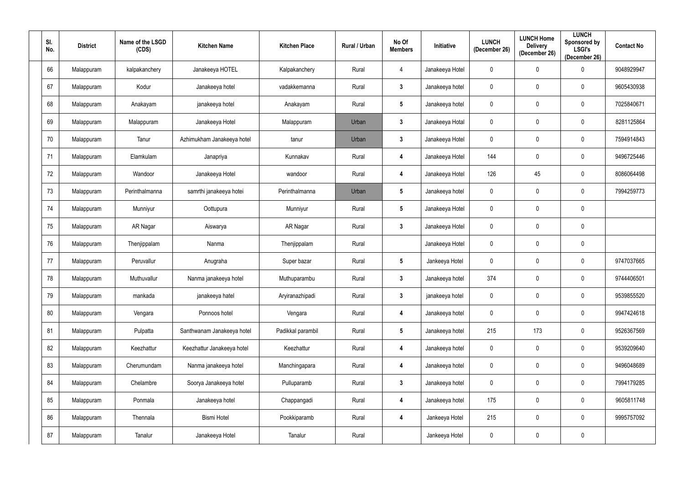| SI.<br>No. | <b>District</b> | Name of the LSGD<br>(CDS) | <b>Kitchen Name</b>        | <b>Kitchen Place</b> | Rural / Urban | No Of<br><b>Members</b> | Initiative      | <b>LUNCH</b><br>(December 26) | <b>LUNCH Home</b><br><b>Delivery</b><br>(December 26) | <b>LUNCH</b><br><b>Sponsored by</b><br><b>LSGI's</b><br>(December 26) | <b>Contact No</b> |
|------------|-----------------|---------------------------|----------------------------|----------------------|---------------|-------------------------|-----------------|-------------------------------|-------------------------------------------------------|-----------------------------------------------------------------------|-------------------|
| 66         | Malappuram      | kalpakanchery             | Janakeeya HOTEL            | Kalpakanchery        | Rural         | $\overline{4}$          | Janakeeya Hotel | $\overline{0}$                | $\overline{0}$                                        | $\Omega$                                                              | 9048929947        |
| 67         | Malappuram      | Kodur                     | Janakeeya hotel            | vadakkemanna         | Rural         | $\mathbf{3}$            | Janakeeya hotel | $\overline{0}$                | $\mathbf 0$                                           | $\mathbf 0$                                                           | 9605430938        |
| 68         | Malappuram      | Anakayam                  | janakeeya hotel            | Anakayam             | Rural         | $5\phantom{.0}$         | Janakeeya hotel | $\mathbf 0$                   | $\mathbf 0$                                           | $\mathbf 0$                                                           | 7025840671        |
| 69         | Malappuram      | Malappuram                | Janakeeya Hotel            | Malappuram           | Urban         | $\mathbf{3}$            | Janakeeya Hotal | $\overline{0}$                | $\mathbf 0$                                           | $\mathbf 0$                                                           | 8281125864        |
| 70         | Malappuram      | Tanur                     | Azhimukham Janakeeya hotel | tanur                | Urban         | $3\phantom{a}$          | Janakeeya Hotel | $\mathbf 0$                   | $\mathbf 0$                                           | $\mathbf 0$                                                           | 7594914843        |
| 71         | Malappuram      | Elamkulam                 | Janapriya                  | Kunnakav             | Rural         | 4                       | Janakeeya Hotel | 144                           | $\mathbf 0$                                           | $\mathbf 0$                                                           | 9496725446        |
| 72         | Malappuram      | Wandoor                   | Janakeeya Hotel            | wandoor              | Rural         | 4                       | Janakeeya Hotel | 126                           | 45                                                    | $\mathbf 0$                                                           | 8086064498        |
| 73         | Malappuram      | Perinthalmanna            | samrthi janakeeya hotei    | Perinthalmanna       | Urban         | $5\phantom{.0}$         | Janakeeya hotel | $\mathbf 0$                   | $\mathbf 0$                                           | $\mathbf 0$                                                           | 7994259773        |
| 74         | Malappuram      | Munniyur                  | Oottupura                  | Munniyur             | Rural         | $5\phantom{.0}$         | Janakeeya Hotel | $\mathbf 0$                   | $\mathbf 0$                                           | $\mathbf 0$                                                           |                   |
| 75         | Malappuram      | AR Nagar                  | Aiswarya                   | AR Nagar             | Rural         | $3\phantom{a}$          | Janakeeya Hotel | $\overline{0}$                | $\mathbf 0$                                           | $\mathbf 0$                                                           |                   |
| 76         | Malappuram      | Thenjippalam              | Nanma                      | Thenjippalam         | Rural         |                         | Janakeeya Hotel | $\overline{0}$                | $\mathbf 0$                                           | $\mathbf 0$                                                           |                   |
| 77         | Malappuram      | Peruvallur                | Anugraha                   | Super bazar          | Rural         | $5\phantom{.0}$         | Jankeeya Hotel  | $\overline{0}$                | $\mathbf 0$                                           | $\mathbf 0$                                                           | 9747037665        |
| 78         | Malappuram      | Muthuvallur               | Nanma janakeeya hotel      | Muthuparambu         | Rural         | $3\phantom{a}$          | Janakeeya hotel | 374                           | $\mathbf 0$                                           | $\mathbf 0$                                                           | 9744406501        |
| 79         | Malappuram      | mankada                   | janakeeya hatel            | Aryiranazhipadi      | Rural         | $3\phantom{a}$          | janakeeya hotel | $\overline{0}$                | $\mathbf 0$                                           | $\pmb{0}$                                                             | 9539855520        |
| $80\,$     | Malappuram      | Vengara                   | Ponnoos hotel              | Vengara              | Rural         | $\overline{\mathbf{4}}$ | Janakeeya hotel | $\overline{0}$                | $\mathbf 0$                                           | $\pmb{0}$                                                             | 9947424618        |
| 81         | Malappuram      | Pulpatta                  | Santhwanam Janakeeya hotel | Padikkal parambil    | Rural         | $5\overline{)}$         | Janakeeya hotel | 215                           | 173                                                   | $\pmb{0}$                                                             | 9526367569        |
| 82         | Malappuram      | Keezhattur                | Keezhattur Janakeeya hotel | Keezhattur           | Rural         | $\overline{\mathbf{4}}$ | Janakeeya hotel | $\overline{0}$                | $\mathbf 0$                                           | $\pmb{0}$                                                             | 9539209640        |
| 83         | Malappuram      | Cherumundam               | Nanma janakeeya hotel      | Manchingapara        | Rural         | $\overline{\mathbf{4}}$ | Janakeeya hotel | $\overline{0}$                | $\mathbf 0$                                           | $\pmb{0}$                                                             | 9496048689        |
| 84         | Malappuram      | Chelambre                 | Soorya Janakeeya hotel     | Pulluparamb          | Rural         | $3\phantom{a}$          | Janakeeya hotel | $\overline{0}$                | $\mathbf 0$                                           | $\pmb{0}$                                                             | 7994179285        |
| 85         | Malappuram      | Ponmala                   | Janakeeya hotel            | Chappangadi          | Rural         | $\overline{\mathbf{4}}$ | Janakeeya hotel | 175                           | $\mathbf 0$                                           | $\pmb{0}$                                                             | 9605811748        |
| 86         | Malappuram      | Thennala                  | <b>Bismi Hotel</b>         | Pookkiparamb         | Rural         | $\overline{\mathbf{4}}$ | Jankeeya Hotel  | 215                           | $\mathbf 0$                                           | $\pmb{0}$                                                             | 9995757092        |
| 87         | Malappuram      | Tanalur                   | Janakeeya Hotel            | Tanalur              | Rural         |                         | Jankeeya Hotel  | $\overline{0}$                | $\mathbf 0$                                           | $\pmb{0}$                                                             |                   |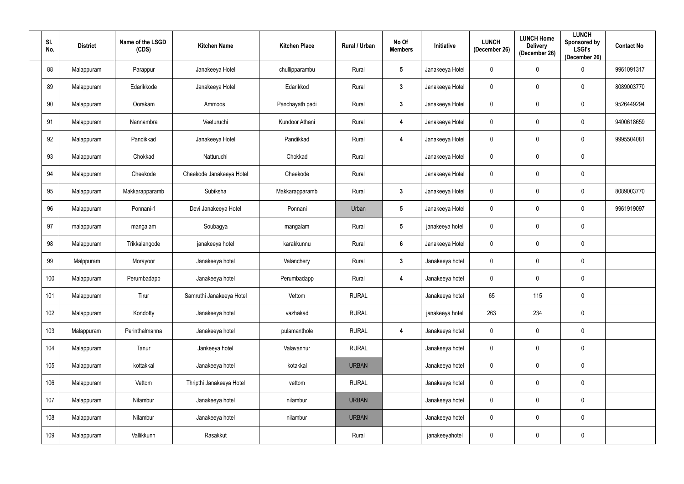| SI.<br>No. | <b>District</b> | Name of the LSGD<br>(CDS) | <b>Kitchen Name</b>      | <b>Kitchen Place</b> | Rural / Urban | No Of<br><b>Members</b> | Initiative      | <b>LUNCH</b><br>(December 26) | <b>LUNCH Home</b><br><b>Delivery</b><br>(December 26) | <b>LUNCH</b><br><b>Sponsored by</b><br><b>LSGI's</b><br>(December 26) | <b>Contact No</b> |
|------------|-----------------|---------------------------|--------------------------|----------------------|---------------|-------------------------|-----------------|-------------------------------|-------------------------------------------------------|-----------------------------------------------------------------------|-------------------|
| 88         | Malappuram      | Parappur                  | Janakeeya Hotel          | chullipparambu       | Rural         | $5\overline{)}$         | Janakeeya Hotel | $\mathbf 0$                   | $\pmb{0}$                                             | 0                                                                     | 9961091317        |
| 89         | Malappuram      | Edarikkode                | Janakeeya Hotel          | Edarikkod            | Rural         | $3\phantom{a}$          | Janakeeya Hotel | $\mathbf 0$                   | $\mathbf 0$                                           | 0                                                                     | 8089003770        |
| 90         | Malappuram      | Oorakam                   | Ammoos                   | Panchayath padi      | Rural         | $3\phantom{a}$          | Janakeeya Hotel | $\mathbf 0$                   | $\pmb{0}$                                             | $\mathbf 0$                                                           | 9526449294        |
| 91         | Malappuram      | Nannambra                 | Veeturuchi               | Kundoor Athani       | Rural         | 4                       | Janakeeya Hotel | $\mathbf 0$                   | $\mathbf 0$                                           | 0                                                                     | 9400618659        |
| 92         | Malappuram      | Pandikkad                 | Janakeeya Hotel          | Pandikkad            | Rural         | 4                       | Janakeeya Hotel | $\mathbf 0$                   | $\mathbf 0$                                           | $\mathbf 0$                                                           | 9995504081        |
| 93         | Malappuram      | Chokkad                   | Natturuchi               | Chokkad              | Rural         |                         | Janakeeya Hotel | $\mathbf 0$                   | $\mathbf 0$                                           | $\mathbf 0$                                                           |                   |
| 94         | Malappuram      | Cheekode                  | Cheekode Janakeeya Hotel | Cheekode             | Rural         |                         | Janakeeya Hotel | $\mathbf 0$                   | $\mathbf 0$                                           | $\pmb{0}$                                                             |                   |
| 95         | Malappuram      | Makkarapparamb            | Subiksha                 | Makkarapparamb       | Rural         | $\mathbf{3}$            | Janakeeya Hotel | $\mathbf 0$                   | $\mathbf 0$                                           | 0                                                                     | 8089003770        |
| 96         | Malappuram      | Ponnani-1                 | Devi Janakeeya Hotel     | Ponnani              | Urban         | $5\overline{)}$         | Janakeeya Hotel | $\mathbf 0$                   | $\overline{0}$                                        | $\mathbf 0$                                                           | 9961919097        |
| 97         | malappuram      | mangalam                  | Soubagya                 | mangalam             | Rural         | $5\overline{)}$         | janakeeya hotel | $\mathbf 0$                   | 0                                                     | $\mathbf 0$                                                           |                   |
| 98         | Malappuram      | Trikkalangode             | janakeeya hotel          | karakkunnu           | Rural         | $6\phantom{.}6$         | Janakeeya Hotel | $\mathbf 0$                   | $\mathbf 0$                                           | $\mathbf 0$                                                           |                   |
| 99         | Malppuram       | Morayoor                  | Janakeeya hotel          | Valanchery           | Rural         | $3\phantom{a}$          | Janakeeya hotel | $\mathbf 0$                   | $\mathbf 0$                                           | $\mathbf 0$                                                           |                   |
| 100        | Malappuram      | Perumbadapp               | Janakeeya hotel          | Perumbadapp          | Rural         | 4                       | Janakeeya hotel | $\mathbf 0$                   | $\mathbf 0$                                           | $\mathbf 0$                                                           |                   |
| 101        | Malappuram      | Tirur                     | Samruthi Janakeeya Hotel | Vettom               | <b>RURAL</b>  |                         | Janakeeya hotel | 65                            | 115                                                   | $\boldsymbol{0}$                                                      |                   |
| 102        | Malappuram      | Kondotty                  | Janakeeya hotel          | vazhakad             | <b>RURAL</b>  |                         | janakeeya hotel | 263                           | 234                                                   | $\mathbf 0$                                                           |                   |
| 103        | Malappuram      | Perinthalmanna            | Janakeeya hotel          | pulamanthole         | <b>RURAL</b>  | $\boldsymbol{4}$        | Janakeeya hotel | $\mathbf 0$                   | $\mathbf 0$                                           | $\pmb{0}$                                                             |                   |
| 104        | Malappuram      | Tanur                     | Jankeeya hotel           | Valavannur           | <b>RURAL</b>  |                         | Janakeeya hotel | $\mathbf 0$                   | $\mathbf 0$                                           | $\mathbf 0$                                                           |                   |
| 105        | Malappuram      | kottakkal                 | Janakeeya hotel          | kotakkal             | <b>URBAN</b>  |                         | Janakeeya hotel | $\mathbf 0$                   | $\mathbf 0$                                           | $\mathbf 0$                                                           |                   |
| 106        | Malappuram      | Vettom                    | Thripthi Janakeeya Hotel | vettom               | <b>RURAL</b>  |                         | Janakeeya hotel | $\mathbf 0$                   | $\mathbf 0$                                           | $\pmb{0}$                                                             |                   |
| 107        | Malappuram      | Nilambur                  | Janakeeya hotel          | nilambur             | <b>URBAN</b>  |                         | Janakeeya hotel | $\mathbf 0$                   | $\mathbf 0$                                           | $\mathbf 0$                                                           |                   |
| 108        | Malappuram      | Nilambur                  | Janakeeya hotel          | nilambur             | <b>URBAN</b>  |                         | Janakeeya hotel | $\mathbf 0$                   | $\mathbf 0$                                           | $\mathbf 0$                                                           |                   |
| 109        | Malappuram      | Vallikkunn                | Rasakkut                 |                      | Rural         |                         | janakeeyahotel  | $\mathbf 0$                   | $\mathbf 0$                                           | $\boldsymbol{0}$                                                      |                   |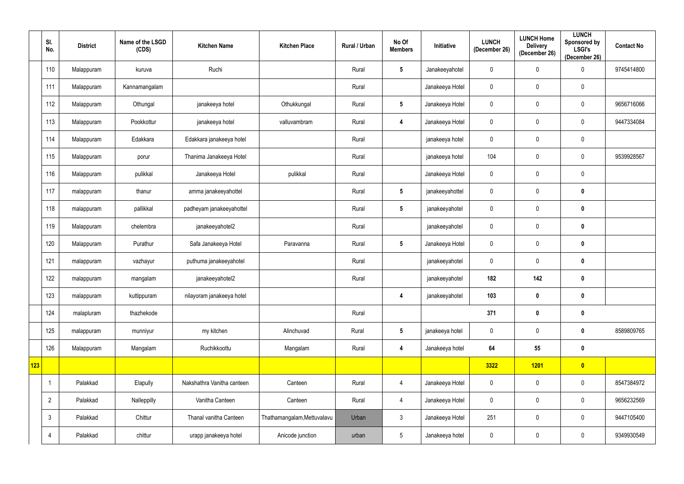|            | SI.<br>No.     | <b>District</b> | Name of the LSGD<br>(CDS) | <b>Kitchen Name</b>        | <b>Kitchen Place</b>        | Rural / Urban | No Of<br><b>Members</b> | Initiative      | <b>LUNCH</b><br>(December 26) | <b>LUNCH Home</b><br><b>Delivery</b><br>(December 26) | <b>LUNCH</b><br><b>Sponsored by</b><br><b>LSGI's</b><br>(December 26) | <b>Contact No</b> |
|------------|----------------|-----------------|---------------------------|----------------------------|-----------------------------|---------------|-------------------------|-----------------|-------------------------------|-------------------------------------------------------|-----------------------------------------------------------------------|-------------------|
|            | 110            | Malappuram      | kuruva                    | Ruchi                      |                             | Rural         | $5\phantom{.0}$         | Janakeeyahotel  | $\mathbf 0$                   | $\mathbf 0$                                           | $\mathbf 0$                                                           | 9745414800        |
|            | 111            | Malappuram      | Kannamangalam             |                            |                             | Rural         |                         | Janakeeya Hotel | $\mathbf 0$                   | $\mathbf 0$                                           | $\boldsymbol{0}$                                                      |                   |
|            | 112            | Malappuram      | Othungal                  | janakeeya hotel            | Othukkungal                 | Rural         | $5\phantom{.0}$         | Janakeeya Hotel | $\mathbf 0$                   | $\overline{0}$                                        | $\boldsymbol{0}$                                                      | 9656716066        |
|            | 113            | Malappuram      | Pookkottur                | janakeeya hotel            | valluvambram                | Rural         | 4                       | Janakeeya Hotel | $\mathbf 0$                   | $\mathbf 0$                                           | $\mathbf 0$                                                           | 9447334084        |
|            | 114            | Malappuram      | Edakkara                  | Edakkara janakeeya hotel   |                             | Rural         |                         | janakeeya hotel | $\mathbf 0$                   | $\mathbf 0$                                           | $\boldsymbol{0}$                                                      |                   |
|            | 115            | Malappuram      | porur                     | Thanima Janakeeya Hotel    |                             | Rural         |                         | janakeeya hotel | 104                           | $\mathbf 0$                                           | $\boldsymbol{0}$                                                      | 9539928567        |
|            | 116            | Malappuram      | pulikkal                  | Janakeeya Hotel            | pulikkal                    | Rural         |                         | Janakeeya Hotel | $\mathbf 0$                   | $\mathbf 0$                                           | $\mathbf 0$                                                           |                   |
|            | 117            | malappuram      | thanur                    | amma janakeeyahottel       |                             | Rural         | $5\overline{)}$         | janakeeyahottel | $\mathbf 0$                   | $\mathbf 0$                                           | $\mathbf 0$                                                           |                   |
|            | 118            | malappuram      | pallikkal                 | padheyam janakeeyahottel   |                             | Rural         | $5\overline{)}$         | janakeeyahotel  | $\mathbf 0$                   | $\mathbf 0$                                           | $\mathbf 0$                                                           |                   |
|            | 119            | Malappuram      | chelembra                 | janakeeyahotel2            |                             | Rural         |                         | janakeeyahotel  | $\mathbf 0$                   | $\mathbf 0$                                           | $\boldsymbol{0}$                                                      |                   |
|            | 120            | Malappuram      | Purathur                  | Safa Janakeeya Hotel       | Paravanna                   | Rural         | $5\overline{)}$         | Janakeeya Hotel | $\mathbf 0$                   | $\mathbf 0$                                           | $\mathbf 0$                                                           |                   |
|            | 121            | malappuram      | vazhayur                  | puthuma janakeeyahotel     |                             | Rural         |                         | janakeeyahotel  | $\mathbf 0$                   | $\mathbf 0$                                           | $\mathbf 0$                                                           |                   |
|            | 122            | malappuram      | mangalam                  | janakeeyahotel2            |                             | Rural         |                         | janakeeyahotel  | 182                           | 142                                                   | $\boldsymbol{0}$                                                      |                   |
|            | 123            | malappuram      | kuttippuram               | nilayoram janakeeya hotel  |                             |               | 4                       | janakeeyahotel  | 103                           | $\boldsymbol{0}$                                      | $\boldsymbol{0}$                                                      |                   |
|            | 124            | malapluram      | thazhekode                |                            |                             | Rural         |                         |                 | 371                           | $\mathbf 0$                                           | $\mathbf 0$                                                           |                   |
|            | 125            | malappuram      | munniyur                  | my kitchen                 | Alinchuvad                  | Rural         | $5\phantom{.0}$         | janakeeya hotel | $\mathbf 0$                   | $\mathbf 0$                                           | $\mathbf 0$                                                           | 8589809765        |
|            | 126            | Malappuram      | Mangalam                  | Ruchikkoottu               | Mangalam                    | Rural         | 4                       | Janakeeya hotel | 64                            | 55                                                    | $\pmb{0}$                                                             |                   |
| <b>123</b> |                |                 |                           |                            |                             |               |                         |                 | 3322                          | 1201                                                  | $\bullet$                                                             |                   |
|            | 1              | Palakkad        | Elapully                  | Nakshathra Vanitha canteen | Canteen                     | Rural         | $\overline{4}$          | Janakeeya Hotel | $\mathbf 0$                   | $\overline{0}$                                        | $\mathbf 0$                                                           | 8547384972        |
|            | $\overline{2}$ | Palakkad        | Nalleppilly               | Vanitha Canteen            | Canteen                     | Rural         | $\overline{4}$          | Janakeeya Hotel | $\mathbf 0$                   | $\overline{0}$                                        | $\pmb{0}$                                                             | 9656232569        |
|            | 3              | Palakkad        | Chittur                   | Thanal vanitha Canteen     | Thathamangalam, Mettuvalavu | Urban         | $\mathfrak{Z}$          | Janakeeya Hotel | 251                           | $\overline{0}$                                        | $\pmb{0}$                                                             | 9447105400        |
|            | 4              | Palakkad        | chittur                   | urapp janakeeya hotel      | Anicode junction            | urban         | $5\phantom{.0}$         | Janakeeya hotel | $\mathbf 0$                   | $\mathbf 0$                                           | $\bm{0}$                                                              | 9349930549        |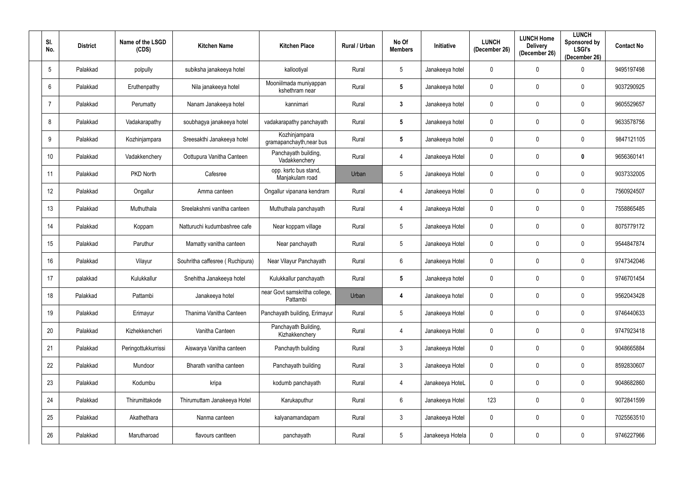| SI.<br>No.      | <b>District</b> | Name of the LSGD<br>(CDS) | <b>Kitchen Name</b>             | <b>Kitchen Place</b>                      | Rural / Urban | No Of<br><b>Members</b> | Initiative       | <b>LUNCH</b><br>(December 26) | <b>LUNCH Home</b><br><b>Delivery</b><br>(December 26) | <b>LUNCH</b><br>Sponsored by<br><b>LSGI's</b><br>(December 26) | <b>Contact No</b> |
|-----------------|-----------------|---------------------------|---------------------------------|-------------------------------------------|---------------|-------------------------|------------------|-------------------------------|-------------------------------------------------------|----------------------------------------------------------------|-------------------|
| $5\phantom{.0}$ | Palakkad        | polpully                  | subiksha janakeeya hotel        | kallootiyal                               | Rural         | $5\phantom{.0}$         | Janakeeya hotel  | $\overline{0}$                | $\mathbf 0$                                           | $\Omega$                                                       | 9495197498        |
| 6               | Palakkad        | Eruthenpathy              | Nila janakeeya hotel            | Mooniilmada muniyappan<br>kshethram near  | Rural         | $5\phantom{.0}$         | Janakeeya hotel  | $\overline{0}$                | $\mathbf 0$                                           | $\mathbf{0}$                                                   | 9037290925        |
| $\overline{7}$  | Palakkad        | Perumatty                 | Nanam Janakeeya hotel           | kannimari                                 | Rural         | $3\phantom{a}$          | Janakeeya hotel  | $\overline{0}$                | $\mathbf 0$                                           | $\mathbf 0$                                                    | 9605529657        |
| 8               | Palakkad        | Vadakarapathy             | soubhagya janakeeya hotel       | vadakarapathy panchayath                  | Rural         | $5\phantom{.0}$         | Janakeeya hotel  | $\overline{0}$                | $\overline{0}$                                        | $\mathbf{0}$                                                   | 9633578756        |
| 9               | Palakkad        | Kozhinjampara             | Sreesakthi Janakeeya hotel      | Kozhinjampara<br>gramapanchayth, near bus | Rural         | $5\overline{)}$         | Janakeeya hotel  | $\mathbf 0$                   | $\mathbf 0$                                           | $\mathbf 0$                                                    | 9847121105        |
| 10 <sup>°</sup> | Palakkad        | Vadakkenchery             | Oottupura Vanitha Canteen       | Panchayath building,<br>Vadakkenchery     | Rural         | 4                       | Janakeeya Hotel  | $\overline{0}$                | $\overline{0}$                                        | $\mathbf{0}$                                                   | 9656360141        |
| 11              | Palakkad        | PKD North                 | Cafesree                        | opp. ksrtc bus stand,<br>Manjakulam road  | Urban         | $5\phantom{.0}$         | Janakeeya Hotel  | $\mathbf 0$                   | $\mathbf 0$                                           | $\mathbf 0$                                                    | 9037332005        |
| 12 <sup>°</sup> | Palakkad        | Ongallur                  | Amma canteen                    | Ongallur vipanana kendram                 | Rural         | 4                       | Janakeeya Hotel  | $\overline{0}$                | $\overline{0}$                                        | 0                                                              | 7560924507        |
| 13              | Palakkad        | Muthuthala                | Sreelakshmi vanitha canteen     | Muthuthala panchayath                     | Rural         | 4                       | Janakeeya Hotel  | $\overline{0}$                | $\mathbf 0$                                           | $\mathbf 0$                                                    | 7558865485        |
| 14              | Palakkad        | Koppam                    | Natturuchi kudumbashree cafe    | Near koppam village                       | Rural         | $5\overline{)}$         | Janakeeya Hotel  | $\overline{0}$                | $\overline{0}$                                        | $\mathbf 0$                                                    | 8075779172        |
| 15              | Palakkad        | Paruthur                  | Mamatty vanitha canteen         | Near panchayath                           | Rural         | $5\phantom{.0}$         | Janakeeya Hotel  | $\overline{0}$                | $\overline{0}$                                        | $\mathbf 0$                                                    | 9544847874        |
| 16              | Palakkad        | Vilayur                   | Souhritha caffesree (Ruchipura) | Near Vilayur Panchayath                   | Rural         | $6\overline{6}$         | Janakeeya Hotel  | $\mathbf 0$                   | $\overline{0}$                                        | $\mathbf{0}$                                                   | 9747342046        |
| 17              | palakkad        | Kulukkallur               | Snehitha Janakeeya hotel        | Kulukkallur panchayath                    | Rural         | $5\overline{)}$         | Janakeeya hotel  | $\mathbf 0$                   | $\mathbf 0$                                           | $\mathbf{0}$                                                   | 9746701454        |
| 18              | Palakkad        | Pattambi                  | Janakeeya hotel                 | near Govt samskritha college,<br>Pattambi | Urban         | 4                       | Janakeeya hotel  | $\overline{0}$                | $\mathbf 0$                                           | $\mathbf 0$                                                    | 9562043428        |
| 19              | Palakkad        | Erimayur                  | Thanima Vanitha Canteen         | Panchayath building, Erimayur             | Rural         | $5\phantom{.0}$         | Janakeeya Hotel  | $\overline{0}$                | $\mathbf 0$                                           | $\mathbf 0$                                                    | 9746440633        |
| 20              | Palakkad        | Kizhekkencheri            | Vanitha Canteen                 | Panchayath Building,<br>Kizhakkenchery    | Rural         | $\overline{4}$          | Janakeeya Hotel  | $\overline{0}$                | $\mathbf 0$                                           | $\mathbf 0$                                                    | 9747923418        |
| 21              | Palakkad        | Peringottukkurrissi       | Aiswarya Vanitha canteen        | Panchayth building                        | Rural         | $\mathbf{3}$            | Janakeeya Hotel  | $\mathbf 0$                   | $\overline{0}$                                        | $\mathbf 0$                                                    | 9048665884        |
| 22              | Palakkad        | Mundoor                   | Bharath vanitha canteen         | Panchayath building                       | Rural         | $\mathbf{3}$            | Janakeeya Hotel  | $\overline{0}$                | $\mathbf 0$                                           | $\mathbf 0$                                                    | 8592830607        |
| 23              | Palakkad        | Kodumbu                   | kripa                           | kodumb panchayath                         | Rural         | $\overline{4}$          | Janakeeya HoteL  | $\overline{0}$                | $\overline{0}$                                        | $\mathbf 0$                                                    | 9048682860        |
| 24              | Palakkad        | Thirumittakode            | Thirumuttam Janakeeya Hotel     | Karukaputhur                              | Rural         | $6\phantom{.}6$         | Janakeeya Hotel  | 123                           | $\overline{0}$                                        | $\mathbf 0$                                                    | 9072841599        |
| 25              | Palakkad        | Akathethara               | Nanma canteen                   | kalyanamandapam                           | Rural         | $\mathbf{3}$            | Janakeeya Hotel  | $\overline{0}$                | $\overline{0}$                                        | $\mathbf 0$                                                    | 7025563510        |
| 26              | Palakkad        | Marutharoad               | flavours cantteen               | panchayath                                | Rural         | $5\overline{)}$         | Janakeeya Hotela | $\mathbf 0$                   | $\overline{0}$                                        | $\mathbf 0$                                                    | 9746227966        |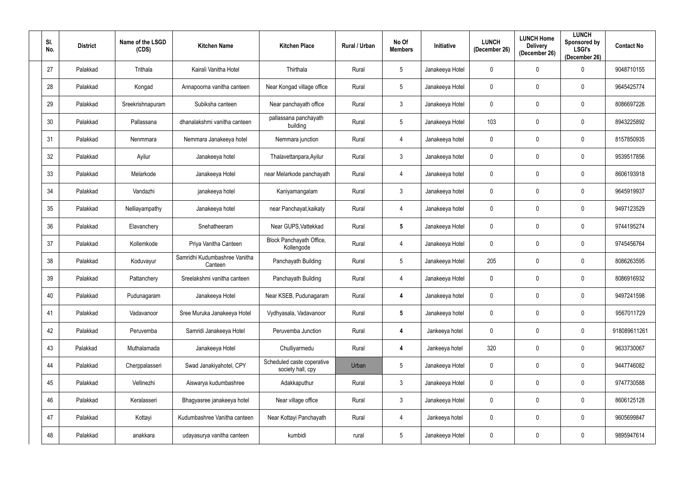| SI.<br>No. | <b>District</b> | Name of the LSGD<br>(CDS) | <b>Kitchen Name</b>                      | <b>Kitchen Place</b>                            | Rural / Urban | No Of<br><b>Members</b> | Initiative      | <b>LUNCH</b><br>(December 26) | <b>LUNCH Home</b><br><b>Delivery</b><br>(December 26) | <b>LUNCH</b><br>Sponsored by<br><b>LSGI's</b><br>(December 26) | <b>Contact No</b> |
|------------|-----------------|---------------------------|------------------------------------------|-------------------------------------------------|---------------|-------------------------|-----------------|-------------------------------|-------------------------------------------------------|----------------------------------------------------------------|-------------------|
| 27         | Palakkad        | Trithala                  | Kairali Vanitha Hotel                    | Thirthala                                       | Rural         | $5\overline{)}$         | Janakeeya Hotel | $\overline{0}$                | $\mathbf 0$                                           | $\Omega$                                                       | 9048710155        |
| 28         | Palakkad        | Kongad                    | Annapoorna vanitha canteen               | Near Kongad village office                      | Rural         | $5\phantom{.0}$         | Janakeeya Hotel | $\overline{0}$                | $\mathbf 0$                                           | $\mathbf{0}$                                                   | 9645425774        |
| 29         | Palakkad        | Sreekrishnapuram          | Subiksha canteen                         | Near panchayath office                          | Rural         | $\mathbf{3}$            | Janakeeya Hotel | $\overline{0}$                | $\mathbf 0$                                           | $\mathbf 0$                                                    | 8086697226        |
| 30         | Palakkad        | Pallassana                | dhanalakshmi vanitha canteen             | pallassana panchayath<br>building               | Rural         | $5\overline{)}$         | Janakeeya Hotel | 103                           | $\mathbf 0$                                           | $\mathbf 0$                                                    | 8943225892        |
| 31         | Palakkad        | Nenmmara                  | Nemmara Janakeeya hotel                  | Nemmara junction                                | Rural         | $\overline{4}$          | Janakeeya hotel | $\mathbf 0$                   | $\mathbf 0$                                           | $\mathbf 0$                                                    | 8157850935        |
| 32         | Palakkad        | Ayilur                    | Janakeeya hotel                          | Thalavettanpara, Ayilur                         | Rural         | $\mathbf{3}$            | Janakeeya hotel | $\overline{0}$                | $\overline{0}$                                        | $\mathbf{0}$                                                   | 9539517856        |
| 33         | Palakkad        | Melarkode                 | Janakeeya Hotel                          | near Melarkode panchayath                       | Rural         | 4                       | Janakeeya hotel | $\mathbf 0$                   | $\mathbf 0$                                           | $\mathbf 0$                                                    | 8606193918        |
| 34         | Palakkad        | Vandazhi                  | janakeeya hotel                          | Kaniyamangalam                                  | Rural         | $\mathbf{3}$            | Janakeeya hotel | $\overline{0}$                | $\overline{0}$                                        | $\mathbf{0}$                                                   | 9645919937        |
| 35         | Palakkad        | Nelliayampathy            | Janakeeya hotel                          | near Panchayat, kaikaty                         | Rural         | $\overline{4}$          | Janakeeya hotel | $\overline{0}$                | $\mathbf 0$                                           | $\mathbf 0$                                                    | 9497123529        |
| 36         | Palakkad        | Elavanchery               | Snehatheeram                             | Near GUPS, Vattekkad                            | Rural         | $5\phantom{.0}$         | Janakeeya Hotel | $\overline{0}$                | $\overline{0}$                                        | $\mathbf 0$                                                    | 9744195274        |
| 37         | Palakkad        | Kollemkode                | Priya Vanitha Canteen                    | Block Panchayath Office,<br>Kollengode          | Rural         | 4                       | Janakeeya Hotel | $\overline{0}$                | $\overline{0}$                                        | $\mathbf 0$                                                    | 9745456764        |
| 38         | Palakkad        | Koduvayur                 | Samridhi Kudumbashree Vanitha<br>Canteen | Panchayath Building                             | Rural         | $5\phantom{.0}$         | Janakeeya Hotel | 205                           | $\mathbf 0$                                           | $\mathbf 0$                                                    | 8086263595        |
| 39         | Palakkad        | Pattanchery               | Sreelakshmi vanitha canteen              | Panchayath Building                             | Rural         | $\overline{4}$          | Janakeeya Hotel | $\mathbf 0$                   | $\mathbf 0$                                           | $\mathbf 0$                                                    | 8086916932        |
| 40         | Palakkad        | Pudunagaram               | Janakeeya Hotel                          | Near KSEB, Pudunagaram                          | Rural         | $\overline{\mathbf{4}}$ | Janakeeya hotel | $\overline{0}$                | $\mathbf 0$                                           | $\mathbf 0$                                                    | 9497241598        |
| 41         | Palakkad        | Vadavanoor                | Sree Muruka Janakeeya Hotel              | Vydhyasala, Vadavanoor                          | Rural         | $5\overline{)}$         | Janakeeya hotel | $\overline{0}$                | $\mathbf 0$                                           | $\mathbf 0$                                                    | 9567011729        |
| 42         | Palakkad        | Peruvemba                 | Samridi Janakeeya Hotel                  | Peruvemba Junction                              | Rural         | $\overline{\mathbf{4}}$ | Jankeeya hotel  | $\overline{0}$                | $\mathbf 0$                                           | $\mathbf 0$                                                    | 918089611261      |
| 43         | Palakkad        | Muthalamada               | Janakeeya Hotel                          | Chulliyarmedu                                   | Rural         | $\overline{\mathbf{4}}$ | Jankeeya hotel  | 320                           | $\overline{0}$                                        | $\mathbf 0$                                                    | 9633730067        |
| 44         | Palakkad        | Cherppalasseri            | Swad Janakiyahotel, CPY                  | Scheduled caste coperative<br>society hall, cpy | Urban         | $5\phantom{.0}$         | Janakeeya Hotel | $\overline{0}$                | $\mathbf 0$                                           | $\mathbf 0$                                                    | 9447746082        |
| 45         | Palakkad        | Vellinezhi                | Aiswarya kudumbashree                    | Adakkaputhur                                    | Rural         | $\mathbf{3}$            | Janakeeya Hotel | $\overline{0}$                | $\mathbf 0$                                           | $\mathbf 0$                                                    | 9747730588        |
| 46         | Palakkad        | Keralasseri               | Bhagyasree janakeeya hotel               | Near village office                             | Rural         | $\mathbf{3}$            | Janakeeya Hotel | $\overline{0}$                | $\overline{0}$                                        | $\mathbf 0$                                                    | 8606125128        |
| 47         | Palakkad        | Kottayi                   | Kudumbashree Vanitha canteen             | Near Kottayi Panchayath                         | Rural         | 4                       | Jankeeya hotel  | $\overline{0}$                | $\overline{0}$                                        | $\mathbf 0$                                                    | 9605699847        |
| 48         | Palakkad        | anakkara                  | udayasurya vanitha canteen               | kumbidi                                         | rural         | $5\overline{)}$         | Janakeeya Hotel | $\overline{0}$                | $\overline{0}$                                        | $\mathbf 0$                                                    | 9895947614        |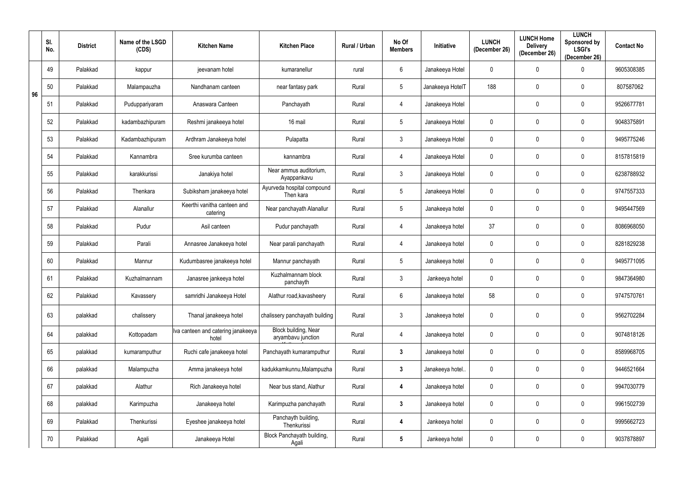|    | SI.<br>No. | <b>District</b> | Name of the LSGD<br>(CDS) | <b>Kitchen Name</b>                         | <b>Kitchen Place</b>                       | Rural / Urban | No Of<br><b>Members</b> | Initiative       | <b>LUNCH</b><br>(December 26) | <b>LUNCH Home</b><br><b>Delivery</b><br>(December 26) | <b>LUNCH</b><br>Sponsored by<br><b>LSGI's</b><br>(December 26) | <b>Contact No</b> |
|----|------------|-----------------|---------------------------|---------------------------------------------|--------------------------------------------|---------------|-------------------------|------------------|-------------------------------|-------------------------------------------------------|----------------------------------------------------------------|-------------------|
|    | 49         | Palakkad        | kappur                    | jeevanam hotel                              | kumaranellur                               | rural         | $6\overline{6}$         | Janakeeya Hotel  | 0                             | 0                                                     | $\Omega$                                                       | 9605308385        |
| 96 | 50         | Palakkad        | Malampauzha               | Nandhanam canteen                           | near fantasy park                          | Rural         | 5 <sup>5</sup>          | Janakeeya HotelT | 188                           | 0                                                     | 0                                                              | 807587062         |
|    | 51         | Palakkad        | Puduppariyaram            | Anaswara Canteen                            | Panchayath                                 | Rural         | $\overline{4}$          | Janakeeya Hotel  |                               | 0                                                     | 0                                                              | 9526677781        |
|    | 52         | Palakkad        | kadambazhipuram           | Reshmi janakeeya hotel                      | 16 mail                                    | Rural         | 5 <sup>5</sup>          | Janakeeya Hotel  | 0                             | 0                                                     | 0                                                              | 9048375891        |
|    | 53         | Palakkad        | Kadambazhipuram           | Ardhram Janakeeya hotel                     | Pulapatta                                  | Rural         | $\mathbf{3}$            | Janakeeya Hotel  | 0                             | $\mathbf 0$                                           | 0                                                              | 9495775246        |
|    | 54         | Palakkad        | Kannambra                 | Sree kurumba canteen                        | kannambra                                  | Rural         | $\overline{4}$          | Janakeeya Hotel  | 0                             | $\mathbf 0$                                           | 0                                                              | 8157815819        |
|    | 55         | Palakkad        | karakkurissi              | Janakiya hotel                              | Near ammus auditorium,<br>Ayappankavu      | Rural         | $\mathbf{3}$            | Janakeeya Hotel  | 0                             | $\mathbf 0$                                           | 0                                                              | 6238788932        |
|    | 56         | Palakkad        | Thenkara                  | Subiksham janakeeya hotel                   | Ayurveda hospital compound<br>Then kara    | Rural         | 5 <sup>5</sup>          | Janakeeya Hotel  | 0                             | $\mathbf 0$                                           | 0                                                              | 9747557333        |
|    | 57         | Palakkad        | Alanallur                 | Keerthi vanitha canteen and<br>catering     | Near panchayath Alanallur                  | Rural         | $5\phantom{.0}$         | Janakeeya hotel  | 0                             | $\mathbf 0$                                           | 0                                                              | 9495447569        |
|    | 58         | Palakkad        | Pudur                     | Asil canteen                                | Pudur panchayath                           | Rural         | 4                       | Janakeeya hotel  | 37                            | 0                                                     | 0                                                              | 8086968050        |
|    | 59         | Palakkad        | Parali                    | Annasree Janakeeya hotel                    | Near parali panchayath                     | Rural         | $\overline{4}$          | Janakeeya hotel  | 0                             | 0                                                     | 0                                                              | 8281829238        |
|    | 60         | Palakkad        | Mannur                    | Kudumbasree janakeeya hotel                 | Mannur panchayath                          | Rural         | 5 <sup>5</sup>          | Janakeeya hotel  | 0                             | 0                                                     | 0                                                              | 9495771095        |
|    | 61         | Palakkad        | Kuzhalmannam              | Janasree jankeeya hotel                     | Kuzhalmannam block<br>panchayth            | Rural         | $\mathbf{3}$            | Jankeeya hotel   | 0                             | $\mathbf 0$                                           | 0                                                              | 9847364980        |
|    | 62         | Palakkad        | Kavassery                 | samridhi Janakeeya Hotel                    | Alathur road, kavasheery                   | Rural         | $6\overline{6}$         | Janakeeya hotel  | 58                            | $\mathbf 0$                                           | $\mathbf 0$                                                    | 9747570761        |
|    | 63         | palakkad        | chalissery                | Thanal janakeeya hotel                      | chalissery panchayath building             | Rural         | $\mathfrak{Z}$          | Janakeeya hotel  | 0                             | $\pmb{0}$                                             | $\pmb{0}$                                                      | 9562702284        |
|    | 64         | palakkad        | Kottopadam                | Iva canteen and catering janakeeya<br>hotel | Block building, Near<br>aryambavu junction | Rural         | $\overline{4}$          | Janakeeya hotel  | 0                             | $\mathbf 0$                                           | $\mathbf 0$                                                    | 9074818126        |
|    | 65         | palakkad        | kumaramputhur             | Ruchi cafe janakeeya hotel                  | Panchayath kumaramputhur                   | Rural         | $\mathbf{3}$            | Janakeeya hotel  | $\overline{0}$                | $\mathbf 0$                                           | $\mathbf 0$                                                    | 8589968705        |
|    | 66         | palakkad        | Malampuzha                | Amma janakeeya hotel                        | kadukkamkunnu, Malampuzha                  | Rural         | $3\phantom{a}$          | Janakeeya hotel  | $\pmb{0}$                     | $\mathbf 0$                                           | $\mathbf 0$                                                    | 9446521664        |
|    | 67         | palakkad        | Alathur                   | Rich Janakeeya hotel                        | Near bus stand, Alathur                    | Rural         | 4                       | Janakeeya hotel  | $\pmb{0}$                     | $\mathbf 0$                                           | $\mathbf 0$                                                    | 9947030779        |
|    | 68         | palakkad        | Karimpuzha                | Janakeeya hotel                             | Karimpuzha panchayath                      | Rural         | $3\phantom{a}$          | Janakeeya hotel  | 0                             | $\mathbf 0$                                           | $\mathbf 0$                                                    | 9961502739        |
|    | 69         | Palakkad        | Thenkurissi               | Eyeshee janakeeya hotel                     | Panchayth building,<br>Thenkurissi         | Rural         | $\overline{\mathbf{4}}$ | Jankeeya hotel   | $\pmb{0}$                     | $\mathbf 0$                                           | 0                                                              | 9995662723        |
|    | 70         | Palakkad        | Agali                     | Janakeeya Hotel                             | Block Panchayath building,<br>Agali        | Rural         | $5\phantom{.0}$         | Jankeeya hotel   | 0                             | $\boldsymbol{0}$                                      | $\boldsymbol{0}$                                               | 9037878897        |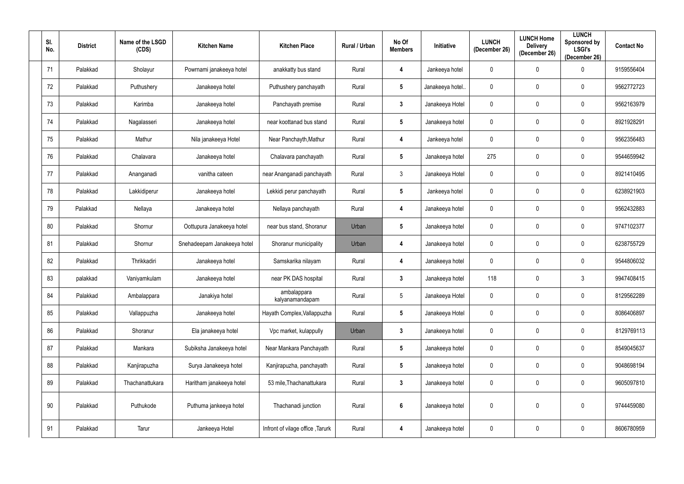| SI.<br>No. | <b>District</b> | Name of the LSGD<br>(CDS) | <b>Kitchen Name</b>         | <b>Kitchen Place</b>             | Rural / Urban | No Of<br><b>Members</b> | <b>Initiative</b> | <b>LUNCH</b><br>(December 26) | <b>LUNCH Home</b><br><b>Delivery</b><br>(December 26) | <b>LUNCH</b><br>Sponsored by<br><b>LSGI's</b><br>(December 26) | <b>Contact No</b> |
|------------|-----------------|---------------------------|-----------------------------|----------------------------------|---------------|-------------------------|-------------------|-------------------------------|-------------------------------------------------------|----------------------------------------------------------------|-------------------|
| 71         | Palakkad        | Sholayur                  | Powrnami janakeeya hotel    | anakkatty bus stand              | Rural         | 4                       | Jankeeya hotel    | $\boldsymbol{0}$              | $\mathbf 0$                                           | $\mathbf 0$                                                    | 9159556404        |
| 72         | Palakkad        | Puthushery                | Janakeeya hotel             | Puthushery panchayath            | Rural         | $5\phantom{.0}$         | Janakeeya hotel.  | $\boldsymbol{0}$              | $\mathbf 0$                                           | $\mathbf 0$                                                    | 9562772723        |
| 73         | Palakkad        | Karimba                   | Janakeeya hotel             | Panchayath premise               | Rural         | $3\phantom{a}$          | Janakeeya Hotel   | $\mathbf 0$                   | $\mathbf 0$                                           | $\mathbf 0$                                                    | 9562163979        |
| 74         | Palakkad        | Nagalasseri               | Janakeeya hotel             | near koottanad bus stand         | Rural         | $5\phantom{.0}$         | Janakeeya hotel   | $\boldsymbol{0}$              | $\mathbf 0$                                           | $\pmb{0}$                                                      | 8921928291        |
| 75         | Palakkad        | Mathur                    | Nila janakeeya Hotel        | Near Panchayth, Mathur           | Rural         | 4                       | Jankeeya hotel    | $\overline{0}$                | $\mathbf 0$                                           | $\mathbf 0$                                                    | 9562356483        |
| 76         | Palakkad        | Chalavara                 | Janakeeya hotel             | Chalavara panchayath             | Rural         | $5\overline{)}$         | Janakeeya hotel   | 275                           | $\mathbf 0$                                           | $\mathbf 0$                                                    | 9544659942        |
| 77         | Palakkad        | Ananganadi                | vanitha cateen              | near Ananganadi panchayath       | Rural         | $\mathbf{3}$            | Janakeeya Hotel   | $\overline{0}$                | $\mathbf 0$                                           | $\pmb{0}$                                                      | 8921410495        |
| 78         | Palakkad        | Lakkidiperur              | Janakeeya hotel             | Lekkidi perur panchayath         | Rural         | $5\phantom{.0}$         | Jankeeya hotel    | $\overline{0}$                | $\mathbf 0$                                           | $\mathbf 0$                                                    | 6238921903        |
| 79         | Palakkad        | Nellaya                   | Janakeeya hotel             | Nellaya panchayath               | Rural         | 4                       | Janakeeya hotel   | $\overline{0}$                | $\mathbf 0$                                           | $\pmb{0}$                                                      | 9562432883        |
| 80         | Palakkad        | Shornur                   | Oottupura Janakeeya hotel   | near bus stand, Shoranur         | Urban         | $5\phantom{.0}$         | Janakeeya hotel   | $\boldsymbol{0}$              | $\mathbf 0$                                           | $\mathbf 0$                                                    | 9747102377        |
| 81         | Palakkad        | Shornur                   | Snehadeepam Janakeeya hotel | Shoranur municipality            | Urban         | 4                       | Janakeeya hotel   | $\mathbf 0$                   | $\mathbf 0$                                           | $\mathbf 0$                                                    | 6238755729        |
| 82         | Palakkad        | Thrikkadiri               | Janakeeya hotel             | Samskarika nilayam               | Rural         | 4                       | Janakeeya hotel   | $\boldsymbol{0}$              | $\mathbf 0$                                           | $\mathbf 0$                                                    | 9544806032        |
| 83         | palakkad        | Vaniyamkulam              | Janakeeya hotel             | near PK DAS hospital             | Rural         | $3\phantom{a}$          | Janakeeya hotel   | 118                           | $\mathbf 0$                                           | 3                                                              | 9947408415        |
| 84         | Palakkad        | Ambalappara               | Janakiya hotel              | ambalappara<br>kalyanamandapam   | Rural         | $5\overline{)}$         | Janakeeya Hotel   | $\overline{0}$                | $\mathbf 0$                                           | $\pmb{0}$                                                      | 8129562289        |
| 85         | Palakkad        | Vallappuzha               | Janakeeya hotel             | Hayath Complex, Vallappuzha      | Rural         | 5 <sub>5</sub>          | Janakeeya Hotel   | $\mathbf 0$                   | $\mathbf 0$                                           | $\mathbf 0$                                                    | 8086406897        |
| 86         | Palakkad        | Shoranur                  | Ela janakeeya hotel         | Vpc market, kulappully           | Urban         | $3\phantom{a}$          | Janakeeya hotel   | $\overline{0}$                | $\boldsymbol{0}$                                      | $\pmb{0}$                                                      | 8129769113        |
| 87         | Palakkad        | Mankara                   | Subiksha Janakeeya hotel    | Near Mankara Panchayath          | Rural         | 5 <sub>5</sub>          | Janakeeya hotel   | $\overline{0}$                | $\mathbf 0$                                           | $\mathbf 0$                                                    | 8549045637        |
| 88         | Palakkad        | Kanjirapuzha              | Surya Janakeeya hotel       | Kanjirapuzha, panchayath         | Rural         | 5 <sub>5</sub>          | Janakeeya hotel   | $\overline{0}$                | $\boldsymbol{0}$                                      | $\mathbf 0$                                                    | 9048698194        |
| 89         | Palakkad        | Thachanattukara           | Haritham janakeeya hotel    | 53 mile, Thachanattukara         | Rural         | $3\phantom{a}$          | Janakeeya hotel   | $\mathbf 0$                   | $\boldsymbol{0}$                                      | $\mathbf 0$                                                    | 9605097810        |
| 90         | Palakkad        | Puthukode                 | Puthuma jankeeya hotel      | Thachanadi junction              | Rural         | $\boldsymbol{6}$        | Janakeeya hotel   | $\pmb{0}$                     | $\boldsymbol{0}$                                      | $\pmb{0}$                                                      | 9744459080        |
| 91         | Palakkad        | Tarur                     | Jankeeya Hotel              | Infront of vilage office, Tarurk | Rural         | $\overline{\mathbf{4}}$ | Janakeeya hotel   | $\pmb{0}$                     | $\boldsymbol{0}$                                      | $\pmb{0}$                                                      | 8606780959        |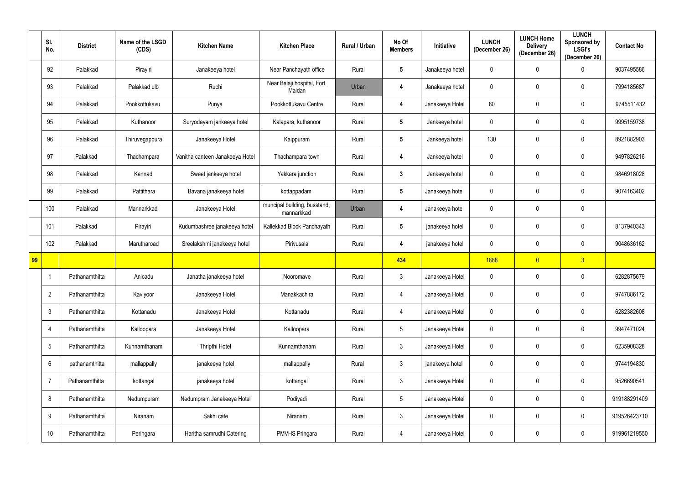|            | SI.<br>No.      | <b>District</b> | Name of the LSGD<br>(CDS) | <b>Kitchen Name</b>             | <b>Kitchen Place</b>                       | Rural / Urban | No Of<br><b>Members</b> | <b>Initiative</b> | <b>LUNCH</b><br>(December 26) | <b>LUNCH Home</b><br><b>Delivery</b><br>(December 26) | <b>LUNCH</b><br>Sponsored by<br><b>LSGI's</b><br>(December 26) | <b>Contact No</b> |
|------------|-----------------|-----------------|---------------------------|---------------------------------|--------------------------------------------|---------------|-------------------------|-------------------|-------------------------------|-------------------------------------------------------|----------------------------------------------------------------|-------------------|
|            | 92              | Palakkad        | Pirayiri                  | Janakeeya hotel                 | Near Panchayath office                     | Rural         | $5\phantom{.0}$         | Janakeeya hotel   | 0                             | $\mathbf 0$                                           | $\Omega$                                                       | 9037495586        |
|            | 93              | Palakkad        | Palakkad ulb              | Ruchi                           | Near Balaji hospital, Fort<br>Maidan       | Urban         | 4                       | Janakeeya hotel   | 0                             | $\mathbf 0$                                           | 0                                                              | 7994185687        |
|            | 94              | Palakkad        | Pookkottukavu             | Punya                           | Pookkottukavu Centre                       | Rural         | 4                       | Janakeeya Hotel   | 80                            | $\mathbf 0$                                           | 0                                                              | 9745511432        |
|            | 95              | Palakkad        | Kuthanoor                 | Suryodayam jankeeya hotel       | Kalapara, kuthanoor                        | Rural         | $5\phantom{.0}$         | Jankeeya hotel    | 0                             | 0                                                     | 0                                                              | 9995159738        |
|            | 96              | Palakkad        | Thiruvegappura            | Janakeeya Hotel                 | Kaippuram                                  | Rural         | $5\phantom{.0}$         | Jankeeya hotel    | 130                           | $\mathbf 0$                                           | $\mathbf 0$                                                    | 8921882903        |
|            | 97              | Palakkad        | Thachampara               | Vanitha canteen Janakeeya Hotel | Thachampara town                           | Rural         | $\overline{\mathbf{4}}$ | Jankeeya hotel    | 0                             | $\mathbf 0$                                           | 0                                                              | 9497826216        |
|            | 98              | Palakkad        | Kannadi                   | Sweet jankeeya hotel            | Yakkara junction                           | Rural         | $3\phantom{a}$          | Jankeeya hotel    | 0                             | $\pmb{0}$                                             | $\mathbf 0$                                                    | 9846918028        |
|            | 99              | Palakkad        | Pattithara                | Bavana janakeeya hotel          | kottappadam                                | Rural         | $5\phantom{.0}$         | Janakeeya hotel   | 0                             | $\mathbf 0$                                           | 0                                                              | 9074163402        |
|            | 100             | Palakkad        | Mannarkkad                | Janakeeya Hotel                 | muncipal building, busstand,<br>mannarkkad | Urban         | 4                       | Janakeeya hotel   | $\pmb{0}$                     | $\mathbf 0$                                           | $\mathbf 0$                                                    |                   |
|            | 101             | Palakkad        | Pirayiri                  | Kudumbashree janakeeya hotel    | Kallekkad Block Panchayath                 | Rural         | $5\phantom{.0}$         | janakeeya hotel   | 0                             | 0                                                     | 0                                                              | 8137940343        |
|            | 102             | Palakkad        | Marutharoad               | Sreelakshmi janakeeya hotel     | Pirivusala                                 | Rural         | 4                       | janakeeya hotel   | 0                             | $\boldsymbol{0}$                                      | $\mathbf 0$                                                    | 9048636162        |
| $\vert$ 99 |                 |                 |                           |                                 |                                            |               | 434                     |                   | 1888                          | $\overline{0}$                                        | $\overline{3}$                                                 |                   |
|            |                 | Pathanamthitta  | Anicadu                   | Janatha janakeeya hotel         | Nooromave                                  | Rural         | $\mathbf{3}$            | Janakeeya Hotel   | 0                             | $\mathbf 0$                                           | 0                                                              | 6282875679        |
|            | $\overline{2}$  | Pathanamthitta  | Kaviyoor                  | Janakeeya Hotel                 | Manakkachira                               | Rural         | $\overline{4}$          | Janakeeya Hotel   | $\pmb{0}$                     | $\mathbf 0$                                           | $\boldsymbol{0}$                                               | 9747886172        |
|            | $\mathfrak{Z}$  | Pathanamthitta  | Kottanadu                 | Janakeeya Hotel                 | Kottanadu                                  | Rural         | $\overline{4}$          | Janakeeya Hotel   | $\pmb{0}$                     | $\mathbf 0$                                           | $\mathbf 0$                                                    | 6282382608        |
|            | $\overline{4}$  | Pathanamthitta  | Kalloopara                | Janakeeya Hotel                 | Kalloopara                                 | Rural         | $5\overline{)}$         | Janakeeya Hotel   | $\mathbf 0$                   | $\mathbf 0$                                           | $\mathbf 0$                                                    | 9947471024        |
|            | $5\phantom{.0}$ | Pathanamthitta  | Kunnamthanam              | Thripthi Hotel                  | Kunnamthanam                               | Rural         | $\mathbf{3}$            | Janakeeya Hotel   | $\mathbf 0$                   | $\mathbf 0$                                           | $\mathbf 0$                                                    | 6235908328        |
|            | 6               | pathanamthitta  | mallappally               | janakeeya hotel                 | mallappally                                | Rural         | $\mathbf{3}$            | janakeeya hotel   | $\mathbf 0$                   | $\mathbf 0$                                           | $\mathbf 0$                                                    | 9744194830        |
|            | $\overline{7}$  | Pathanamthitta  | kottangal                 | janakeeya hotel                 | kottangal                                  | Rural         | $3\phantom{.0}$         | Janakeeya Hotel   | $\pmb{0}$                     | $\mathbf 0$                                           | $\pmb{0}$                                                      | 9526690541        |
|            | 8               | Pathanamthitta  | Nedumpuram                | Nedumpram Janakeeya Hotel       | Podiyadi                                   | Rural         | $5\overline{)}$         | Janakeeya Hotel   | $\mathbf 0$                   | $\mathbf 0$                                           | $\mathbf 0$                                                    | 919188291409      |
|            | 9               | Pathanamthitta  | Niranam                   | Sakhi cafe                      | Niranam                                    | Rural         | $\mathbf{3}$            | Janakeeya Hotel   | $\pmb{0}$                     | $\mathbf 0$                                           | $\mathbf 0$                                                    | 919526423710      |
|            | 10              | Pathanamthitta  | Peringara                 | Haritha samrudhi Catering       | <b>PMVHS Pringara</b>                      | Rural         | $\overline{4}$          | Janakeeya Hotel   | 0                             | $\pmb{0}$                                             | $\boldsymbol{0}$                                               | 919961219550      |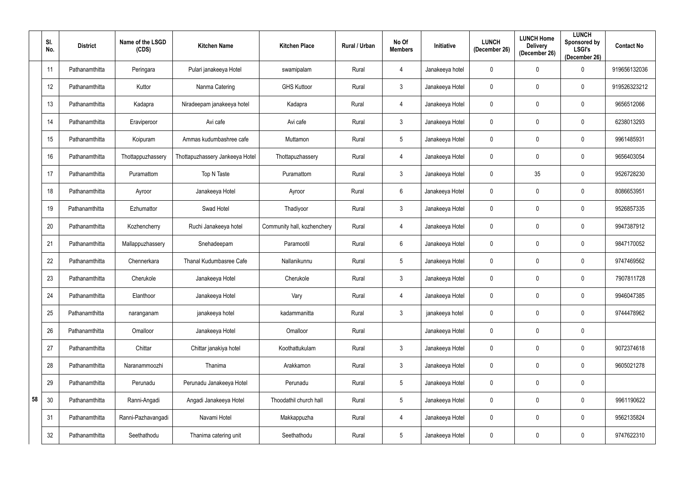|    | SI.<br>No. | <b>District</b> | Name of the LSGD<br>(CDS) | <b>Kitchen Name</b>             | <b>Kitchen Place</b>        | Rural / Urban | No Of<br><b>Members</b> | <b>Initiative</b> | <b>LUNCH</b><br>(December 26) | <b>LUNCH Home</b><br><b>Delivery</b><br>(December 26) | <b>LUNCH</b><br>Sponsored by<br><b>LSGI's</b><br>(December 26) | <b>Contact No</b> |
|----|------------|-----------------|---------------------------|---------------------------------|-----------------------------|---------------|-------------------------|-------------------|-------------------------------|-------------------------------------------------------|----------------------------------------------------------------|-------------------|
|    | 11         | Pathanamthitta  | Peringara                 | Pulari janakeeya Hotel          | swamipalam                  | Rural         | 4                       | Janakeeya hotel   | 0                             | $\boldsymbol{0}$                                      | 0                                                              | 919656132036      |
|    | 12         | Pathanamthitta  | Kuttor                    | Nanma Catering                  | <b>GHS Kuttoor</b>          | Rural         | $\mathbf{3}$            | Janakeeya Hotel   | 0                             | $\mathbf 0$                                           | $\mathbf{0}$                                                   | 919526323212      |
|    | 13         | Pathanamthitta  | Kadapra                   | Niradeepam janakeeya hotel      | Kadapra                     | Rural         | $\overline{4}$          | Janakeeya Hotel   | 0                             | $\boldsymbol{0}$                                      | $\mathbf{0}$                                                   | 9656512066        |
|    | 14         | Pathanamthitta  | Eraviperoor               | Avi cafe                        | Avi cafe                    | Rural         | $\mathbf{3}$            | Janakeeya Hotel   | 0                             | $\boldsymbol{0}$                                      | 0                                                              | 6238013293        |
|    | 15         | Pathanamthitta  | Koipuram                  | Ammas kudumbashree cafe         | Muttamon                    | Rural         | $5\overline{)}$         | Janakeeya Hotel   | 0                             | $\boldsymbol{0}$                                      | 0                                                              | 9961485931        |
|    | 16         | Pathanamthitta  | Thottappuzhassery         | Thottapuzhassery Jankeeya Hotel | Thottapuzhassery            | Rural         | 4                       | Janakeeya Hotel   | 0                             | $\mathbf 0$                                           | $\mathbf 0$                                                    | 9656403054        |
|    | 17         | Pathanamthitta  | Puramattom                | Top N Taste                     | Puramattom                  | Rural         | $\mathbf{3}$            | Janakeeya Hotel   | 0                             | 35                                                    | $\mathbf 0$                                                    | 9526728230        |
|    | 18         | Pathanamthitta  | Ayroor                    | Janakeeya Hotel                 | Ayroor                      | Rural         | $6\overline{6}$         | Janakeeya Hotel   | 0                             | $\boldsymbol{0}$                                      | $\mathbf{0}$                                                   | 8086653951        |
|    | 19         | Pathanamthitta  | Ezhumattor                | Swad Hotel                      | Thadiyoor                   | Rural         | $\mathbf{3}$            | Janakeeya Hotel   | $\mathbf 0$                   | $\mathbf 0$                                           | $\mathbf 0$                                                    | 9526857335        |
|    | 20         | Pathanamthitta  | Kozhencherry              | Ruchi Janakeeya hotel           | Community hall, kozhenchery | Rural         | 4                       | Janakeeya Hotel   | 0                             | 0                                                     | $\mathbf{0}$                                                   | 9947387912        |
|    | 21         | Pathanamthitta  | Mallappuzhassery          | Snehadeepam                     | Paramootil                  | Rural         | $6\overline{6}$         | Janakeeya Hotel   | 0                             | 0                                                     | 0                                                              | 9847170052        |
|    | 22         | Pathanamthitta  | Chennerkara               | Thanal Kudumbasree Cafe         | Nallanikunnu                | Rural         | 5 <sub>5</sub>          | Janakeeya Hotel   | 0                             | $\boldsymbol{0}$                                      | $\mathbf{0}$                                                   | 9747469562        |
|    | 23         | Pathanamthitta  | Cherukole                 | Janakeeya Hotel                 | Cherukole                   | Rural         | $\mathbf{3}$            | Janakeeya Hotel   | $\mathbf 0$                   | $\mathbf 0$                                           | $\mathbf 0$                                                    | 7907811728        |
|    | 24         | Pathanamthitta  | Elanthoor                 | Janakeeya Hotel                 | Vary                        | Rural         | $\overline{4}$          | Janakeeya Hotel   | $\overline{0}$                | $\mathbf 0$                                           | $\mathbf 0$                                                    | 9946047385        |
|    | 25         | Pathanamthitta  | naranganam                | janakeeya hotel                 | kadammanitta                | Rural         | $3\phantom{.0}$         | janakeeya hotel   | 0                             | $\mathbf 0$                                           | $\mathbf 0$                                                    | 9744478962        |
|    | 26         | Pathanamthitta  | Omalloor                  | Janakeeya Hotel                 | Omalloor                    | Rural         |                         | Janakeeya Hotel   | $\mathbf 0$                   | $\mathbf 0$                                           | $\mathbf 0$                                                    |                   |
|    | 27         | Pathanamthitta  | Chittar                   | Chittar janakiya hotel          | Koothattukulam              | Rural         | $\mathbf{3}$            | Janakeeya Hotel   | $\mathbf 0$                   | $\mathbf 0$                                           | $\mathbf 0$                                                    | 9072374618        |
|    | 28         | Pathanamthitta  | Naranammoozhi             | Thanima                         | Arakkamon                   | Rural         | $\mathbf{3}$            | Janakeeya Hotel   | $\mathbf 0$                   | $\mathbf 0$                                           | $\mathbf 0$                                                    | 9605021278        |
|    | 29         | Pathanamthitta  | Perunadu                  | Perunadu Janakeeya Hotel        | Perunadu                    | Rural         | $5\phantom{.0}$         | Janakeeya Hotel   | $\pmb{0}$                     | $\mathbf 0$                                           | $\mathbf 0$                                                    |                   |
| 58 | 30         | Pathanamthitta  | Ranni-Angadi              | Angadi Janakeeya Hotel          | Thoodathil church hall      | Rural         | $5\phantom{.0}$         | Janakeeya Hotel   | $\mathbf 0$                   | $\mathbf 0$                                           | $\mathbf 0$                                                    | 9961190622        |
|    | 31         | Pathanamthitta  | Ranni-Pazhavangadi        | Navami Hotel                    | Makkappuzha                 | Rural         | $\overline{4}$          | Janakeeya Hotel   | 0                             | $\mathbf 0$                                           | $\mathbf 0$                                                    | 9562135824        |
|    | 32         | Pathanamthitta  | Seethathodu               | Thanima catering unit           | Seethathodu                 | Rural         | $5\phantom{.0}$         | Janakeeya Hotel   | $\pmb{0}$                     | $\mathbf 0$                                           | $\boldsymbol{0}$                                               | 9747622310        |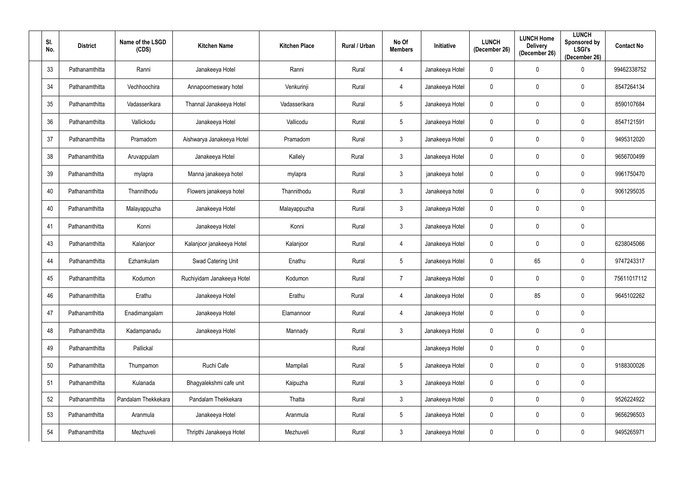| SI.<br>No. | <b>District</b> | Name of the LSGD<br>(CDS) | <b>Kitchen Name</b>        | <b>Kitchen Place</b> | Rural / Urban | No Of<br><b>Members</b> | <b>Initiative</b> | <b>LUNCH</b><br>(December 26) | <b>LUNCH Home</b><br><b>Delivery</b><br>(December 26) | <b>LUNCH</b><br>Sponsored by<br><b>LSGI's</b><br>(December 26) | <b>Contact No</b> |
|------------|-----------------|---------------------------|----------------------------|----------------------|---------------|-------------------------|-------------------|-------------------------------|-------------------------------------------------------|----------------------------------------------------------------|-------------------|
| 33         | Pathanamthitta  | Ranni                     | Janakeeya Hotel            | Ranni                | Rural         | 4                       | Janakeeya Hotel   | $\mathbf 0$                   | $\mathbf 0$                                           | 0                                                              | 99462338752       |
| 34         | Pathanamthitta  | Vechhoochira              | Annapoorneswary hotel      | Venkurinji           | Rural         | $\overline{4}$          | Janakeeya Hotel   | $\mathbf 0$                   | $\mathbf 0$                                           | 0                                                              | 8547264134        |
| 35         | Pathanamthitta  | Vadasserikara             | Thannal Janakeeya Hotel    | Vadasserikara        | Rural         | $5\overline{)}$         | Janakeeya Hotel   | $\mathbf 0$                   | $\mathbf 0$                                           | $\mathbf 0$                                                    | 8590107684        |
| 36         | Pathanamthitta  | Vallickodu                | Janakeeya Hotel            | Vallicodu            | Rural         | $5\overline{)}$         | Janakeeya Hotel   | $\mathbf 0$                   | $\mathbf 0$                                           | 0                                                              | 8547121591        |
| 37         | Pathanamthitta  | Pramadom                  | Aishwarya Janakeeya Hotel  | Pramadom             | Rural         | $\mathbf{3}$            | Janakeeya Hotel   | $\mathbf 0$                   | $\mathbf 0$                                           | $\mathbf 0$                                                    | 9495312020        |
| 38         | Pathanamthitta  | Aruvappulam               | Janakeeya Hotel            | Kallely              | Rural         | $\mathbf{3}$            | Janakeeya Hotel   | $\mathbf 0$                   | $\overline{0}$                                        | $\mathbf 0$                                                    | 9656700499        |
| 39         | Pathanamthitta  | mylapra                   | Manna janakeeya hotel      | mylapra              | Rural         | $\mathbf{3}$            | janakeeya hotel   | $\overline{0}$                | $\overline{0}$                                        | $\mathbf 0$                                                    | 9961750470        |
| 40         | Pathanamthitta  | Thannithodu               | Flowers janakeeya hotel    | Thannithodu          | Rural         | $\mathbf{3}$            | Janakeeya hotel   | $\mathbf 0$                   | $\overline{0}$                                        | $\mathbf 0$                                                    | 9061295035        |
| 40         | Pathanamthitta  | Malayappuzha              | Janakeeya Hotel            | Malayappuzha         | Rural         | $\mathbf{3}$            | Janakeeya Hotel   | $\mathbf 0$                   | $\overline{0}$                                        | $\mathbf 0$                                                    |                   |
| 41         | Pathanamthitta  | Konni                     | Janakeeya Hotel            | Konni                | Rural         | $3\phantom{.0}$         | Janakeeya Hotel   | $\mathbf 0$                   | $\mathbf 0$                                           | $\mathbf 0$                                                    |                   |
| 43         | Pathanamthitta  | Kalanjoor                 | Kalanjoor janakeeya Hotel  | Kalanjoor            | Rural         | 4                       | Janakeeya Hotel   | $\mathbf 0$                   | $\overline{0}$                                        | $\mathbf 0$                                                    | 6238045066        |
| 44         | Pathanamthitta  | Ezhamkulam                | Swad Catering Unit         | Enathu               | Rural         | $5\overline{)}$         | Janakeeya Hotel   | $\mathbf 0$                   | 65                                                    | 0                                                              | 9747243317        |
| 45         | Pathanamthitta  | Kodumon                   | Ruchiyidam Janakeeya Hotel | Kodumon              | Rural         | $\overline{7}$          | Janakeeya Hotel   | $\overline{0}$                | $\mathbf 0$                                           | $\mathbf 0$                                                    | 75611017112       |
| 46         | Pathanamthitta  | Erathu                    | Janakeeya Hotel            | Erathu               | Rural         | 4                       | Janakeeya Hotel   | $\overline{0}$                | 85                                                    | $\mathbf 0$                                                    | 9645102262        |
| 47         | Pathanamthitta  | Enadimangalam             | Janakeeya Hotel            | Elamannoor           | Rural         | $\overline{4}$          | Janakeeya Hotel   | $\overline{0}$                | $\overline{0}$                                        | $\pmb{0}$                                                      |                   |
| 48         | Pathanamthitta  | Kadampanadu               | Janakeeya Hotel            | Mannady              | Rural         | 3 <sup>1</sup>          | Janakeeya Hotel   | $\overline{0}$                | $\mathbf 0$                                           | $\pmb{0}$                                                      |                   |
| 49         | Pathanamthitta  | Pallickal                 |                            |                      | Rural         |                         | Janakeeya Hotel   | $\overline{0}$                | $\mathbf 0$                                           | $\pmb{0}$                                                      |                   |
| 50         | Pathanamthitta  | Thumpamon                 | Ruchi Cafe                 | Mampilali            | Rural         | $5\phantom{.0}$         | Janakeeya Hotel   | $\overline{0}$                | $\mathbf 0$                                           | $\mathbf 0$                                                    | 9188300026        |
| 51         | Pathanamthitta  | Kulanada                  | Bhagyalekshmi cafe unit    | Kaipuzha             | Rural         | $\mathfrak{Z}$          | Janakeeya Hotel   | $\overline{0}$                | $\mathbf 0$                                           | $\pmb{0}$                                                      |                   |
| 52         | Pathanamthitta  | Pandalam Thekkekara       | Pandalam Thekkekara        | Thatta               | Rural         | 3 <sup>1</sup>          | Janakeeya Hotel   | $\overline{0}$                | $\overline{0}$                                        | $\mathbf 0$                                                    | 9526224922        |
| 53         | Pathanamthitta  | Aranmula                  | Janakeeya Hotel            | Aranmula             | Rural         | 5 <sub>5</sub>          | Janakeeya Hotel   | $\overline{0}$                | $\mathbf 0$                                           | $\mathbf 0$                                                    | 9656296503        |
| 54         | Pathanamthitta  | Mezhuveli                 | Thripthi Janakeeya Hotel   | Mezhuveli            | Rural         | $\mathbf{3}$            | Janakeeya Hotel   | $\overline{0}$                | $\overline{0}$                                        | $\pmb{0}$                                                      | 9495265971        |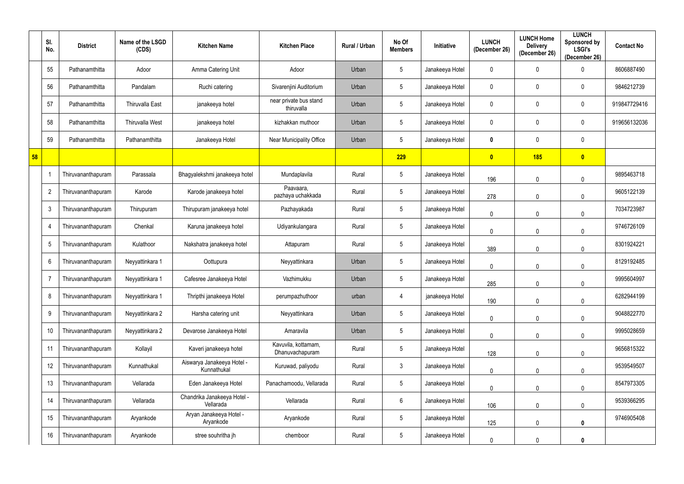|    | SI.<br>No.      | <b>District</b>    | Name of the LSGD<br>(CDS) | <b>Kitchen Name</b>                       | <b>Kitchen Place</b>                   | Rural / Urban | No Of<br><b>Members</b> | <b>Initiative</b> | <b>LUNCH</b><br>(December 26) | <b>LUNCH Home</b><br><b>Delivery</b><br>(December 26) | <b>LUNCH</b><br>Sponsored by<br><b>LSGI's</b><br>(December 26) | <b>Contact No</b> |
|----|-----------------|--------------------|---------------------------|-------------------------------------------|----------------------------------------|---------------|-------------------------|-------------------|-------------------------------|-------------------------------------------------------|----------------------------------------------------------------|-------------------|
|    | 55              | Pathanamthitta     | Adoor                     | Amma Catering Unit                        | Adoor                                  | Urban         | $5\overline{)}$         | Janakeeya Hotel   | 0                             | 0                                                     | 0                                                              | 8606887490        |
|    | 56              | Pathanamthitta     | Pandalam                  | Ruchi catering                            | Sivarenjini Auditorium                 | Urban         | $5\phantom{.0}$         | Janakeeya Hotel   | 0                             | 0                                                     | 0                                                              | 9846212739        |
|    | 57              | Pathanamthitta     | <b>Thiruvalla East</b>    | janakeeya hotel                           | near private bus stand<br>thiruvalla   | Urban         | $5\overline{)}$         | Janakeeya Hotel   | 0                             | 0                                                     | $\mathbf 0$                                                    | 919847729416      |
|    | 58              | Pathanamthitta     | <b>Thiruvalla West</b>    | janakeeya hotel                           | kizhakkan muthoor                      | Urban         | $5\phantom{.0}$         | Janakeeya Hotel   | 0                             | 0                                                     | 0                                                              | 919656132036      |
|    | 59              | Pathanamthitta     | Pathanamthitta            | Janakeeya Hotel                           | Near Municipality Office               | Urban         | $5\overline{)}$         | Janakeeya Hotel   | 0                             | 0                                                     | $\mathbf 0$                                                    |                   |
| 58 |                 |                    |                           |                                           |                                        |               | 229                     |                   | $\bullet$                     | 185                                                   | $\bullet$                                                      |                   |
|    |                 | Thiruvananthapuram | Parassala                 | Bhagyalekshmi janakeeya hotel             | Mundaplavila                           | Rural         | $5\overline{)}$         | Janakeeya Hotel   | 196                           | 0                                                     | $\Omega$                                                       | 9895463718        |
|    | $\overline{2}$  | Thiruvananthapuram | Karode                    | Karode janakeeya hotel                    | Paavaara,<br>pazhaya uchakkada         | Rural         | $5\phantom{.0}$         | Janakeeya Hotel   | 278                           | $\mathbf 0$                                           | $\mathbf 0$                                                    | 9605122139        |
|    | $\mathbf{3}$    | Thiruvananthapuram | Thirupuram                | Thirupuram janakeeya hotel                | Pazhayakada                            | Rural         | $5\overline{)}$         | Janakeeya Hotel   | $\mathbf 0$                   | 0                                                     | $\mathbf{0}$                                                   | 7034723987        |
|    | $\overline{4}$  | Thiruvananthapuram | Chenkal                   | Karuna janakeeya hotel                    | Udiyankulangara                        | Rural         | $5\overline{)}$         | Janakeeya Hotel   | $\mathbf 0$                   | $\mathbf 0$                                           | $\Omega$                                                       | 9746726109        |
|    | 5               | Thiruvananthapuram | Kulathoor                 | Nakshatra janakeeya hotel                 | Attapuram                              | Rural         | $5\overline{)}$         | Janakeeya Hotel   | 389                           | 0                                                     | $\mathbf 0$                                                    | 8301924221        |
|    | $6\phantom{.}6$ | Thiruvananthapuram | Neyyattinkara 1           | Oottupura                                 | Neyyattinkara                          | Urban         | $5\phantom{.0}$         | Janakeeya Hotel   | $\mathbf 0$                   | $\mathbf 0$                                           | $\mathbf 0$                                                    | 8129192485        |
|    | -7              | Thiruvananthapuram | Neyyattinkara 1           | Cafesree Janakeeya Hotel                  | Vazhimukku                             | Urban         | $5\overline{)}$         | Janakeeya Hotel   | 285                           | 0                                                     | $\theta$                                                       | 9995604997        |
|    | 8               | Thiruvananthapuram | Neyyattinkara 1           | Thripthi janakeeya Hotel                  | perumpazhuthoor                        | urban         | 4                       | janakeeya Hotel   | 190                           | 0                                                     | $\mathbf 0$                                                    | 6282944199        |
|    | 9               | Thiruvananthapuram | Neyyattinkara 2           | Harsha catering unit                      | Neyyattinkara                          | Urban         | $5\phantom{.0}$         | Janakeeya Hotel   | 0                             | 0                                                     | $\mathbf 0$                                                    | 9048822770        |
|    | 10              | Thiruvananthapuram | Neyyattinkara 2           | Devarose Janakeeya Hotel                  | Amaravila                              | Urban         | $5\phantom{.0}$         | Janakeeya Hotel   | $\mathbf 0$                   | 0                                                     | $\mathbf 0$                                                    | 9995028659        |
|    | 11              | Thiruvananthapuram | Kollayil                  | Kaveri janakeeya hotel                    | Kavuvila, kottamam,<br>Dhanuvachapuram | Rural         | $5\overline{)}$         | Janakeeya Hotel   | 128                           | $\mathbf 0$                                           | $\mathbf 0$                                                    | 9656815322        |
|    | 12              | Thiruvananthapuram | Kunnathukal               | Aiswarya Janakeeya Hotel -<br>Kunnathukal | Kuruwad, paliyodu                      | Rural         | $\mathbf{3}$            | Janakeeya Hotel   | $\mathbf 0$                   | $\mathbf 0$                                           | $\pmb{0}$                                                      | 9539549507        |
|    | 13              | Thiruvananthapuram | Vellarada                 | Eden Janakeeya Hotel                      | Panachamoodu, Vellarada                | Rural         | $5\overline{)}$         | Janakeeya Hotel   | 0                             | $\mathbf 0$                                           | $\mathbf 0$                                                    | 8547973305        |
|    | 14              | Thiruvananthapuram | Vellarada                 | Chandrika Janakeeya Hotel -<br>Vellarada  | Vellarada                              | Rural         | $6\overline{6}$         | Janakeeya Hotel   | 106                           | 0                                                     | $\mathbf 0$                                                    | 9539366295        |
|    | 15              | Thiruvananthapuram | Aryankode                 | Aryan Janakeeya Hotel -<br>Aryankode      | Aryankode                              | Rural         | $5\overline{)}$         | Janakeeya Hotel   | 125                           | 0                                                     | 0                                                              | 9746905408        |
|    | 16              | Thiruvananthapuram | Aryankode                 | stree souhritha jh                        | chemboor                               | Rural         | $5\phantom{.0}$         | Janakeeya Hotel   | 0                             |                                                       | 0                                                              |                   |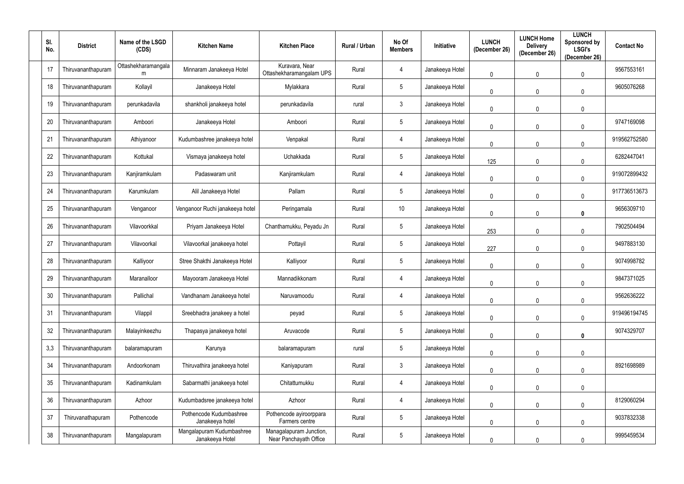| SI.<br>No. | <b>District</b>    | Name of the LSGD<br>(CDS) | <b>Kitchen Name</b>                          | <b>Kitchen Place</b>                              | Rural / Urban | No Of<br><b>Members</b> | <b>Initiative</b> | <b>LUNCH</b><br>(December 26) | <b>LUNCH Home</b><br><b>Delivery</b><br>(December 26) | <b>LUNCH</b><br>Sponsored by<br><b>LSGI's</b><br>(December 26) | <b>Contact No</b> |
|------------|--------------------|---------------------------|----------------------------------------------|---------------------------------------------------|---------------|-------------------------|-------------------|-------------------------------|-------------------------------------------------------|----------------------------------------------------------------|-------------------|
| 17         | Thiruvananthapuram | Ottashekharamangala<br>m  | Minnaram Janakeeya Hotel                     | Kuravara, Near<br>Ottashekharamangalam UPS        | Rural         | 4                       | Janakeeya Hotel   | $\mathbf 0$                   | $\mathbf 0$                                           | $\mathbf 0$                                                    | 9567553161        |
| 18         | Thiruvananthapuram | Kollayil                  | Janakeeya Hotel                              | Mylakkara                                         | Rural         | $5\overline{)}$         | Janakeeya Hotel   | $\mathbf 0$                   | $\mathbf 0$                                           | $\mathbf{0}$                                                   | 9605076268        |
| 19         | Thiruvananthapuram | perunkadavila             | shankholi janakeeya hotel                    | perunkadavila                                     | rural         | $\mathbf{3}$            | Janakeeya Hotel   | $\mathbf 0$                   | $\mathbf 0$                                           | 0                                                              |                   |
| 20         | Thiruvananthapuram | Amboori                   | Janakeeya Hotel                              | Amboori                                           | Rural         | $5\phantom{.0}$         | Janakeeya Hotel   | $\mathbf 0$                   | $\mathbf 0$                                           | $\mathbf 0$                                                    | 9747169098        |
| 21         | Thiruvananthapuram | Athiyanoor                | Kudumbashree janakeeya hotel                 | Venpakal                                          | Rural         | 4                       | Janakeeya Hotel   | $\mathbf 0$                   | $\mathbf 0$                                           | 0                                                              | 919562752580      |
| 22         | Thiruvananthapuram | Kottukal                  | Vismaya janakeeya hotel                      | Uchakkada                                         | Rural         | $5\phantom{.0}$         | Janakeeya Hotel   | 125                           | $\mathbf 0$                                           | $\mathbf 0$                                                    | 6282447041        |
| 23         | Thiruvananthapuram | Kanjiramkulam             | Padaswaram unit                              | Kanjiramkulam                                     | Rural         | 4                       | Janakeeya Hotel   | $\mathbf 0$                   | $\mathbf 0$                                           | $\mathbf{0}$                                                   | 919072899432      |
| 24         | Thiruvananthapuram | Karumkulam                | Alil Janakeeya Hotel                         | Pallam                                            | Rural         | $5\phantom{.0}$         | Janakeeya Hotel   | $\mathbf 0$                   | $\mathbf 0$                                           | $\mathbf 0$                                                    | 917736513673      |
| 25         | Thiruvananthapuram | Venganoor                 | Venganoor Ruchi janakeeya hotel              | Peringamala                                       | Rural         | 10 <sup>°</sup>         | Janakeeya Hotel   | $\overline{0}$                | $\mathbf 0$                                           | $\mathbf 0$                                                    | 9656309710        |
| 26         | Thiruvananthapuram | Vilavoorkkal              | Priyam Janakeeya Hotel                       | Chanthamukku, Peyadu Jn                           | Rural         | $5\phantom{.0}$         | Janakeeya Hotel   | 253                           | $\mathbf{0}$                                          | $\mathbf 0$                                                    | 7902504494        |
| 27         | Thiruvananthapuram | Vilavoorkal               | Vilavoorkal janakeeya hotel                  | Pottayil                                          | Rural         | $5\overline{)}$         | Janakeeya Hotel   | 227                           | $\mathbf 0$                                           | $\mathbf 0$                                                    | 9497883130        |
| 28         | Thiruvananthapuram | Kalliyoor                 | Stree Shakthi Janakeeya Hotel                | Kalliyoor                                         | Rural         | $5\overline{)}$         | Janakeeya Hotel   | $\mathbf 0$                   | $\mathbf{0}$                                          | $\mathbf 0$                                                    | 9074998782        |
| 29         | Thiruvananthapuram | Maranalloor               | Mayooram Janakeeya Hotel                     | Mannadikkonam                                     | Rural         | 4                       | Janakeeya Hotel   | $\mathbf 0$                   | $\mathbf 0$                                           | 0                                                              | 9847371025        |
| 30         | Thiruvananthapuram | Pallichal                 | Vandhanam Janakeeya hotel                    | Naruvamoodu                                       | Rural         | 4                       | Janakeeya Hotel   | $\mathbf 0$                   | $\mathbf 0$                                           | $\mathbf 0$                                                    | 9562636222        |
| 31         | Thiruvananthapuram | Vilappil                  | Sreebhadra janakeey a hotel                  | peyad                                             | Rural         | $5\overline{)}$         | Janakeeya Hotel   | $\mathbf 0$                   | $\mathbf 0$                                           | 0                                                              | 919496194745      |
| 32         | Thiruvananthapuram | Malayinkeezhu             | Thapasya janakeeya hotel                     | Aruvacode                                         | Rural         | $\sqrt{5}$              | Janakeeya Hotel   | $\mathbf 0$                   | $\mathbf 0$                                           | $\mathbf 0$                                                    | 9074329707        |
| 3,3        | Thiruvananthapuram | balaramapuram             | Karunya                                      | balaramapuram                                     | rural         | $5\overline{)}$         | Janakeeya Hotel   | $\pmb{0}$                     | $\mathbf{0}$                                          | $\mathbf 0$                                                    |                   |
| 34         | Thiruvananthapuram | Andoorkonam               | Thiruvathira janakeeya hotel                 | Kaniyapuram                                       | Rural         | $\mathfrak{Z}$          | Janakeeya Hotel   | $\overline{0}$                | $\mathbf 0$                                           | $\mathbf 0$                                                    | 8921698989        |
| 35         | Thiruvananthapuram | Kadinamkulam              | Sabarmathi janakeeya hotel                   | Chitattumukku                                     | Rural         | $\overline{4}$          | Janakeeya Hotel   | $\pmb{0}$                     | $\mathbf{0}$                                          | $\mathbf 0$                                                    |                   |
| 36         | Thiruvananthapuram | Azhoor                    | Kudumbadsree janakeeya hotel                 | Azhoor                                            | Rural         | $\overline{4}$          | Janakeeya Hotel   | $\pmb{0}$                     | $\mathbf 0$                                           | $\mathbf 0$                                                    | 8129060294        |
| 37         | Thiruvanathapuram  | Pothencode                | Pothencode Kudumbashree<br>Janakeeya hotel   | Pothencode ayiroorppara<br>Farmers centre         | Rural         | $5\phantom{.0}$         | Janakeeya Hotel   | $\mathbf 0$                   | $\mathbf 0$                                           | $\mathbf 0$                                                    | 9037832338        |
| 38         | Thiruvananthapuram | Mangalapuram              | Mangalapuram Kudumbashree<br>Janakeeya Hotel | Managalapuram Junction,<br>Near Panchayath Office | Rural         | $5\overline{)}$         | Janakeeya Hotel   | $\boldsymbol{0}$              |                                                       |                                                                | 9995459534        |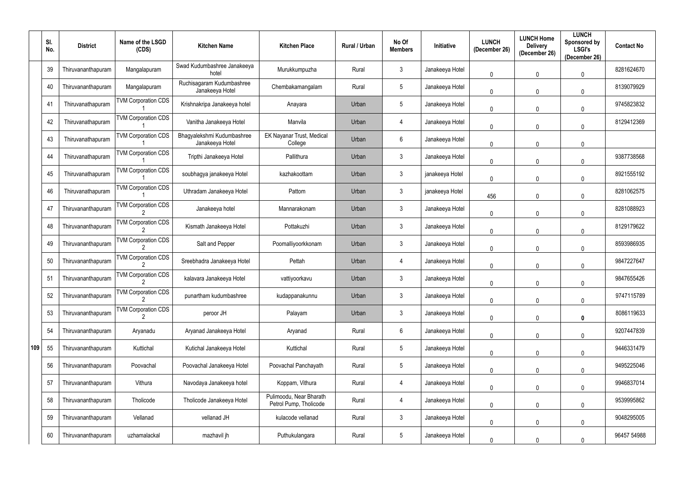|     | SI.<br>No. | <b>District</b>    | Name of the LSGD<br>(CDS)  | <b>Kitchen Name</b>                           | <b>Kitchen Place</b>                              | Rural / Urban | No Of<br><b>Members</b> | <b>Initiative</b> | <b>LUNCH</b><br>(December 26) | <b>LUNCH Home</b><br><b>Delivery</b><br>(December 26) | <b>LUNCH</b><br>Sponsored by<br><b>LSGI's</b><br>(December 26) | <b>Contact No</b> |
|-----|------------|--------------------|----------------------------|-----------------------------------------------|---------------------------------------------------|---------------|-------------------------|-------------------|-------------------------------|-------------------------------------------------------|----------------------------------------------------------------|-------------------|
|     | 39         | Thiruvananthapuram | Mangalapuram               | Swad Kudumbashree Janakeeya<br>hotel          | Murukkumpuzha                                     | Rural         | $\mathbf{3}$            | Janakeeya Hotel   | 0                             | $\mathbf 0$                                           | $\theta$                                                       | 8281624670        |
|     | 40         | Thiruvananthapuram | Mangalapuram               | Ruchisagaram Kudumbashree<br>Janakeeya Hotel  | Chembakamangalam                                  | Rural         | $5\overline{)}$         | Janakeeya Hotel   | 0                             | $\mathbf 0$                                           | $\mathbf 0$                                                    | 8139079929        |
|     | 41         | Thiruvanathapuram  | <b>TVM Corporation CDS</b> | Krishnakripa Janakeeya hotel                  | Anayara                                           | Urban         | $5\overline{)}$         | Janakeeya Hotel   | 0                             | $\mathbf 0$                                           | 0                                                              | 9745823832        |
|     | 42         | Thiruvanathapuram  | <b>TVM Corporation CDS</b> | Vanitha Janakeeya Hotel                       | Manvila                                           | Urban         | 4                       | Janakeeya Hotel   | 0                             | 0                                                     | 0                                                              | 8129412369        |
|     | 43         | Thiruvanathapuram  | <b>TVM Corporation CDS</b> | Bhagyalekshmi Kudumbashree<br>Janakeeya Hotel | EK Nayanar Trust, Medical<br>College              | Urban         | $6\overline{6}$         | Janakeeya Hotel   | 0                             | 0                                                     | $\mathbf 0$                                                    |                   |
|     | 44         | Thiruvanathapuram  | <b>TVM Corporation CDS</b> | Tripthi Janakeeya Hotel                       | Pallithura                                        | Urban         | $\mathbf{3}$            | Janakeeya Hotel   | $\mathbf 0$                   | 0                                                     | 0                                                              | 9387738568        |
|     | 45         | Thiruvanathapuram  | <b>TVM Corporation CDS</b> | soubhagya janakeeya Hotel                     | kazhakoottam                                      | Urban         | $\mathbf{3}$            | janakeeya Hotel   | $\mathbf 0$                   | 0                                                     | $\mathbf{0}$                                                   | 8921555192        |
|     | 46         | Thiruvanathapuram  | <b>TVM Corporation CDS</b> | Uthradam Janakeeya Hotel                      | Pattom                                            | Urban         | $\mathbf{3}$            | janakeeya Hotel   | 456                           | $\Omega$                                              | $\mathbf{0}$                                                   | 8281062575        |
|     | 47         | Thiruvananthapuram | <b>TVM Corporation CDS</b> | Janakeeya hotel                               | Mannarakonam                                      | Urban         | $\mathbf{3}$            | Janakeeya Hotel   | 0                             | 0                                                     | $\mathbf 0$                                                    | 8281088923        |
|     | 48         | Thiruvananthapuram | <b>TVM Corporation CDS</b> | Kismath Janakeeya Hotel                       | Pottakuzhi                                        | Urban         | $\mathbf{3}$            | Janakeeya Hotel   | $\mathbf 0$                   | $\Omega$                                              | $\mathbf{0}$                                                   | 8129179622        |
|     | 49         | Thiruvananthapuram | <b>TVM Corporation CDS</b> | Salt and Pepper                               | Poomalliyoorkkonam                                | Urban         | $\mathbf{3}$            | Janakeeya Hotel   | $\mathbf 0$                   | 0                                                     | $\mathbf 0$                                                    | 8593986935        |
|     | 50         | Thiruvananthapuram | <b>TVM Corporation CDS</b> | Sreebhadra Janakeeya Hotel                    | Pettah                                            | Urban         | 4                       | Janakeeya Hotel   | 0                             | 0                                                     | $\mathbf 0$                                                    | 9847227647        |
|     | 51         | Thiruvananthapuram | <b>TVM Corporation CDS</b> | kalavara Janakeeya Hotel                      | vattiyoorkavu                                     | Urban         | $\mathbf{3}$            | Janakeeya Hotel   | 0                             |                                                       | $\Omega$                                                       | 9847655426        |
|     | 52         | Thiruvananthapuram | <b>TVM Corporation CDS</b> | punartham kudumbashree                        | kudappanakunnu                                    | Urban         | $\mathbf{3}$            | Janakeeya Hotel   | 0                             | $\mathbf 0$                                           | $\mathbf 0$                                                    | 9747115789        |
|     | 53         | Thiruvananthapuram | <b>TVM Corporation CDS</b> | peroor JH                                     | Palayam                                           | Urban         | $\mathbf{3}$            | Janakeeya Hotel   | 0                             | 0                                                     | 0                                                              | 8086119633        |
|     | 54         | Thiruvananthapuram | Aryanadu                   | Aryanad Janakeeya Hotel                       | Aryanad                                           | Rural         | $6\overline{6}$         | Janakeeya Hotel   | 0                             | 0                                                     | $\mathbf 0$                                                    | 9207447839        |
| 109 | 55         | Thiruvananthapuram | Kuttichal                  | Kutichal Janakeeya Hotel                      | Kuttichal                                         | Rural         | $5\phantom{.0}$         | Janakeeya Hotel   | 0                             | $\mathbf 0$                                           | $\mathbf 0$                                                    | 9446331479        |
|     | 56         | Thiruvananthapuram | Poovachal                  | Poovachal Janakeeya Hotel                     | Poovachal Panchayath                              | Rural         | $5\overline{)}$         | Janakeeya Hotel   | 0                             | 0                                                     | $\mathbf 0$                                                    | 9495225046        |
|     | 57         | Thiruvananthapuram | Vithura                    | Navodaya Janakeeya hotel                      | Koppam, Vithura                                   | Rural         | $\overline{4}$          | Janakeeya Hotel   | $\mathbf 0$                   | $\Omega$                                              | $\mathbf 0$                                                    | 9946837014        |
|     | 58         | Thiruvananthapuram | Tholicode                  | Tholicode Janakeeya Hotel                     | Pulimoodu, Near Bharath<br>Petrol Pump, Tholicode | Rural         | 4                       | Janakeeya Hotel   | 0                             | 0                                                     | $\pmb{0}$                                                      | 9539995862        |
|     | 59         | Thiruvananthapuram | Vellanad                   | vellanad JH                                   | kulacode vellanad                                 | Rural         | $\mathbf{3}$            | Janakeeya Hotel   | 0                             | 0                                                     | $\mathbf 0$                                                    | 9048295005        |
|     | 60         | Thiruvananthapuram | uzhamalackal               | mazhavil jh                                   | Puthukulangara                                    | Rural         | $5\phantom{.0}$         | Janakeeya Hotel   | 0                             |                                                       |                                                                | 96457 54988       |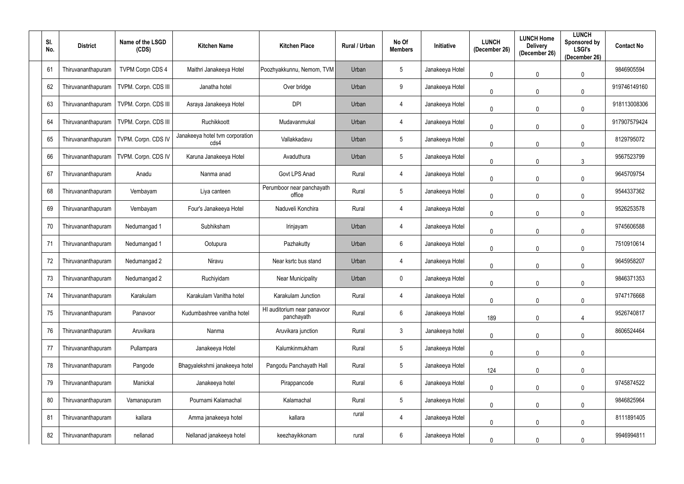| SI.<br>No. | <b>District</b>    | Name of the LSGD<br>(CDS) | <b>Kitchen Name</b>                     | <b>Kitchen Place</b>                      | Rural / Urban | No Of<br><b>Members</b> | <b>Initiative</b> | <b>LUNCH</b><br>(December 26) | <b>LUNCH Home</b><br><b>Delivery</b><br>(December 26) | <b>LUNCH</b><br>Sponsored by<br><b>LSGI's</b><br>(December 26) | <b>Contact No</b> |
|------------|--------------------|---------------------------|-----------------------------------------|-------------------------------------------|---------------|-------------------------|-------------------|-------------------------------|-------------------------------------------------------|----------------------------------------------------------------|-------------------|
| 61         | Thiruvananthapuram | <b>TVPM Corpn CDS 4</b>   | Maithri Janakeeya Hotel                 | Poozhyakkunnu, Nemom, TVM                 | Urban         | $5\phantom{.0}$         | Janakeeya Hotel   | $\mathbf 0$                   | $\mathbf 0$                                           | $\mathbf 0$                                                    | 9846905594        |
| 62         | Thiruvananthapuram | TVPM. Corpn. CDS III      | Janatha hotel                           | Over bridge                               | Urban         | 9                       | Janakeeya Hotel   | $\mathbf 0$                   | $\mathbf 0$                                           | $\mathbf 0$                                                    | 919746149160      |
| 63         | Thiruvananthapuram | TVPM. Corpn. CDS III      | Asraya Janakeeya Hotel                  | <b>DPI</b>                                | Urban         | 4                       | Janakeeya Hotel   | $\mathbf 0$                   | $\mathbf 0$                                           | 0                                                              | 918113008306      |
| 64         | Thiruvananthapuram | TVPM. Corpn. CDS III      | Ruchikkoott                             | Mudavanmukal                              | Urban         | 4                       | Janakeeya Hotel   | $\mathbf 0$                   | $\mathbf 0$                                           | 0                                                              | 917907579424      |
| 65         | Thiruvananthapuram | TVPM. Corpn. CDS IV       | Janakeeya hotel tvm corporation<br>cds4 | Vallakkadavu                              | Urban         | $5\overline{)}$         | Janakeeya Hotel   | $\mathbf 0$                   | $\mathbf 0$                                           | 0                                                              | 8129795072        |
| 66         | Thiruvananthapuram | TVPM. Corpn. CDS IV       | Karuna Janakeeya Hotel                  | Avaduthura                                | Urban         | $5\phantom{.0}$         | Janakeeya Hotel   | $\mathbf 0$                   | $\mathbf 0$                                           | $\mathbf{3}$                                                   | 9567523799        |
| 67         | Thiruvananthapuram | Anadu                     | Nanma anad                              | Govt LPS Anad                             | Rural         | $\overline{4}$          | Janakeeya Hotel   | $\mathbf 0$                   | $\mathbf 0$                                           | $\mathbf{0}$                                                   | 9645709754        |
| 68         | Thiruvananthapuram | Vembayam                  | Liya canteen                            | Perumboor near panchayath<br>office       | Rural         | $5\phantom{.0}$         | Janakeeya Hotel   | $\mathbf 0$                   | $\mathbf 0$                                           | $\mathbf 0$                                                    | 9544337362        |
| 69         | Thiruvananthapuram | Vembayam                  | Four's Janakeeya Hotel                  | Naduveli Konchira                         | Rural         | 4                       | Janakeeya Hotel   | $\mathbf 0$                   | $\mathbf 0$                                           | $\mathbf 0$                                                    | 9526253578        |
| 70         | Thiruvananthapuram | Nedumangad 1              | Subhiksham                              | Irinjayam                                 | Urban         | 4                       | Janakeeya Hotel   | $\mathbf 0$                   | $\mathbf{0}$                                          | $\mathbf 0$                                                    | 9745606588        |
| 71         | Thiruvananthapuram | Nedumangad 1              | Ootupura                                | Pazhakutty                                | Urban         | $6\phantom{.0}$         | Janakeeya Hotel   | $\mathbf 0$                   | $\mathbf 0$                                           | $\mathbf 0$                                                    | 7510910614        |
| 72         | Thiruvananthapuram | Nedumangad 2              | Niravu                                  | Near ksrtc bus stand                      | Urban         | 4                       | Janakeeya Hotel   | $\mathbf 0$                   | $\mathbf{0}$                                          | $\mathbf 0$                                                    | 9645958207        |
| 73         | Thiruvananthapuram | Nedumangad 2              | Ruchiyidam                              | <b>Near Municipality</b>                  | Urban         | $\mathbf 0$             | Janakeeya Hotel   | $\mathbf 0$                   | $\mathbf 0$                                           | 0                                                              | 9846371353        |
| 74         | Thiruvananthapuram | Karakulam                 | Karakulam Vanitha hotel                 | Karakulam Junction                        | Rural         | 4                       | Janakeeya Hotel   | $\overline{0}$                | $\mathbf 0$                                           | $\mathbf 0$                                                    | 9747176668        |
| 75         | Thiruvananthapuram | Panavoor                  | Kudumbashree vanitha hotel              | HI auditorium near panavoor<br>panchayath | Rural         | $6\phantom{.}6$         | Janakeeya Hotel   | 189                           | $\mathbf 0$                                           |                                                                | 9526740817        |
| 76         | Thiruvananthapuram | Aruvikara                 | Nanma                                   | Aruvikara junction                        | Rural         | $\mathbf{3}$            | Janakeeya hotel   | $\overline{0}$                | $\mathbf 0$                                           | $\mathbf 0$                                                    | 8606524464        |
| 77         | Thiruvananthapuram | Pullampara                | Janakeeya Hotel                         | Kalumkinmukham                            | Rural         | $5\phantom{.0}$         | Janakeeya Hotel   | $\pmb{0}$                     | $\mathbf{0}$                                          | 0                                                              |                   |
| 78         | Thiruvananthapuram | Pangode                   | Bhagyalekshmi janakeeya hotel           | Pangodu Panchayath Hall                   | Rural         | $5\phantom{.0}$         | Janakeeya Hotel   | 124                           | $\overline{0}$                                        | $\pmb{0}$                                                      |                   |
| 79         | Thiruvananthapuram | Manickal                  | Janakeeya hotel                         | Pirappancode                              | Rural         | $6\overline{6}$         | Janakeeya Hotel   | $\pmb{0}$                     | $\mathbf{0}$                                          | $\mathbf 0$                                                    | 9745874522        |
| 80         | Thiruvananthapuram | Vamanapuram               | Pournami Kalamachal                     | Kalamachal                                | Rural         | $5\phantom{.0}$         | Janakeeya Hotel   | $\pmb{0}$                     | $\mathbf 0$                                           | $\mathbf 0$                                                    | 9846825964        |
| 81         | Thiruvananthapuram | kallara                   | Amma janakeeya hotel                    | kallara                                   | rural         | $\overline{4}$          | Janakeeya Hotel   | $\pmb{0}$                     | $\mathbf 0$                                           | $\mathbf 0$                                                    | 8111891405        |
| 82         | Thiruvananthapuram | nellanad                  | Nellanad janakeeya hotel                | keezhayikkonam                            | rural         | $6\overline{6}$         | Janakeeya Hotel   | $\boldsymbol{0}$              |                                                       |                                                                | 9946994811        |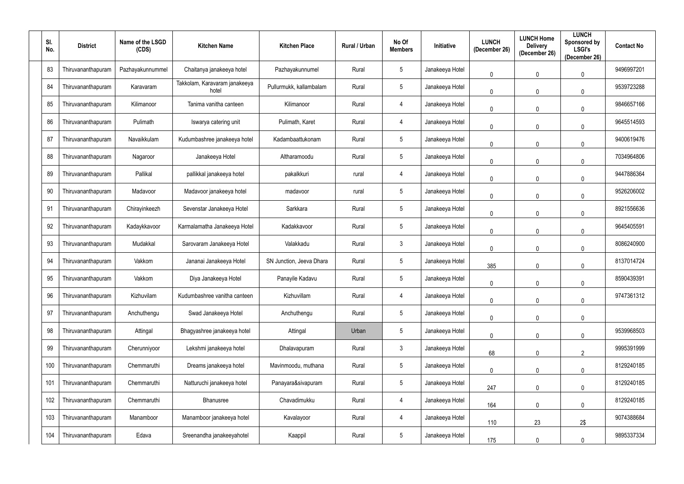| SI.<br>No. | <b>District</b>    | Name of the LSGD<br>(CDS) | <b>Kitchen Name</b>                    | <b>Kitchen Place</b>     | Rural / Urban | No Of<br><b>Members</b> | <b>Initiative</b> | <b>LUNCH</b><br>(December 26) | <b>LUNCH Home</b><br><b>Delivery</b><br>(December 26) | <b>LUNCH</b><br><b>Sponsored by</b><br><b>LSGI's</b><br>(December 26) | <b>Contact No</b> |
|------------|--------------------|---------------------------|----------------------------------------|--------------------------|---------------|-------------------------|-------------------|-------------------------------|-------------------------------------------------------|-----------------------------------------------------------------------|-------------------|
| 83         | Thiruvananthapuram | Pazhayakunnummel          | Chaitanya janakeeya hotel              | Pazhayakunnumel          | Rural         | $5\phantom{.0}$         | Janakeeya Hotel   | $\mathbf 0$                   | $\overline{0}$                                        | $\mathbf 0$                                                           | 9496997201        |
| 84         | Thiruvananthapuram | Karavaram                 | Takkolam, Karavaram janakeeya<br>hotel | Pullurmukk, kallambalam  | Rural         | $5\phantom{.0}$         | Janakeeya Hotel   | $\mathbf 0$                   | $\mathbf 0$                                           | $\mathbf 0$                                                           | 9539723288        |
| 85         | Thiruvananthapuram | Kilimanoor                | Tanima vanitha canteen                 | Kilimanoor               | Rural         | $\overline{4}$          | Janakeeya Hotel   | $\mathbf 0$                   | $\mathbf 0$                                           | $\Omega$                                                              | 9846657166        |
| 86         | Thiruvananthapuram | Pulimath                  | Iswarya catering unit                  | Pulimath, Karet          | Rural         | 4                       | Janakeeya Hotel   | $\mathbf 0$                   | $\mathbf 0$                                           | $\mathbf 0$                                                           | 9645514593        |
| 87         | Thiruvananthapuram | Navaikkulam               | Kudumbashree janakeeya hotel           | Kadambaattukonam         | Rural         | $5\phantom{.0}$         | Janakeeya Hotel   | $\mathbf 0$                   | $\mathbf 0$                                           | $\mathbf 0$                                                           | 9400619476        |
| 88         | Thiruvananthapuram | Nagaroor                  | Janakeeya Hotel                        | Altharamoodu             | Rural         | $5\phantom{.0}$         | Janakeeya Hotel   | $\mathbf 0$                   | $\overline{0}$                                        | $\mathbf 0$                                                           | 7034964806        |
| 89         | Thiruvananthapuram | Pallikal                  | pallikkal janakeeya hotel              | pakalkkuri               | rural         | $\overline{4}$          | Janakeeya Hotel   | $\overline{0}$                | $\overline{0}$                                        | $\mathbf 0$                                                           | 9447886364        |
| 90         | Thiruvananthapuram | Madavoor                  | Madavoor janakeeya hotel               | madavoor                 | rural         | $5\phantom{.0}$         | Janakeeya Hotel   | $\overline{0}$                | $\mathbf{0}$                                          | $\mathbf{0}$                                                          | 9526206002        |
| 91         | Thiruvananthapuram | Chirayinkeezh             | Sevenstar Janakeeya Hotel              | Sarkkara                 | Rural         | $5\phantom{.0}$         | Janakeeya Hotel   | $\overline{0}$                | $\overline{0}$                                        | $\Omega$                                                              | 8921556636        |
| 92         | Thiruvananthapuram | Kadaykkavoor              | Karmalamatha Janakeeya Hotel           | Kadakkavoor              | Rural         | $5\phantom{.0}$         | Janakeeya Hotel   | $\overline{0}$                | $\overline{0}$                                        | $\mathbf{0}$                                                          | 9645405591        |
| 93         | Thiruvananthapuram | Mudakkal                  | Sarovaram Janakeeya Hotel              | Valakkadu                | Rural         | $3\phantom{.0}$         | Janakeeya Hotel   | $\overline{0}$                | $\mathbf 0$                                           | $\mathbf{0}$                                                          | 8086240900        |
| 94         | Thiruvananthapuram | Vakkom                    | Jananai Janakeeya Hotel                | SN Junction, Jeeva Dhara | Rural         | $5\phantom{.0}$         | Janakeeya Hotel   | 385                           | $\overline{0}$                                        | $\mathbf{0}$                                                          | 8137014724        |
| 95         | Thiruvananthapuram | Vakkom                    | Diya Janakeeya Hotel                   | Panayile Kadavu          | Rural         | $5\phantom{.0}$         | Janakeeya Hotel   | $\mathbf 0$                   | $\overline{0}$                                        | $\mathbf{0}$                                                          | 8590439391        |
| 96         | Thiruvananthapuram | Kizhuvilam                | Kudumbashree vanitha canteen           | Kizhuvillam              | Rural         | 4                       | Janakeeya Hotel   | $\pmb{0}$                     | $\mathbf 0$                                           | $\mathbf 0$                                                           | 9747361312        |
| 97         | Thiruvananthapuram | Anchuthengu               | Swad Janakeeya Hotel                   | Anchuthengu              | Rural         | $5\phantom{.0}$         | Janakeeya Hotel   | $\mathbf 0$                   | $\overline{0}$                                        | $\mathbf 0$                                                           |                   |
| 98         | Thiruvananthapuram | Attingal                  | Bhagyashree janakeeya hotel            | Attingal                 | Urban         | $\sqrt{5}$              | Janakeeya Hotel   | $\overline{0}$                | $\overline{0}$                                        | $\mathbf 0$                                                           | 9539968503        |
| 99         | Thiruvananthapuram | Cherunniyoor              | Lekshmi janakeeya hotel                | Dhalavapuram             | Rural         | $3\phantom{.0}$         | Janakeeya Hotel   | 68                            | $\overline{0}$                                        | $\overline{2}$                                                        | 9995391999        |
| 100        | Thiruvananthapuram | Chemmaruthi               | Dreams janakeeya hotel                 | Mavinmoodu, muthana      | Rural         | $\sqrt{5}$              | Janakeeya Hotel   | $\pmb{0}$                     | $\overline{0}$                                        | $\pmb{0}$                                                             | 8129240185        |
| 101        | Thiruvananthapuram | Chemmaruthi               | Natturuchi janakeeya hotel             | Panayara&sivapuram       | Rural         | $\overline{5}$          | Janakeeya Hotel   | 247                           | $\mathbf 0$                                           | $\pmb{0}$                                                             | 8129240185        |
| 102        | Thiruvananthapuram | Chemmaruthi               | Bhanusree                              | Chavadimukku             | Rural         | 4                       | Janakeeya Hotel   | 164                           | $\mathbf 0$                                           | $\mathbf 0$                                                           | 8129240185        |
| 103        | Thiruvananthapuram | Manamboor                 | Manamboor janakeeya hotel              | Kavalayoor               | Rural         | 4                       | Janakeeya Hotel   | 110                           | 23                                                    | 2\$                                                                   | 9074388684        |
| 104        | Thiruvananthapuram | Edava                     | Sreenandha janakeeyahotel              | Kaappil                  | Rural         | $\sqrt{5}$              | Janakeeya Hotel   | 175                           | 0                                                     | $\mathbf 0$                                                           | 9895337334        |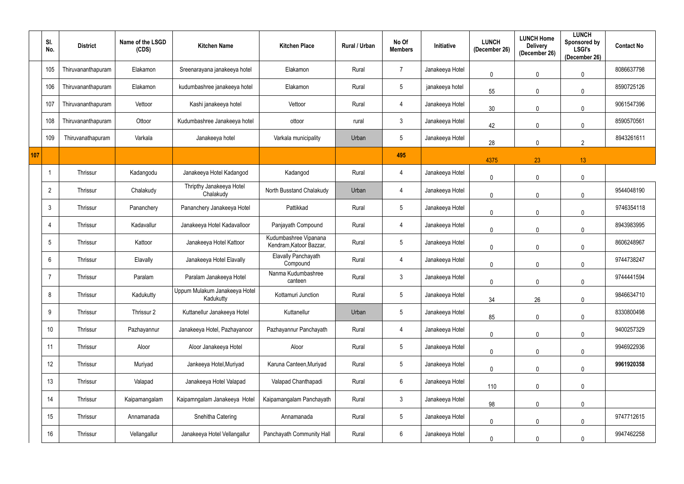|     | SI.<br>No.     | <b>District</b>    | Name of the LSGD<br>(CDS) | <b>Kitchen Name</b>                        | <b>Kitchen Place</b>                             | Rural / Urban | No Of<br><b>Members</b> | Initiative      | <b>LUNCH</b><br>(December 26) | <b>LUNCH Home</b><br><b>Delivery</b><br>(December 26) | <b>LUNCH</b><br>Sponsored by<br><b>LSGI's</b><br>(December 26) | <b>Contact No</b> |
|-----|----------------|--------------------|---------------------------|--------------------------------------------|--------------------------------------------------|---------------|-------------------------|-----------------|-------------------------------|-------------------------------------------------------|----------------------------------------------------------------|-------------------|
|     | 105            | Thiruvananthapuram | Elakamon                  | Sreenarayana janakeeya hotel               | Elakamon                                         | Rural         | 7                       | Janakeeya Hotel | $\mathbf 0$                   | $\mathbf 0$                                           | $\mathbf 0$                                                    | 8086637798        |
|     | 106            | Thiruvananthapuram | Elakamon                  | kudumbashree janakeeya hotel               | Elakamon                                         | Rural         | $5\phantom{.0}$         | janakeeya hotel | 55                            | $\mathbf 0$                                           | $\mathbf 0$                                                    | 8590725126        |
|     | 107            | Thiruvananthapuram | Vettoor                   | Kashi janakeeya hotel                      | Vettoor                                          | Rural         | 4                       | Janakeeya Hotel | 30                            | $\mathbf 0$                                           | $\mathbf 0$                                                    | 9061547396        |
|     | 108            | Thiruvananthapuram | Ottoor                    | Kudumbashree Janakeeya hotel               | ottoor                                           | rural         | $\mathbf{3}$            | Janakeeya Hotel | 42                            | $\mathbf 0$                                           | $\mathbf 0$                                                    | 8590570561        |
|     | 109            | Thiruvanathapuram  | Varkala                   | Janakeeya hotel                            | Varkala municipality                             | Urban         | 5                       | Janakeeya Hotel | 28                            | $\overline{0}$                                        | $\overline{2}$                                                 | 8943261611        |
| 107 |                |                    |                           |                                            |                                                  |               | 495                     |                 | 4375                          | 23                                                    | 13                                                             |                   |
|     |                | Thrissur           | Kadangodu                 | Janakeeya Hotel Kadangod                   | Kadangod                                         | Rural         | 4                       | Janakeeya Hotel | $\mathbf 0$                   | $\mathbf{0}$                                          | $\mathbf 0$                                                    |                   |
|     | $\overline{2}$ | Thrissur           | Chalakudy                 | Thripthy Janakeeya Hotel<br>Chalakudy      | North Busstand Chalakudy                         | Urban         | 4                       | Janakeeya Hotel | $\pmb{0}$                     | $\mathbf 0$                                           | $\mathbf 0$                                                    | 9544048190        |
|     | 3              | Thrissur           | Pananchery                | Pananchery Janakeeya Hotel                 | Pattikkad                                        | Rural         | 5 <sub>5</sub>          | Janakeeya Hotel | $\mathbf 0$                   | $\mathbf 0$                                           | $\mathbf 0$                                                    | 9746354118        |
|     |                | Thrissur           | Kadavallur                | Janakeeya Hotel Kadavalloor                | Panjayath Compound                               | Rural         | $\overline{4}$          | Janakeeya Hotel | $\mathbf 0$                   | $\overline{0}$                                        | $\mathbf 0$                                                    | 8943983995        |
|     | 5              | Thrissur           | Kattoor                   | Janakeeya Hotel Kattoor                    | Kudumbashree Vipanana<br>Kendram, Katoor Bazzar, | Rural         | $5\overline{)}$         | Janakeeya Hotel | $\overline{0}$                | $\mathbf 0$                                           | $\mathbf 0$                                                    | 8606248967        |
|     | 6              | Thrissur           | Elavally                  | Janakeeya Hotel Elavally                   | Elavally Panchayath<br>Compound                  | Rural         | 4                       | Janakeeya Hotel | $\mathbf 0$                   | $\overline{0}$                                        | $\mathbf 0$                                                    | 9744738247        |
|     |                | Thrissur           | Paralam                   | Paralam Janakeeya Hotel                    | Nanma Kudumbashree<br>canteen                    | Rural         | $\mathbf{3}$            | Janakeeya Hotel | $\overline{0}$                | $\boldsymbol{0}$                                      | $\mathbf 0$                                                    | 9744441594        |
|     | 8              | Thrissur           | Kadukutty                 | Uppum Mulakum Janakeeya Hotel<br>Kadukutty | Kottamuri Junction                               | Rural         | $5\phantom{.0}$         | Janakeeya Hotel | 34                            | 26                                                    | $\mathbf 0$                                                    | 9846634710        |
|     | 9              | Thrissur           | Thrissur 2                | Kuttanellur Janakeeya Hotel                | Kuttanellur                                      | Urban         | $5\overline{)}$         | Janakeeya Hotel | 85                            | $\mathbf 0$                                           | $\pmb{0}$                                                      | 8330800498        |
|     | 10             | Thrissur           | Pazhayannur               | Janakeeya Hotel, Pazhayanoor               | Pazhayannur Panchayath                           | Rural         | $\overline{4}$          | Janakeeya Hotel | $\mathbf 0$                   | $\mathbf 0$                                           | $\mathbf 0$                                                    | 9400257329        |
|     | 11             | Thrissur           | Aloor                     | Aloor Janakeeya Hotel                      | Aloor                                            | Rural         | $5\overline{)}$         | Janakeeya Hotel | $\mathbf 0$                   | $\mathbf 0$                                           | $\pmb{0}$                                                      | 9946922936        |
|     | 12             | Thrissur           | Muriyad                   | Jankeeya Hotel, Muriyad                    | Karuna Canteen, Muriyad                          | Rural         | $5\overline{)}$         | Janakeeya Hotel | $\mathbf 0$                   | $\mathbf 0$                                           | $\mathbf 0$                                                    | 9961920358        |
|     | 13             | Thrissur           | Valapad                   | Janakeeya Hotel Valapad                    | Valapad Chanthapadi                              | Rural         | $6\overline{6}$         | Janakeeya Hotel | 110                           | $\mathbf 0$                                           | $\mathbf 0$                                                    |                   |
|     | 14             | Thrissur           | Kaipamangalam             | Kaipamngalam Janakeeya Hotel               | Kaipamangalam Panchayath                         | Rural         | $\mathbf{3}$            | Janakeeya Hotel | 98                            | $\mathbf 0$                                           | $\mathbf 0$                                                    |                   |
|     | 15             | Thrissur           | Annamanada                | Snehitha Catering                          | Annamanada                                       | Rural         | $5\phantom{.0}$         | Janakeeya Hotel | $\mathbf 0$                   | $\overline{0}$                                        | $\mathbf 0$                                                    | 9747712615        |
|     | 16             | Thrissur           | Vellangallur              | Janakeeya Hotel Vellangallur               | Panchayath Community Hall                        | Rural         | $6\overline{6}$         | Janakeeya Hotel | $\overline{0}$                | $\pmb{0}$                                             | $\pmb{0}$                                                      | 9947462258        |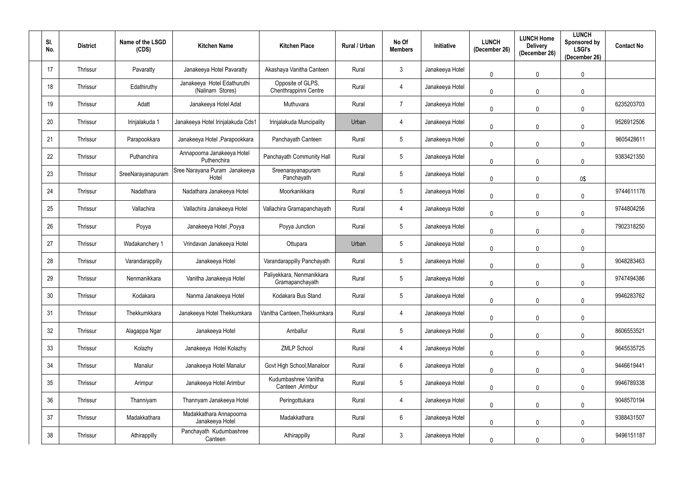| SI.<br>No. | <b>District</b> | Name of the LSGD<br>(CDS) | <b>Kitchen Name</b>                             | <b>Kitchen Place</b>                         | Rural / Urban | No Of<br><b>Members</b> | Initiative      | <b>LUNCH</b><br>(December 26) | <b>LUNCH Home</b><br><b>Delivery</b><br>(December 26) | <b>LUNCH</b><br>Sponsored by<br><b>LSGI's</b><br>(December 26) | <b>Contact No</b> |
|------------|-----------------|---------------------------|-------------------------------------------------|----------------------------------------------|---------------|-------------------------|-----------------|-------------------------------|-------------------------------------------------------|----------------------------------------------------------------|-------------------|
| 17         | Thrissur        | Pavaratty                 | Janakeeya Hotel Pavaratty                       | Akashaya Vanitha Canteen                     | Rural         | $\mathbf{3}$            | Janakeeya Hotel | $\pmb{0}$                     | $\mathbf 0$                                           | $\mathbf 0$                                                    |                   |
| 18         | Thrissur        | Edathiruthy               | Janakeeya Hotel Edathuruthi<br>(Nalinam Stores) | Opposite of GLPS,<br>Chenthrappinni Centre   | Rural         | $\overline{4}$          | Janakeeya Hotel | $\pmb{0}$                     | $\overline{0}$                                        | $\mathbf 0$                                                    |                   |
| 19         | Thrissur        | Adatt                     | Janakeeya Hotel Adat                            | Muthuvara                                    | Rural         | $\overline{7}$          | Janakeeya Hotel | $\overline{0}$                | $\mathbf 0$                                           | $\Omega$                                                       | 6235203703        |
| 20         | Thrissur        | Irinjalakuda 1            | Janakeeya Hotel Irinjalakuda Cds1               | Irinjalakuda Muncipality                     | Urban         | 4                       | Janakeeya Hotel | $\pmb{0}$                     | $\mathbf 0$                                           | $\mathbf{0}$                                                   | 9526912506        |
| 21         | Thrissur        | Parapookkara              | Janakeeya Hotel , Parapookkara                  | Panchayath Canteen                           | Rural         | $5\phantom{.0}$         | Janakeeya Hotel | $\pmb{0}$                     | $\mathbf 0$                                           | $\theta$                                                       | 9605428611        |
| 22         | Thrissur        | Puthanchira               | Annapoorna Janakeeya Hotel<br>Puthenchira       | Panchayath Community Hall                    | Rural         | $5\phantom{.0}$         | Janakeeya Hotel | $\pmb{0}$                     | $\mathbf 0$                                           | $\mathbf 0$                                                    | 9383421350        |
| 23         | Thrissur        | SreeNarayanapuram         | Sree Narayana Puram Janakeeya<br>Hotel          | Sreenarayanapuram<br>Panchayath              | Rural         | $5\phantom{.0}$         | Janakeeya Hotel | $\mathbf 0$                   | $\mathbf 0$                                           | 0\$                                                            |                   |
| 24         | Thrissur        | Nadathara                 | Nadathara Janakeeya Hotel                       | Moorkanikkara                                | Rural         | $5\phantom{.0}$         | Janakeeya Hotel | $\overline{0}$                | $\overline{0}$                                        | $\mathbf 0$                                                    | 9744611176        |
| 25         | Thrissur        | Vallachira                | Vallachira Janakeeya Hotel                      | Vallachira Gramapanchayath                   | Rural         | $\overline{4}$          | Janakeeya Hotel | $\mathbf 0$                   | $\mathbf 0$                                           | $\mathbf{0}$                                                   | 9744804256        |
| 26         | Thrissur        | Poyya                     | Janakeeya Hotel, Poyya                          | Poyya Junction                               | Rural         | $5\phantom{.0}$         | Janakeeya Hotel | $\mathbf 0$                   | $\Omega$                                              | $\Omega$                                                       | 7902318250        |
| 27         | Thrissur        | Wadakanchery 1            | Vrindavan Janakeeya Hotel                       | Ottupara                                     | Urban         | $5\phantom{.0}$         | Janakeeya Hotel | $\mathbf 0$                   | $\mathbf 0$                                           | $\mathbf{0}$                                                   |                   |
| 28         | Thrissur        | Varandarappilly           | Janakeeya Hotel                                 | Varandarappilly Panchayath                   | Rural         | $5\phantom{.0}$         | Janakeeya Hotel | $\mathbf 0$                   | $\mathbf 0$                                           | $\mathbf{0}$                                                   | 9048283463        |
| 29         | Thrissur        | Nenmanikkara              | Vanitha Janakeeya Hotel                         | Paliyekkara, Nenmanikkara<br>Gramapanchayath | Rural         | $5\overline{)}$         | Janakeeya Hotel | $\mathbf 0$                   | $\mathbf 0$                                           | $\Omega$                                                       | 9747494386        |
| $30\,$     | Thrissur        | Kodakara                  | Nanma Janakeeya Hotel                           | Kodakara Bus Stand                           | Rural         | $5\phantom{.0}$         | Janakeeya Hotel | $\mathbf 0$                   | $\mathbf 0$                                           | $\mathbf 0$                                                    | 9946283762        |
| 31         | Thrissur        | Thekkumkkara              | Janakeeya Hotel Thekkumkara                     | Vanitha Canteen, Thekkumkara                 | Rural         | $\overline{4}$          | Janakeeya Hotel | $\mathbf 0$                   | $\mathbf 0$                                           | $\mathbf 0$                                                    |                   |
| 32         | Thrissur        | Alagappa Ngar             | Janakeeya Hotel                                 | Amballur                                     | Rural         | $5\overline{)}$         | Janakeeya Hotel | $\mathbf 0$                   | $\mathbf 0$                                           | $\mathbf 0$                                                    | 8606553521        |
| 33         | Thrissur        | Kolazhy                   | Janakeeya Hotel Kolazhy                         | <b>ZMLP School</b>                           | Rural         | $\overline{4}$          | Janakeeya Hotel | $\mathbf 0$                   | $\mathbf 0$                                           | $\pmb{0}$                                                      | 9645535725        |
| 34         | Thrissur        | Manalur                   | Janakeeya Hotel Manalur                         | Govt High School, Manaloor                   | Rural         | $6\overline{6}$         | Janakeeya Hotel | $\mathbf 0$                   | $\mathbf 0$                                           | $\mathbf 0$                                                    | 9446619441        |
| 35         | Thrissur        | Arimpur                   | Janakeeya Hotel Arimbur                         | Kudumbashree Vanitha<br>Canteen , Arimbur    | Rural         | $5\phantom{.0}$         | Janakeeya Hotel | $\overline{0}$                | $\mathbf 0$                                           | $\mathbf 0$                                                    | 9946789338        |
| 36         | Thrissur        | Thanniyam                 | Thannyam Janakeeya Hotel                        | Peringottukara                               | Rural         | $\overline{4}$          | Janakeeya Hotel | $\mathbf 0$                   | $\mathbf 0$                                           | $\pmb{0}$                                                      | 9048570194        |
| 37         | Thrissur        | Madakkathara              | Madakkathara Annapoorna<br>Janakeeya Hotel      | Madakkathara                                 | Rural         | $6\phantom{.}6$         | Janakeeya Hotel | $\pmb{0}$                     | $\overline{0}$                                        | $\mathbf 0$                                                    | 9388431507        |
| 38         | Thrissur        | Athirappilly              | Panchayath Kudumbashree<br>Canteen              | Athirappilly                                 | Rural         | 3 <sup>1</sup>          | Janakeeya Hotel | $\boldsymbol{0}$              | $\overline{0}$                                        | 0                                                              | 9496151187        |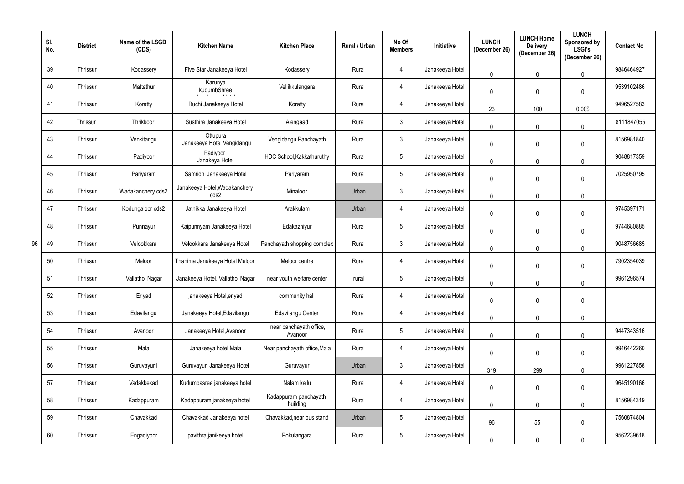| SI.<br>No. | <b>District</b> | Name of the LSGD<br>(CDS) | <b>Kitchen Name</b>                    | <b>Kitchen Place</b>               | Rural / Urban | No Of<br><b>Members</b> | Initiative      | <b>LUNCH</b><br>(December 26) | <b>LUNCH Home</b><br><b>Delivery</b><br>(December 26) | <b>LUNCH</b><br>Sponsored by<br><b>LSGI's</b><br>(December 26) | <b>Contact No</b> |
|------------|-----------------|---------------------------|----------------------------------------|------------------------------------|---------------|-------------------------|-----------------|-------------------------------|-------------------------------------------------------|----------------------------------------------------------------|-------------------|
| 39         | Thrissur        | Kodassery                 | Five Star Janakeeya Hotel              | Kodassery                          | Rural         | 4                       | Janakeeya Hotel | $\mathbf 0$                   | $\mathbf 0$                                           | $\mathbf 0$                                                    | 9846464927        |
| 40         | Thrissur        | Mattathur                 | Karunya<br>kudumbShree                 | Vellikkulangara                    | Rural         | $\overline{4}$          | Janakeeya Hotel | $\mathbf 0$                   | $\mathbf 0$                                           | $\mathbf 0$                                                    | 9539102486        |
| 41         | Thrissur        | Koratty                   | Ruchi Janakeeya Hotel                  | Koratty                            | Rural         | $\overline{4}$          | Janakeeya Hotel | 23                            | 100                                                   | 0.00\$                                                         | 9496527583        |
| 42         | Thrissur        | Thrikkoor                 | Susthira Janakeeya Hotel               | Alengaad                           | Rural         | $\mathbf{3}$            | Janakeeya Hotel | $\mathbf 0$                   | $\mathbf 0$                                           | 0                                                              | 8111847055        |
| 43         | Thrissur        | Venkitangu                | Ottupura<br>Janakeeya Hotel Vengidangu | Vengidangu Panchayath              | Rural         | 3 <sup>1</sup>          | Janakeeya Hotel | $\mathbf 0$                   | $\mathbf 0$                                           | $\mathbf 0$                                                    | 8156981840        |
| 44         | Thrissur        | Padiyoor                  | Padiyoor<br>Janakeya Hotel             | HDC School, Kakkathuruthy          | Rural         | 5 <sup>5</sup>          | Janakeeya Hotel | 0                             | $\mathbf 0$                                           | $\mathbf 0$                                                    | 9048817359        |
| 45         | Thrissur        | Pariyaram                 | Samridhi Janakeeya Hotel               | Pariyaram                          | Rural         | 5 <sub>5</sub>          | Janakeeya Hotel | $\mathbf 0$                   | $\mathbf 0$                                           | $\mathbf 0$                                                    | 7025950795        |
| 46         | Thrissur        | Wadakanchery cds2         | Janakeeya Hotel, Wadakanchery<br>cds2  | Minaloor                           | Urban         | $\mathbf{3}$            | Janakeeya Hotel | $\mathbf 0$                   | $\mathbf 0$                                           | $\mathbf 0$                                                    |                   |
| 47         | Thrissur        | Kodungaloor cds2          | Jathikka Janakeeya Hotel               | Arakkulam                          | Urban         | $\overline{4}$          | Janakeeya Hotel | $\mathbf 0$                   | $\mathbf 0$                                           | $\Omega$                                                       | 9745397171        |
| 48         | Thrissur        | Punnayur                  | Kaipunnyam Janakeeya Hotel             | Edakazhiyur                        | Rural         | 5 <sup>5</sup>          | Janakeeya Hotel | $\mathbf 0$                   | $\mathbf 0$                                           | $\mathbf 0$                                                    | 9744680885        |
| 96<br>49   | Thrissur        | Velookkara                | Velookkara Janakeeya Hotel             | Panchayath shopping complex        | Rural         | $\mathbf{3}$            | Janakeeya Hotel | $\mathbf 0$                   | $\mathbf 0$                                           | $\mathbf 0$                                                    | 9048756685        |
| 50         | Thrissur        | Meloor                    | Thanima Janakeeya Hotel Meloor         | Meloor centre                      | Rural         | 4                       | Janakeeya Hotel | 0                             | 0                                                     | $\mathbf{0}$                                                   | 7902354039        |
| 51         | Thrissur        | Vallathol Nagar           | Janakeeya Hotel, Vallathol Nagar       | near youth welfare center          | rural         | $5\overline{)}$         | Janakeeya Hotel | 0                             | 0                                                     | $\Omega$                                                       | 9961296574        |
| 52         | Thrissur        | Eriyad                    | janakeeya Hotel, eriyad                | community hall                     | Rural         | $\overline{4}$          | Janakeeya Hotel | $\mathbf 0$                   | $\mathbf 0$                                           | $\mathbf 0$                                                    |                   |
| 53         | Thrissur        | Edavilangu                | Janakeeya Hotel, Edavilangu            | Edavilangu Center                  | Rural         | $\overline{4}$          | Janakeeya Hotel | $\mathbf 0$                   | $\mathbf 0$                                           | $\pmb{0}$                                                      |                   |
| 54         | Thrissur        | Avanoor                   | Janakeeya Hotel, Avanoor               | near panchayath office,<br>Avanoor | Rural         | $5\phantom{.0}$         | Janakeeya Hotel | $\mathbf 0$                   | $\mathbf 0$                                           | $\pmb{0}$                                                      | 9447343516        |
| 55         | Thrissur        | Mala                      | Janakeeya hotel Mala                   | Near panchayath office, Mala       | Rural         | $\overline{4}$          | Janakeeya Hotel | $\mathbf 0$                   | $\mathbf 0$                                           | $\mathbf 0$                                                    | 9946442260        |
| 56         | Thrissur        | Guruvayur1                | Guruvayur Janakeeya Hotel              | Guruvayur                          | Urban         | $\mathbf{3}$            | Janakeeya Hotel | 319                           | 299                                                   | $\pmb{0}$                                                      | 9961227858        |
| 57         | Thrissur        | Vadakkekad                | Kudumbasree janakeeya hotel            | Nalam kallu                        | Rural         | $\overline{4}$          | Janakeeya Hotel | $\mathbf 0$                   | $\mathbf 0$                                           | $\pmb{0}$                                                      | 9645190166        |
| 58         | Thrissur        | Kadappuram                | Kadappuram janakeeya hotel             | Kadappuram panchayath<br>building  | Rural         | $\overline{4}$          | Janakeeya Hotel | $\mathbf 0$                   | $\mathbf 0$                                           | $\pmb{0}$                                                      | 8156984319        |
| 59         | Thrissur        | Chavakkad                 | Chavakkad Janakeeya hotel              | Chavakkad, near bus stand          | Urban         | 5 <sub>5</sub>          | Janakeeya Hotel | 96                            | 55                                                    | $\mathbf 0$                                                    | 7560874804        |
| 60         | Thrissur        | Engadiyoor                | pavithra janikeeya hotel               | Pokulangara                        | Rural         | $5\phantom{.0}$         | Janakeeya Hotel | $\mathbf 0$                   | $\mathbf 0$                                           | $\mathbf{0}$                                                   | 9562239618        |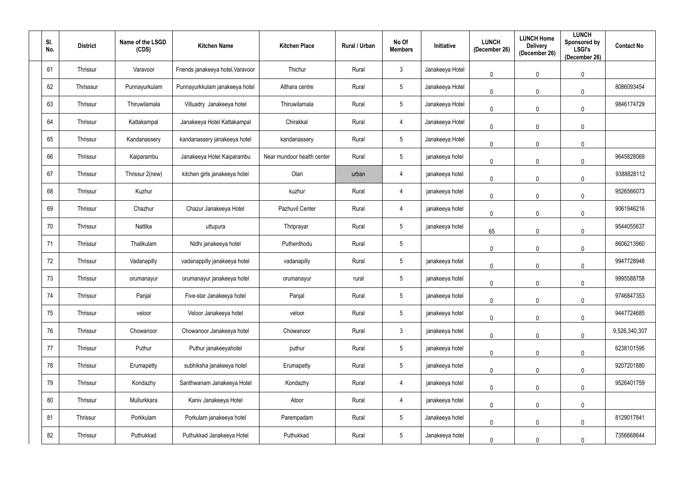| SI.<br>No. | <b>District</b> | Name of the LSGD<br>(CDS) | <b>Kitchen Name</b>               | <b>Kitchen Place</b>       | Rural / Urban | No Of<br><b>Members</b> | Initiative      | <b>LUNCH</b><br>(December 26) | <b>LUNCH Home</b><br><b>Delivery</b><br>(December 26) | <b>LUNCH</b><br>Sponsored by<br><b>LSGI's</b><br>(December 26) | <b>Contact No</b> |
|------------|-----------------|---------------------------|-----------------------------------|----------------------------|---------------|-------------------------|-----------------|-------------------------------|-------------------------------------------------------|----------------------------------------------------------------|-------------------|
| 61         | Thrissur        | Varavoor                  | Friends janakeeya hotel, Varavoor | Thichur                    | Rural         | $\mathbf{3}$            | Janakeeya Hotel | 0                             | $\mathbf 0$                                           | $\pmb{0}$                                                      |                   |
| 62         | Thrisssur       | Punnayurkulam             | Punnayurkkulam janakeeya hotel    | Althara centre             | Rural         | $5\phantom{.0}$         | Janakeeya Hotel | 0                             | $\mathbf 0$                                           | $\mathbf 0$                                                    | 8086093454        |
| 63         | Thrissur        | Thiruwilamala             | Villuadry Janakeeya hotel         | Thiruwilamala              | Rural         | $5\overline{)}$         | Janakeeya Hotel | 0                             | 0                                                     | $\mathbf 0$                                                    | 9846174729        |
| 64         | Thrissur        | Kattakampal               | Janakeeya Hotel Kattakampal       | Chirakkal                  | Rural         | $\overline{4}$          | Janakeeya Hotel | 0                             | 0                                                     | $\mathbf 0$                                                    |                   |
| 65         | Thrissur        | Kandanassery              | kandanassery janakeeya hotel      | kandanassery               | Rural         | $5\overline{)}$         | Janakeeya Hotel | 0                             | 0                                                     | $\mathbf 0$                                                    |                   |
| 66         | Thrissur        | Kaiparambu                | Janakeeya Hotel Kaiparambu        | Near mundoor health center | Rural         | $5\overline{)}$         | janakeeya hotel | 0                             | 0                                                     | $\mathbf 0$                                                    | 9645828069        |
| 67         | Thrissur        | Thrissur 2(new)           | kitchen girls janakeeya hotel     | Olari                      | urban         | 4                       | janakeeya hotel | 0                             | 0                                                     | $\mathbf{0}$                                                   | 9388828112        |
| 68         | Thrissur        | Kuzhur                    |                                   | kuzhur                     | Rural         | 4                       | janakeeya hotel | 0                             | $\mathbf 0$                                           | $\mathbf 0$                                                    | 9526566073        |
| 69         | Thrissur        | Chazhur                   | Chazur Janakeeya Hotel            | Pazhuvil Center            | Rural         | $\overline{4}$          | janakeeya hotel | $\mathbf 0$                   | $\mathbf 0$                                           | $\mathbf 0$                                                    | 9061946216        |
| 70         | Thrissur        | Nattika                   | uttupura                          | Thriprayar                 | Rural         | $5\overline{)}$         | janakeeya hotel | 65                            | $\Omega$                                              | $\mathbf 0$                                                    | 9544055637        |
| 71         | Thrissur        | Thalikulam                | Nidhi janakeeya hotel             | Puthenthodu                | Rural         | $5\phantom{.0}$         |                 | 0                             | 0                                                     | $\mathbf 0$                                                    | 8606213960        |
| 72         | Thrissur        | Vadanapilly               | vadanappilly janakeeya hotel      | vadanapilly                | Rural         | $5\overline{)}$         | janakeeya hotel | 0                             | $\mathbf 0$                                           | $\mathbf 0$                                                    | 9947728948        |
| 73         | Thrissur        | orumanayur                | orumanayur janakeeya hotel        | orumanayur                 | rural         | $5\overline{)}$         | janakeeya hotel | 0                             | $\mathbf 0$                                           | $\mathbf 0$                                                    | 9995588758        |
| 74         | Thrissur        | Panjal                    | Five-star Janakeeya hotel         | Panjal                     | Rural         | $5\overline{)}$         | janakeeya hotel | 0                             | $\mathbf 0$                                           | $\mathbf 0$                                                    | 9746847353        |
| 75         | Thrissur        | veloor                    | Veloor Janakeeya hotel            | veloor                     | Rural         | $5\phantom{.0}$         | janakeeya hotel | $\mathbf 0$                   | $\mathbf 0$                                           | $\mathbf 0$                                                    | 9447724685        |
| 76         | Thrissur        | Chowanoor                 | Chowanoor Janakeeya hotel         | Chowanoor                  | Rural         | $\mathbf{3}$            | janakeeya hotel | $\mathbf 0$                   | $\mathbf 0$                                           | $\mathbf 0$                                                    | 9,526,340,307     |
| 77         | Thrissur        | Puthur                    | Puthur janakeeyahotel             | puthur                     | Rural         | $5\phantom{.0}$         | janakeeya hotel | $\mathbf 0$                   | $\mathbf 0$                                           | $\mathbf 0$                                                    | 6238101595        |
| 78         | Thrissur        | Erumapetty                | subhiksha janakeeya hotel         | Erumapetty                 | Rural         | $5\overline{)}$         | janakeeya hotel | $\mathbf 0$                   | $\mathbf 0$                                           | $\mathbf 0$                                                    | 9207201880        |
| 79         | Thrissur        | Kondazhy                  | Santhwanam Janakeeya Hotel        | Kondazhy                   | Rural         | $\overline{4}$          | janakeeya hotel | 0                             | $\mathbf 0$                                           | $\mathbf 0$                                                    | 9526401759        |
| 80         | Thrissur        | Mullurkkara               | Kaniv Janakeeya Hotel             | Atoor                      | Rural         | $\overline{4}$          | janakeeya hotel | $\mathbf 0$                   | $\mathbf 0$                                           | $\mathbf 0$                                                    |                   |
| 81         | Thrissur        | Porkkulam                 | Porkulam janakeeya hotel          | Parempadam                 | Rural         | $5\phantom{.0}$         | Janakeeya hotel | 0                             | $\mathbf 0$                                           | $\pmb{0}$                                                      | 8129017841        |
| 82         | Thrissur        | Puthukkad                 | Puthukkad Janakeeya Hotel         | Puthukkad                  | Rural         | $5\overline{)}$         | Janakeeya hotel | 0                             |                                                       | $\mathbf 0$                                                    | 7356668644        |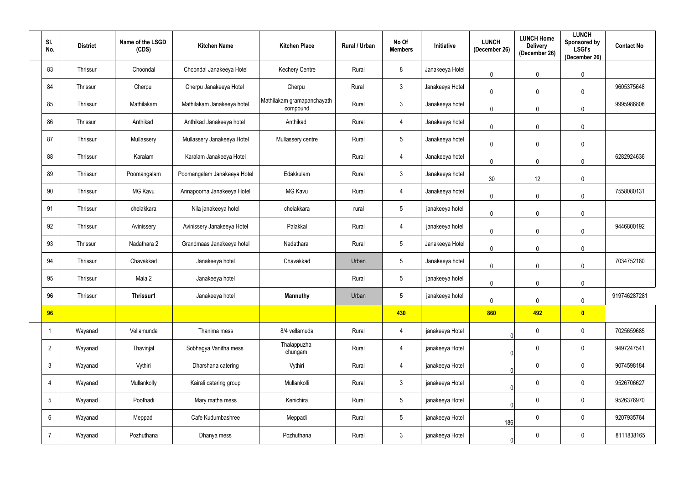| SI.<br>No.      | <b>District</b> | Name of the LSGD<br>(CDS) | <b>Kitchen Name</b>         | <b>Kitchen Place</b>                   | Rural / Urban | No Of<br><b>Members</b> | Initiative      | <b>LUNCH</b><br>(December 26) | <b>LUNCH Home</b><br><b>Delivery</b><br>(December 26) | <b>LUNCH</b><br>Sponsored by<br><b>LSGI's</b><br>(December 26) | <b>Contact No</b> |
|-----------------|-----------------|---------------------------|-----------------------------|----------------------------------------|---------------|-------------------------|-----------------|-------------------------------|-------------------------------------------------------|----------------------------------------------------------------|-------------------|
| 83              | Thrissur        | Choondal                  | Choondal Janakeeya Hotel    | <b>Kechery Centre</b>                  | Rural         | 8                       | Janakeeya Hotel | $\mathbf 0$                   | $\mathbf 0$                                           | $\mathbf 0$                                                    |                   |
| 84              | Thrissur        | Cherpu                    | Cherpu Janakeeya Hotel      | Cherpu                                 | Rural         | $3\overline{3}$         | Janakeeya Hotel | $\mathbf 0$                   | $\mathbf 0$                                           | 0                                                              | 9605375648        |
| 85              | Thrissur        | Mathilakam                | Mathilakam Janakeeya hotel  | Mathilakam gramapanchayath<br>compound | Rural         | $3\phantom{.0}$         | Janakeeya hotel | $\mathbf 0$                   | $\mathbf 0$                                           | $\mathbf 0$                                                    | 9995986808        |
| 86              | Thrissur        | Anthikad                  | Anthikad Janakeeya hotel    | Anthikad                               | Rural         | 4                       | Janakeeya hotel | $\mathbf 0$                   | $\mathbf 0$                                           | $\mathbf 0$                                                    |                   |
| 87              | Thrissur        | Mullassery                | Mullassery Janakeeya Hotel  | Mullassery centre                      | Rural         | 5 <sup>5</sup>          | Janakeeya hotel | $\mathbf 0$                   | $\mathbf 0$                                           | $\mathbf 0$                                                    |                   |
| 88              | Thrissur        | Karalam                   | Karalam Janakeeya Hotel     |                                        | Rural         | 4                       | Janakeeya hotel | $\mathbf 0$                   | $\mathbf 0$                                           | $\mathbf 0$                                                    | 6282924636        |
| 89              | Thrissur        | Poomangalam               | Poomangalam Janakeeya Hotel | Edakkulam                              | Rural         | $3\phantom{.0}$         | Janakeeya hotel | 30 <sup>°</sup>               | 12                                                    | $\mathbf 0$                                                    |                   |
| 90              | Thrissur        | <b>MG Kavu</b>            | Annapoorna Janakeeya Hotel  | <b>MG Kavu</b>                         | Rural         | $\overline{4}$          | Janakeeya hotel | $\mathbf 0$                   | $\mathbf 0$                                           | $\theta$                                                       | 7558080131        |
| 91              | Thrissur        | chelakkara                | Nila janakeeya hotel        | chelakkara                             | rural         | $5\phantom{.0}$         | janakeeya hotel | $\mathbf 0$                   | $\mathbf 0$                                           | $\mathbf 0$                                                    |                   |
| 92              | Thrissur        | Avinissery                | Avinissery Janakeeya Hotel  | Palakkal                               | Rural         | $\overline{4}$          | janakeeya hotel | $\mathbf 0$                   | $\mathbf 0$                                           | $\mathbf{0}$                                                   | 9446800192        |
| 93              | Thrissur        | Nadathara 2               | Grandmaas Janakeeya hotel   | Nadathara                              | Rural         | $5\phantom{.0}$         | Janakeeya Hotel | $\mathbf 0$                   | $\mathbf 0$                                           | $\overline{0}$                                                 |                   |
| 94              | Thrissur        | Chavakkad                 | Janakeeya hotel             | Chavakkad                              | Urban         | 5                       | Janakeeya hotel | $\mathbf 0$                   | $\mathbf 0$                                           | $\mathbf 0$                                                    | 7034752180        |
| 95              | Thrissur        | Mala 2                    | Janakeeya hotel             |                                        | Rural         | 5                       | janakeeya hotel | $\mathbf 0$                   | 0                                                     | $\mathbf{0}$                                                   |                   |
| 96              | Thrissur        | Thrissur1                 | Janakeeya hotel             | <b>Mannuthy</b>                        | Urban         | $5\phantom{.0}$         | janakeeya hotel | $\mathbf 0$                   | $\mathbf 0$                                           | $\mathbf 0$                                                    | 919746287281      |
| 96              |                 |                           |                             |                                        |               | 430                     |                 | 860                           | 492                                                   | $\bullet$                                                      |                   |
|                 | Wayanad         | Vellamunda                | Thanima mess                | 8/4 vellamuda                          | Rural         | $\overline{4}$          | janakeeya Hotel | $\mathbf 0$                   | $\overline{0}$                                        | $\mathbf 0$                                                    | 7025659685        |
| $\overline{2}$  | Wayanad         | Thavinjal                 | Sobhagya Vanitha mess       | Thalappuzha<br>chungam                 | Rural         | $\overline{4}$          | janakeeya Hotel | $\overline{0}$                | $\boldsymbol{0}$                                      | $\mathbf 0$                                                    | 9497247541        |
| $\mathbf{3}$    | Wayanad         | Vythiri                   | Dharshana catering          | Vythiri                                | Rural         | 4                       | janakeeya Hotel | $\mathbf 0$                   | $\boldsymbol{0}$                                      | $\boldsymbol{0}$                                               | 9074598184        |
| $\overline{4}$  | Wayanad         | Mullankolly               | Kairali catering group      | Mullankolli                            | Rural         | $\mathbf{3}$            | janakeeya Hotel | $\Omega$                      | $\mathbf 0$                                           | $\mathbf 0$                                                    | 9526706627        |
| $5\phantom{.0}$ | Wayanad         | Poothadi                  | Mary matha mess             | Kenichira                              | Rural         | $5\phantom{.0}$         | janakeeya Hotel | 0                             | $\boldsymbol{0}$                                      | $\overline{0}$                                                 | 9526376970        |
| 6               | Wayanad         | Meppadi                   | Cafe Kudumbashree           | Meppadi                                | Rural         | $5\overline{)}$         | janakeeya Hotel | 186                           | $\mathbf 0$                                           | $\overline{0}$                                                 | 9207935764        |
| $\overline{7}$  | Wayanad         | Pozhuthana                | Dhanya mess                 | Pozhuthana                             | Rural         | $\mathfrak{Z}$          | janakeeya Hotel | $\overline{0}$                | $\pmb{0}$                                             | $\boldsymbol{0}$                                               | 8111838165        |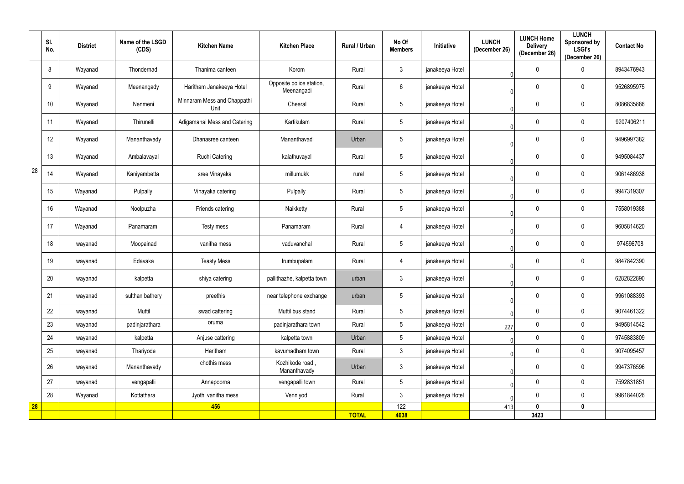|    | SI.<br>No. | <b>District</b> | Name of the LSGD<br>(CDS) | <b>Kitchen Name</b>                 | <b>Kitchen Place</b>                   | Rural / Urban | No Of<br><b>Members</b> | <b>Initiative</b> | <b>LUNCH</b><br>(December 26) | <b>LUNCH Home</b><br><b>Delivery</b><br>(December 26) | <b>LUNCH</b><br><b>Sponsored by</b><br><b>LSGI's</b><br>(December 26) | <b>Contact No</b> |
|----|------------|-----------------|---------------------------|-------------------------------------|----------------------------------------|---------------|-------------------------|-------------------|-------------------------------|-------------------------------------------------------|-----------------------------------------------------------------------|-------------------|
|    | 8          | Wayanad         | Thondernad                | Thanima canteen                     | Korom                                  | Rural         | $\mathfrak{Z}$          | janakeeya Hotel   | $\Omega$                      | $\mathbf 0$                                           | 0                                                                     | 8943476943        |
|    | 9          | Wayanad         | Meenangady                | Haritham Janakeeya Hotel            | Opposite police station,<br>Meenangadi | Rural         | 6                       | janakeeya Hotel   | $\Omega$                      | 0                                                     | $\mathbf{0}$                                                          | 9526895975        |
|    | 10         | Wayanad         | Nenmeni                   | Minnaram Mess and Chappathi<br>Unit | Cheeral                                | Rural         | 5                       | janakeeya Hotel   | $\Omega$                      | $\mathbf 0$                                           | $\mathbf 0$                                                           | 8086835886        |
|    | 11         | Wayanad         | Thirunelli                | Adigamanai Mess and Catering        | Kartikulam                             | Rural         | 5                       | janakeeya Hotel   | $\Omega$                      | 0                                                     | $\mathbf{0}$                                                          | 9207406211        |
|    | 12         | Wayanad         | Mananthavady              | Dhanasree canteen                   | Mananthavadi                           | Urban         | $5\phantom{.0}$         | janakeeya Hotel   | 0                             | 0                                                     | $\mathbf 0$                                                           | 9496997382        |
|    | 13         | Wayanad         | Ambalavayal               | <b>Ruchi Catering</b>               | kalathuvayal                           | Rural         | 5                       | janakeeya Hotel   | 0                             | 0                                                     | 0                                                                     | 9495084437        |
| 28 | 14         | Wayanad         | Kaniyambetta              | sree Vinayaka                       | millumukk                              | rural         | $5\phantom{.0}$         | janakeeya Hotel   | 0                             | $\overline{0}$                                        | $\mathbf 0$                                                           | 9061486938        |
|    | 15         | Wayanad         | Pulpally                  | Vinayaka catering                   | Pulpally                               | Rural         | 5                       | janakeeya Hotel   | 0                             | 0                                                     | $\mathbf 0$                                                           | 9947319307        |
|    | 16         | Wayanad         | Noolpuzha                 | Friends catering                    | Naikketty                              | Rural         | $5\phantom{.0}$         | janakeeya Hotel   | $\mathbf{0}$                  | $\mathbf 0$                                           | $\mathbf 0$                                                           | 7558019388        |
|    | 17         | Wayanad         | Panamaram                 | Testy mess                          | Panamaram                              | Rural         | 4                       | janakeeya Hotel   | $\Omega$                      | 0                                                     | $\mathbf{0}$                                                          | 9605814620        |
|    | 18         | wayanad         | Moopainad                 | vanitha mess                        | vaduvanchal                            | Rural         | $5\phantom{.0}$         | janakeeya Hotel   | $\Omega$                      | $\mathbf 0$                                           | $\mathbf{0}$                                                          | 974596708         |
|    | 19         | wayanad         | Edavaka                   | <b>Teasty Mess</b>                  | Irumbupalam                            | Rural         | $\overline{4}$          | janakeeya Hotel   | $\Omega$                      | 0                                                     | $\mathbf{0}$                                                          | 9847842390        |
|    | 20         | wayanad         | kalpetta                  | shiya catering                      | pallithazhe, kalpetta town             | urban         | 3 <sup>1</sup>          | janakeeya Hotel   | $\mathbf 0$                   | 0                                                     | $\mathbf{0}$                                                          | 6282822890        |
|    | 21         | wayanad         | sulthan bathery           | preethis                            | near telephone exchange                | urban         | $5\phantom{.0}$         | janakeeya Hotel   | $\mathbf{0}$                  | $\mathbf 0$                                           | $\mathbf 0$                                                           | 9961088393        |
|    | 22         | wayanad         | Muttil                    | swad cattering                      | Muttil bus stand                       | Rural         | $5\phantom{.0}$         | janakeeya Hotel   | $\Omega$                      | $\mathbf 0$                                           | $\mathbf 0$                                                           | 9074461322        |
|    | 23         | wayanad         | padinjarathara            | oruma                               | padinjarathara town                    | Rural         | $5\phantom{.0}$         | janakeeya Hotel   | 227                           | $\mathbf 0$                                           | $\mathbf 0$                                                           | 9495814542        |
|    | 24         | wayanad         | kalpetta                  | Anjuse cattering                    | kalpetta town                          | Urban         | 5                       | janakeeya Hotel   | $\Omega$                      | $\mathbf 0$                                           | $\mathbf 0$                                                           | 9745883809        |
|    | 25         | wayanad         | Thariyode                 | Haritham                            | kavumadham town                        | Rural         | $\mathfrak{Z}$          | janakeeya Hotel   | $\theta$                      | $\mathbf 0$                                           | $\mathbf 0$                                                           | 9074095457        |
|    | 26         | wayanad         | Mananthavady              | chothis mess                        | Kozhikode road,<br>Mananthavady        | Urban         | $\mathfrak{Z}$          | janakeeya Hotel   | 0                             | $\overline{0}$                                        | $\mathbf 0$                                                           | 9947376596        |
|    | 27         | wayanad         | vengapalli                | Annapoorna                          | vengapalli town                        | Rural         | $5\phantom{.0}$         | janakeeya Hotel   | $\Omega$                      | $\mathbf 0$                                           | $\mathbf 0$                                                           | 7592831851        |
|    | 28         | Wayanad         | Kottathara                | Jyothi vanitha mess                 | Venniyod                               | Rural         | 3 <sup>1</sup>          | janakeeya Hotel   | $\Omega$                      | $\mathbf 0$                                           | $\mathbf 0$                                                           | 9961844026        |
| 28 |            |                 |                           | 456                                 |                                        |               | 122                     |                   | 413                           | $\mathbf 0$                                           | $\mathbf 0$                                                           |                   |
|    |            |                 |                           |                                     |                                        | <b>TOTAL</b>  | 4638                    |                   |                               | 3423                                                  |                                                                       |                   |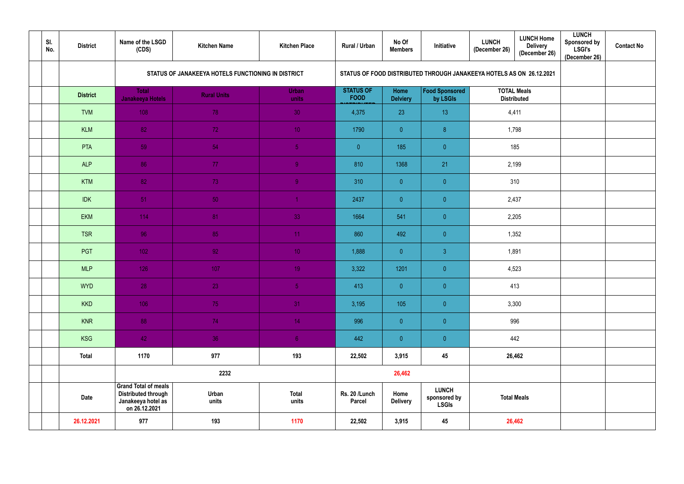| SI.<br>No. | <b>District</b> | Name of the LSGD<br>(CDS)                                                                        | <b>Kitchen Name</b>                                | <b>Kitchen Place</b>  | Rural / Urban                   | No Of<br><b>Members</b> | Initiative                                                           | <b>LUNCH</b><br>(December 26) | <b>LUNCH Home</b><br><b>Delivery</b><br>(December 26) | <b>LUNCH</b><br>Sponsored by<br><b>LSGI's</b><br>(December 26) | <b>Contact No</b> |  |  |  |  |
|------------|-----------------|--------------------------------------------------------------------------------------------------|----------------------------------------------------|-----------------------|---------------------------------|-------------------------|----------------------------------------------------------------------|-------------------------------|-------------------------------------------------------|----------------------------------------------------------------|-------------------|--|--|--|--|
|            |                 |                                                                                                  | STATUS OF JANAKEEYA HOTELS FUNCTIONING IN DISTRICT |                       |                                 |                         | STATUS OF FOOD DISTRIBUTED THROUGH JANAKEEYA HOTELS AS ON 26.12.2021 |                               |                                                       |                                                                |                   |  |  |  |  |
|            | <b>District</b> | <b>Total</b><br><b>Janakeeya Hotels</b>                                                          | <b>Rural Units</b>                                 | <b>Urban</b><br>units | <b>STATUS OF</b><br><b>FOOD</b> | Home<br><b>Delviery</b> | <b>Food Sponsored</b><br>by LSGIs                                    | <b>TOTAL Meals</b>            | <b>Distributed</b>                                    |                                                                |                   |  |  |  |  |
|            | <b>TVM</b>      | 108                                                                                              | 78                                                 | 30 <sub>1</sub>       | 4,375                           | 23                      | 13                                                                   | 4,411                         |                                                       |                                                                |                   |  |  |  |  |
|            | <b>KLM</b>      | 82                                                                                               | 72                                                 | 10 <sup>°</sup>       | 1790                            | $\overline{0}$          | 8                                                                    | 1,798                         |                                                       |                                                                |                   |  |  |  |  |
|            | <b>PTA</b>      | 59                                                                                               | 54                                                 | 5 <sup>1</sup>        | $\overline{0}$                  | 185                     | $\overline{0}$                                                       | 185                           |                                                       |                                                                |                   |  |  |  |  |
|            | <b>ALP</b>      | 86                                                                                               | 77                                                 | 9 <sub>1</sub>        | 810                             | 1368                    | 21                                                                   | 2,199                         |                                                       |                                                                |                   |  |  |  |  |
|            | <b>KTM</b>      | 82                                                                                               | 73                                                 | 9 <sup>°</sup>        | 310                             | $\overline{0}$          | $\overline{0}$                                                       | 310                           |                                                       |                                                                |                   |  |  |  |  |
|            | <b>IDK</b>      | 51                                                                                               | 50                                                 |                       | 2437                            | $\overline{0}$          | $\overline{0}$                                                       | 2,437                         |                                                       |                                                                |                   |  |  |  |  |
|            | <b>EKM</b>      | 114                                                                                              | 81                                                 | 33                    | 1664                            | 541                     | $\overline{0}$                                                       | 2,205                         |                                                       |                                                                |                   |  |  |  |  |
|            | <b>TSR</b>      | 96                                                                                               | 85                                                 | 11 <sub>1</sub>       | 860                             | 492                     | $\overline{0}$                                                       | 1,352                         |                                                       |                                                                |                   |  |  |  |  |
|            | PGT             | 102                                                                                              | 92                                                 | 10 <sup>°</sup>       | 1,888                           | $\overline{0}$          | $\overline{3}$                                                       | 1,891                         |                                                       |                                                                |                   |  |  |  |  |
|            | <b>MLP</b>      | 126                                                                                              | 107                                                | 19 <sup>°</sup>       | 3,322                           | 1201                    | $\overline{0}$                                                       | 4,523                         |                                                       |                                                                |                   |  |  |  |  |
|            | <b>WYD</b>      | 28                                                                                               | 23                                                 | 5 <sub>1</sub>        | 413                             | $\overline{0}$          | $\overline{0}$                                                       | 413                           |                                                       |                                                                |                   |  |  |  |  |
|            | <b>KKD</b>      | 106                                                                                              | 75                                                 | 31                    | 3,195                           | 105                     | $\overline{0}$                                                       | 3,300                         |                                                       |                                                                |                   |  |  |  |  |
|            | <b>KNR</b>      | 88                                                                                               | 74                                                 | 14                    | 996                             | $\overline{0}$          | $\overline{0}$                                                       |                               | 996                                                   |                                                                |                   |  |  |  |  |
|            | <b>KSG</b>      | 42                                                                                               | 36                                                 | 6 <sub>1</sub>        | 442                             | $\overline{0}$          | $\overline{0}$                                                       |                               | 442                                                   |                                                                |                   |  |  |  |  |
|            | <b>Total</b>    | 1170                                                                                             | 977                                                | 193                   | 22,502                          | 3,915                   | 45                                                                   |                               | 26,462                                                |                                                                |                   |  |  |  |  |
|            |                 |                                                                                                  | 2232                                               |                       |                                 | 26,462                  |                                                                      |                               |                                                       |                                                                |                   |  |  |  |  |
|            | <b>Date</b>     | <b>Grand Total of meals</b><br><b>Distributed through</b><br>Janakeeya hotel as<br>on 26.12.2021 | Urban<br>units                                     | <b>Total</b><br>units | Rs. 20 /Lunch<br><b>Parcel</b>  | Home<br><b>Delivery</b> | <b>LUNCH</b><br>sponsored by<br><b>LSGIs</b>                         |                               | <b>Total Meals</b>                                    |                                                                |                   |  |  |  |  |
|            | 26.12.2021      | 977                                                                                              | 193                                                | 1170                  | 22,502                          | 3,915                   | 45                                                                   |                               | 26,462                                                |                                                                |                   |  |  |  |  |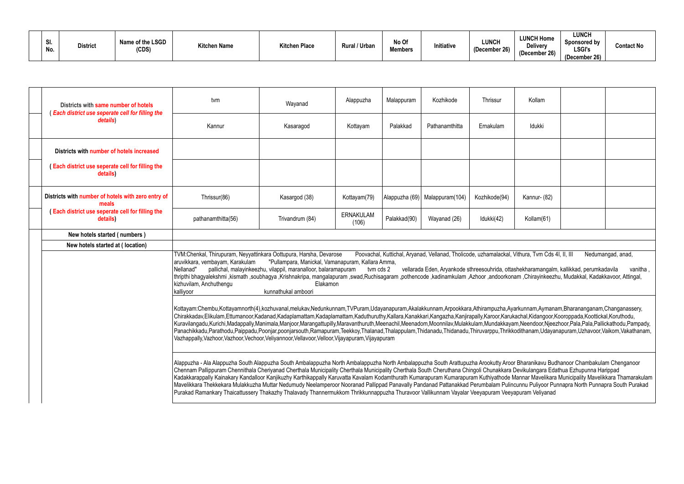| $\mathbf{C}$<br>.JI.<br>No. | <b>District</b> | Name of the LSGD<br>'CDS) | <b>Kitchen Name</b> | <b>Kitchen Place</b> | Rural / Urban | No Of<br><b>Members</b> | Initiative | <b>LUNCH</b><br>(December 26) |
|-----------------------------|-----------------|---------------------------|---------------------|----------------------|---------------|-------------------------|------------|-------------------------------|
|-----------------------------|-----------------|---------------------------|---------------------|----------------------|---------------|-------------------------|------------|-------------------------------|

| Kollam                     |                                                                                                                                                |                                                                                                                |
|----------------------------|------------------------------------------------------------------------------------------------------------------------------------------------|----------------------------------------------------------------------------------------------------------------|
| Idukki                     |                                                                                                                                                |                                                                                                                |
|                            |                                                                                                                                                |                                                                                                                |
|                            |                                                                                                                                                |                                                                                                                |
| Kannur- (82)               |                                                                                                                                                |                                                                                                                |
| Kollam(61)                 |                                                                                                                                                |                                                                                                                |
|                            |                                                                                                                                                |                                                                                                                |
| thura, Tvm Cds 4I, II, III |                                                                                                                                                | Nedumangad, anad,                                                                                              |
|                            | nekharamangalm, kallikkad, perumkadavila<br>m ,Chirayinkeezhu, Mudakkal, Kadakkavoor, Attingal,                                                | , vanitha                                                                                                      |
|                            | kunnam, Aymanam, Bharananganam, Changanassery,<br>chal, Kidangoor, Kooroppada, Koottickal, Koruthodu,                                          | i,Neendoor,Njeezhoor,Pala,Pala,Pallickathodu,Pampady,<br>dithanam, Udayanapuram, Uzhavoor, Vaikom, Vakathanam, |
| buram Veliyanad            | Bharanikavu Budhanoor Chambakulam Chenganoor<br>evikulangara Edathua Ezhupunna Harippad<br>unnu Puliyoor Punnapra North Punnapra South Purakad | annar Mavelikara Municipality Mavelikkara Thamarakulam                                                         |

| Districts with same number of hotels<br><b>Each district use seperate cell for filling the</b> | tvm                                                                                                                                                                                                                                                                                                                                                                                                                                                                                                                                                                                                                                                                                                                                                                                                                                                                                                              | Wayanad                                                                                                                                                                                                                                                                                                                                                                                                                                                                                                                                                                                                                                                                                                                                                                                                                                                     | Alappuzha                 | Malappuram   | Kozhikode                                                                                                                                                                                 | Thrissur      | Kollam       |  |                               |  |  |
|------------------------------------------------------------------------------------------------|------------------------------------------------------------------------------------------------------------------------------------------------------------------------------------------------------------------------------------------------------------------------------------------------------------------------------------------------------------------------------------------------------------------------------------------------------------------------------------------------------------------------------------------------------------------------------------------------------------------------------------------------------------------------------------------------------------------------------------------------------------------------------------------------------------------------------------------------------------------------------------------------------------------|-------------------------------------------------------------------------------------------------------------------------------------------------------------------------------------------------------------------------------------------------------------------------------------------------------------------------------------------------------------------------------------------------------------------------------------------------------------------------------------------------------------------------------------------------------------------------------------------------------------------------------------------------------------------------------------------------------------------------------------------------------------------------------------------------------------------------------------------------------------|---------------------------|--------------|-------------------------------------------------------------------------------------------------------------------------------------------------------------------------------------------|---------------|--------------|--|-------------------------------|--|--|
| details)                                                                                       | Kannur                                                                                                                                                                                                                                                                                                                                                                                                                                                                                                                                                                                                                                                                                                                                                                                                                                                                                                           | Kasaragod                                                                                                                                                                                                                                                                                                                                                                                                                                                                                                                                                                                                                                                                                                                                                                                                                                                   | Kottayam                  | Palakkad     | Pathanamthitta                                                                                                                                                                            | Ernakulam     | Idukki       |  |                               |  |  |
| Districts with number of hotels increased                                                      |                                                                                                                                                                                                                                                                                                                                                                                                                                                                                                                                                                                                                                                                                                                                                                                                                                                                                                                  |                                                                                                                                                                                                                                                                                                                                                                                                                                                                                                                                                                                                                                                                                                                                                                                                                                                             |                           |              |                                                                                                                                                                                           |               |              |  |                               |  |  |
| (Each district use seperate cell for filling the<br>details)                                   |                                                                                                                                                                                                                                                                                                                                                                                                                                                                                                                                                                                                                                                                                                                                                                                                                                                                                                                  |                                                                                                                                                                                                                                                                                                                                                                                                                                                                                                                                                                                                                                                                                                                                                                                                                                                             |                           |              |                                                                                                                                                                                           |               |              |  |                               |  |  |
| Districts with number of hotels with zero entry of<br>meals                                    | Thrissur(86)                                                                                                                                                                                                                                                                                                                                                                                                                                                                                                                                                                                                                                                                                                                                                                                                                                                                                                     | Kasargod (38)                                                                                                                                                                                                                                                                                                                                                                                                                                                                                                                                                                                                                                                                                                                                                                                                                                               | Kottayam(79)              |              | Alappuzha (69) Malappuram (104)                                                                                                                                                           | Kozhikode(94) | Kannur- (82) |  |                               |  |  |
| (Each district use seperate cell for filling the<br>details)                                   | pathanamthitta(56)                                                                                                                                                                                                                                                                                                                                                                                                                                                                                                                                                                                                                                                                                                                                                                                                                                                                                               | Trivandrum (84)                                                                                                                                                                                                                                                                                                                                                                                                                                                                                                                                                                                                                                                                                                                                                                                                                                             | <b>ERNAKULAM</b><br>(106) | Palakkad(90) | Wayanad (26)                                                                                                                                                                              | Idukki(42)    | Kollam(61)   |  |                               |  |  |
| New hotels started (numbers)                                                                   |                                                                                                                                                                                                                                                                                                                                                                                                                                                                                                                                                                                                                                                                                                                                                                                                                                                                                                                  |                                                                                                                                                                                                                                                                                                                                                                                                                                                                                                                                                                                                                                                                                                                                                                                                                                                             |                           |              |                                                                                                                                                                                           |               |              |  |                               |  |  |
| New hotels started at (location)                                                               |                                                                                                                                                                                                                                                                                                                                                                                                                                                                                                                                                                                                                                                                                                                                                                                                                                                                                                                  |                                                                                                                                                                                                                                                                                                                                                                                                                                                                                                                                                                                                                                                                                                                                                                                                                                                             |                           |              |                                                                                                                                                                                           |               |              |  |                               |  |  |
|                                                                                                | TVM:Chenkal, Thirupuram, Neyyattinkara Oottupura, Harsha, Devarose<br>aruvikkara, vembayam, Karakulam<br>Nellanad"<br>thripthi bhagyalekshmi ,kismath ,soubhagya ,Krishnakripa, mangalapuram ,swad,Ruchisagaram ,pothencode ,kadinamkulam ,Azhoor ,andoorkonam ,Chirayinkeezhu, Mudakkal, Kadakkavoor, Attingal,<br>kizhuvilam, Anchuthengu<br>kalliyoor                                                                                                                                                                                                                                                                                                                                                                                                                                                                                                                                                         | "Pullampara, Manickal, Vamanapuram, Kallara Amma,<br>pallichal, malayinkeezhu, vilappil, maranalloor, balaramapuram<br>Elakamon<br>kunnathukal amboori                                                                                                                                                                                                                                                                                                                                                                                                                                                                                                                                                                                                                                                                                                      | tvm cds 2                 |              | Poovachal, Kuttichal, Aryanad, Vellanad, Tholicode, uzhamalackal, Vithura, Tvm Cds 4I, II, III<br>vellarada Eden, Aryankode sthreesouhrida, ottashekharamangalm, kallikkad, perumkadavila |               |              |  | Nedumangad, anad,<br>vanitha, |  |  |
|                                                                                                |                                                                                                                                                                                                                                                                                                                                                                                                                                                                                                                                                                                                                                                                                                                                                                                                                                                                                                                  | Kottayam:Chembu,Kottayamnorth(4),kozhuvanal,melukav,Nedunkunnam,TVPuram,Udayanapuram,Akalakkunnam,Arpookkara,Athirampuzha,Ayarkunnam,Aymanam,Bharananganam,Changanassery,<br>Chirakkadav,Elikulam,Ettumanoor,Kadanad,Kadaplamattam,Kadaplamattam,Kaduthuruthy,Kallara,Kanakkari,Kangazha,Kanjirapally,Karoor,Karukachal,Kidangoor,Kooroppada,Koottickal,Koruthodu,<br>Kuravilangadu,Kurichi,Madappally,Manimala,Manjoor,Marangattupilly,Maravanthuruth,Meenachil,Meenadom,Moonnilav,Mulakkulam,Mundakkayam,Neendoor,Njeezhoor,Pala,Pala,Pallickathodu,Pampady,<br>Panachikkadu,Parathodu,Paippadu,Poonjar,poonjarsouth,Ramapuram,Teekkoy,Thalanad,Thalappulam,Thidanadu,Thidanadu,Thiruvarppu,Thrikkodithanam,Udayanapuram,Uzhavoor,Vaikom,Vakathanam,<br>Vazhappally, Vazhoor, Vazhoor, Vechoor, Veliyannoor, Vellavoor, Velloor, Vijayapuram, Vijayapuram |                           |              |                                                                                                                                                                                           |               |              |  |                               |  |  |
|                                                                                                | Alappuzha - Ala Alappuzha South Alappuzha South Ambalappuzha North Ambalappuzha North Ambalappuzha South Arattupuzha Arookutty Aroor Bharanikavu Budhanoor Chambakulam Chenganoor<br>Chennam Pallippuram Chennithala Cheriyanad Cherthala Municipality Cherthala Municipality Cherthala South Cheruthana Chingoli Chunakkara Devikulangara Edathua Ezhupunna Harippad<br>Kadakkarappally Kainakary Kandalloor Kanjikuzhy Karthikappally Karuvatta Kavalam Kodamthurath Kumarapuram Kumarapuram Kuthiyathode Mannar Mavelikara Municipality Mavelikkara Thamarakulam<br>Mavelikkara Thekkekara Mulakkuzha Muttar Nedumudy Neelamperoor Nooranad Pallippad Panavally Pandanad Pattanakkad Perumbalam Pulincunnu Puliyoor Punnapra North Punnapra South Purakad<br>Purakad Ramankary Thaicattussery Thakazhy Thalavady Thannermukkom Thrikkunnappuzha Thuravoor Vallikunnam Vayalar Veeyapuram Veeyapuram Veliyanad |                                                                                                                                                                                                                                                                                                                                                                                                                                                                                                                                                                                                                                                                                                                                                                                                                                                             |                           |              |                                                                                                                                                                                           |               |              |  |                               |  |  |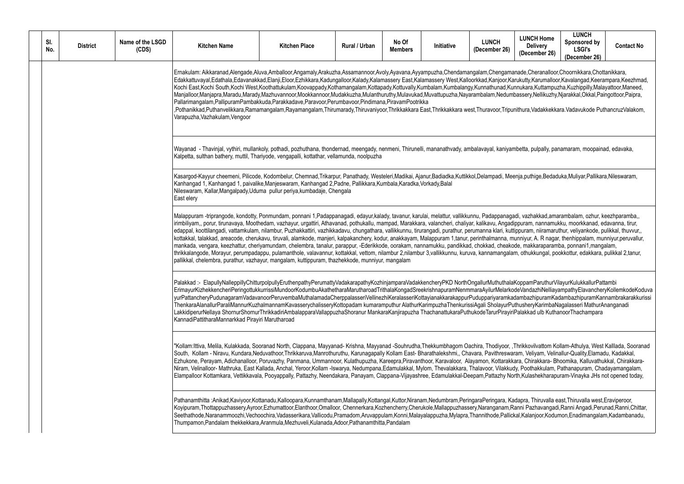hade,Cheranalloor,Choornikkara,Chottanikkara, ekutty,Karumalloor,Kavalangad,Keerampara,Keezhmad, Kochi East, Kochi South, Koothattukulan, Kooram, Koopangalan, Koopangalan, Kottumbalang, Kottumbalang<br>Innukara,Kuttampuzha,Kuzhippilly,Malayattoor,Maneed, Massery,Nellikuzhy,Njarakkal,Okkal,Paingottoor,Paipra,

ithura,Vadakkekkara.Vadavukode PuthancruzValakom,

hbetta, pulpally, panamaram, moopainad, edavaka, nenmeni, meengady, nenmeni, mananatha, pulpally, panamaram, m

nja, puthige, Bedaduka, Muliyar, Pallikara, Nileswaram,

di, vazhakkad, amarambalam, ozhur, keezhparamba,, puram, nannamukku, moorkkanad, edavanna, tirur, mampand, mampad, mampad, mampad, mannamukku, mampadipuram, nan .<br>ippuram, niiramaruthur, veliyankode, pulikkal, thuvvur,, atakand, areacode, cherukanan, manistirum, alaman<br>kalpakan manjeri, kalenthalmanna, manjeri, kalendary, manjeri, perintalny, munniyur, A. R nagar, thenhippalam, de, makkaraparamba, ponnani1, mangalam, nannamukkaraparam, nannamukkaraparam, nannamukkaraparam, nan n, othukkungal, pookkottur, edakkara, pulikkal 2,tanur, nilambur 3,tanur, nilambur 3,tanur, kuru

KoppamParuthurVilayurKulukkallurPattambi deVandazhiNelliayampathyElavancheryKollemkodeKoduva dambazhipuramKadambazhipuramKannambrakarakkurissi thusheryKarimbaNagalasseri MathurAnanganadi Palakkad ulb KuthanoorThachampara

Thrikkovilvattom Kollam-Athulya, West Kalllada, Sooranad ram, Veliyam, Velinallur-Quality,Elamadu, Kadakkal, ara, Chirakkara- Bhoomika, Kalluvathukkal, Chirakkara-Iy, Poothakkulam, Pathanapuram, Chadayamangalam, rth, Kulashekharapuram-Vinayka JHs not opened today,

dapra, Thiruvalla east,Thiruvalla west,Eraviperoor, anni Pazhavangadi,Ranni Angadi,Perunad,Ranni Chittar, al,Kalanjoor,Kodumon,Enadimangalam,Kadambanadu,

| SI.<br>No. | <b>District</b> | Name of the LSGD<br>(CDS) | <b>Kitchen Name</b>                                                                                                                                                                                                                                                                                                                                                                                                                                                                                                                                                                                                                                                                                                                                                                                                                                                                                                                                                                                         | <b>Kitchen Place</b> | Rural / Urban | No Of<br><b>Members</b> | <b>Initiative</b> | <b>LUNCH</b><br>(December 26) |
|------------|-----------------|---------------------------|-------------------------------------------------------------------------------------------------------------------------------------------------------------------------------------------------------------------------------------------------------------------------------------------------------------------------------------------------------------------------------------------------------------------------------------------------------------------------------------------------------------------------------------------------------------------------------------------------------------------------------------------------------------------------------------------------------------------------------------------------------------------------------------------------------------------------------------------------------------------------------------------------------------------------------------------------------------------------------------------------------------|----------------------|---------------|-------------------------|-------------------|-------------------------------|
|            |                 |                           | Ernakulam: Aikkaranad,Alengade,Aluva,Amballoor,Angamaly,Arakuzha,Assamannoor,Avoly,Ayavana,Ayyampuzha,Chendamangalam,Chengamar<br>Edakkattuvayal,Edathala,Edavanakkad,Elanji,Eloor,Ezhikkara,Kadungalloor,Kalady,Kalamassery East,Kalamassery West,Kalloorkkad,Kanjoor,Kar<br>Kochi East, Kochi South, Kochi West, Koothattukulam, Koovappady, Kothamangalam, Kottapady, Kottuvally, Kumbalam, Kumbalangy, Kunnathunad, Kun<br>Manjalloor,Manjapra,Maradu,Marady,Mazhuvannoor,Mookkannoor,Mudakkuzha,Mulanthuruthy,Mulavukad,Muvattupuzha,Nayarambalam,Nedumb<br>Pallarimangalam, Pallipuram Pambakkuda, Parakkadave, Paravoor, Perumbavoor, Pindimana, Piravam Pootrikka<br>,Pothanikkad,Puthanvelikkara,Ramamangalam,Rayamangalam,Thirumarady,Thiruvaniyoor,Thrikkakkara East,Thrikkakkara west,Thuravoor,Tripun<br>Varapuzha, Vazhakulam, Vengoor                                                                                                                                                        |                      |               |                         |                   |                               |
|            |                 |                           | Wayanad - Thavinjal, vythiri, mullankoly, pothadi, pozhuthana, thondernad, meengady, nenmeni, Thirunelli, mananathvady, ambalavayal, kaniyam<br>Kalpetta, sulthan bathery, muttil, Thariyode, vengapalli, kottathar, vellamunda, noolpuzha                                                                                                                                                                                                                                                                                                                                                                                                                                                                                                                                                                                                                                                                                                                                                                  |                      |               |                         |                   |                               |
|            |                 |                           | Kasargod-Kayyur cheemeni, Pilicode, Kodombelur, Chemnad, Trikarpur, Panathady, Westeleri, Madikai, Ajanur, Badiadka, Kuttikkol, Delampadi, Meer<br>Kanhangad 1, Kanhangad 1, paivalike, Manjeswaram, Kanhangad 2, Padne, Pallikkara, Kumbala, Karadka, Vorkady, Balal<br>Nileswaram, Kallar, Mangalpady, Uduma pullur periya, kumbadaje, Chengala<br>East elery                                                                                                                                                                                                                                                                                                                                                                                                                                                                                                                                                                                                                                             |                      |               |                         |                   |                               |
|            |                 |                           | Malappuram -triprangode, kondotty, Ponmundam, ponnani 1,Padappanagadi, edayur,kalady, tavanur, karulai, melattur, vallikkunnu, Padappanagad<br>irimbiliyam,, porur, tirunavaya, Moothedam, vazhayur, urgattiri, Athavanad, pothukallu, mampad, Marakkara, valancheri, chaliyar, kalikavu, Angadip<br>edappal, koottilangadi, vattamkulam, nilambur, Puzhakkattiri, vazhikkadavu, chungathara, vallikkunnu, tirurangadi, purathur, perumanna klari, kuttip<br>kottakkal, talakkad, areacode, cherukavu, tiruvali, alamkode, manjeri, kalpakanchery, kodur, anakkayam, Malappuram 1,tanur, perinthalmanna, mu<br>mankada, vengara, keezhattur, cheriyamundam, chelembra, tanalur, parappur, -Ederikkode, oorakam, nannamukku, pandikkad, chokkad, cheakod<br>thrikkalangode, Morayur, perumpadappu, pulamanthole, valavannur, kottakkal, vettom, nilambur 2,nilambur 3,vallikkunnu, kuruva, kannamangalam<br>pallikkal, chelembra, purathur, vazhayur, mangalam, kuttippuram, thazhekkode, munniyur, mangalam |                      |               |                         |                   |                               |
|            |                 |                           | Palakkad:- ElapullyNalleppillyChitturpolpullyEruthenpathyPerumattyVadakarapathyKozhinjamparaVadakkencheryPKD NorthOngallurMuthuthalaK<br>ErimayurKizhekkencheriPeringottukkurrissiMundoorKodumbuAkathetharaMarutharoadTrithalaKongadSreekrishnapuramNenmmaraAyilurMelarkod<br>yurPattancheryPudunagaramVadavanoorPeruvembaMuthalamadaCherppalasseriVellinezhiKeralasseriKottayianakkarakappurPuduppariyaramkad<br>ThenkaraAlanallurParaliMannurKuzhalmannamKavasserychalisseryKottopadam kumaramputhur AlathurKarimpuzhaThenkurissiAgali SholayurPut<br>LakkidiperurNellaya ShornurShornurThrikkadiriAmbalapparaVallappuzhaShoranur MankaraKanjirapuzha ThachanattukaraPuthukodeTarurPirayiriP<br>KannadiPattitharaMannarkkad Pirayiri Marutharoad                                                                                                                                                                                                                                                          |                      |               |                         |                   |                               |
|            |                 |                           | "Kollam:Ittiva, Melila, Kulakkada, Sooranad North, Clappana, Mayyanad-Krishna, Mayyanad -Souhrudha,Thekkumbhagom Oachira, Thodiyoor, ,T<br>South, Kollam - Niravu, Kundara, Neduvathoor, Thrikkaruva, Manrothuruthu, Karunagapally Kollam East-Bharathalekshmi,, Chavara, Pavithreswara<br>Ezhukone, Perayam, Adichanalloor, Poruvazhy, Panmana, Ummannoor, Kulathupuzha, Kareepra, Piravanthoor, Karavaloor, Alayamon, Kottarakka<br>Niram, Velinalloor-Mathruka, East Kallada, Anchal, Yeroor,Kollam -Iswarya, Nedumpana,Edamulakkal, Mylom, Thevalakkara, Thalavoor, Vilakkudy<br>Elampalloor Kottamkara, Vettikkavala, Pooyappally, Pattazhy, Neendakara, Panayam, Clappana-Vijayashree, Edamulakkal-Deepam,Pattazhy Norl                                                                                                                                                                                                                                                                               |                      |               |                         |                   |                               |
|            |                 |                           | Pathanamthitta :Anikad,Kaviyoor,Kottanadu,Kalloopara,Kunnamthanam,Mallapally,Kottangal,Kuttor,Niranam,Nedumbram,PeringaraPeringara, Kac<br>Koyipuram, Thottappuzhassery, Ayroor, Ezhumattoor, Elanthoor, Omalloor, Chennerkara, Kozhencherry, Cherukole, Mallappuzhassery, Naranganam, Ra<br>Seethathode, Naranammoozhi, Vechoochira, Vadasserikara, Vallicodu, Pramadom, Aruvappulam, Konni, Malayalappuzha, Mylapra, Thannithode, Pallicka<br>Thumpamon, Pandalam thekkekkara, Aranmula, Mezhuveli, Kulanada, Adoor, Pathanamthitta, Pandalam                                                                                                                                                                                                                                                                                                                                                                                                                                                             |                      |               |                         |                   |                               |